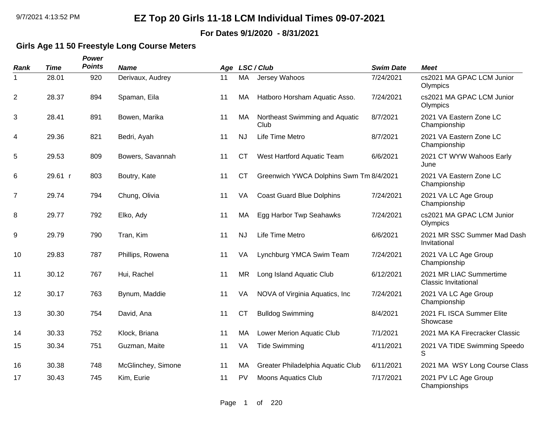**For Dates 9/1/2020 - 8/31/2021**

### **Girls Age 11 50 Freestyle Long Course Meters**

| <b>Rank</b>    | <b>Time</b> | Power<br><b>Points</b> | <b>Name</b>        |    |           | Age LSC/Club                            | <b>Swim Date</b> | <b>Meet</b>                                            |
|----------------|-------------|------------------------|--------------------|----|-----------|-----------------------------------------|------------------|--------------------------------------------------------|
| 1              | 28.01       | 920                    | Derivaux, Audrey   | 11 | MA        | Jersey Wahoos                           | 7/24/2021        | cs2021 MA GPAC LCM Junior<br>Olympics                  |
| $\overline{2}$ | 28.37       | 894                    | Spaman, Eila       | 11 | MA        | Hatboro Horsham Aquatic Asso.           | 7/24/2021        | cs2021 MA GPAC LCM Junior<br>Olympics                  |
| 3              | 28.41       | 891                    | Bowen, Marika      | 11 | МA        | Northeast Swimming and Aquatic<br>Club  | 8/7/2021         | 2021 VA Eastern Zone LC<br>Championship                |
| 4              | 29.36       | 821                    | Bedri, Ayah        | 11 | <b>NJ</b> | Life Time Metro                         | 8/7/2021         | 2021 VA Eastern Zone LC<br>Championship                |
| 5              | 29.53       | 809                    | Bowers, Savannah   | 11 | <b>CT</b> | West Hartford Aquatic Team              | 6/6/2021         | 2021 CT WYW Wahoos Early<br>June                       |
| 6              | 29.61 r     | 803                    | Boutry, Kate       | 11 | <b>CT</b> | Greenwich YWCA Dolphins Swm Tm 8/4/2021 |                  | 2021 VA Eastern Zone LC<br>Championship                |
| $\overline{7}$ | 29.74       | 794                    | Chung, Olivia      | 11 | VA        | <b>Coast Guard Blue Dolphins</b>        | 7/24/2021        | 2021 VA LC Age Group<br>Championship                   |
| 8              | 29.77       | 792                    | Elko, Ady          | 11 | МA        | Egg Harbor Twp Seahawks                 | 7/24/2021        | cs2021 MA GPAC LCM Junior<br>Olympics                  |
| 9              | 29.79       | 790                    | Tran, Kim          | 11 | <b>NJ</b> | Life Time Metro                         | 6/6/2021         | 2021 MR SSC Summer Mad Dash<br>Invitational            |
| 10             | 29.83       | 787                    | Phillips, Rowena   | 11 | VA        | Lynchburg YMCA Swim Team                | 7/24/2021        | 2021 VA LC Age Group<br>Championship                   |
| 11             | 30.12       | 767                    | Hui, Rachel        | 11 | <b>MR</b> | Long Island Aquatic Club                | 6/12/2021        | 2021 MR LIAC Summertime<br><b>Classic Invitational</b> |
| 12             | 30.17       | 763                    | Bynum, Maddie      | 11 | VA        | NOVA of Virginia Aquatics, Inc          | 7/24/2021        | 2021 VA LC Age Group<br>Championship                   |
| 13             | 30.30       | 754                    | David, Ana         | 11 | <b>CT</b> | <b>Bulldog Swimming</b>                 | 8/4/2021         | 2021 FL ISCA Summer Elite<br>Showcase                  |
| 14             | 30.33       | 752                    | Klock, Briana      | 11 | МA        | Lower Merion Aquatic Club               | 7/1/2021         | 2021 MA KA Firecracker Classic                         |
| 15             | 30.34       | 751                    | Guzman, Maite      | 11 | VA        | <b>Tide Swimming</b>                    | 4/11/2021        | 2021 VA TIDE Swimming Speedo<br>S                      |
| 16             | 30.38       | 748                    | McGlinchey, Simone | 11 | МA        | Greater Philadelphia Aquatic Club       | 6/11/2021        | 2021 MA WSY Long Course Class                          |
| 17             | 30.43       | 745                    | Kim, Eurie         | 11 | <b>PV</b> | <b>Moons Aquatics Club</b>              | 7/17/2021        | 2021 PV LC Age Group<br>Championships                  |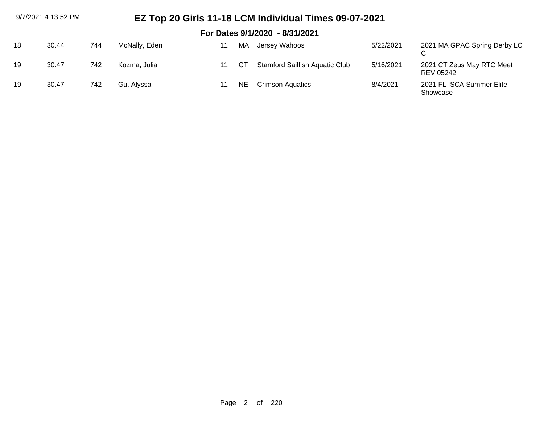| 9/7/2021 4:13:52 PM |       | EZ Top 20 Girls 11-18 LCM Individual Times 09-07-2021 |               |    |    |                                       |           |                                               |  |  |
|---------------------|-------|-------------------------------------------------------|---------------|----|----|---------------------------------------|-----------|-----------------------------------------------|--|--|
|                     |       |                                                       |               |    |    | For Dates 9/1/2020 - 8/31/2021        |           |                                               |  |  |
| 18                  | 30.44 | 744                                                   | McNally, Eden | 11 | МA | Jersey Wahoos                         | 5/22/2021 | 2021 MA GPAC Spring Derby LC                  |  |  |
| 19                  | 30.47 | 742                                                   | Kozma, Julia  | 11 | CЛ | <b>Stamford Sailfish Aquatic Club</b> | 5/16/2021 | 2021 CT Zeus May RTC Meet<br><b>REV 05242</b> |  |  |
| 19                  | 30.47 | 742                                                   | Gu, Alyssa    | 11 | NE | <b>Crimson Aquatics</b>               | 8/4/2021  | 2021 FL ISCA Summer Elite<br>Showcase         |  |  |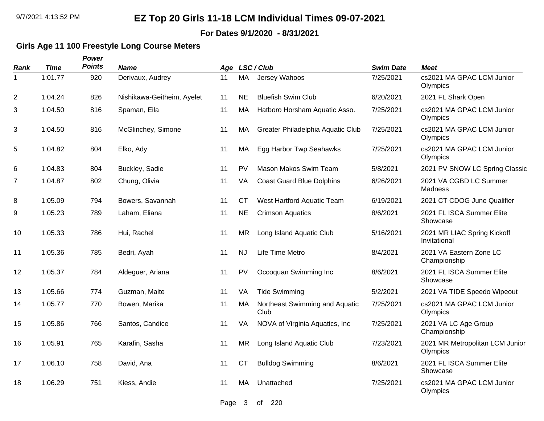**For Dates 9/1/2020 - 8/31/2021**

### **Girls Age 11 100 Freestyle Long Course Meters**

*Power*

| <b>Rank</b>    | <b>Time</b> | <b>Points</b> | <b>Name</b>                | Age |           | LSC / Club                             | <b>Swim Date</b> | <b>Meet</b>                                 |
|----------------|-------------|---------------|----------------------------|-----|-----------|----------------------------------------|------------------|---------------------------------------------|
| 1              | 1:01.77     | 920           | Derivaux, Audrey           | 11  | МA        | Jersey Wahoos                          | 7/25/2021        | cs2021 MA GPAC LCM Junior<br>Olympics       |
| $\overline{c}$ | 1:04.24     | 826           | Nishikawa-Geitheim, Ayelet | 11  | <b>NE</b> | <b>Bluefish Swim Club</b>              | 6/20/2021        | 2021 FL Shark Open                          |
| 3              | 1:04.50     | 816           | Spaman, Eila               | 11  | MA        | Hatboro Horsham Aquatic Asso.          | 7/25/2021        | cs2021 MA GPAC LCM Junior<br>Olympics       |
| 3              | 1:04.50     | 816           | McGlinchey, Simone         | 11  | MA        | Greater Philadelphia Aquatic Club      | 7/25/2021        | cs2021 MA GPAC LCM Junior<br>Olympics       |
| 5              | 1:04.82     | 804           | Elko, Ady                  | 11  | MA        | Egg Harbor Twp Seahawks                | 7/25/2021        | cs2021 MA GPAC LCM Junior<br>Olympics       |
| 6              | 1:04.83     | 804           | Buckley, Sadie             | 11  | <b>PV</b> | Mason Makos Swim Team                  | 5/8/2021         | 2021 PV SNOW LC Spring Classic              |
| 7              | 1:04.87     | 802           | Chung, Olivia              | 11  | VA        | <b>Coast Guard Blue Dolphins</b>       | 6/26/2021        | 2021 VA CGBD LC Summer<br>Madness           |
| 8              | 1:05.09     | 794           | Bowers, Savannah           | 11  | <b>CT</b> | West Hartford Aquatic Team             | 6/19/2021        | 2021 CT CDOG June Qualifier                 |
| 9              | 1:05.23     | 789           | Laham, Eliana              | 11  | <b>NE</b> | <b>Crimson Aquatics</b>                | 8/6/2021         | 2021 FL ISCA Summer Elite<br>Showcase       |
| 10             | 1:05.33     | 786           | Hui, Rachel                | 11  | <b>MR</b> | Long Island Aquatic Club               | 5/16/2021        | 2021 MR LIAC Spring Kickoff<br>Invitational |
| 11             | 1:05.36     | 785           | Bedri, Ayah                | 11  | <b>NJ</b> | Life Time Metro                        | 8/4/2021         | 2021 VA Eastern Zone LC<br>Championship     |
| 12             | 1:05.37     | 784           | Aldeguer, Ariana           | 11  | PV        | Occoquan Swimming Inc                  | 8/6/2021         | 2021 FL ISCA Summer Elite<br>Showcase       |
| 13             | 1:05.66     | 774           | Guzman, Maite              | 11  | VA        | <b>Tide Swimming</b>                   | 5/2/2021         | 2021 VA TIDE Speedo Wipeout                 |
| 14             | 1:05.77     | 770           | Bowen, Marika              | 11  | MA        | Northeast Swimming and Aquatic<br>Club | 7/25/2021        | cs2021 MA GPAC LCM Junior<br>Olympics       |
| 15             | 1:05.86     | 766           | Santos, Candice            | 11  | VA        | NOVA of Virginia Aquatics, Inc.        | 7/25/2021        | 2021 VA LC Age Group<br>Championship        |
| 16             | 1:05.91     | 765           | Karafin, Sasha             | 11  | <b>MR</b> | Long Island Aquatic Club               | 7/23/2021        | 2021 MR Metropolitan LCM Junior<br>Olympics |
| 17             | 1:06.10     | 758           | David, Ana                 | 11  | <b>CT</b> | <b>Bulldog Swimming</b>                | 8/6/2021         | 2021 FL ISCA Summer Elite<br>Showcase       |
| 18             | 1:06.29     | 751           | Kiess, Andie               | 11  | МA        | Unattached                             | 7/25/2021        | cs2021 MA GPAC LCM Junior<br>Olympics       |

Page 3 of 220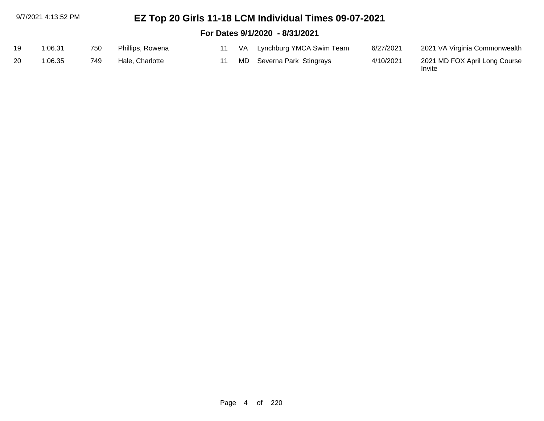### 19 1:06.31 750 Phillips, Rowena 11 VA Lynchburg YMCA Swim Team 6/27/2021 2021 VA Virginia Commonwealth **EZ Top 20 Girls 11-18 LCM Individual Times 09-07-2021 For Dates 9/1/2020 - 8/31/2021** 9/7/2021 4:13:52 PM

| ៲ສ | 1.UO.JT | 7 JU | <b>Fillips, Rowerld</b> |  | <b>IT VA LYNCHOUG TIVICA SWITH TEAM</b> | <b>0/2//2021</b> | ZUZ EVA VIIGINA COMMONWEANO             |
|----|---------|------|-------------------------|--|-----------------------------------------|------------------|-----------------------------------------|
| 20 | 1:06.35 | 749  | Hale, Charlotte         |  | 11 MD Severna Park Stingrays            | 4/10/2021        | 2021 MD FOX April Long Course<br>Invite |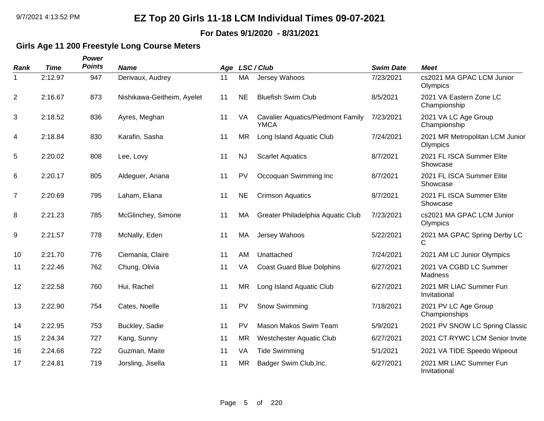**For Dates 9/1/2020 - 8/31/2021**

### **Girls Age 11 200 Freestyle Long Course Meters**

| <b>Rank</b>    | <b>Time</b> | Power<br><b>Points</b> | <b>Name</b>                | Age |           | LSC / Club                                              | <b>Swim Date</b> | <b>Meet</b>                                 |
|----------------|-------------|------------------------|----------------------------|-----|-----------|---------------------------------------------------------|------------------|---------------------------------------------|
| 1              | 2:12.97     | 947                    | Derivaux, Audrey           | 11  | MA        | Jersey Wahoos                                           | 7/23/2021        | cs2021 MA GPAC LCM Junior<br>Olympics       |
| $\overline{2}$ | 2:16.67     | 873                    | Nishikawa-Geitheim, Ayelet | 11  | <b>NE</b> | <b>Bluefish Swim Club</b>                               | 8/5/2021         | 2021 VA Eastern Zone LC<br>Championship     |
| 3              | 2:18.52     | 836                    | Ayres, Meghan              | 11  | VA        | <b>Cavalier Aquatics/Piedmont Family</b><br><b>YMCA</b> | 7/23/2021        | 2021 VA LC Age Group<br>Championship        |
| 4              | 2:18.84     | 830                    | Karafin, Sasha             | 11  | <b>MR</b> | Long Island Aquatic Club                                | 7/24/2021        | 2021 MR Metropolitan LCM Junior<br>Olympics |
| 5              | 2:20.02     | 808                    | Lee, Lovy                  | 11  | <b>NJ</b> | <b>Scarlet Aquatics</b>                                 | 8/7/2021         | 2021 FL ISCA Summer Elite<br>Showcase       |
| 6              | 2:20.17     | 805                    | Aldeguer, Ariana           | 11  | <b>PV</b> | Occoquan Swimming Inc                                   | 8/7/2021         | 2021 FL ISCA Summer Elite<br>Showcase       |
| $\overline{7}$ | 2:20.69     | 795                    | Laham, Eliana              | 11  | <b>NE</b> | <b>Crimson Aquatics</b>                                 | 8/7/2021         | 2021 FL ISCA Summer Elite<br>Showcase       |
| 8              | 2:21.23     | 785                    | McGlinchey, Simone         | 11  | МA        | Greater Philadelphia Aquatic Club                       | 7/23/2021        | cs2021 MA GPAC LCM Junior<br>Olympics       |
| 9              | 2:21.57     | 778                    | McNally, Eden              | 11  | MA        | Jersey Wahoos                                           | 5/22/2021        | 2021 MA GPAC Spring Derby LC<br>C           |
| 10             | 2:21.70     | 776                    | Ciemania, Claire           | 11  | AM        | Unattached                                              | 7/24/2021        | 2021 AM LC Junior Olympics                  |
| 11             | 2:22.46     | 762                    | Chung, Olivia              | 11  | VA        | <b>Coast Guard Blue Dolphins</b>                        | 6/27/2021        | 2021 VA CGBD LC Summer<br>Madness           |
| 12             | 2:22.58     | 760                    | Hui, Rachel                | 11  | <b>MR</b> | Long Island Aquatic Club                                | 6/27/2021        | 2021 MR LIAC Summer Fun<br>Invitational     |
| 13             | 2:22.90     | 754                    | Cates, Noelle              | 11  | PV        | Snow Swimming                                           | 7/18/2021        | 2021 PV LC Age Group<br>Championships       |
| 14             | 2:22.95     | 753                    | Buckley, Sadie             | 11  | <b>PV</b> | Mason Makos Swim Team                                   | 5/9/2021         | 2021 PV SNOW LC Spring Classic              |
| 15             | 2:24.34     | 727                    | Kang, Sunny                | 11  | <b>MR</b> | Westchester Aquatic Club                                | 6/27/2021        | 2021 CT RYWC LCM Senior Invite              |
| 16             | 2:24.66     | 722                    | Guzman, Maite              | 11  | VA        | <b>Tide Swimming</b>                                    | 5/1/2021         | 2021 VA TIDE Speedo Wipeout                 |
| 17             | 2:24.81     | 719                    | Jorsling, Jisella          | 11  | <b>MR</b> | Badger Swim Club, Inc.                                  | 6/27/2021        | 2021 MR LIAC Summer Fun<br>Invitational     |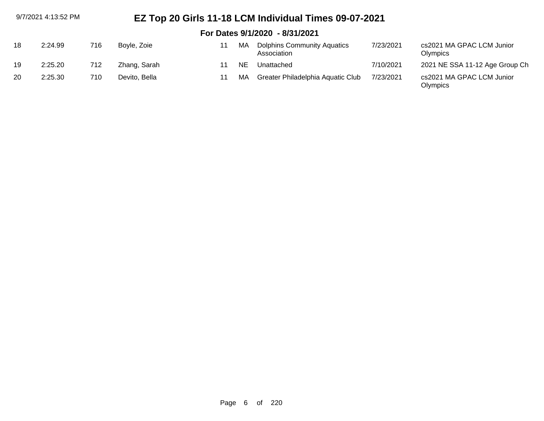| 9/7/2021 4:13:52 PM |         |     |               |     | EZ Top 20 Girls 11-18 LCM Individual Times 09-07-2021 |           |                                       |  |  |  |  |
|---------------------|---------|-----|---------------|-----|-------------------------------------------------------|-----------|---------------------------------------|--|--|--|--|
|                     |         |     |               |     |                                                       |           |                                       |  |  |  |  |
| 18                  | 2:24.99 | 716 | Boyle, Zoie   | МA  | <b>Dolphins Community Aquatics</b><br>Association     | 7/23/2021 | cs2021 MA GPAC LCM Junior<br>Olympics |  |  |  |  |
| 19                  | 2:25.20 | 712 | Zhang, Sarah  | NE  | Unattached                                            | 7/10/2021 | 2021 NE SSA 11-12 Age Group Ch        |  |  |  |  |
| 20                  | 2:25.30 | 710 | Devito, Bella | MA. | Greater Philadelphia Aquatic Club                     | 7/23/2021 | cs2021 MA GPAC LCM Junior<br>Olympics |  |  |  |  |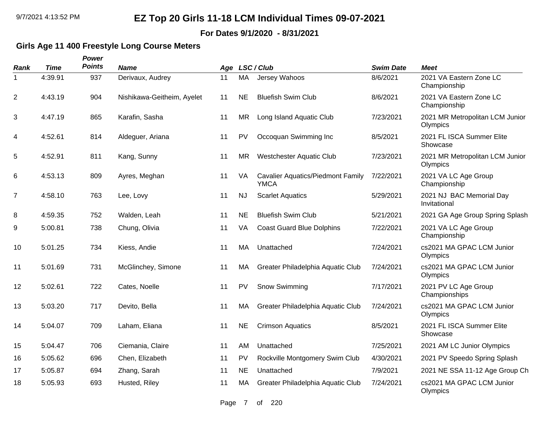**For Dates 9/1/2020 - 8/31/2021**

### **Girls Age 11 400 Freestyle Long Course Meters**

| <b>Rank</b>    | <b>Time</b> | Power<br><b>Points</b> | <b>Name</b>                | Age |           | LSC/Club                                                | <b>Swim Date</b> | <b>Meet</b>                                 |
|----------------|-------------|------------------------|----------------------------|-----|-----------|---------------------------------------------------------|------------------|---------------------------------------------|
| 1              | 4:39.91     | 937                    | Derivaux, Audrey           | 11  | MA        | Jersey Wahoos                                           | 8/6/2021         | 2021 VA Eastern Zone LC<br>Championship     |
| $\overline{2}$ | 4:43.19     | 904                    | Nishikawa-Geitheim, Ayelet | 11  | <b>NE</b> | <b>Bluefish Swim Club</b>                               | 8/6/2021         | 2021 VA Eastern Zone LC<br>Championship     |
| 3              | 4:47.19     | 865                    | Karafin, Sasha             | 11  | <b>MR</b> | Long Island Aquatic Club                                | 7/23/2021        | 2021 MR Metropolitan LCM Junior<br>Olympics |
| 4              | 4:52.61     | 814                    | Aldeguer, Ariana           | 11  | PV        | Occoquan Swimming Inc                                   | 8/5/2021         | 2021 FL ISCA Summer Elite<br>Showcase       |
| 5              | 4:52.91     | 811                    | Kang, Sunny                | 11  | <b>MR</b> | <b>Westchester Aquatic Club</b>                         | 7/23/2021        | 2021 MR Metropolitan LCM Junior<br>Olympics |
| 6              | 4:53.13     | 809                    | Ayres, Meghan              | 11  | <b>VA</b> | <b>Cavalier Aquatics/Piedmont Family</b><br><b>YMCA</b> | 7/22/2021        | 2021 VA LC Age Group<br>Championship        |
| $\overline{7}$ | 4:58.10     | 763                    | Lee, Lovy                  | 11  | <b>NJ</b> | <b>Scarlet Aquatics</b>                                 | 5/29/2021        | 2021 NJ BAC Memorial Day<br>Invitational    |
| 8              | 4:59.35     | 752                    | Walden, Leah               | 11  | <b>NE</b> | <b>Bluefish Swim Club</b>                               | 5/21/2021        | 2021 GA Age Group Spring Splash             |
| 9              | 5:00.81     | 738                    | Chung, Olivia              | 11  | VA        | <b>Coast Guard Blue Dolphins</b>                        | 7/22/2021        | 2021 VA LC Age Group<br>Championship        |
| 10             | 5:01.25     | 734                    | Kiess, Andie               | 11  | MA        | Unattached                                              | 7/24/2021        | cs2021 MA GPAC LCM Junior<br>Olympics       |
| 11             | 5:01.69     | 731                    | McGlinchey, Simone         | 11  | МA        | Greater Philadelphia Aquatic Club                       | 7/24/2021        | cs2021 MA GPAC LCM Junior<br>Olympics       |
| 12             | 5:02.61     | 722                    | Cates, Noelle              | 11  | PV        | Snow Swimming                                           | 7/17/2021        | 2021 PV LC Age Group<br>Championships       |
| 13             | 5:03.20     | 717                    | Devito, Bella              | 11  | МA        | Greater Philadelphia Aquatic Club                       | 7/24/2021        | cs2021 MA GPAC LCM Junior<br>Olympics       |
| 14             | 5:04.07     | 709                    | Laham, Eliana              | 11  | <b>NE</b> | <b>Crimson Aquatics</b>                                 | 8/5/2021         | 2021 FL ISCA Summer Elite<br>Showcase       |
| 15             | 5:04.47     | 706                    | Ciemania, Claire           | 11  | AM        | Unattached                                              | 7/25/2021        | 2021 AM LC Junior Olympics                  |
| 16             | 5:05.62     | 696                    | Chen, Elizabeth            | 11  | PV        | Rockville Montgomery Swim Club                          | 4/30/2021        | 2021 PV Speedo Spring Splash                |
| 17             | 5:05.87     | 694                    | Zhang, Sarah               | 11  | <b>NE</b> | Unattached                                              | 7/9/2021         | 2021 NE SSA 11-12 Age Group Ch              |
| 18             | 5:05.93     | 693                    | Husted, Riley              | 11  | MA        | Greater Philadelphia Aquatic Club                       | 7/24/2021        | cs2021 MA GPAC LCM Junior<br>Olympics       |

Page 7 of 220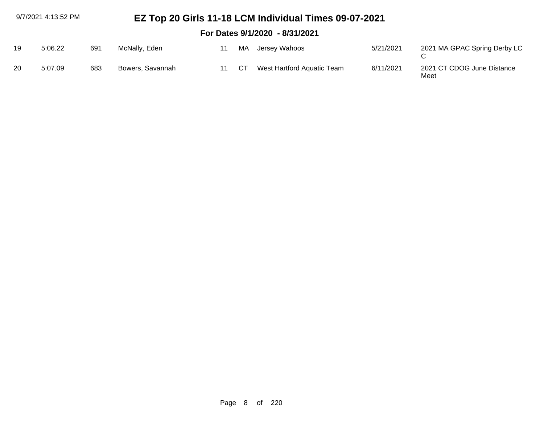|    | 9/7/2021 4:13:52 PM |     |                  |     | EZ Top 20 Girls 11-18 LCM Individual Times 09-07-2021 |           |                              |
|----|---------------------|-----|------------------|-----|-------------------------------------------------------|-----------|------------------------------|
|    |                     |     |                  |     | For Dates 9/1/2020 - 8/31/2021                        |           |                              |
| 19 | 5:06.22             | 691 | McNally, Eden    |     | MA Jersey Wahoos                                      | 5/21/2021 | 2021 MA GPAC Spring Derby LC |
| 20 | 5:07.09             | 683 | Bowers, Savannah | CT. | West Hartford Aquatic Team                            | 6/11/2021 | 2021 CT CDOG June Distance   |

Meet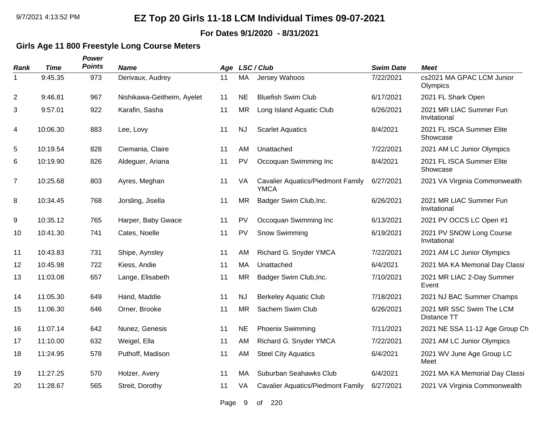#### **For Dates 9/1/2020 - 8/31/2021**

### **Girls Age 11 800 Freestyle Long Course Meters**

*Power*

| <b>Rank</b>    | <b>Time</b> | <b>Points</b> | <b>Name</b>                |    |           | Age LSC/Club                                            | <b>Swim Date</b> | <b>Meet</b>                              |
|----------------|-------------|---------------|----------------------------|----|-----------|---------------------------------------------------------|------------------|------------------------------------------|
| 1              | 9:45.35     | 973           | Derivaux, Audrey           | 11 | MA        | Jersey Wahoos                                           | 7/22/2021        | cs2021 MA GPAC LCM Junior<br>Olympics    |
| $\overline{2}$ | 9:46.81     | 967           | Nishikawa-Geitheim, Ayelet | 11 | <b>NE</b> | <b>Bluefish Swim Club</b>                               | 6/17/2021        | 2021 FL Shark Open                       |
| 3              | 9:57.01     | 922           | Karafin, Sasha             | 11 | <b>MR</b> | Long Island Aquatic Club                                | 6/26/2021        | 2021 MR LIAC Summer Fun<br>Invitational  |
| 4              | 10:06.30    | 883           | Lee, Lovy                  | 11 | <b>NJ</b> | <b>Scarlet Aquatics</b>                                 | 8/4/2021         | 2021 FL ISCA Summer Elite<br>Showcase    |
| 5              | 10:19.54    | 828           | Ciemania, Claire           | 11 | AM        | Unattached                                              | 7/22/2021        | 2021 AM LC Junior Olympics               |
| 6              | 10:19.90    | 826           | Aldeguer, Ariana           | 11 | PV        | Occoquan Swimming Inc                                   | 8/4/2021         | 2021 FL ISCA Summer Elite<br>Showcase    |
| $\overline{7}$ | 10:25.68    | 803           | Ayres, Meghan              | 11 | VA        | <b>Cavalier Aquatics/Piedmont Family</b><br><b>YMCA</b> | 6/27/2021        | 2021 VA Virginia Commonwealth            |
| 8              | 10:34.45    | 768           | Jorsling, Jisella          | 11 | <b>MR</b> | Badger Swim Club, Inc.                                  | 6/26/2021        | 2021 MR LIAC Summer Fun<br>Invitational  |
| 9              | 10:35.12    | 765           | Harper, Baby Gwace         | 11 | PV        | Occoquan Swimming Inc                                   | 6/13/2021        | 2021 PV OCCS LC Open #1                  |
| 10             | 10:41.30    | 741           | Cates, Noelle              | 11 | PV        | Snow Swimming                                           | 6/19/2021        | 2021 PV SNOW Long Course<br>Invitational |
| 11             | 10:43.83    | 731           | Shipe, Aynsley             | 11 | AM        | Richard G. Snyder YMCA                                  | 7/22/2021        | 2021 AM LC Junior Olympics               |
| 12             | 10:45.98    | 722           | Kiess, Andie               | 11 | MA        | Unattached                                              | 6/4/2021         | 2021 MA KA Memorial Day Classi           |
| 13             | 11:03.08    | 657           | Lange, Elisabeth           | 11 | <b>MR</b> | Badger Swim Club, Inc.                                  | 7/10/2021        | 2021 MR LIAC 2-Day Summer<br>Event       |
| 14             | 11:05.30    | 649           | Hand, Maddie               | 11 | <b>NJ</b> | <b>Berkeley Aquatic Club</b>                            | 7/18/2021        | 2021 NJ BAC Summer Champs                |
| 15             | 11:06.30    | 646           | Orner, Brooke              | 11 | <b>MR</b> | Sachem Swim Club                                        | 6/26/2021        | 2021 MR SSC Swim The LCM<br>Distance TT  |
| 16             | 11:07.14    | 642           | Nunez, Genesis             | 11 | <b>NE</b> | <b>Phoenix Swimming</b>                                 | 7/11/2021        | 2021 NE SSA 11-12 Age Group Ch           |
| 17             | 11:10.00    | 632           | Weigel, Ella               | 11 | AM        | Richard G. Snyder YMCA                                  | 7/22/2021        | 2021 AM LC Junior Olympics               |
| 18             | 11:24.95    | 578           | Puthoff, Madison           | 11 | AM        | <b>Steel City Aquatics</b>                              | 6/4/2021         | 2021 WV June Age Group LC<br>Meet        |
| 19             | 11:27.25    | 570           | Holzer, Avery              | 11 | МA        | Suburban Seahawks Club                                  | 6/4/2021         | 2021 MA KA Memorial Day Classi           |
| 20             | 11:28.67    | 565           | Streit, Dorothy            | 11 | VA        | <b>Cavalier Aquatics/Piedmont Family</b>                | 6/27/2021        | 2021 VA Virginia Commonwealth            |

Page 9 of 220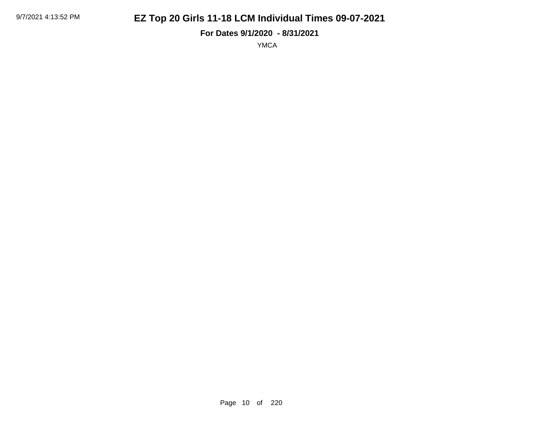**For Dates 9/1/2020 - 8/31/2021**

YMCA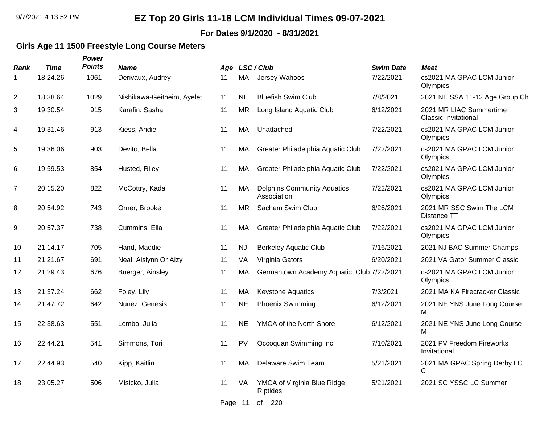#### **For Dates 9/1/2020 - 8/31/2021**

### **Girls Age 11 1500 Freestyle Long Course Meters**

| <b>Rank</b>    | <b>Time</b> | Power<br><b>Points</b> | <b>Name</b>                |    |           | Age LSC/Club                                      | <b>Swim Date</b> | <b>Meet</b>                                            |
|----------------|-------------|------------------------|----------------------------|----|-----------|---------------------------------------------------|------------------|--------------------------------------------------------|
| $\mathbf 1$    | 18:24.26    | 1061                   | Derivaux, Audrey           | 11 | MA        | Jersey Wahoos                                     | 7/22/2021        | cs2021 MA GPAC LCM Junior<br>Olympics                  |
| $\overline{2}$ | 18:38.64    | 1029                   | Nishikawa-Geitheim, Ayelet | 11 | <b>NE</b> | <b>Bluefish Swim Club</b>                         | 7/8/2021         | 2021 NE SSA 11-12 Age Group Ch                         |
| 3              | 19:30.54    | 915                    | Karafin, Sasha             | 11 | <b>MR</b> | Long Island Aquatic Club                          | 6/12/2021        | 2021 MR LIAC Summertime<br><b>Classic Invitational</b> |
| 4              | 19:31.46    | 913                    | Kiess, Andie               | 11 | MA        | Unattached                                        | 7/22/2021        | cs2021 MA GPAC LCM Junior<br>Olympics                  |
| 5              | 19:36.06    | 903                    | Devito, Bella              | 11 | MA        | Greater Philadelphia Aquatic Club                 | 7/22/2021        | cs2021 MA GPAC LCM Junior<br>Olympics                  |
| 6              | 19:59.53    | 854                    | Husted, Riley              | 11 | MA        | Greater Philadelphia Aquatic Club                 | 7/22/2021        | cs2021 MA GPAC LCM Junior<br>Olympics                  |
| $\overline{7}$ | 20:15.20    | 822                    | McCottry, Kada             | 11 | MA        | <b>Dolphins Community Aquatics</b><br>Association | 7/22/2021        | cs2021 MA GPAC LCM Junior<br>Olympics                  |
| 8              | 20:54.92    | 743                    | Orner, Brooke              | 11 | <b>MR</b> | Sachem Swim Club                                  | 6/26/2021        | 2021 MR SSC Swim The LCM<br>Distance TT                |
| 9              | 20:57.37    | 738                    | Cummins, Ella              | 11 | MA        | Greater Philadelphia Aquatic Club                 | 7/22/2021        | cs2021 MA GPAC LCM Junior<br>Olympics                  |
| 10             | 21:14.17    | 705                    | Hand, Maddie               | 11 | <b>NJ</b> | <b>Berkeley Aquatic Club</b>                      | 7/16/2021        | 2021 NJ BAC Summer Champs                              |
| 11             | 21:21.67    | 691                    | Neal, Aislynn Or Aizy      | 11 | VA        | Virginia Gators                                   | 6/20/2021        | 2021 VA Gator Summer Classic                           |
| 12             | 21:29.43    | 676                    | Buerger, Ainsley           | 11 | MA        | Germantown Academy Aquatic Club 7/22/2021         |                  | cs2021 MA GPAC LCM Junior<br>Olympics                  |
| 13             | 21:37.24    | 662                    | Foley, Lily                | 11 | MA        | <b>Keystone Aquatics</b>                          | 7/3/2021         | 2021 MA KA Firecracker Classic                         |
| 14             | 21:47.72    | 642                    | Nunez, Genesis             | 11 | <b>NE</b> | <b>Phoenix Swimming</b>                           | 6/12/2021        | 2021 NE YNS June Long Course<br>M                      |
| 15             | 22:38.63    | 551                    | Lembo, Julia               | 11 | <b>NE</b> | YMCA of the North Shore                           | 6/12/2021        | 2021 NE YNS June Long Course<br>M                      |
| 16             | 22:44.21    | 541                    | Simmons, Tori              | 11 | PV        | Occoquan Swimming Inc                             | 7/10/2021        | 2021 PV Freedom Fireworks<br>Invitational              |
| 17             | 22:44.93    | 540                    | Kipp, Kaitlin              | 11 | MA        | Delaware Swim Team                                | 5/21/2021        | 2021 MA GPAC Spring Derby LC<br>C                      |
| 18             | 23:05.27    | 506                    | Misicko, Julia             | 11 | VA.       | YMCA of Virginia Blue Ridge<br>Riptides           | 5/21/2021        | 2021 SC YSSC LC Summer                                 |
|                |             |                        |                            |    |           |                                                   |                  |                                                        |

Page 11 of 220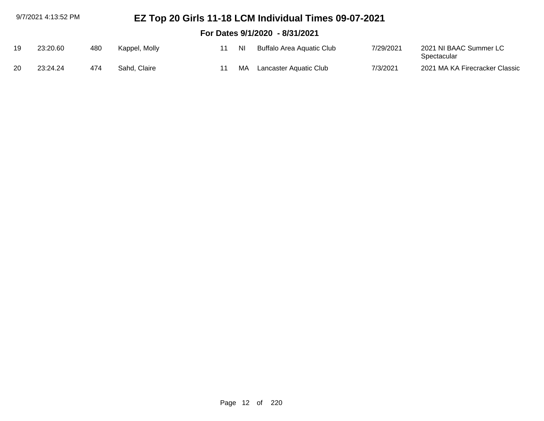|    | 9/7/2021 4:13:52 PM |     | EZ Top 20 Girls 11-18 LCM Individual Times 09-07-2021 |  |     |                                |           |                                       |  |  |
|----|---------------------|-----|-------------------------------------------------------|--|-----|--------------------------------|-----------|---------------------------------------|--|--|
|    |                     |     |                                                       |  |     | For Dates 9/1/2020 - 8/31/2021 |           |                                       |  |  |
| 19 | 23:20.60            | 480 | Kappel, Molly                                         |  | NI. | Buffalo Area Aquatic Club      | 7/29/2021 | 2021 NI BAAC Summer LC<br>Spectacular |  |  |
| 20 | 23:24.24            | 474 | Sahd, Claire                                          |  | MA  | Lancaster Aquatic Club         | 7/3/2021  | 2021 MA KA Firecracker Classic        |  |  |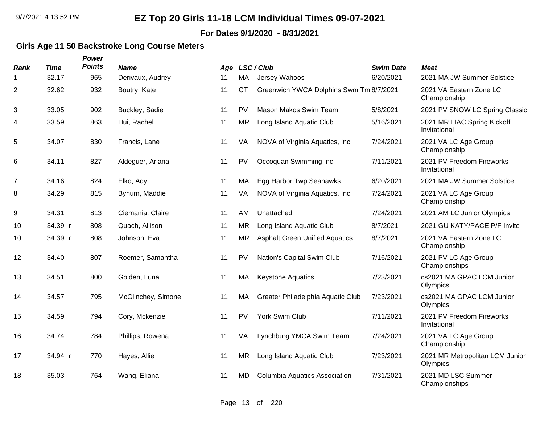#### **For Dates 9/1/2020 - 8/31/2021**

### **Girls Age 11 50 Backstroke Long Course Meters**

| Rank | <b>Time</b> | Power<br><b>Points</b> | <b>Name</b>        | Age |           | LSC / Club                              | <b>Swim Date</b> | <b>Meet</b>                                 |
|------|-------------|------------------------|--------------------|-----|-----------|-----------------------------------------|------------------|---------------------------------------------|
|      | 32.17       | 965                    | Derivaux, Audrey   | 11  | MA        | Jersey Wahoos                           | 6/20/2021        | 2021 MA JW Summer Solstice                  |
| 2    | 32.62       | 932                    | Boutry, Kate       | 11  | <b>CT</b> | Greenwich YWCA Dolphins Swm Tm 8/7/2021 |                  | 2021 VA Eastern Zone LC<br>Championship     |
| 3    | 33.05       | 902                    | Buckley, Sadie     | 11  | PV        | Mason Makos Swim Team                   | 5/8/2021         | 2021 PV SNOW LC Spring Classic              |
| 4    | 33.59       | 863                    | Hui, Rachel        | 11  | <b>MR</b> | Long Island Aquatic Club                | 5/16/2021        | 2021 MR LIAC Spring Kickoff<br>Invitational |
| 5    | 34.07       | 830                    | Francis, Lane      | 11  | VA        | NOVA of Virginia Aquatics, Inc          | 7/24/2021        | 2021 VA LC Age Group<br>Championship        |
| 6    | 34.11       | 827                    | Aldeguer, Ariana   | 11  | PV        | Occoquan Swimming Inc                   | 7/11/2021        | 2021 PV Freedom Fireworks<br>Invitational   |
| 7    | 34.16       | 824                    | Elko, Ady          | 11  | MA        | Egg Harbor Twp Seahawks                 | 6/20/2021        | 2021 MA JW Summer Solstice                  |
| 8    | 34.29       | 815                    | Bynum, Maddie      | 11  | VA        | NOVA of Virginia Aquatics, Inc.         | 7/24/2021        | 2021 VA LC Age Group<br>Championship        |
| 9    | 34.31       | 813                    | Ciemania, Claire   | 11  | AM        | Unattached                              | 7/24/2021        | 2021 AM LC Junior Olympics                  |
| 10   | 34.39 r     | 808                    | Quach, Allison     | 11  | <b>MR</b> | Long Island Aquatic Club                | 8/7/2021         | 2021 GU KATY/PACE P/F Invite                |
| 10   | 34.39 r     | 808                    | Johnson, Eva       | 11  | <b>MR</b> | <b>Asphalt Green Unified Aquatics</b>   | 8/7/2021         | 2021 VA Eastern Zone LC<br>Championship     |
| 12   | 34.40       | 807                    | Roemer, Samantha   | 11  | PV        | Nation's Capital Swim Club              | 7/16/2021        | 2021 PV LC Age Group<br>Championships       |
| 13   | 34.51       | 800                    | Golden, Luna       | 11  | MA        | <b>Keystone Aquatics</b>                | 7/23/2021        | cs2021 MA GPAC LCM Junior<br>Olympics       |
| 14   | 34.57       | 795                    | McGlinchey, Simone | 11  | MA        | Greater Philadelphia Aquatic Club       | 7/23/2021        | cs2021 MA GPAC LCM Junior<br>Olympics       |
| 15   | 34.59       | 794                    | Cory, Mckenzie     | 11  | PV        | York Swim Club                          | 7/11/2021        | 2021 PV Freedom Fireworks<br>Invitational   |
| 16   | 34.74       | 784                    | Phillips, Rowena   | 11  | VA        | Lynchburg YMCA Swim Team                | 7/24/2021        | 2021 VA LC Age Group<br>Championship        |
| 17   | 34.94 r     | 770                    | Hayes, Allie       | 11  | <b>MR</b> | Long Island Aquatic Club                | 7/23/2021        | 2021 MR Metropolitan LCM Junior<br>Olympics |
| 18   | 35.03       | 764                    | Wang, Eliana       | 11  | MD        | Columbia Aquatics Association           | 7/31/2021        | 2021 MD LSC Summer<br>Championships         |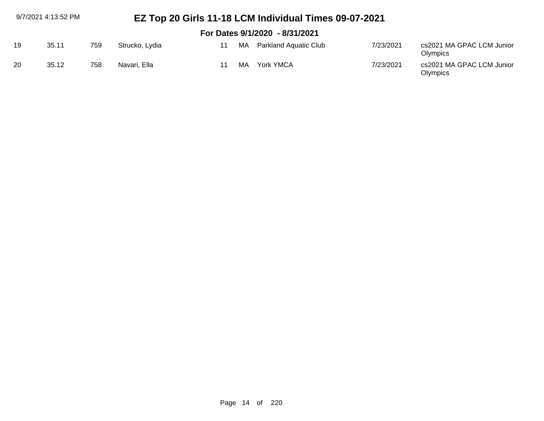| 9/7/2021 4:13:52 PM |       |     | EZ Top 20 Girls 11-18 LCM Individual Times 09-07-2021 |    |     |                                |           |                                       |  |  |  |  |  |
|---------------------|-------|-----|-------------------------------------------------------|----|-----|--------------------------------|-----------|---------------------------------------|--|--|--|--|--|
|                     |       |     |                                                       |    |     | For Dates 9/1/2020 - 8/31/2021 |           |                                       |  |  |  |  |  |
| 19                  | 35.11 | 759 | Strucko, Lydia                                        | 11 | MA. | <b>Parkland Aquatic Club</b>   | 7/23/2021 | cs2021 MA GPAC LCM Junior<br>Olympics |  |  |  |  |  |
| 20                  | 35.12 | 758 | Navari, Ella                                          | 11 | МA  | York YMCA                      | 7/23/2021 | cs2021 MA GPAC LCM Junior<br>Olympics |  |  |  |  |  |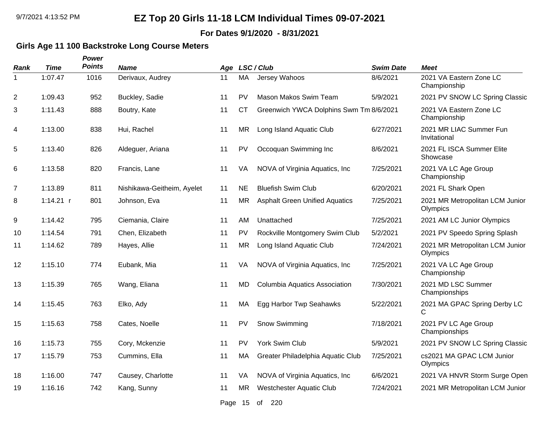**For Dates 9/1/2020 - 8/31/2021**

### **Girls Age 11 100 Backstroke Long Course Meters**

| <b>Rank</b>    | <b>Time</b> | Power<br><b>Points</b> | <b>Name</b>                | Age           |                          | LSC / Club                              | <b>Swim Date</b> | <b>Meet</b>                                 |
|----------------|-------------|------------------------|----------------------------|---------------|--------------------------|-----------------------------------------|------------------|---------------------------------------------|
| 1              | 1:07.47     | 1016                   | Derivaux, Audrey           | 11            | MA                       | Jersey Wahoos                           | 8/6/2021         | 2021 VA Eastern Zone LC<br>Championship     |
| $\overline{2}$ | 1:09.43     | 952                    | Buckley, Sadie             | 11            | PV                       | Mason Makos Swim Team                   | 5/9/2021         | 2021 PV SNOW LC Spring Classic              |
| 3              | 1:11.43     | 888                    | Boutry, Kate               | 11            | <b>CT</b>                | Greenwich YWCA Dolphins Swm Tm 8/6/2021 |                  | 2021 VA Eastern Zone LC<br>Championship     |
| 4              | 1:13.00     | 838                    | Hui, Rachel                | 11            | <b>MR</b>                | Long Island Aquatic Club                | 6/27/2021        | 2021 MR LIAC Summer Fun<br>Invitational     |
| 5              | 1:13.40     | 826                    | Aldeguer, Ariana           | 11            | PV                       | Occoquan Swimming Inc                   | 8/6/2021         | 2021 FL ISCA Summer Elite<br>Showcase       |
| 6              | 1:13.58     | 820                    | Francis, Lane              | 11            | VA                       | NOVA of Virginia Aquatics, Inc          | 7/25/2021        | 2021 VA LC Age Group<br>Championship        |
| $\overline{7}$ | 1:13.89     | 811                    | Nishikawa-Geitheim, Ayelet | 11            | <b>NE</b>                | <b>Bluefish Swim Club</b>               | 6/20/2021        | 2021 FL Shark Open                          |
| 8              | 1:14.21 $r$ | 801                    | Johnson, Eva               | 11            | <b>MR</b>                | <b>Asphalt Green Unified Aquatics</b>   | 7/25/2021        | 2021 MR Metropolitan LCM Junior<br>Olympics |
| 9              | 1:14.42     | 795                    | Ciemania, Claire           | 11            | AM.                      | Unattached                              | 7/25/2021        | 2021 AM LC Junior Olympics                  |
| 10             | 1:14.54     | 791                    | Chen, Elizabeth            | 11            | PV                       | Rockville Montgomery Swim Club          | 5/2/2021         | 2021 PV Speedo Spring Splash                |
| 11             | 1:14.62     | 789                    | Hayes, Allie               | 11            | <b>MR</b>                | Long Island Aquatic Club                | 7/24/2021        | 2021 MR Metropolitan LCM Junior<br>Olympics |
| 12             | 1:15.10     | 774                    | Eubank, Mia                | 11            | VA                       | NOVA of Virginia Aquatics, Inc.         | 7/25/2021        | 2021 VA LC Age Group<br>Championship        |
| 13             | 1:15.39     | 765                    | Wang, Eliana               | 11            | <b>MD</b>                | Columbia Aquatics Association           | 7/30/2021        | 2021 MD LSC Summer<br>Championships         |
| 14             | 1:15.45     | 763                    | Elko, Ady                  | 11            | МA                       | Egg Harbor Twp Seahawks                 | 5/22/2021        | 2021 MA GPAC Spring Derby LC<br>C           |
| 15             | 1:15.63     | 758                    | Cates, Noelle              | 11            | PV                       | Snow Swimming                           | 7/18/2021        | 2021 PV LC Age Group<br>Championships       |
| 16             | 1:15.73     | 755                    | Cory, Mckenzie             | 11            | <b>PV</b>                | York Swim Club                          | 5/9/2021         | 2021 PV SNOW LC Spring Classic              |
| 17             | 1:15.79     | 753                    | Cummins, Ella              | 11            | MA                       | Greater Philadelphia Aquatic Club       | 7/25/2021        | cs2021 MA GPAC LCM Junior<br>Olympics       |
| 18             | 1:16.00     | 747                    | Causey, Charlotte          | 11            | VA                       | NOVA of Virginia Aquatics, Inc.         | 6/6/2021         | 2021 VA HNVR Storm Surge Open               |
| 19             | 1:16.16     | 742                    | Kang, Sunny                | 11            | <b>MR</b>                | <b>Westchester Aquatic Club</b>         | 7/24/2021        | 2021 MR Metropolitan LCM Junior             |
|                |             |                        |                            | $\sim$ $\sim$ | $\overline{\phantom{a}}$ | $\sim$ 0.00                             |                  |                                             |

Page 15 of 220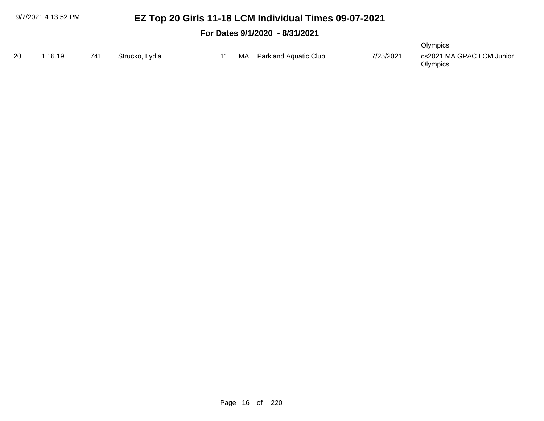#### **For Dates 9/1/2020 - 8/31/2021**

| 20<br>7/25/2021<br>741<br>1:16.19<br>Strucko, Lydia<br>11 MA Parkland Aquatic Club<br>Olympics | cs2021 MA GPAC LCM Junior |
|------------------------------------------------------------------------------------------------|---------------------------|

**Olympics**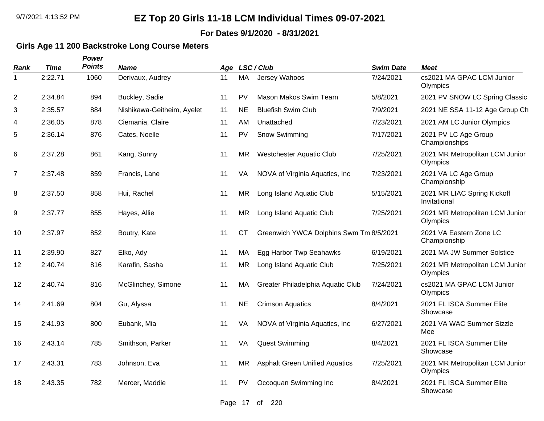#### **For Dates 9/1/2020 - 8/31/2021**

### **Girls Age 11 200 Backstroke Long Course Meters**

| Rank           | <b>Time</b> | Power<br><b>Points</b> | <b>Name</b>                |    |           | Age LSC/Club                            | <b>Swim Date</b> | <b>Meet</b>                                 |
|----------------|-------------|------------------------|----------------------------|----|-----------|-----------------------------------------|------------------|---------------------------------------------|
| 1              | 2:22.71     | 1060                   | Derivaux, Audrey           | 11 | MA        | Jersey Wahoos                           | 7/24/2021        | cs2021 MA GPAC LCM Junior<br>Olympics       |
| $\overline{2}$ | 2:34.84     | 894                    | Buckley, Sadie             | 11 | PV        | Mason Makos Swim Team                   | 5/8/2021         | 2021 PV SNOW LC Spring Classic              |
| 3              | 2:35.57     | 884                    | Nishikawa-Geitheim, Ayelet | 11 | NE        | <b>Bluefish Swim Club</b>               | 7/9/2021         | 2021 NE SSA 11-12 Age Group Ch              |
| 4              | 2:36.05     | 878                    | Ciemania, Claire           | 11 | AM        | Unattached                              | 7/23/2021        | 2021 AM LC Junior Olympics                  |
| 5              | 2:36.14     | 876                    | Cates, Noelle              | 11 | PV        | Snow Swimming                           | 7/17/2021        | 2021 PV LC Age Group<br>Championships       |
| 6              | 2:37.28     | 861                    | Kang, Sunny                | 11 | <b>MR</b> | Westchester Aquatic Club                | 7/25/2021        | 2021 MR Metropolitan LCM Junior<br>Olympics |
| $\overline{7}$ | 2:37.48     | 859                    | Francis, Lane              | 11 | VA        | NOVA of Virginia Aquatics, Inc.         | 7/23/2021        | 2021 VA LC Age Group<br>Championship        |
| 8              | 2:37.50     | 858                    | Hui, Rachel                | 11 | <b>MR</b> | Long Island Aquatic Club                | 5/15/2021        | 2021 MR LIAC Spring Kickoff<br>Invitational |
| 9              | 2:37.77     | 855                    | Hayes, Allie               | 11 | <b>MR</b> | Long Island Aquatic Club                | 7/25/2021        | 2021 MR Metropolitan LCM Junior<br>Olympics |
| 10             | 2:37.97     | 852                    | Boutry, Kate               | 11 | <b>CT</b> | Greenwich YWCA Dolphins Swm Tm 8/5/2021 |                  | 2021 VA Eastern Zone LC<br>Championship     |
| 11             | 2:39.90     | 827                    | Elko, Ady                  | 11 | МA        | Egg Harbor Twp Seahawks                 | 6/19/2021        | 2021 MA JW Summer Solstice                  |
| 12             | 2:40.74     | 816                    | Karafin, Sasha             | 11 | ΜR        | Long Island Aquatic Club                | 7/25/2021        | 2021 MR Metropolitan LCM Junior<br>Olympics |
| 12             | 2:40.74     | 816                    | McGlinchey, Simone         | 11 | МA        | Greater Philadelphia Aquatic Club       | 7/24/2021        | cs2021 MA GPAC LCM Junior<br>Olympics       |
| 14             | 2:41.69     | 804                    | Gu, Alyssa                 | 11 | <b>NE</b> | <b>Crimson Aquatics</b>                 | 8/4/2021         | 2021 FL ISCA Summer Elite<br>Showcase       |
| 15             | 2:41.93     | 800                    | Eubank, Mia                | 11 | VA        | NOVA of Virginia Aquatics, Inc.         | 6/27/2021        | 2021 VA WAC Summer Sizzle<br>Mee            |
| 16             | 2:43.14     | 785                    | Smithson, Parker           | 11 | VA        | <b>Quest Swimming</b>                   | 8/4/2021         | 2021 FL ISCA Summer Elite<br>Showcase       |
| 17             | 2:43.31     | 783                    | Johnson, Eva               | 11 | <b>MR</b> | <b>Asphalt Green Unified Aquatics</b>   | 7/25/2021        | 2021 MR Metropolitan LCM Junior<br>Olympics |
| 18             | 2:43.35     | 782                    | Mercer, Maddie             | 11 | PV        | Occoquan Swimming Inc                   | 8/4/2021         | 2021 FL ISCA Summer Elite<br>Showcase       |

Page 17 of 220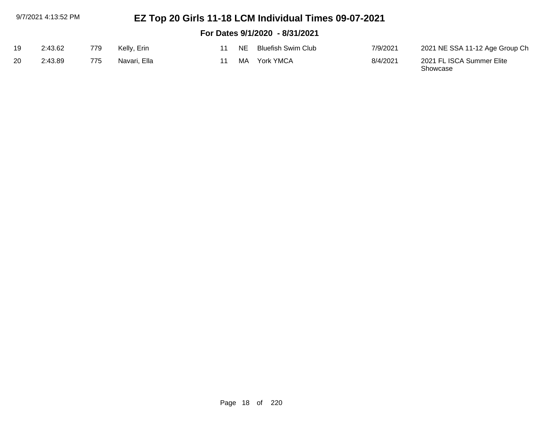|    | 9/7/2021 4:13:52 PM |     |              |     | EZ Top 20 Girls 11-18 LCM Individual Times 09-07-2021 |          |                                |
|----|---------------------|-----|--------------|-----|-------------------------------------------------------|----------|--------------------------------|
|    |                     |     |              |     | For Dates 9/1/2020 - 8/31/2021                        |          |                                |
| 19 | 2:43.62             | 779 | Kelly, Erin  | NE. | Bluefish Swim Club                                    | 7/9/2021 | 2021 NE SSA 11-12 Age Group Ch |
| 20 | 2:43.89             | 775 | Navari, Ella | MA  | York YMCA                                             | 8/4/2021 | 2021 FL ISCA Summer Elite      |

Showcase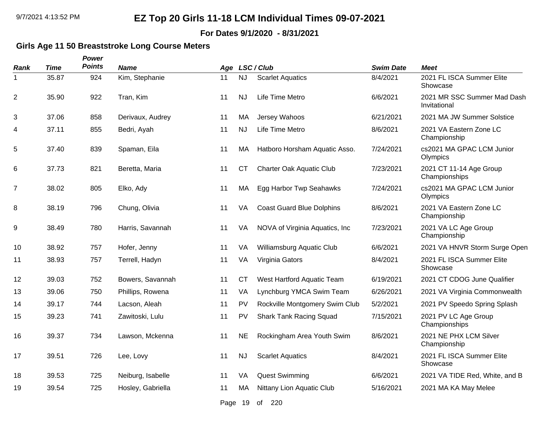**For Dates 9/1/2020 - 8/31/2021**

### **Girls Age 11 50 Breaststroke Long Course Meters**

| <b>Rank</b>    | <b>Time</b> | Power<br><b>Points</b> | <b>Name</b>       |    |           | Age LSC/Club                     | <b>Swim Date</b> | <b>Meet</b>                                 |
|----------------|-------------|------------------------|-------------------|----|-----------|----------------------------------|------------------|---------------------------------------------|
| 1              | 35.87       | 924                    | Kim, Stephanie    | 11 | <b>NJ</b> | <b>Scarlet Aquatics</b>          | 8/4/2021         | 2021 FL ISCA Summer Elite<br>Showcase       |
| $\overline{2}$ | 35.90       | 922                    | Tran, Kim         | 11 | <b>NJ</b> | Life Time Metro                  | 6/6/2021         | 2021 MR SSC Summer Mad Dash<br>Invitational |
| 3              | 37.06       | 858                    | Derivaux, Audrey  | 11 | MA        | Jersey Wahoos                    | 6/21/2021        | 2021 MA JW Summer Solstice                  |
| 4              | 37.11       | 855                    | Bedri, Ayah       | 11 | <b>NJ</b> | Life Time Metro                  | 8/6/2021         | 2021 VA Eastern Zone LC<br>Championship     |
| 5              | 37.40       | 839                    | Spaman, Eila      | 11 | MA        | Hatboro Horsham Aquatic Asso.    | 7/24/2021        | cs2021 MA GPAC LCM Junior<br>Olympics       |
| 6              | 37.73       | 821                    | Beretta, Maria    | 11 | <b>CT</b> | <b>Charter Oak Aquatic Club</b>  | 7/23/2021        | 2021 CT 11-14 Age Group<br>Championships    |
| $\overline{7}$ | 38.02       | 805                    | Elko, Ady         | 11 | МA        | Egg Harbor Twp Seahawks          | 7/24/2021        | cs2021 MA GPAC LCM Junior<br>Olympics       |
| 8              | 38.19       | 796                    | Chung, Olivia     | 11 | VA        | <b>Coast Guard Blue Dolphins</b> | 8/6/2021         | 2021 VA Eastern Zone LC<br>Championship     |
| 9              | 38.49       | 780                    | Harris, Savannah  | 11 | VA        | NOVA of Virginia Aquatics, Inc.  | 7/23/2021        | 2021 VA LC Age Group<br>Championship        |
| 10             | 38.92       | 757                    | Hofer, Jenny      | 11 | VA        | Williamsburg Aquatic Club        | 6/6/2021         | 2021 VA HNVR Storm Surge Open               |
| 11             | 38.93       | 757                    | Terrell, Hadyn    | 11 | VA        | Virginia Gators                  | 8/4/2021         | 2021 FL ISCA Summer Elite<br>Showcase       |
| 12             | 39.03       | 752                    | Bowers, Savannah  | 11 | <b>CT</b> | West Hartford Aquatic Team       | 6/19/2021        | 2021 CT CDOG June Qualifier                 |
| 13             | 39.06       | 750                    | Phillips, Rowena  | 11 | VA        | Lynchburg YMCA Swim Team         | 6/26/2021        | 2021 VA Virginia Commonwealth               |
| 14             | 39.17       | 744                    | Lacson, Aleah     | 11 | PV        | Rockville Montgomery Swim Club   | 5/2/2021         | 2021 PV Speedo Spring Splash                |
| 15             | 39.23       | 741                    | Zawitoski, Lulu   | 11 | PV        | <b>Shark Tank Racing Squad</b>   | 7/15/2021        | 2021 PV LC Age Group<br>Championships       |
| 16             | 39.37       | 734                    | Lawson, Mckenna   | 11 | <b>NE</b> | Rockingham Area Youth Swim       | 8/6/2021         | 2021 NE PHX LCM Silver<br>Championship      |
| 17             | 39.51       | 726                    | Lee, Lovy         | 11 | <b>NJ</b> | <b>Scarlet Aquatics</b>          | 8/4/2021         | 2021 FL ISCA Summer Elite<br>Showcase       |
| 18             | 39.53       | 725                    | Neiburg, Isabelle | 11 | VA        | <b>Quest Swimming</b>            | 6/6/2021         | 2021 VA TIDE Red, White, and B              |
| 19             | 39.54       | 725                    | Hosley, Gabriella | 11 | MA        | Nittany Lion Aquatic Club        | 5/16/2021        | 2021 MA KA May Melee                        |
|                |             |                        |                   |    |           |                                  |                  |                                             |

Page 19 of 220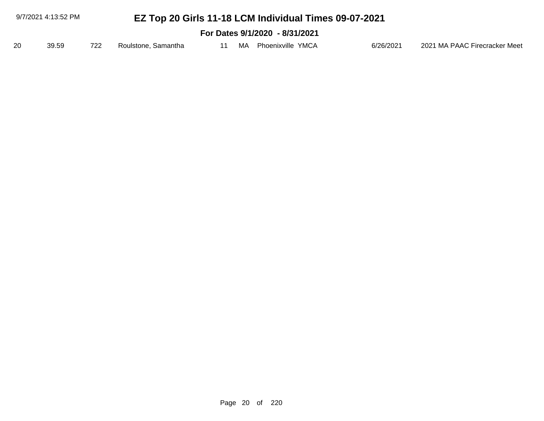|    | 9/7/2021 4:13:52 PM            |     | EZ Top 20 Girls 11-18 LCM Individual Times 09-07-2021 |  |     |                   |           |                               |  |  |  |
|----|--------------------------------|-----|-------------------------------------------------------|--|-----|-------------------|-----------|-------------------------------|--|--|--|
|    | For Dates 9/1/2020 - 8/31/2021 |     |                                                       |  |     |                   |           |                               |  |  |  |
| 20 | 39.59                          | 722 | Roulstone, Samantha                                   |  | MA. | Phoenixville YMCA | 6/26/2021 | 2021 MA PAAC Firecracker Meet |  |  |  |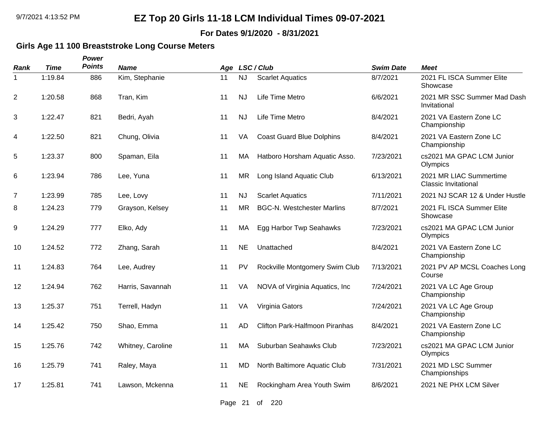**For Dates 9/1/2020 - 8/31/2021**

### **Girls Age 11 100 Breaststroke Long Course Meters**

| <b>Rank</b>    | <b>Time</b> | Power<br><b>Points</b> | <b>Name</b>       |    |           | Age LSC/Club                      | <b>Swim Date</b> | <b>Meet</b>                                            |
|----------------|-------------|------------------------|-------------------|----|-----------|-----------------------------------|------------------|--------------------------------------------------------|
| 1              | 1:19.84     | 886                    | Kim, Stephanie    | 11 | <b>NJ</b> | <b>Scarlet Aquatics</b>           | 8/7/2021         | 2021 FL ISCA Summer Elite<br>Showcase                  |
| $\overline{c}$ | 1:20.58     | 868                    | Tran, Kim         | 11 | <b>NJ</b> | Life Time Metro                   | 6/6/2021         | 2021 MR SSC Summer Mad Dash<br>Invitational            |
| 3              | 1:22.47     | 821                    | Bedri, Ayah       | 11 | <b>NJ</b> | Life Time Metro                   | 8/4/2021         | 2021 VA Eastern Zone LC<br>Championship                |
| 4              | 1:22.50     | 821                    | Chung, Olivia     | 11 | VA        | <b>Coast Guard Blue Dolphins</b>  | 8/4/2021         | 2021 VA Eastern Zone LC<br>Championship                |
| 5              | 1:23.37     | 800                    | Spaman, Eila      | 11 | MA        | Hatboro Horsham Aquatic Asso.     | 7/23/2021        | cs2021 MA GPAC LCM Junior<br>Olympics                  |
| 6              | 1:23.94     | 786                    | Lee, Yuna         | 11 | <b>MR</b> | Long Island Aquatic Club          | 6/13/2021        | 2021 MR LIAC Summertime<br><b>Classic Invitational</b> |
| $\overline{7}$ | 1:23.99     | 785                    | Lee, Lovy         | 11 | <b>NJ</b> | <b>Scarlet Aquatics</b>           | 7/11/2021        | 2021 NJ SCAR 12 & Under Hustle                         |
| 8              | 1:24.23     | 779                    | Grayson, Kelsey   | 11 | <b>MR</b> | <b>BGC-N. Westchester Marlins</b> | 8/7/2021         | 2021 FL ISCA Summer Elite<br>Showcase                  |
| 9              | 1:24.29     | 777                    | Elko, Ady         | 11 | МA        | Egg Harbor Twp Seahawks           | 7/23/2021        | cs2021 MA GPAC LCM Junior<br>Olympics                  |
| 10             | 1:24.52     | 772                    | Zhang, Sarah      | 11 | <b>NE</b> | Unattached                        | 8/4/2021         | 2021 VA Eastern Zone LC<br>Championship                |
| 11             | 1:24.83     | 764                    | Lee, Audrey       | 11 | PV        | Rockville Montgomery Swim Club    | 7/13/2021        | 2021 PV AP MCSL Coaches Long<br>Course                 |
| 12             | 1:24.94     | 762                    | Harris, Savannah  | 11 | VA        | NOVA of Virginia Aquatics, Inc.   | 7/24/2021        | 2021 VA LC Age Group<br>Championship                   |
| 13             | 1:25.37     | 751                    | Terrell, Hadyn    | 11 | VA        | Virginia Gators                   | 7/24/2021        | 2021 VA LC Age Group<br>Championship                   |
| 14             | 1:25.42     | 750                    | Shao, Emma        | 11 | <b>AD</b> | Clifton Park-Halfmoon Piranhas    | 8/4/2021         | 2021 VA Eastern Zone LC<br>Championship                |
| 15             | 1:25.76     | 742                    | Whitney, Caroline | 11 | MA        | Suburban Seahawks Club            | 7/23/2021        | cs2021 MA GPAC LCM Junior<br>Olympics                  |
| 16             | 1:25.79     | 741                    | Raley, Maya       | 11 | <b>MD</b> | North Baltimore Aquatic Club      | 7/31/2021        | 2021 MD LSC Summer<br>Championships                    |
| 17             | 1:25.81     | 741                    | Lawson, Mckenna   | 11 | <b>NE</b> | Rockingham Area Youth Swim        | 8/6/2021         | 2021 NE PHX LCM Silver                                 |

Page 21 of 220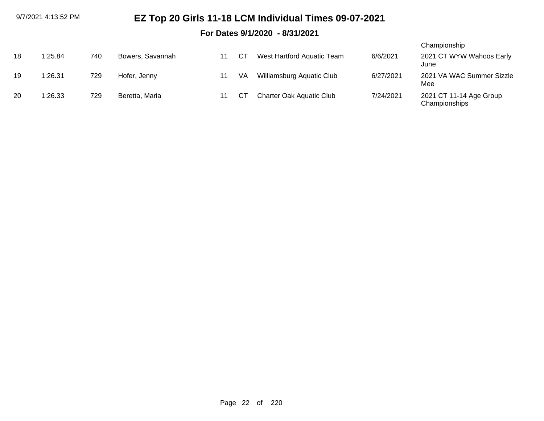#### **For Dates 9/1/2020 - 8/31/2021**

|    |         |     |                  |    |                                 |           | Championship                             |
|----|---------|-----|------------------|----|---------------------------------|-----------|------------------------------------------|
| 18 | 1:25.84 | 740 | Bowers, Savannah | СT | West Hartford Aquatic Team      | 6/6/2021  | 2021 CT WYW Wahoos Early<br>June         |
| 19 | 1:26.31 | 729 | Hofer, Jenny     | VA | Williamsburg Aquatic Club       | 6/27/2021 | 2021 VA WAC Summer Sizzle<br>Mee         |
| 20 | 1:26.33 | 729 | Beretta, Maria   | СT | <b>Charter Oak Aquatic Club</b> | 7/24/2021 | 2021 CT 11-14 Age Group<br>Championships |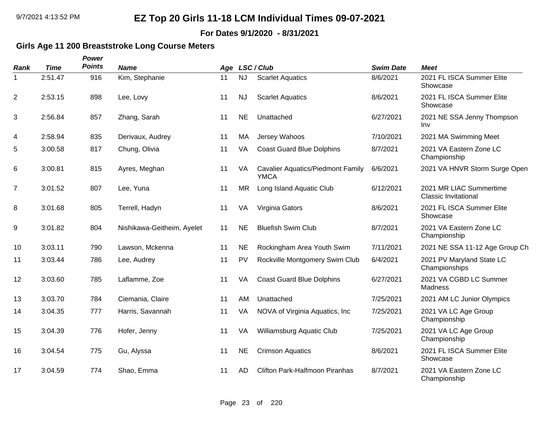**For Dates 9/1/2020 - 8/31/2021**

### **Girls Age 11 200 Breaststroke Long Course Meters**

| Rank           | <b>Time</b> | Power<br><b>Points</b> | <b>Name</b>                | Age |           | LSC / Club                                              | <b>Swim Date</b> | <b>Meet</b>                                            |
|----------------|-------------|------------------------|----------------------------|-----|-----------|---------------------------------------------------------|------------------|--------------------------------------------------------|
| 1              | 2:51.47     | 916                    | Kim, Stephanie             | 11  | <b>NJ</b> | <b>Scarlet Aquatics</b>                                 | 8/6/2021         | 2021 FL ISCA Summer Elite<br>Showcase                  |
| $\overline{2}$ | 2:53.15     | 898                    | Lee, Lovy                  | 11  | <b>NJ</b> | <b>Scarlet Aquatics</b>                                 | 8/6/2021         | 2021 FL ISCA Summer Elite<br>Showcase                  |
| 3              | 2:56.84     | 857                    | Zhang, Sarah               | 11  | <b>NE</b> | Unattached                                              | 6/27/2021        | 2021 NE SSA Jenny Thompson<br>Inv                      |
| 4              | 2:58.94     | 835                    | Derivaux, Audrey           | 11  | MA        | Jersey Wahoos                                           | 7/10/2021        | 2021 MA Swimming Meet                                  |
| 5              | 3:00.58     | 817                    | Chung, Olivia              | 11  | VA        | <b>Coast Guard Blue Dolphins</b>                        | 8/7/2021         | 2021 VA Eastern Zone LC<br>Championship                |
| 6              | 3:00.81     | 815                    | Ayres, Meghan              | 11  | VA        | <b>Cavalier Aquatics/Piedmont Family</b><br><b>YMCA</b> | 6/6/2021         | 2021 VA HNVR Storm Surge Open                          |
| 7              | 3:01.52     | 807                    | Lee, Yuna                  | 11  | <b>MR</b> | Long Island Aquatic Club                                | 6/12/2021        | 2021 MR LIAC Summertime<br><b>Classic Invitational</b> |
| 8              | 3:01.68     | 805                    | Terrell, Hadyn             | 11  | VA        | Virginia Gators                                         | 8/6/2021         | 2021 FL ISCA Summer Elite<br>Showcase                  |
| 9              | 3:01.82     | 804                    | Nishikawa-Geitheim, Ayelet | 11  | <b>NE</b> | <b>Bluefish Swim Club</b>                               | 8/7/2021         | 2021 VA Eastern Zone LC<br>Championship                |
| 10             | 3:03.11     | 790                    | Lawson, Mckenna            | 11  | <b>NE</b> | Rockingham Area Youth Swim                              | 7/11/2021        | 2021 NE SSA 11-12 Age Group Ch                         |
| 11             | 3:03.44     | 786                    | Lee, Audrey                | 11  | <b>PV</b> | Rockville Montgomery Swim Club                          | 6/4/2021         | 2021 PV Maryland State LC<br>Championships             |
| 12             | 3:03.60     | 785                    | Laflamme, Zoe              | 11  | VA        | <b>Coast Guard Blue Dolphins</b>                        | 6/27/2021        | 2021 VA CGBD LC Summer<br><b>Madness</b>               |
| 13             | 3:03.70     | 784                    | Ciemania, Claire           | 11  | AM        | Unattached                                              | 7/25/2021        | 2021 AM LC Junior Olympics                             |
| 14             | 3:04.35     | 777                    | Harris, Savannah           | 11  | VA        | NOVA of Virginia Aquatics, Inc.                         | 7/25/2021        | 2021 VA LC Age Group<br>Championship                   |
| 15             | 3:04.39     | 776                    | Hofer, Jenny               | 11  | VA        | Williamsburg Aquatic Club                               | 7/25/2021        | 2021 VA LC Age Group<br>Championship                   |
| 16             | 3:04.54     | 775                    | Gu, Alyssa                 | 11  | <b>NE</b> | <b>Crimson Aquatics</b>                                 | 8/6/2021         | 2021 FL ISCA Summer Elite<br>Showcase                  |
| 17             | 3:04.59     | 774                    | Shao, Emma                 | 11  | <b>AD</b> | <b>Clifton Park-Halfmoon Piranhas</b>                   | 8/7/2021         | 2021 VA Eastern Zone LC<br>Championship                |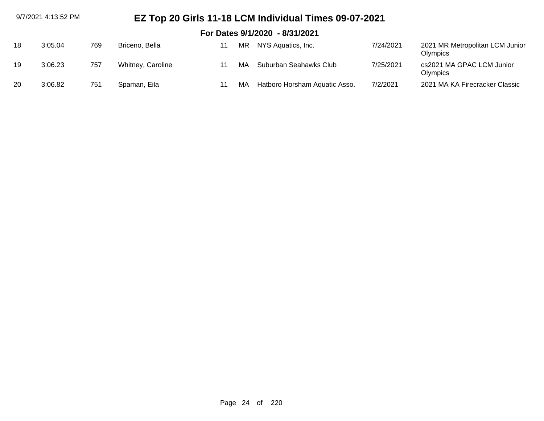| 9/7/2021 4:13:52 PM |         | EZ Top 20 Girls 11-18 LCM Individual Times 09-07-2021 |                   |    |    |                                |           |                                             |  |  |  |
|---------------------|---------|-------------------------------------------------------|-------------------|----|----|--------------------------------|-----------|---------------------------------------------|--|--|--|
|                     |         |                                                       |                   |    |    | For Dates 9/1/2020 - 8/31/2021 |           |                                             |  |  |  |
| 18                  | 3:05.04 | 769                                                   | Briceno, Bella    | 11 | МR | NYS Aquatics, Inc.             | 7/24/2021 | 2021 MR Metropolitan LCM Junior<br>Olympics |  |  |  |
| 19                  | 3:06.23 | 757                                                   | Whitney, Caroline | 11 | МA | Suburban Seahawks Club         | 7/25/2021 | cs2021 MA GPAC LCM Junior<br>Olympics       |  |  |  |
| 20                  | 3:06.82 | 751                                                   | Spaman, Eila      | 11 | МA | Hatboro Horsham Aquatic Asso.  | 7/2/2021  | 2021 MA KA Firecracker Classic              |  |  |  |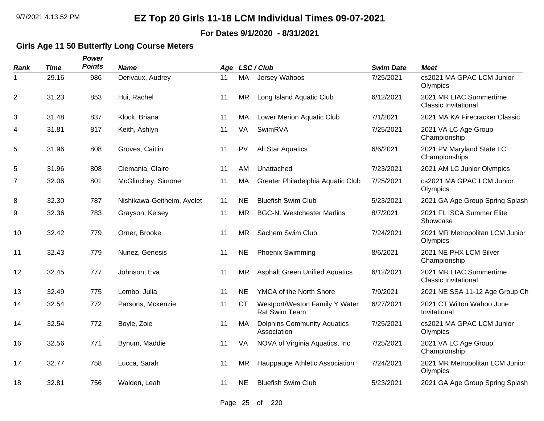#### **For Dates 9/1/2020 - 8/31/2021**

### **Girls Age 11 50 Butterfly Long Course Meters**

| Rank           | <b>Time</b> | Power<br><b>Points</b> | <b>Name</b>                |    |           | Age LSC/Club                                      | <b>Swim Date</b> | <b>Meet</b>                                            |
|----------------|-------------|------------------------|----------------------------|----|-----------|---------------------------------------------------|------------------|--------------------------------------------------------|
| 1              | 29.16       | 986                    | Derivaux, Audrey           | 11 | MA        | Jersey Wahoos                                     | 7/25/2021        | cs2021 MA GPAC LCM Junior<br>Olympics                  |
| $\overline{2}$ | 31.23       | 853                    | Hui, Rachel                | 11 | <b>MR</b> | Long Island Aquatic Club                          | 6/12/2021        | 2021 MR LIAC Summertime<br><b>Classic Invitational</b> |
| 3              | 31.48       | 837                    | Klock, Briana              | 11 | MA        | Lower Merion Aquatic Club                         | 7/1/2021         | 2021 MA KA Firecracker Classic                         |
| 4              | 31.81       | 817                    | Keith, Ashlyn              | 11 | VA        | SwimRVA                                           | 7/25/2021        | 2021 VA LC Age Group<br>Championship                   |
| 5              | 31.96       | 808                    | Groves, Caitlin            | 11 | PV        | All Star Aquatics                                 | 6/6/2021         | 2021 PV Maryland State LC<br>Championships             |
| $\overline{5}$ | 31.96       | 808                    | Ciemania, Claire           | 11 | AM        | Unattached                                        | 7/23/2021        | 2021 AM LC Junior Olympics                             |
| $\overline{7}$ | 32.06       | 801                    | McGlinchey, Simone         | 11 | MA        | Greater Philadelphia Aquatic Club                 | 7/25/2021        | cs2021 MA GPAC LCM Junior<br>Olympics                  |
| 8              | 32.30       | 787                    | Nishikawa-Geitheim, Ayelet | 11 | <b>NE</b> | <b>Bluefish Swim Club</b>                         | 5/23/2021        | 2021 GA Age Group Spring Splash                        |
| 9              | 32.36       | 783                    | Grayson, Kelsey            | 11 | МR        | <b>BGC-N. Westchester Marlins</b>                 | 8/7/2021         | 2021 FL ISCA Summer Elite<br>Showcase                  |
| 10             | 32.42       | 779                    | Orner, Brooke              | 11 | <b>MR</b> | Sachem Swim Club                                  | 7/24/2021        | 2021 MR Metropolitan LCM Junior<br>Olympics            |
| 11             | 32.43       | 779                    | Nunez, Genesis             | 11 | <b>NE</b> | <b>Phoenix Swimming</b>                           | 8/6/2021         | 2021 NE PHX LCM Silver<br>Championship                 |
| 12             | 32.45       | 777                    | Johnson, Eva               | 11 | <b>MR</b> | <b>Asphalt Green Unified Aquatics</b>             | 6/12/2021        | 2021 MR LIAC Summertime<br><b>Classic Invitational</b> |
| 13             | 32.49       | 775                    | Lembo, Julia               | 11 | <b>NE</b> | YMCA of the North Shore                           | 7/9/2021         | 2021 NE SSA 11-12 Age Group Ch                         |
| 14             | 32.54       | 772                    | Parsons, Mckenzie          | 11 | <b>CT</b> | Westport/Weston Family Y Water<br>Rat Swim Team   | 6/27/2021        | 2021 CT Wilton Wahoo June<br>Invitational              |
| 14             | 32.54       | 772                    | Boyle, Zoie                | 11 | МA        | <b>Dolphins Community Aquatics</b><br>Association | 7/25/2021        | cs2021 MA GPAC LCM Junior<br>Olympics                  |
| 16             | 32.56       | 771                    | Bynum, Maddie              | 11 | VA        | NOVA of Virginia Aquatics, Inc.                   | 7/25/2021        | 2021 VA LC Age Group<br>Championship                   |
| 17             | 32.77       | 758                    | Lucca, Sarah               | 11 | <b>MR</b> | Hauppauge Athletic Association                    | 7/24/2021        | 2021 MR Metropolitan LCM Junior<br>Olympics            |
| 18             | 32.81       | 756                    | Walden, Leah               | 11 | <b>NE</b> | <b>Bluefish Swim Club</b>                         | 5/23/2021        | 2021 GA Age Group Spring Splash                        |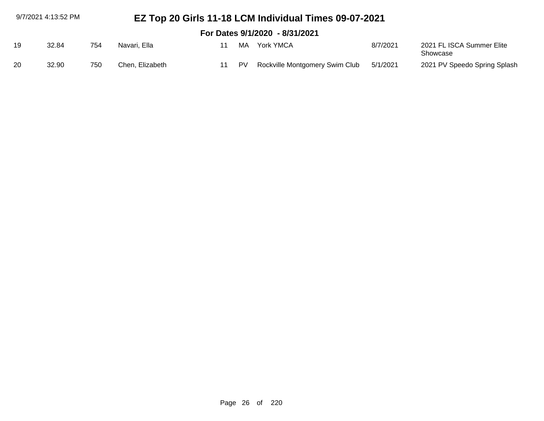| 9/7/2021 4:13:52 PM |       |     |                 | EZ Top 20 Girls 11-18 LCM Individual Times 09-07-2021 |           |                                |          |                                       |  |  |
|---------------------|-------|-----|-----------------|-------------------------------------------------------|-----------|--------------------------------|----------|---------------------------------------|--|--|
|                     |       |     |                 |                                                       |           | For Dates 9/1/2020 - 8/31/2021 |          |                                       |  |  |
| 19                  | 32.84 | 754 | Navari, Ella    |                                                       | МA        | York YMCA                      | 8/7/2021 | 2021 FL ISCA Summer Elite<br>Showcase |  |  |
| 20                  | 32.90 | 750 | Chen, Elizabeth |                                                       | <b>PV</b> | Rockville Montgomery Swim Club | 5/1/2021 | 2021 PV Speedo Spring Splash          |  |  |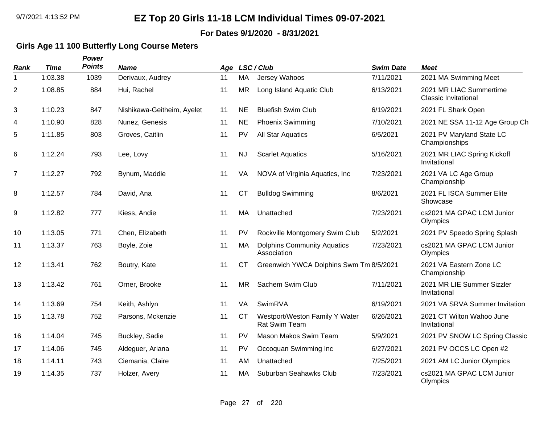#### **For Dates 9/1/2020 - 8/31/2021**

### **Girls Age 11 100 Butterfly Long Course Meters**

| Rank           | <b>Time</b> | Power<br><b>Points</b> | <b>Name</b>                |    |           | Age LSC/Club                                      | <b>Swim Date</b> | <b>Meet</b>                                            |
|----------------|-------------|------------------------|----------------------------|----|-----------|---------------------------------------------------|------------------|--------------------------------------------------------|
| $\mathbf 1$    | 1:03.38     | 1039                   | Derivaux, Audrey           | 11 | MA        | Jersey Wahoos                                     | 7/11/2021        | 2021 MA Swimming Meet                                  |
| $\overline{2}$ | 1:08.85     | 884                    | Hui, Rachel                | 11 | <b>MR</b> | Long Island Aquatic Club                          | 6/13/2021        | 2021 MR LIAC Summertime<br><b>Classic Invitational</b> |
| 3              | 1:10.23     | 847                    | Nishikawa-Geitheim, Ayelet | 11 | <b>NE</b> | <b>Bluefish Swim Club</b>                         | 6/19/2021        | 2021 FL Shark Open                                     |
| 4              | 1:10.90     | 828                    | Nunez, Genesis             | 11 | <b>NE</b> | <b>Phoenix Swimming</b>                           | 7/10/2021        | 2021 NE SSA 11-12 Age Group Ch                         |
| 5              | 1:11.85     | 803                    | Groves, Caitlin            | 11 | PV        | <b>All Star Aquatics</b>                          | 6/5/2021         | 2021 PV Maryland State LC<br>Championships             |
| 6              | 1:12.24     | 793                    | Lee, Lovy                  | 11 | <b>NJ</b> | <b>Scarlet Aquatics</b>                           | 5/16/2021        | 2021 MR LIAC Spring Kickoff<br>Invitational            |
| $\overline{7}$ | 1:12.27     | 792                    | Bynum, Maddie              | 11 | VA        | NOVA of Virginia Aquatics, Inc                    | 7/23/2021        | 2021 VA LC Age Group<br>Championship                   |
| 8              | 1:12.57     | 784                    | David, Ana                 | 11 | <b>CT</b> | <b>Bulldog Swimming</b>                           | 8/6/2021         | 2021 FL ISCA Summer Elite<br>Showcase                  |
| 9              | 1:12.82     | 777                    | Kiess, Andie               | 11 | MA        | Unattached                                        | 7/23/2021        | cs2021 MA GPAC LCM Junior<br>Olympics                  |
| 10             | 1:13.05     | 771                    | Chen, Elizabeth            | 11 | PV        | Rockville Montgomery Swim Club                    | 5/2/2021         | 2021 PV Speedo Spring Splash                           |
| 11             | 1:13.37     | 763                    | Boyle, Zoie                | 11 | MA        | <b>Dolphins Community Aquatics</b><br>Association | 7/23/2021        | cs2021 MA GPAC LCM Junior<br>Olympics                  |
| 12             | 1:13.41     | 762                    | Boutry, Kate               | 11 | <b>CT</b> | Greenwich YWCA Dolphins Swm Tm 8/5/2021           |                  | 2021 VA Eastern Zone LC<br>Championship                |
| 13             | 1:13.42     | 761                    | Orner, Brooke              | 11 | <b>MR</b> | Sachem Swim Club                                  | 7/11/2021        | 2021 MR LIE Summer Sizzler<br>Invitational             |
| 14             | 1:13.69     | 754                    | Keith, Ashlyn              | 11 | VA        | SwimRVA                                           | 6/19/2021        | 2021 VA SRVA Summer Invitation                         |
| 15             | 1:13.78     | 752                    | Parsons, Mckenzie          | 11 | <b>CT</b> | Westport/Weston Family Y Water<br>Rat Swim Team   | 6/26/2021        | 2021 CT Wilton Wahoo June<br>Invitational              |
| 16             | 1:14.04     | 745                    | Buckley, Sadie             | 11 | PV        | Mason Makos Swim Team                             | 5/9/2021         | 2021 PV SNOW LC Spring Classic                         |
| 17             | 1:14.06     | 745                    | Aldeguer, Ariana           | 11 | PV        | Occoquan Swimming Inc                             | 6/27/2021        | 2021 PV OCCS LC Open #2                                |
| 18             | 1:14.11     | 743                    | Ciemania, Claire           | 11 | AM        | Unattached                                        | 7/25/2021        | 2021 AM LC Junior Olympics                             |
| 19             | 1:14.35     | 737                    | Holzer, Avery              | 11 | MA        | Suburban Seahawks Club                            | 7/23/2021        | cs2021 MA GPAC LCM Junior<br>Olympics                  |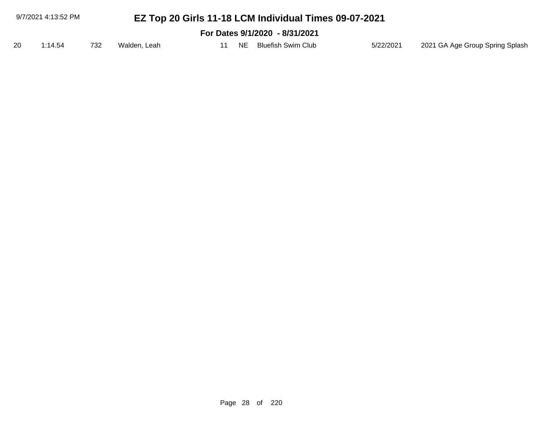|    | 9/7/2021 4:13:52 PM            |     |              | EZ Top 20 Girls 11-18 LCM Individual Times 09-07-2021 |  |                       |           |                                 |  |  |  |
|----|--------------------------------|-----|--------------|-------------------------------------------------------|--|-----------------------|-----------|---------------------------------|--|--|--|
|    | For Dates 9/1/2020 - 8/31/2021 |     |              |                                                       |  |                       |           |                                 |  |  |  |
| 20 | 1:14.54                        | 732 | Walden. Leah | 11                                                    |  | NE Bluefish Swim Club | 5/22/2021 | 2021 GA Age Group Spring Splash |  |  |  |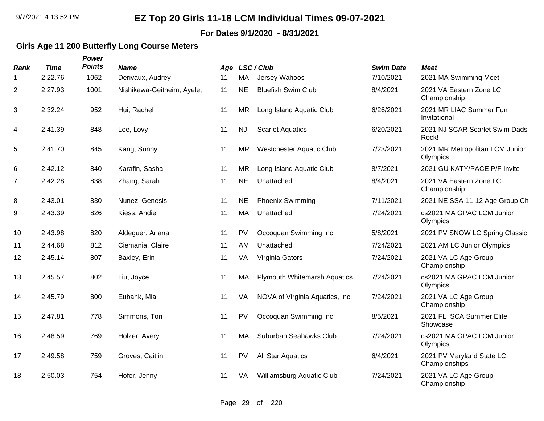#### **For Dates 9/1/2020 - 8/31/2021**

### **Girls Age 11 200 Butterfly Long Course Meters**

| Rank        | <b>Time</b> | Power<br><b>Points</b> | <b>Name</b>                | Age |           | LSC / Club                          | <b>Swim Date</b> | <b>Meet</b>                                 |
|-------------|-------------|------------------------|----------------------------|-----|-----------|-------------------------------------|------------------|---------------------------------------------|
| $\mathbf 1$ | 2:22.76     | 1062                   | Derivaux, Audrey           | 11  | MA        | Jersey Wahoos                       | 7/10/2021        | 2021 MA Swimming Meet                       |
| 2           | 2:27.93     | 1001                   | Nishikawa-Geitheim, Ayelet | 11  | <b>NE</b> | <b>Bluefish Swim Club</b>           | 8/4/2021         | 2021 VA Eastern Zone LC<br>Championship     |
| 3           | 2:32.24     | 952                    | Hui, Rachel                | 11  | <b>MR</b> | Long Island Aquatic Club            | 6/26/2021        | 2021 MR LIAC Summer Fun<br>Invitational     |
| 4           | 2:41.39     | 848                    | Lee, Lovy                  | 11  | <b>NJ</b> | <b>Scarlet Aquatics</b>             | 6/20/2021        | 2021 NJ SCAR Scarlet Swim Dads<br>Rock!     |
| 5           | 2:41.70     | 845                    | Kang, Sunny                | 11  | <b>MR</b> | <b>Westchester Aquatic Club</b>     | 7/23/2021        | 2021 MR Metropolitan LCM Junior<br>Olympics |
| 6           | 2:42.12     | 840                    | Karafin, Sasha             | 11  | <b>MR</b> | Long Island Aquatic Club            | 8/7/2021         | 2021 GU KATY/PACE P/F Invite                |
| 7           | 2:42.28     | 838                    | Zhang, Sarah               | 11  | <b>NE</b> | Unattached                          | 8/4/2021         | 2021 VA Eastern Zone LC<br>Championship     |
| 8           | 2:43.01     | 830                    | Nunez, Genesis             | 11  | <b>NE</b> | <b>Phoenix Swimming</b>             | 7/11/2021        | 2021 NE SSA 11-12 Age Group Ch              |
| 9           | 2:43.39     | 826                    | Kiess, Andie               | 11  | MA        | Unattached                          | 7/24/2021        | cs2021 MA GPAC LCM Junior<br>Olympics       |
| 10          | 2:43.98     | 820                    | Aldeguer, Ariana           | 11  | <b>PV</b> | Occoquan Swimming Inc               | 5/8/2021         | 2021 PV SNOW LC Spring Classic              |
| 11          | 2:44.68     | 812                    | Ciemania, Claire           | 11  | AM        | Unattached                          | 7/24/2021        | 2021 AM LC Junior Olympics                  |
| 12          | 2:45.14     | 807                    | Baxley, Erin               | 11  | VA        | Virginia Gators                     | 7/24/2021        | 2021 VA LC Age Group<br>Championship        |
| 13          | 2:45.57     | 802                    | Liu, Joyce                 | 11  | MA        | <b>Plymouth Whitemarsh Aquatics</b> | 7/24/2021        | cs2021 MA GPAC LCM Junior<br>Olympics       |
| 14          | 2:45.79     | 800                    | Eubank, Mia                | 11  | VA        | NOVA of Virginia Aquatics, Inc.     | 7/24/2021        | 2021 VA LC Age Group<br>Championship        |
| 15          | 2:47.81     | 778                    | Simmons, Tori              | 11  | PV        | Occoquan Swimming Inc               | 8/5/2021         | 2021 FL ISCA Summer Elite<br>Showcase       |
| 16          | 2:48.59     | 769                    | Holzer, Avery              | 11  | MA        | Suburban Seahawks Club              | 7/24/2021        | cs2021 MA GPAC LCM Junior<br>Olympics       |
| 17          | 2:49.58     | 759                    | Groves, Caitlin            | 11  | <b>PV</b> | All Star Aquatics                   | 6/4/2021         | 2021 PV Maryland State LC<br>Championships  |
| 18          | 2:50.03     | 754                    | Hofer, Jenny               | 11  | VA        | Williamsburg Aquatic Club           | 7/24/2021        | 2021 VA LC Age Group<br>Championship        |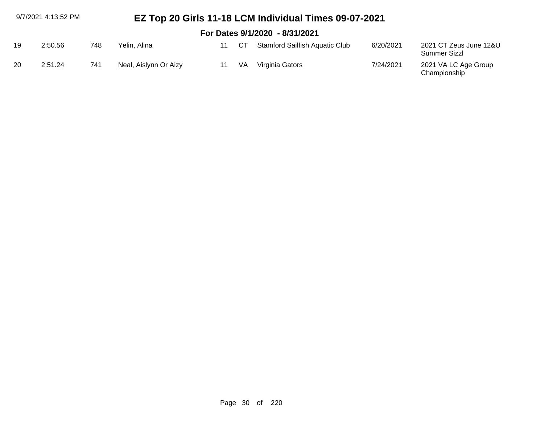| 9/7/2021 4:13:52 PM |         |     |                       | EZ Top 20 Girls 11-18 LCM Individual Times 09-07-2021 |     |                                       |           |                                        |  |  |  |  |  |
|---------------------|---------|-----|-----------------------|-------------------------------------------------------|-----|---------------------------------------|-----------|----------------------------------------|--|--|--|--|--|
|                     |         |     |                       |                                                       |     |                                       |           |                                        |  |  |  |  |  |
| 19                  | 2:50.56 | 748 | Yelin, Alina          |                                                       |     | <b>Stamford Sailfish Aquatic Club</b> | 6/20/2021 | 2021 CT Zeus June 12&U<br>Summer Sizzl |  |  |  |  |  |
| 20                  | 2:51.24 | 741 | Neal, Aislynn Or Aizy | 11                                                    | VA. | Virginia Gators                       | 7/24/2021 | 2021 VA LC Age Group<br>Championship   |  |  |  |  |  |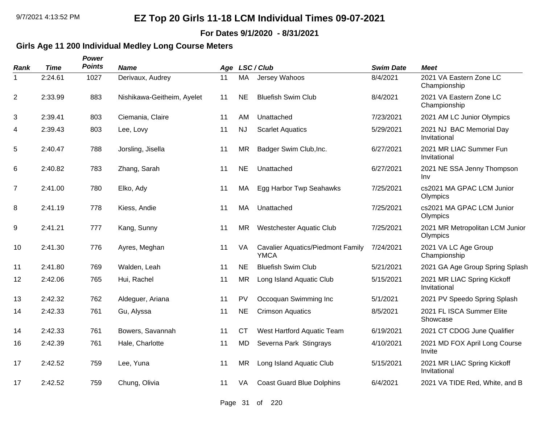**For Dates 9/1/2020 - 8/31/2021**

### **Girls Age 11 200 Individual Medley Long Course Meters**

| Rank           | <b>Time</b> | Power<br><b>Points</b> | <b>Name</b>                | Age |           | LSC / Club                                              | <b>Swim Date</b> | <b>Meet</b>                                 |
|----------------|-------------|------------------------|----------------------------|-----|-----------|---------------------------------------------------------|------------------|---------------------------------------------|
| 1              | 2:24.61     | 1027                   | Derivaux, Audrey           | 11  | MA        | Jersey Wahoos                                           | 8/4/2021         | 2021 VA Eastern Zone LC<br>Championship     |
| $\overline{c}$ | 2:33.99     | 883                    | Nishikawa-Geitheim, Ayelet | 11  | <b>NE</b> | <b>Bluefish Swim Club</b>                               | 8/4/2021         | 2021 VA Eastern Zone LC<br>Championship     |
| 3              | 2:39.41     | 803                    | Ciemania, Claire           | 11  | AM        | Unattached                                              | 7/23/2021        | 2021 AM LC Junior Olympics                  |
| 4              | 2:39.43     | 803                    | Lee, Lovy                  | 11  | <b>NJ</b> | <b>Scarlet Aquatics</b>                                 | 5/29/2021        | 2021 NJ BAC Memorial Day<br>Invitational    |
| 5              | 2:40.47     | 788                    | Jorsling, Jisella          | 11  | <b>MR</b> | Badger Swim Club, Inc.                                  | 6/27/2021        | 2021 MR LIAC Summer Fun<br>Invitational     |
| 6              | 2:40.82     | 783                    | Zhang, Sarah               | 11  | <b>NE</b> | Unattached                                              | 6/27/2021        | 2021 NE SSA Jenny Thompson<br><b>Inv</b>    |
| 7              | 2:41.00     | 780                    | Elko, Ady                  | 11  | МA        | Egg Harbor Twp Seahawks                                 | 7/25/2021        | cs2021 MA GPAC LCM Junior<br>Olympics       |
| 8              | 2:41.19     | 778                    | Kiess, Andie               | 11  | MA        | Unattached                                              | 7/25/2021        | cs2021 MA GPAC LCM Junior<br>Olympics       |
| 9              | 2:41.21     | 777                    | Kang, Sunny                | 11  | <b>MR</b> | <b>Westchester Aquatic Club</b>                         | 7/25/2021        | 2021 MR Metropolitan LCM Junior<br>Olympics |
| 10             | 2:41.30     | 776                    | Ayres, Meghan              | 11  | <b>VA</b> | <b>Cavalier Aquatics/Piedmont Family</b><br><b>YMCA</b> | 7/24/2021        | 2021 VA LC Age Group<br>Championship        |
| 11             | 2:41.80     | 769                    | Walden, Leah               | 11  | <b>NE</b> | <b>Bluefish Swim Club</b>                               | 5/21/2021        | 2021 GA Age Group Spring Splash             |
| 12             | 2:42.06     | 765                    | Hui, Rachel                | 11  | <b>MR</b> | Long Island Aquatic Club                                | 5/15/2021        | 2021 MR LIAC Spring Kickoff<br>Invitational |
| 13             | 2:42.32     | 762                    | Aldeguer, Ariana           | 11  | PV        | Occoquan Swimming Inc                                   | 5/1/2021         | 2021 PV Speedo Spring Splash                |
| 14             | 2:42.33     | 761                    | Gu, Alyssa                 | 11  | <b>NE</b> | <b>Crimson Aquatics</b>                                 | 8/5/2021         | 2021 FL ISCA Summer Elite<br>Showcase       |
| 14             | 2:42.33     | 761                    | Bowers, Savannah           | 11  | <b>CT</b> | West Hartford Aquatic Team                              | 6/19/2021        | 2021 CT CDOG June Qualifier                 |
| 16             | 2:42.39     | 761                    | Hale, Charlotte            | 11  | <b>MD</b> | Severna Park Stingrays                                  | 4/10/2021        | 2021 MD FOX April Long Course<br>Invite     |
| 17             | 2:42.52     | 759                    | Lee, Yuna                  | 11  | <b>MR</b> | Long Island Aquatic Club                                | 5/15/2021        | 2021 MR LIAC Spring Kickoff<br>Invitational |
| 17             | 2:42.52     | 759                    | Chung, Olivia              | 11  | VA        | <b>Coast Guard Blue Dolphins</b>                        | 6/4/2021         | 2021 VA TIDE Red, White, and B              |

Page 31 of 220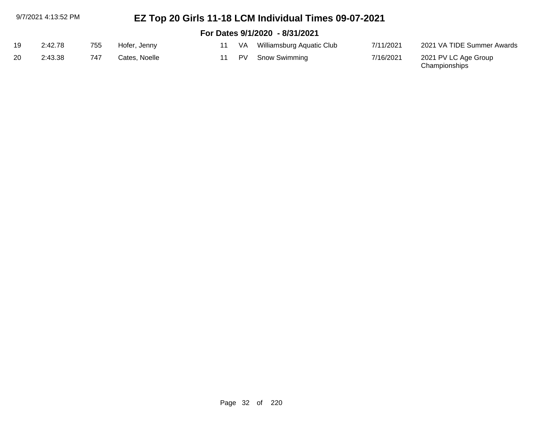| 9/7/2021 4:13:52 PM |         |     |               |    | EZ Top 20 Girls 11-18 LCM Individual Times 09-07-2021 |                                |           |                                       |  |  |  |
|---------------------|---------|-----|---------------|----|-------------------------------------------------------|--------------------------------|-----------|---------------------------------------|--|--|--|
|                     |         |     |               |    |                                                       | For Dates 9/1/2020 - 8/31/2021 |           |                                       |  |  |  |
| 19                  | 2:42.78 | 755 | Hofer, Jenny  | 11 | VA.                                                   | Williamsburg Aquatic Club      | 7/11/2021 | 2021 VA TIDE Summer Awards            |  |  |  |
| 20                  | 2:43.38 | 747 | Cates, Noelle | 11 | PV.                                                   | Snow Swimming                  | 7/16/2021 | 2021 PV LC Age Group<br>Championships |  |  |  |

Page 32 of 220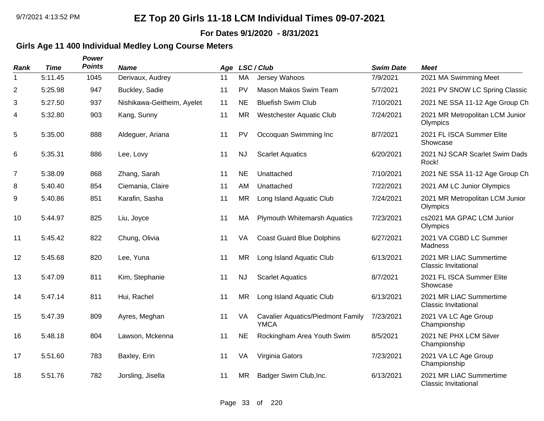**For Dates 9/1/2020 - 8/31/2021**

### **Girls Age 11 400 Individual Medley Long Course Meters**

| Rank           | <b>Time</b> | Power<br><b>Points</b> | <b>Name</b>                | Age |           | LSC / Club                                              | <b>Swim Date</b> | <b>Meet</b>                                            |
|----------------|-------------|------------------------|----------------------------|-----|-----------|---------------------------------------------------------|------------------|--------------------------------------------------------|
| $\mathbf{1}$   | 5:11.45     | 1045                   | Derivaux, Audrey           | 11  | MA        | Jersey Wahoos                                           | 7/9/2021         | 2021 MA Swimming Meet                                  |
| $\overline{c}$ | 5:25.98     | 947                    | Buckley, Sadie             | 11  | PV        | Mason Makos Swim Team                                   | 5/7/2021         | 2021 PV SNOW LC Spring Classic                         |
| 3              | 5:27.50     | 937                    | Nishikawa-Geitheim, Ayelet | 11  | <b>NE</b> | <b>Bluefish Swim Club</b>                               | 7/10/2021        | 2021 NE SSA 11-12 Age Group Ch                         |
| 4              | 5:32.80     | 903                    | Kang, Sunny                | 11  | MR        | <b>Westchester Aquatic Club</b>                         | 7/24/2021        | 2021 MR Metropolitan LCM Junior<br>Olympics            |
| 5              | 5:35.00     | 888                    | Aldeguer, Ariana           | 11  | PV        | Occoquan Swimming Inc                                   | 8/7/2021         | 2021 FL ISCA Summer Elite<br>Showcase                  |
| 6              | 5:35.31     | 886                    | Lee, Lovy                  | 11  | <b>NJ</b> | <b>Scarlet Aquatics</b>                                 | 6/20/2021        | 2021 NJ SCAR Scarlet Swim Dads<br>Rock!                |
| 7              | 5:38.09     | 868                    | Zhang, Sarah               | 11  | <b>NE</b> | Unattached                                              | 7/10/2021        | 2021 NE SSA 11-12 Age Group Ch                         |
| 8              | 5:40.40     | 854                    | Ciemania, Claire           | 11  | AM        | Unattached                                              | 7/22/2021        | 2021 AM LC Junior Olympics                             |
| 9              | 5:40.86     | 851                    | Karafin, Sasha             | 11  | <b>MR</b> | Long Island Aquatic Club                                | 7/24/2021        | 2021 MR Metropolitan LCM Junior<br>Olympics            |
| 10             | 5:44.97     | 825                    | Liu, Joyce                 | 11  | MA        | <b>Plymouth Whitemarsh Aquatics</b>                     | 7/23/2021        | cs2021 MA GPAC LCM Junior<br>Olympics                  |
| 11             | 5:45.42     | 822                    | Chung, Olivia              | 11  | VA        | <b>Coast Guard Blue Dolphins</b>                        | 6/27/2021        | 2021 VA CGBD LC Summer<br>Madness                      |
| 12             | 5:45.68     | 820                    | Lee, Yuna                  | 11  | <b>MR</b> | Long Island Aquatic Club                                | 6/13/2021        | 2021 MR LIAC Summertime<br><b>Classic Invitational</b> |
| 13             | 5:47.09     | 811                    | Kim, Stephanie             | 11  | <b>NJ</b> | <b>Scarlet Aquatics</b>                                 | 8/7/2021         | 2021 FL ISCA Summer Elite<br>Showcase                  |
| 14             | 5:47.14     | 811                    | Hui, Rachel                | 11  | <b>MR</b> | Long Island Aquatic Club                                | 6/13/2021        | 2021 MR LIAC Summertime<br><b>Classic Invitational</b> |
| 15             | 5:47.39     | 809                    | Ayres, Meghan              | 11  | VA        | <b>Cavalier Aquatics/Piedmont Family</b><br><b>YMCA</b> | 7/23/2021        | 2021 VA LC Age Group<br>Championship                   |
| 16             | 5:48.18     | 804                    | Lawson, Mckenna            | 11  | <b>NE</b> | Rockingham Area Youth Swim                              | 8/5/2021         | 2021 NE PHX LCM Silver<br>Championship                 |
| 17             | 5:51.60     | 783                    | Baxley, Erin               | 11  | VA        | Virginia Gators                                         | 7/23/2021        | 2021 VA LC Age Group<br>Championship                   |
| 18             | 5:51.76     | 782                    | Jorsling, Jisella          | 11  | <b>MR</b> | Badger Swim Club, Inc.                                  | 6/13/2021        | 2021 MR LIAC Summertime<br><b>Classic Invitational</b> |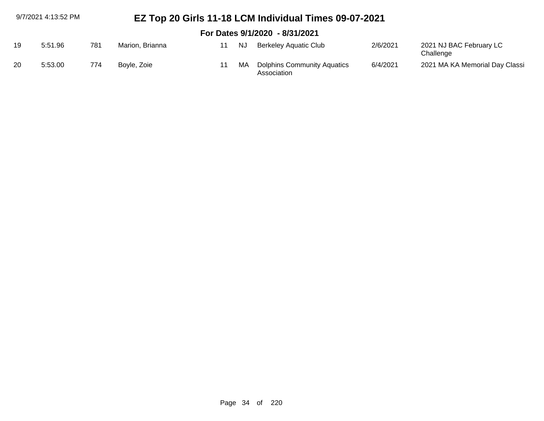| 9/7/2021 4:13:52 PM |         |     |                 | EZ Top 20 Girls 11-18 LCM Individual Times 09-07-2021 |    |                                                   |          |                                      |  |  |  |
|---------------------|---------|-----|-----------------|-------------------------------------------------------|----|---------------------------------------------------|----------|--------------------------------------|--|--|--|
|                     |         |     |                 |                                                       |    | For Dates 9/1/2020 - 8/31/2021                    |          |                                      |  |  |  |
| 19                  | 5:51.96 | 781 | Marion, Brianna | 11                                                    | NJ | <b>Berkeley Aquatic Club</b>                      | 2/6/2021 | 2021 NJ BAC February LC<br>Challenge |  |  |  |
| 20                  | 5:53.00 | 774 | Boyle, Zoie     | 11                                                    | МA | <b>Dolphins Community Aquatics</b><br>Association | 6/4/2021 | 2021 MA KA Memorial Day Classi       |  |  |  |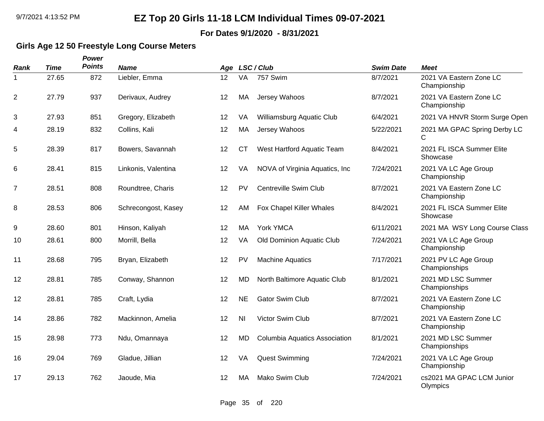**For Dates 9/1/2020 - 8/31/2021**

### **Girls Age 12 50 Freestyle Long Course Meters**

| <b>Rank</b>    | <b>Time</b> | Power<br><b>Points</b> | <b>Name</b>         |    |                | Age LSC/Club                    | <b>Swim Date</b> | <b>Meet</b>                             |
|----------------|-------------|------------------------|---------------------|----|----------------|---------------------------------|------------------|-----------------------------------------|
| 1              | 27.65       | 872                    | Liebler, Emma       | 12 | VA             | 757 Swim                        | 8/7/2021         | 2021 VA Eastern Zone LC<br>Championship |
| $\overline{c}$ | 27.79       | 937                    | Derivaux, Audrey    | 12 | MA             | Jersey Wahoos                   | 8/7/2021         | 2021 VA Eastern Zone LC<br>Championship |
| 3              | 27.93       | 851                    | Gregory, Elizabeth  | 12 | VA             | Williamsburg Aquatic Club       | 6/4/2021         | 2021 VA HNVR Storm Surge Open           |
| 4              | 28.19       | 832                    | Collins, Kali       | 12 | MA             | Jersey Wahoos                   | 5/22/2021        | 2021 MA GPAC Spring Derby LC<br>C       |
| 5              | 28.39       | 817                    | Bowers, Savannah    | 12 | <b>CT</b>      | West Hartford Aquatic Team      | 8/4/2021         | 2021 FL ISCA Summer Elite<br>Showcase   |
| 6              | 28.41       | 815                    | Linkonis, Valentina | 12 | VA             | NOVA of Virginia Aquatics, Inc. | 7/24/2021        | 2021 VA LC Age Group<br>Championship    |
| $\overline{7}$ | 28.51       | 808                    | Roundtree, Charis   | 12 | PV             | <b>Centreville Swim Club</b>    | 8/7/2021         | 2021 VA Eastern Zone LC<br>Championship |
| 8              | 28.53       | 806                    | Schrecongost, Kasey | 12 | AM             | Fox Chapel Killer Whales        | 8/4/2021         | 2021 FL ISCA Summer Elite<br>Showcase   |
| 9              | 28.60       | 801                    | Hinson, Kaliyah     | 12 | <b>MA</b>      | York YMCA                       | 6/11/2021        | 2021 MA WSY Long Course Class           |
| 10             | 28.61       | 800                    | Morrill, Bella      | 12 | VA             | Old Dominion Aquatic Club       | 7/24/2021        | 2021 VA LC Age Group<br>Championship    |
| 11             | 28.68       | 795                    | Bryan, Elizabeth    | 12 | PV             | <b>Machine Aquatics</b>         | 7/17/2021        | 2021 PV LC Age Group<br>Championships   |
| 12             | 28.81       | 785                    | Conway, Shannon     | 12 | <b>MD</b>      | North Baltimore Aquatic Club    | 8/1/2021         | 2021 MD LSC Summer<br>Championships     |
| 12             | 28.81       | 785                    | Craft, Lydia        | 12 | <b>NE</b>      | <b>Gator Swim Club</b>          | 8/7/2021         | 2021 VA Eastern Zone LC<br>Championship |
| 14             | 28.86       | 782                    | Mackinnon, Amelia   | 12 | N <sub>l</sub> | Victor Swim Club                | 8/7/2021         | 2021 VA Eastern Zone LC<br>Championship |
| 15             | 28.98       | 773                    | Ndu, Omannaya       | 12 | <b>MD</b>      | Columbia Aquatics Association   | 8/1/2021         | 2021 MD LSC Summer<br>Championships     |
| 16             | 29.04       | 769                    | Gladue, Jillian     | 12 | VA             | <b>Quest Swimming</b>           | 7/24/2021        | 2021 VA LC Age Group<br>Championship    |
| 17             | 29.13       | 762                    | Jaoude, Mia         | 12 | МA             | Mako Swim Club                  | 7/24/2021        | cs2021 MA GPAC LCM Junior<br>Olympics   |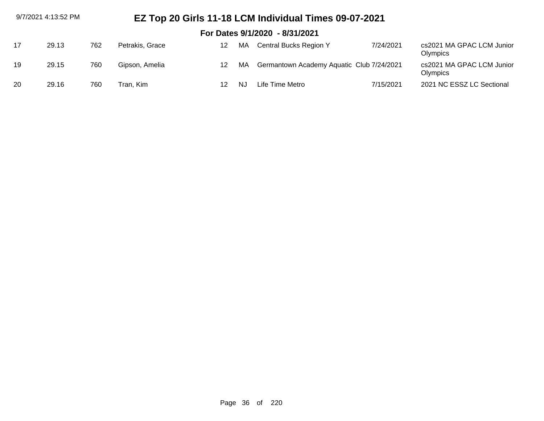| 9/7/2021 4:13:52 PM |                                |     |                 | EZ Top 20 Girls 11-18 LCM Individual Times 09-07-2021 |     |                                           |           |                                       |  |  |  |  |
|---------------------|--------------------------------|-----|-----------------|-------------------------------------------------------|-----|-------------------------------------------|-----------|---------------------------------------|--|--|--|--|
|                     | For Dates 9/1/2020 - 8/31/2021 |     |                 |                                                       |     |                                           |           |                                       |  |  |  |  |
| 17                  | 29.13                          | 762 | Petrakis, Grace | 12.                                                   | MA. | <b>Central Bucks Region Y</b>             | 7/24/2021 | cs2021 MA GPAC LCM Junior<br>Olympics |  |  |  |  |
| 19                  | 29.15                          | 760 | Gipson, Amelia  | 12                                                    | MA  | Germantown Academy Aquatic Club 7/24/2021 |           | cs2021 MA GPAC LCM Junior<br>Olympics |  |  |  |  |
| 20                  | 29.16                          | 760 | Tran, Kim       | 12                                                    | NJ. | Life Time Metro                           | 7/15/2021 | 2021 NC ESSZ LC Sectional             |  |  |  |  |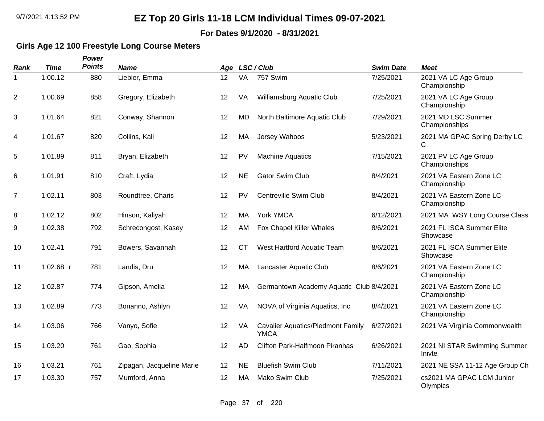**For Dates 9/1/2020 - 8/31/2021**

### **Girls Age 12 100 Freestyle Long Course Meters**

| Rank           | <b>Time</b> | Power<br><b>Points</b> | <b>Name</b>               | Age |           | LSC / Club                                              | <b>Swim Date</b> | <b>Meet</b>                             |
|----------------|-------------|------------------------|---------------------------|-----|-----------|---------------------------------------------------------|------------------|-----------------------------------------|
| 1              | 1:00.12     | 880                    | Liebler, Emma             | 12  | VA        | 757 Swim                                                | 7/25/2021        | 2021 VA LC Age Group<br>Championship    |
| 2              | 1:00.69     | 858                    | Gregory, Elizabeth        | 12  | <b>VA</b> | Williamsburg Aquatic Club                               | 7/25/2021        | 2021 VA LC Age Group<br>Championship    |
| 3              | 1:01.64     | 821                    | Conway, Shannon           | 12  | MD        | North Baltimore Aquatic Club                            | 7/29/2021        | 2021 MD LSC Summer<br>Championships     |
| 4              | 1:01.67     | 820                    | Collins, Kali             | 12  | MA        | Jersey Wahoos                                           | 5/23/2021        | 2021 MA GPAC Spring Derby LC<br>С       |
| 5              | 1:01.89     | 811                    | Bryan, Elizabeth          | 12  | PV        | <b>Machine Aquatics</b>                                 | 7/15/2021        | 2021 PV LC Age Group<br>Championships   |
| 6              | 1:01.91     | 810                    | Craft, Lydia              | 12  | <b>NE</b> | <b>Gator Swim Club</b>                                  | 8/4/2021         | 2021 VA Eastern Zone LC<br>Championship |
| $\overline{7}$ | 1:02.11     | 803                    | Roundtree, Charis         | 12  | PV        | <b>Centreville Swim Club</b>                            | 8/4/2021         | 2021 VA Eastern Zone LC<br>Championship |
| 8              | 1:02.12     | 802                    | Hinson, Kaliyah           | 12  | MA        | York YMCA                                               | 6/12/2021        | 2021 MA WSY Long Course Class           |
| 9              | 1:02.38     | 792                    | Schrecongost, Kasey       | 12  | AM        | Fox Chapel Killer Whales                                | 8/6/2021         | 2021 FL ISCA Summer Elite<br>Showcase   |
| 10             | 1:02.41     | 791                    | Bowers, Savannah          | 12  | <b>CT</b> | West Hartford Aquatic Team                              | 8/6/2021         | 2021 FL ISCA Summer Elite<br>Showcase   |
| 11             | 1:02.68 $r$ | 781                    | Landis, Dru               | 12  | МA        | Lancaster Aquatic Club                                  | 8/6/2021         | 2021 VA Eastern Zone LC<br>Championship |
| 12             | 1:02.87     | 774                    | Gipson, Amelia            | 12  | МA        | Germantown Academy Aquatic Club 8/4/2021                |                  | 2021 VA Eastern Zone LC<br>Championship |
| 13             | 1:02.89     | 773                    | Bonanno, Ashlyn           | 12  | VA        | NOVA of Virginia Aquatics, Inc.                         | 8/4/2021         | 2021 VA Eastern Zone LC<br>Championship |
| 14             | 1:03.06     | 766                    | Vanyo, Sofie              | 12  | VA        | <b>Cavalier Aquatics/Piedmont Family</b><br><b>YMCA</b> | 6/27/2021        | 2021 VA Virginia Commonwealth           |
| 15             | 1:03.20     | 761                    | Gao, Sophia               | 12  | <b>AD</b> | Clifton Park-Halfmoon Piranhas                          | 6/26/2021        | 2021 NI STAR Swimming Summer<br>Inivte  |
| 16             | 1:03.21     | 761                    | Zipagan, Jacqueline Marie | 12  | <b>NE</b> | <b>Bluefish Swim Club</b>                               | 7/11/2021        | 2021 NE SSA 11-12 Age Group Ch          |
| 17             | 1:03.30     | 757                    | Mumford, Anna             | 12  | MA        | Mako Swim Club                                          | 7/25/2021        | cs2021 MA GPAC LCM Junior<br>Olympics   |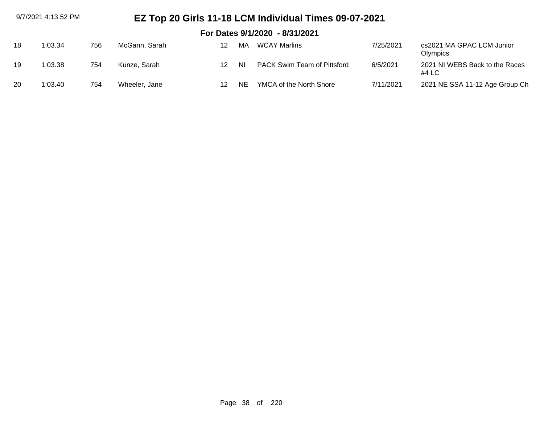| 9/7/2021 4:13:52 PM            |         |     |               |    |     | EZ Top 20 Girls 11-18 LCM Individual Times 09-07-2021 |           |                                         |  |  |  |  |  |
|--------------------------------|---------|-----|---------------|----|-----|-------------------------------------------------------|-----------|-----------------------------------------|--|--|--|--|--|
| For Dates 9/1/2020 - 8/31/2021 |         |     |               |    |     |                                                       |           |                                         |  |  |  |  |  |
| 18                             | 1:03.34 | 756 | McGann, Sarah | 12 | МA  | <b>WCAY Marlins</b>                                   | 7/25/2021 | cs2021 MA GPAC LCM Junior<br>Olympics   |  |  |  |  |  |
| 19                             | 1:03.38 | 754 | Kunze, Sarah  | 12 | -NI | <b>PACK Swim Team of Pittsford</b>                    | 6/5/2021  | 2021 NJ WEBS Back to the Races<br>#4 LC |  |  |  |  |  |
| 20                             | 1:03.40 | 754 | Wheeler, Jane | 12 | NE. | YMCA of the North Shore                               | 7/11/2021 | 2021 NE SSA 11-12 Age Group Ch          |  |  |  |  |  |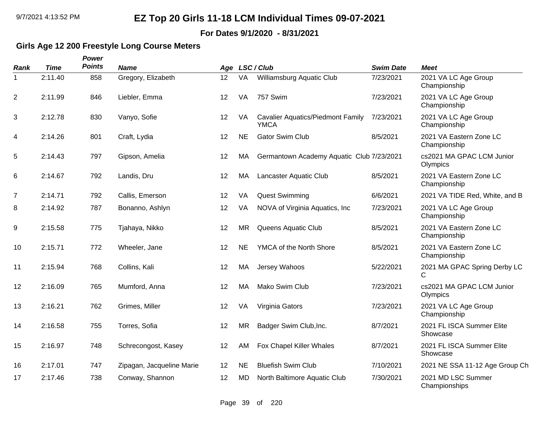**For Dates 9/1/2020 - 8/31/2021**

### **Girls Age 12 200 Freestyle Long Course Meters**

| Rank           | <b>Time</b> | Power<br><b>Points</b> | <b>Name</b>               | Age |           | LSC / Club                                              | <b>Swim Date</b> | <b>Meet</b>                             |
|----------------|-------------|------------------------|---------------------------|-----|-----------|---------------------------------------------------------|------------------|-----------------------------------------|
| 1              | 2:11.40     | 858                    | Gregory, Elizabeth        | 12  | VA        | Williamsburg Aquatic Club                               | 7/23/2021        | 2021 VA LC Age Group<br>Championship    |
| $\overline{c}$ | 2:11.99     | 846                    | Liebler, Emma             | 12  | VA        | 757 Swim                                                | 7/23/2021        | 2021 VA LC Age Group<br>Championship    |
| 3              | 2:12.78     | 830                    | Vanyo, Sofie              | 12  | VA        | <b>Cavalier Aquatics/Piedmont Family</b><br><b>YMCA</b> | 7/23/2021        | 2021 VA LC Age Group<br>Championship    |
| 4              | 2:14.26     | 801                    | Craft, Lydia              | 12  | <b>NE</b> | <b>Gator Swim Club</b>                                  | 8/5/2021         | 2021 VA Eastern Zone LC<br>Championship |
| 5              | 2:14.43     | 797                    | Gipson, Amelia            | 12  | MA        | Germantown Academy Aquatic Club 7/23/2021               |                  | cs2021 MA GPAC LCM Junior<br>Olympics   |
| 6              | 2:14.67     | 792                    | Landis, Dru               | 12  | MA        | Lancaster Aquatic Club                                  | 8/5/2021         | 2021 VA Eastern Zone LC<br>Championship |
| 7              | 2:14.71     | 792                    | Callis, Emerson           | 12  | VA        | <b>Quest Swimming</b>                                   | 6/6/2021         | 2021 VA TIDE Red, White, and B          |
| 8              | 2:14.92     | 787                    | Bonanno, Ashlyn           | 12  | VA        | NOVA of Virginia Aquatics, Inc.                         | 7/23/2021        | 2021 VA LC Age Group<br>Championship    |
| 9              | 2:15.58     | 775                    | Tjahaya, Nikko            | 12  | <b>MR</b> | Queens Aquatic Club                                     | 8/5/2021         | 2021 VA Eastern Zone LC<br>Championship |
| 10             | 2:15.71     | 772                    | Wheeler, Jane             | 12  | <b>NE</b> | YMCA of the North Shore                                 | 8/5/2021         | 2021 VA Eastern Zone LC<br>Championship |
| 11             | 2:15.94     | 768                    | Collins, Kali             | 12  | MA        | Jersey Wahoos                                           | 5/22/2021        | 2021 MA GPAC Spring Derby LC<br>C       |
| 12             | 2:16.09     | 765                    | Mumford, Anna             | 12  | MA        | Mako Swim Club                                          | 7/23/2021        | cs2021 MA GPAC LCM Junior<br>Olympics   |
| 13             | 2:16.21     | 762                    | Grimes, Miller            | 12  | VA        | Virginia Gators                                         | 7/23/2021        | 2021 VA LC Age Group<br>Championship    |
| 14             | 2:16.58     | 755                    | Torres, Sofia             | 12  | <b>MR</b> | Badger Swim Club, Inc.                                  | 8/7/2021         | 2021 FL ISCA Summer Elite<br>Showcase   |
| 15             | 2:16.97     | 748                    | Schrecongost, Kasey       | 12  | AM        | Fox Chapel Killer Whales                                | 8/7/2021         | 2021 FL ISCA Summer Elite<br>Showcase   |
| 16             | 2:17.01     | 747                    | Zipagan, Jacqueline Marie | 12  | <b>NE</b> | <b>Bluefish Swim Club</b>                               | 7/10/2021        | 2021 NE SSA 11-12 Age Group Ch          |
| 17             | 2:17.46     | 738                    | Conway, Shannon           | 12  | <b>MD</b> | North Baltimore Aquatic Club                            | 7/30/2021        | 2021 MD LSC Summer<br>Championships     |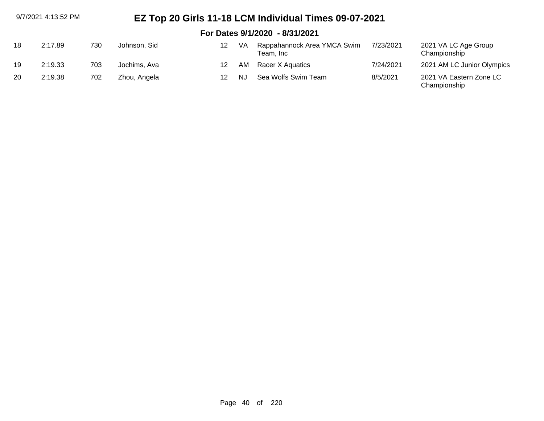| 9/7/2021 4:13:52 PM |                                |     |              |     |     | EZ Top 20 Girls 11-18 LCM Individual Times 09-07-2021 |           |                                         |  |  |  |  |
|---------------------|--------------------------------|-----|--------------|-----|-----|-------------------------------------------------------|-----------|-----------------------------------------|--|--|--|--|
|                     | For Dates 9/1/2020 - 8/31/2021 |     |              |     |     |                                                       |           |                                         |  |  |  |  |
| 18                  | 2:17.89                        | 730 | Johnson, Sid | 12. | VA. | Rappahannock Area YMCA Swim<br>Team. Inc              | 7/23/2021 | 2021 VA LC Age Group<br>Championship    |  |  |  |  |
| 19                  | 2:19.33                        | 703 | Jochims, Ava | 12  | AM. | Racer X Aquatics                                      | 7/24/2021 | 2021 AM LC Junior Olympics              |  |  |  |  |
| 20                  | 2:19.38                        | 702 | Zhou, Angela | 12  | NJ  | Sea Wolfs Swim Team                                   | 8/5/2021  | 2021 VA Eastern Zone LC<br>Championship |  |  |  |  |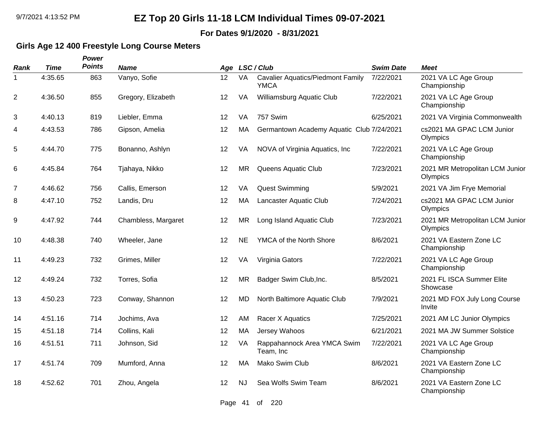**For Dates 9/1/2020 - 8/31/2021**

### **Girls Age 12 400 Freestyle Long Course Meters**

| <b>Rank</b>    | <b>Time</b> | Power<br><b>Points</b> | <b>Name</b>         |    |           | Age LSC/Club                                            | <b>Swim Date</b> | <b>Meet</b>                                 |
|----------------|-------------|------------------------|---------------------|----|-----------|---------------------------------------------------------|------------------|---------------------------------------------|
| 1              | 4:35.65     | 863                    | Vanyo, Sofie        | 12 | <b>VA</b> | <b>Cavalier Aquatics/Piedmont Family</b><br><b>YMCA</b> | 7/22/2021        | 2021 VA LC Age Group<br>Championship        |
| $\overline{c}$ | 4:36.50     | 855                    | Gregory, Elizabeth  | 12 | VA        | Williamsburg Aquatic Club                               | 7/22/2021        | 2021 VA LC Age Group<br>Championship        |
| 3              | 4:40.13     | 819                    | Liebler, Emma       | 12 | VA        | 757 Swim                                                | 6/25/2021        | 2021 VA Virginia Commonwealth               |
| 4              | 4:43.53     | 786                    | Gipson, Amelia      | 12 | MA        | Germantown Academy Aquatic Club 7/24/2021               |                  | cs2021 MA GPAC LCM Junior<br>Olympics       |
| 5              | 4:44.70     | 775                    | Bonanno, Ashlyn     | 12 | VA        | NOVA of Virginia Aquatics, Inc.                         | 7/22/2021        | 2021 VA LC Age Group<br>Championship        |
| 6              | 4:45.84     | 764                    | Tjahaya, Nikko      | 12 | <b>MR</b> | Queens Aquatic Club                                     | 7/23/2021        | 2021 MR Metropolitan LCM Junior<br>Olympics |
| 7              | 4:46.62     | 756                    | Callis, Emerson     | 12 | VA        | <b>Quest Swimming</b>                                   | 5/9/2021         | 2021 VA Jim Frye Memorial                   |
| 8              | 4:47.10     | 752                    | Landis, Dru         | 12 | MA        | Lancaster Aquatic Club                                  | 7/24/2021        | cs2021 MA GPAC LCM Junior<br>Olympics       |
| 9              | 4:47.92     | 744                    | Chambless, Margaret | 12 | <b>MR</b> | Long Island Aquatic Club                                | 7/23/2021        | 2021 MR Metropolitan LCM Junior<br>Olympics |
| 10             | 4:48.38     | 740                    | Wheeler, Jane       | 12 | <b>NE</b> | YMCA of the North Shore                                 | 8/6/2021         | 2021 VA Eastern Zone LC<br>Championship     |
| 11             | 4:49.23     | 732                    | Grimes, Miller      | 12 | VA        | Virginia Gators                                         | 7/22/2021        | 2021 VA LC Age Group<br>Championship        |
| 12             | 4:49.24     | 732                    | Torres, Sofia       | 12 | <b>MR</b> | Badger Swim Club, Inc.                                  | 8/5/2021         | 2021 FL ISCA Summer Elite<br>Showcase       |
| 13             | 4:50.23     | 723                    | Conway, Shannon     | 12 | <b>MD</b> | North Baltimore Aquatic Club                            | 7/9/2021         | 2021 MD FOX July Long Course<br>Invite      |
| 14             | 4:51.16     | 714                    | Jochims, Ava        | 12 | AM        | Racer X Aquatics                                        | 7/25/2021        | 2021 AM LC Junior Olympics                  |
| 15             | 4:51.18     | 714                    | Collins, Kali       | 12 | MA        | Jersey Wahoos                                           | 6/21/2021        | 2021 MA JW Summer Solstice                  |
| 16             | 4:51.51     | 711                    | Johnson, Sid        | 12 | VA        | Rappahannock Area YMCA Swim<br>Team, Inc                | 7/22/2021        | 2021 VA LC Age Group<br>Championship        |
| 17             | 4:51.74     | 709                    | Mumford, Anna       | 12 | MA        | Mako Swim Club                                          | 8/6/2021         | 2021 VA Eastern Zone LC<br>Championship     |
| 18             | 4:52.62     | 701                    | Zhou, Angela        | 12 | <b>NJ</b> | Sea Wolfs Swim Team                                     | 8/6/2021         | 2021 VA Eastern Zone LC<br>Championship     |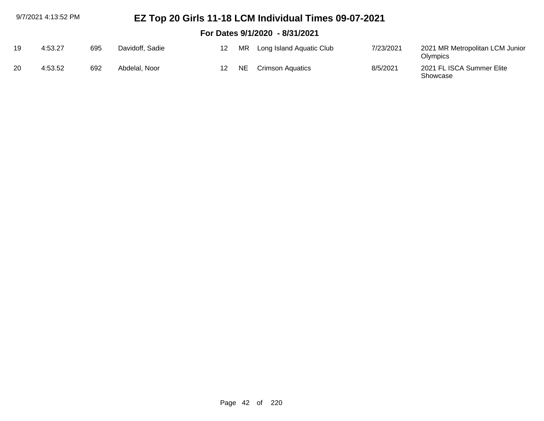| 9/7/2021 4:13:52 PM |         |     |                 |    |     | EZ Top 20 Girls 11-18 LCM Individual Times 09-07-2021 |           |                                             |  |  |  |  |
|---------------------|---------|-----|-----------------|----|-----|-------------------------------------------------------|-----------|---------------------------------------------|--|--|--|--|
|                     |         |     |                 |    |     | For Dates 9/1/2020 - 8/31/2021                        |           |                                             |  |  |  |  |
| 19                  | 4:53.27 | 695 | Davidoff, Sadie | 12 | MR. | Long Island Aquatic Club                              | 7/23/2021 | 2021 MR Metropolitan LCM Junior<br>Olympics |  |  |  |  |
| 20                  | 4:53.52 | 692 | Abdelal, Noor   | 12 | NE  | <b>Crimson Aquatics</b>                               | 8/5/2021  | 2021 FL ISCA Summer Elite<br>Showcase       |  |  |  |  |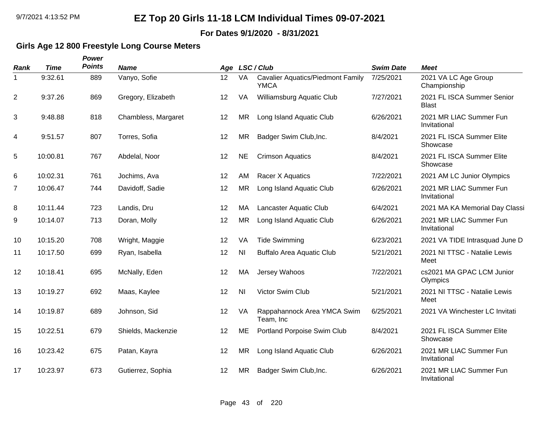**For Dates 9/1/2020 - 8/31/2021**

### **Girls Age 12 800 Freestyle Long Course Meters**

| Rank           | <b>Time</b> | Power<br><b>Points</b> | <b>Name</b>         |    |                | Age LSC/Club                                            | <b>Swim Date</b> | <b>Meet</b>                                |
|----------------|-------------|------------------------|---------------------|----|----------------|---------------------------------------------------------|------------------|--------------------------------------------|
| $\mathbf 1$    | 9:32.61     | 889                    | Vanyo, Sofie        | 12 | <b>VA</b>      | <b>Cavalier Aquatics/Piedmont Family</b><br><b>YMCA</b> | 7/25/2021        | 2021 VA LC Age Group<br>Championship       |
| $\overline{2}$ | 9:37.26     | 869                    | Gregory, Elizabeth  | 12 | VA             | Williamsburg Aquatic Club                               | 7/27/2021        | 2021 FL ISCA Summer Senior<br><b>Blast</b> |
| 3              | 9:48.88     | 818                    | Chambless, Margaret | 12 | <b>MR</b>      | Long Island Aquatic Club                                | 6/26/2021        | 2021 MR LIAC Summer Fun<br>Invitational    |
| 4              | 9:51.57     | 807                    | Torres, Sofia       | 12 | <b>MR</b>      | Badger Swim Club, Inc.                                  | 8/4/2021         | 2021 FL ISCA Summer Elite<br>Showcase      |
| 5              | 10:00.81    | 767                    | Abdelal, Noor       | 12 | <b>NE</b>      | <b>Crimson Aquatics</b>                                 | 8/4/2021         | 2021 FL ISCA Summer Elite<br>Showcase      |
| 6              | 10:02.31    | 761                    | Jochims, Ava        | 12 | AM             | Racer X Aquatics                                        | 7/22/2021        | 2021 AM LC Junior Olympics                 |
| $\overline{7}$ | 10:06.47    | 744                    | Davidoff, Sadie     | 12 | <b>MR</b>      | Long Island Aquatic Club                                | 6/26/2021        | 2021 MR LIAC Summer Fun<br>Invitational    |
| 8              | 10:11.44    | 723                    | Landis, Dru         | 12 | МA             | Lancaster Aquatic Club                                  | 6/4/2021         | 2021 MA KA Memorial Day Classi             |
| 9              | 10:14.07    | 713                    | Doran, Molly        | 12 | <b>MR</b>      | Long Island Aquatic Club                                | 6/26/2021        | 2021 MR LIAC Summer Fun<br>Invitational    |
| 10             | 10:15.20    | 708                    | Wright, Maggie      | 12 | VA             | <b>Tide Swimming</b>                                    | 6/23/2021        | 2021 VA TIDE Intrasquad June D             |
| 11             | 10:17.50    | 699                    | Ryan, Isabella      | 12 | N <sub>l</sub> | <b>Buffalo Area Aquatic Club</b>                        | 5/21/2021        | 2021 NI TTSC - Natalie Lewis<br>Meet       |
| 12             | 10:18.41    | 695                    | McNally, Eden       | 12 | MA             | Jersey Wahoos                                           | 7/22/2021        | cs2021 MA GPAC LCM Junior<br>Olympics      |
| 13             | 10:19.27    | 692                    | Maas, Kaylee        | 12 | N <sub>l</sub> | Victor Swim Club                                        | 5/21/2021        | 2021 NI TTSC - Natalie Lewis<br>Meet       |
| 14             | 10:19.87    | 689                    | Johnson, Sid        | 12 | VA             | Rappahannock Area YMCA Swim<br>Team, Inc                | 6/25/2021        | 2021 VA Winchester LC Invitati             |
| 15             | 10:22.51    | 679                    | Shields, Mackenzie  | 12 | ME             | Portland Porpoise Swim Club                             | 8/4/2021         | 2021 FL ISCA Summer Elite<br>Showcase      |
| 16             | 10:23.42    | 675                    | Patan, Kayra        | 12 | <b>MR</b>      | Long Island Aquatic Club                                | 6/26/2021        | 2021 MR LIAC Summer Fun<br>Invitational    |
| 17             | 10:23.97    | 673                    | Gutierrez, Sophia   | 12 | <b>MR</b>      | Badger Swim Club, Inc.                                  | 6/26/2021        | 2021 MR LIAC Summer Fun<br>Invitational    |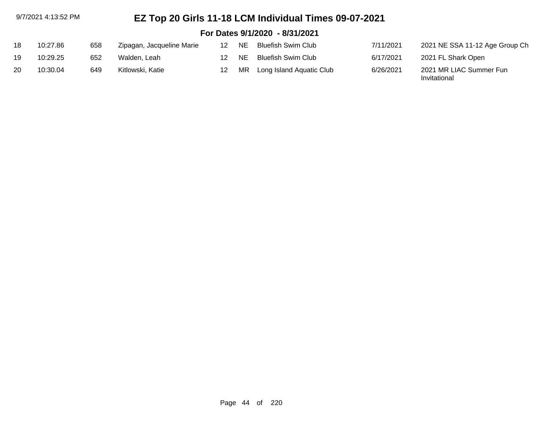|    | 9/7/2021 4:13:52 PM            |     |                           |                 |           | EZ Top 20 Girls 11-18 LCM Individual Times 09-07-2021 |           |                                         |  |  |  |
|----|--------------------------------|-----|---------------------------|-----------------|-----------|-------------------------------------------------------|-----------|-----------------------------------------|--|--|--|
|    | For Dates 9/1/2020 - 8/31/2021 |     |                           |                 |           |                                                       |           |                                         |  |  |  |
| 18 | 10:27.86                       | 658 | Zipagan, Jacqueline Marie | 12 <sup>2</sup> | <b>NE</b> | <b>Bluefish Swim Club</b>                             | 7/11/2021 | 2021 NE SSA 11-12 Age Group Ch          |  |  |  |
| 19 | 10:29.25                       | 652 | Walden, Leah              | 12              | <b>NE</b> | <b>Bluefish Swim Club</b>                             | 6/17/2021 | 2021 FL Shark Open                      |  |  |  |
| 20 | 10:30.04                       | 649 | Kitlowski, Katie          | 12              | MR        | Long Island Aquatic Club                              | 6/26/2021 | 2021 MR LIAC Summer Fun<br>Invitational |  |  |  |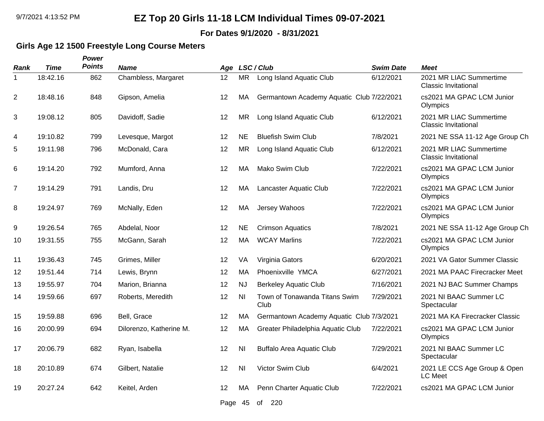**For Dates 9/1/2020 - 8/31/2021**

### **Girls Age 12 1500 Freestyle Long Course Meters**

| Rank           | <b>Time</b> | Power<br><b>Points</b> | <b>Name</b>             |         |                | Age LSC/Club                              | <b>Swim Date</b> | <b>Meet</b>                                            |
|----------------|-------------|------------------------|-------------------------|---------|----------------|-------------------------------------------|------------------|--------------------------------------------------------|
| $\mathbf 1$    | 18:42.16    | 862                    | Chambless, Margaret     | 12      |                | MR Long Island Aquatic Club               | 6/12/2021        | 2021 MR LIAC Summertime<br><b>Classic Invitational</b> |
| $\overline{2}$ | 18:48.16    | 848                    | Gipson, Amelia          | 12      | MA             | Germantown Academy Aquatic Club 7/22/2021 |                  | cs2021 MA GPAC LCM Junior<br>Olympics                  |
| 3              | 19:08.12    | 805                    | Davidoff, Sadie         | 12      | <b>MR</b>      | Long Island Aquatic Club                  | 6/12/2021        | 2021 MR LIAC Summertime<br>Classic Invitational        |
| 4              | 19:10.82    | 799                    | Levesque, Margot        | 12      | <b>NE</b>      | <b>Bluefish Swim Club</b>                 | 7/8/2021         | 2021 NE SSA 11-12 Age Group Ch                         |
| 5              | 19:11.98    | 796                    | McDonald, Cara          | 12      | <b>MR</b>      | Long Island Aquatic Club                  | 6/12/2021        | 2021 MR LIAC Summertime<br>Classic Invitational        |
| 6              | 19:14.20    | 792                    | Mumford, Anna           | 12      | МA             | Mako Swim Club                            | 7/22/2021        | cs2021 MA GPAC LCM Junior<br>Olympics                  |
| $\overline{7}$ | 19:14.29    | 791                    | Landis, Dru             | 12      | MA             | Lancaster Aquatic Club                    | 7/22/2021        | cs2021 MA GPAC LCM Junior<br>Olympics                  |
| 8              | 19:24.97    | 769                    | McNally, Eden           | 12      | MA             | Jersey Wahoos                             | 7/22/2021        | cs2021 MA GPAC LCM Junior<br>Olympics                  |
| 9              | 19:26.54    | 765                    | Abdelal, Noor           | 12      | <b>NE</b>      | <b>Crimson Aquatics</b>                   | 7/8/2021         | 2021 NE SSA 11-12 Age Group Ch                         |
| 10             | 19:31.55    | 755                    | McGann, Sarah           | 12      | MA             | <b>WCAY Marlins</b>                       | 7/22/2021        | cs2021 MA GPAC LCM Junior<br>Olympics                  |
| 11             | 19:36.43    | 745                    | Grimes, Miller          | 12      | VA             | Virginia Gators                           | 6/20/2021        | 2021 VA Gator Summer Classic                           |
| 12             | 19:51.44    | 714                    | Lewis, Brynn            | 12      | <b>MA</b>      | Phoenixville YMCA                         | 6/27/2021        | 2021 MA PAAC Firecracker Meet                          |
| 13             | 19:55.97    | 704                    | Marion, Brianna         | 12      | <b>NJ</b>      | <b>Berkeley Aquatic Club</b>              | 7/16/2021        | 2021 NJ BAC Summer Champs                              |
| 14             | 19:59.66    | 697                    | Roberts, Meredith       | 12      | N <sub>l</sub> | Town of Tonawanda Titans Swim<br>Club     | 7/29/2021        | 2021 NI BAAC Summer LC<br>Spectacular                  |
| 15             | 19:59.88    | 696                    | Bell, Grace             | 12      | MA             | Germantown Academy Aquatic Club 7/3/2021  |                  | 2021 MA KA Firecracker Classic                         |
| 16             | 20:00.99    | 694                    | Dilorenzo, Katherine M. | 12      | MA             | Greater Philadelphia Aquatic Club         | 7/22/2021        | cs2021 MA GPAC LCM Junior<br>Olympics                  |
| 17             | 20:06.79    | 682                    | Ryan, Isabella          | 12      | N <sub>l</sub> | <b>Buffalo Area Aquatic Club</b>          | 7/29/2021        | 2021 NI BAAC Summer LC<br>Spectacular                  |
| 18             | 20:10.89    | 674                    | Gilbert, Natalie        | 12      | N <sub>l</sub> | Victor Swim Club                          | 6/4/2021         | 2021 LE CCS Age Group & Open<br><b>LC</b> Meet         |
| 19             | 20:27.24    | 642                    | Keitel, Arden           | 12      | МA             | Penn Charter Aquatic Club                 | 7/22/2021        | cs2021 MA GPAC LCM Junior                              |
|                |             |                        |                         | Page 45 |                | of<br>220                                 |                  |                                                        |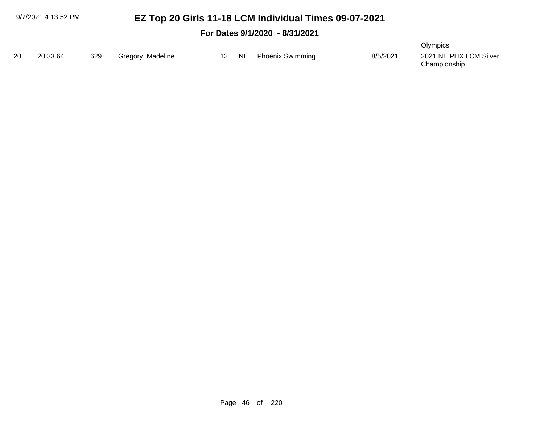#### **For Dates 9/1/2020 - 8/31/2021**

|    |          |     |                   |  |                     |          | Olympics                               |
|----|----------|-----|-------------------|--|---------------------|----------|----------------------------------------|
| 20 | 20:33.64 | 629 | Gregory, Madeline |  | NE Phoenix Swimming | 8/5/2021 | 2021 NE PHX LCM Silver<br>Championship |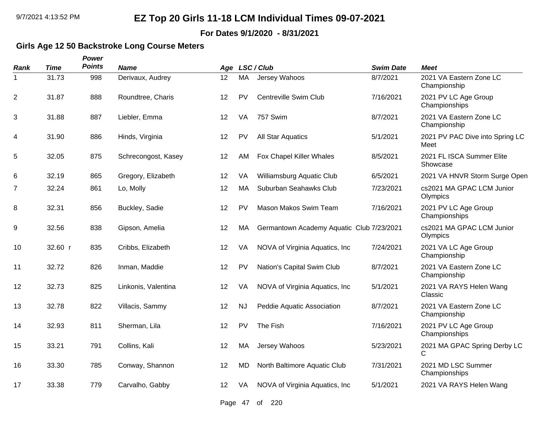**For Dates 9/1/2020 - 8/31/2021**

### **Girls Age 12 50 Backstroke Long Course Meters**

*Power*

| <b>Rank</b>    | <b>Time</b> | <b>Points</b> | <b>Name</b>         |    |           | Age LSC/Club                              | <b>Swim Date</b> | <b>Meet</b>                             |
|----------------|-------------|---------------|---------------------|----|-----------|-------------------------------------------|------------------|-----------------------------------------|
|                | 31.73       | 998           | Derivaux, Audrey    | 12 | MA        | Jersey Wahoos                             | 8/7/2021         | 2021 VA Eastern Zone LC<br>Championship |
| $\overline{2}$ | 31.87       | 888           | Roundtree, Charis   | 12 | <b>PV</b> | <b>Centreville Swim Club</b>              | 7/16/2021        | 2021 PV LC Age Group<br>Championships   |
| 3              | 31.88       | 887           | Liebler, Emma       | 12 | VA        | 757 Swim                                  | 8/7/2021         | 2021 VA Eastern Zone LC<br>Championship |
| 4              | 31.90       | 886           | Hinds, Virginia     | 12 | PV        | All Star Aquatics                         | 5/1/2021         | 2021 PV PAC Dive into Spring LC<br>Meet |
| 5              | 32.05       | 875           | Schrecongost, Kasey | 12 | AM        | Fox Chapel Killer Whales                  | 8/5/2021         | 2021 FL ISCA Summer Elite<br>Showcase   |
| 6              | 32.19       | 865           | Gregory, Elizabeth  | 12 | VA        | Williamsburg Aquatic Club                 | 6/5/2021         | 2021 VA HNVR Storm Surge Open           |
| 7              | 32.24       | 861           | Lo, Molly           | 12 | <b>MA</b> | Suburban Seahawks Club                    | 7/23/2021        | cs2021 MA GPAC LCM Junior<br>Olympics   |
| 8              | 32.31       | 856           | Buckley, Sadie      | 12 | PV        | Mason Makos Swim Team                     | 7/16/2021        | 2021 PV LC Age Group<br>Championships   |
| 9              | 32.56       | 838           | Gipson, Amelia      | 12 | MA        | Germantown Academy Aquatic Club 7/23/2021 |                  | cs2021 MA GPAC LCM Junior<br>Olympics   |
| 10             | 32.60 r     | 835           | Cribbs, Elizabeth   | 12 | VA        | NOVA of Virginia Aquatics, Inc.           | 7/24/2021        | 2021 VA LC Age Group<br>Championship    |
| 11             | 32.72       | 826           | Inman, Maddie       | 12 | PV        | Nation's Capital Swim Club                | 8/7/2021         | 2021 VA Eastern Zone LC<br>Championship |
| 12             | 32.73       | 825           | Linkonis, Valentina | 12 | VA        | NOVA of Virginia Aquatics, Inc.           | 5/1/2021         | 2021 VA RAYS Helen Wang<br>Classic      |
| 13             | 32.78       | 822           | Villacis, Sammy     | 12 | <b>NJ</b> | Peddie Aquatic Association                | 8/7/2021         | 2021 VA Eastern Zone LC<br>Championship |
| 14             | 32.93       | 811           | Sherman, Lila       | 12 | PV        | The Fish                                  | 7/16/2021        | 2021 PV LC Age Group<br>Championships   |
| 15             | 33.21       | 791           | Collins, Kali       | 12 | MA        | Jersey Wahoos                             | 5/23/2021        | 2021 MA GPAC Spring Derby LC<br>C       |
| 16             | 33.30       | 785           | Conway, Shannon     | 12 | <b>MD</b> | North Baltimore Aquatic Club              | 7/31/2021        | 2021 MD LSC Summer<br>Championships     |
| 17             | 33.38       | 779           | Carvalho, Gabby     | 12 | VA        | NOVA of Virginia Aquatics, Inc.           | 5/1/2021         | 2021 VA RAYS Helen Wang                 |

Page 47 of 220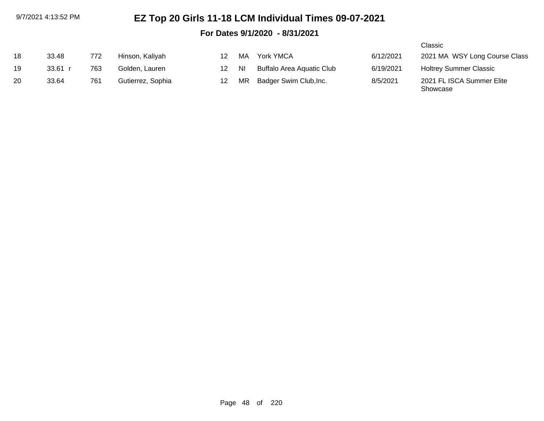#### **For Dates 9/1/2020 - 8/31/2021**

| 18 | 33.48 | 772 | Hinson, Kaliyah   | MA. | York YMCA                 | 6/12/2021 | 2021 MA WSY Long Course Class         |
|----|-------|-----|-------------------|-----|---------------------------|-----------|---------------------------------------|
| 19 | 33.61 | 763 | Golden, Lauren    | -NI | Buffalo Area Aquatic Club | 6/19/2021 | <b>Holtrey Summer Classic</b>         |
| 20 | 33.64 | 761 | Gutierrez, Sophia | MR. | Badger Swim Club, Inc.    | 8/5/2021  | 2021 FL ISCA Summer Elite<br>Showcase |

Classic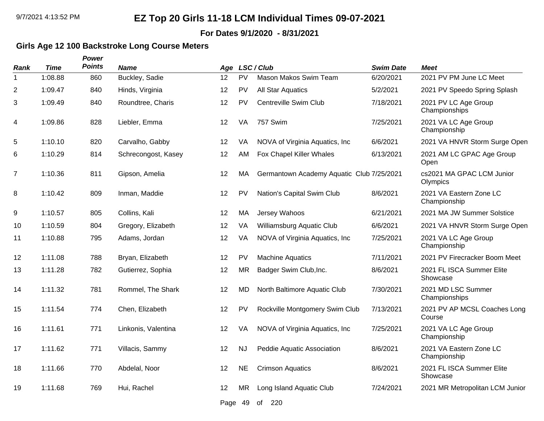**For Dates 9/1/2020 - 8/31/2021**

### **Girls Age 12 100 Backstroke Long Course Meters**

| <b>Rank</b>    | <b>Time</b> | Power<br><b>Points</b> | <b>Name</b>         |         |           | Age LSC/Club                              | <b>Swim Date</b> | <b>Meet</b>                             |
|----------------|-------------|------------------------|---------------------|---------|-----------|-------------------------------------------|------------------|-----------------------------------------|
| $\mathbf 1$    | 1:08.88     | 860                    | Buckley, Sadie      | 12      | <b>PV</b> | Mason Makos Swim Team                     | 6/20/2021        | 2021 PV PM June LC Meet                 |
| $\overline{2}$ | 1:09.47     | 840                    | Hinds, Virginia     | 12      | <b>PV</b> | All Star Aquatics                         | 5/2/2021         | 2021 PV Speedo Spring Splash            |
| 3              | 1:09.49     | 840                    | Roundtree, Charis   | 12      | <b>PV</b> | Centreville Swim Club                     | 7/18/2021        | 2021 PV LC Age Group<br>Championships   |
| 4              | 1:09.86     | 828                    | Liebler, Emma       | 12      | VA        | 757 Swim                                  | 7/25/2021        | 2021 VA LC Age Group<br>Championship    |
| 5              | 1:10.10     | 820                    | Carvalho, Gabby     | 12      | VA        | NOVA of Virginia Aquatics, Inc.           | 6/6/2021         | 2021 VA HNVR Storm Surge Open           |
| 6              | 1:10.29     | 814                    | Schrecongost, Kasey | 12      | AM        | Fox Chapel Killer Whales                  | 6/13/2021        | 2021 AM LC GPAC Age Group<br>Open       |
| $\overline{7}$ | 1:10.36     | 811                    | Gipson, Amelia      | 12      | MA        | Germantown Academy Aquatic Club 7/25/2021 |                  | cs2021 MA GPAC LCM Junior<br>Olympics   |
| 8              | 1:10.42     | 809                    | Inman, Maddie       | 12      | <b>PV</b> | Nation's Capital Swim Club                | 8/6/2021         | 2021 VA Eastern Zone LC<br>Championship |
| 9              | 1:10.57     | 805                    | Collins, Kali       | 12      | MA        | Jersey Wahoos                             | 6/21/2021        | 2021 MA JW Summer Solstice              |
| 10             | 1:10.59     | 804                    | Gregory, Elizabeth  | 12      | VA        | Williamsburg Aquatic Club                 | 6/6/2021         | 2021 VA HNVR Storm Surge Open           |
| 11             | 1:10.88     | 795                    | Adams, Jordan       | 12      | VA        | NOVA of Virginia Aquatics, Inc            | 7/25/2021        | 2021 VA LC Age Group<br>Championship    |
| 12             | 1:11.08     | 788                    | Bryan, Elizabeth    | 12      | <b>PV</b> | <b>Machine Aquatics</b>                   | 7/11/2021        | 2021 PV Firecracker Boom Meet           |
| 13             | 1:11.28     | 782                    | Gutierrez, Sophia   | 12      | <b>MR</b> | Badger Swim Club, Inc.                    | 8/6/2021         | 2021 FL ISCA Summer Elite<br>Showcase   |
| 14             | 1:11.32     | 781                    | Rommel, The Shark   | 12      | <b>MD</b> | North Baltimore Aquatic Club              | 7/30/2021        | 2021 MD LSC Summer<br>Championships     |
| 15             | 1:11.54     | 774                    | Chen, Elizabeth     | 12      | PV        | Rockville Montgomery Swim Club            | 7/13/2021        | 2021 PV AP MCSL Coaches Long<br>Course  |
| 16             | 1:11.61     | 771                    | Linkonis, Valentina | 12      | VA        | NOVA of Virginia Aquatics, Inc.           | 7/25/2021        | 2021 VA LC Age Group<br>Championship    |
| 17             | 1:11.62     | 771                    | Villacis, Sammy     | 12      | <b>NJ</b> | Peddie Aquatic Association                | 8/6/2021         | 2021 VA Eastern Zone LC<br>Championship |
| 18             | 1:11.66     | 770                    | Abdelal, Noor       | 12      | <b>NE</b> | <b>Crimson Aquatics</b>                   | 8/6/2021         | 2021 FL ISCA Summer Elite<br>Showcase   |
| 19             | 1:11.68     | 769                    | Hui, Rachel         | 12      | MR        | Long Island Aquatic Club                  | 7/24/2021        | 2021 MR Metropolitan LCM Junior         |
|                |             |                        |                     | Page 49 |           | 220<br>of                                 |                  |                                         |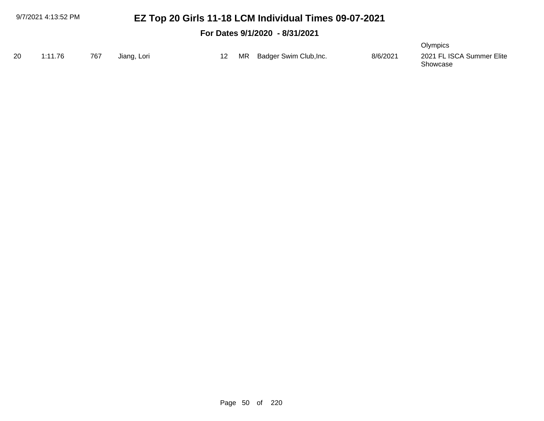#### **For Dates 9/1/2020 - 8/31/2021**

**Olympics** 

| 20 1:11.76 | 767 | Jiang, Lori |  | 12 MR Badger Swim Club, Inc. | 8/6/2021 | 2021 FL ISCA Summer Elite<br>Showcase |
|------------|-----|-------------|--|------------------------------|----------|---------------------------------------|
|            |     |             |  |                              |          |                                       |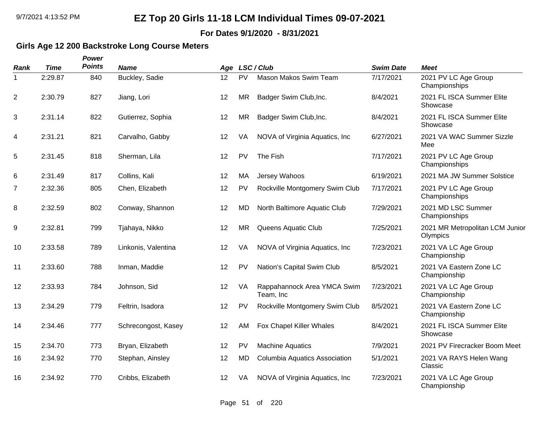**For Dates 9/1/2020 - 8/31/2021**

### **Girls Age 12 200 Backstroke Long Course Meters**

| Rank           | <b>Time</b> | Power<br><b>Points</b> | <b>Name</b>         | Age |           | LSC / Club                               | <b>Swim Date</b> | <b>Meet</b>                                 |
|----------------|-------------|------------------------|---------------------|-----|-----------|------------------------------------------|------------------|---------------------------------------------|
| 1              | 2:29.87     | 840                    | Buckley, Sadie      | 12  | PV        | Mason Makos Swim Team                    | 7/17/2021        | 2021 PV LC Age Group<br>Championships       |
| $\overline{c}$ | 2:30.79     | 827                    | Jiang, Lori         | 12  | <b>MR</b> | Badger Swim Club, Inc.                   | 8/4/2021         | 2021 FL ISCA Summer Elite<br>Showcase       |
| 3              | 2:31.14     | 822                    | Gutierrez, Sophia   | 12  | <b>MR</b> | Badger Swim Club, Inc.                   | 8/4/2021         | 2021 FL ISCA Summer Elite<br>Showcase       |
| 4              | 2:31.21     | 821                    | Carvalho, Gabby     | 12  | VA        | NOVA of Virginia Aquatics, Inc.          | 6/27/2021        | 2021 VA WAC Summer Sizzle<br>Mee            |
| 5              | 2:31.45     | 818                    | Sherman, Lila       | 12  | PV        | The Fish                                 | 7/17/2021        | 2021 PV LC Age Group<br>Championships       |
| 6              | 2:31.49     | 817                    | Collins, Kali       | 12  | MA        | Jersey Wahoos                            | 6/19/2021        | 2021 MA JW Summer Solstice                  |
| $\overline{7}$ | 2:32.36     | 805                    | Chen, Elizabeth     | 12  | <b>PV</b> | Rockville Montgomery Swim Club           | 7/17/2021        | 2021 PV LC Age Group<br>Championships       |
| 8              | 2:32.59     | 802                    | Conway, Shannon     | 12  | <b>MD</b> | North Baltimore Aquatic Club             | 7/29/2021        | 2021 MD LSC Summer<br>Championships         |
| 9              | 2:32.81     | 799                    | Tjahaya, Nikko      | 12  | <b>MR</b> | Queens Aquatic Club                      | 7/25/2021        | 2021 MR Metropolitan LCM Junior<br>Olympics |
| 10             | 2:33.58     | 789                    | Linkonis, Valentina | 12  | VA        | NOVA of Virginia Aquatics, Inc.          | 7/23/2021        | 2021 VA LC Age Group<br>Championship        |
| 11             | 2:33.60     | 788                    | Inman, Maddie       | 12  | PV        | Nation's Capital Swim Club               | 8/5/2021         | 2021 VA Eastern Zone LC<br>Championship     |
| 12             | 2:33.93     | 784                    | Johnson, Sid        | 12  | VA        | Rappahannock Area YMCA Swim<br>Team, Inc | 7/23/2021        | 2021 VA LC Age Group<br>Championship        |
| 13             | 2:34.29     | 779                    | Feltrin, Isadora    | 12  | PV        | Rockville Montgomery Swim Club           | 8/5/2021         | 2021 VA Eastern Zone LC<br>Championship     |
| 14             | 2:34.46     | 777                    | Schrecongost, Kasey | 12  | AM        | Fox Chapel Killer Whales                 | 8/4/2021         | 2021 FL ISCA Summer Elite<br>Showcase       |
| 15             | 2:34.70     | 773                    | Bryan, Elizabeth    | 12  | <b>PV</b> | <b>Machine Aquatics</b>                  | 7/9/2021         | 2021 PV Firecracker Boom Meet               |
| 16             | 2:34.92     | 770                    | Stephan, Ainsley    | 12  | <b>MD</b> | Columbia Aquatics Association            | 5/1/2021         | 2021 VA RAYS Helen Wang<br>Classic          |
| 16             | 2:34.92     | 770                    | Cribbs, Elizabeth   | 12  | VA        | NOVA of Virginia Aquatics, Inc.          | 7/23/2021        | 2021 VA LC Age Group<br>Championship        |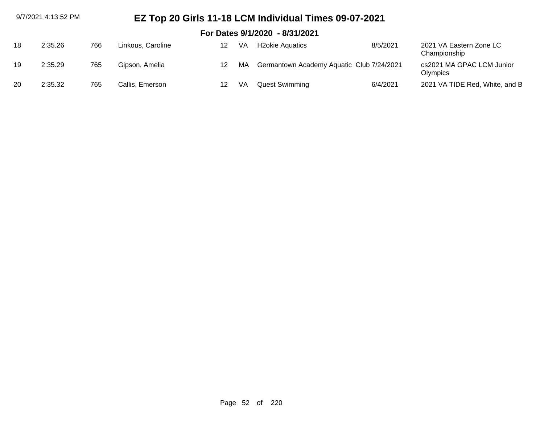| 9/7/2021 4:13:52 PM |         |     |                   | EZ Top 20 Girls 11-18 LCM Individual Times 09-07-2021 |    |                                           |          |                                         |  |  |
|---------------------|---------|-----|-------------------|-------------------------------------------------------|----|-------------------------------------------|----------|-----------------------------------------|--|--|
|                     |         |     |                   |                                                       |    | For Dates 9/1/2020 - 8/31/2021            |          |                                         |  |  |
| 18                  | 2:35.26 | 766 | Linkous, Caroline | 12                                                    | VA | <b>H2okie Aquatics</b>                    | 8/5/2021 | 2021 VA Eastern Zone LC<br>Championship |  |  |
| 19                  | 2:35.29 | 765 | Gipson, Amelia    | 12                                                    | MA | Germantown Academy Aquatic Club 7/24/2021 |          | cs2021 MA GPAC LCM Junior<br>Olympics   |  |  |
| 20                  | 2:35.32 | 765 | Callis, Emerson   | 12                                                    | VA | <b>Quest Swimming</b>                     | 6/4/2021 | 2021 VA TIDE Red, White, and B          |  |  |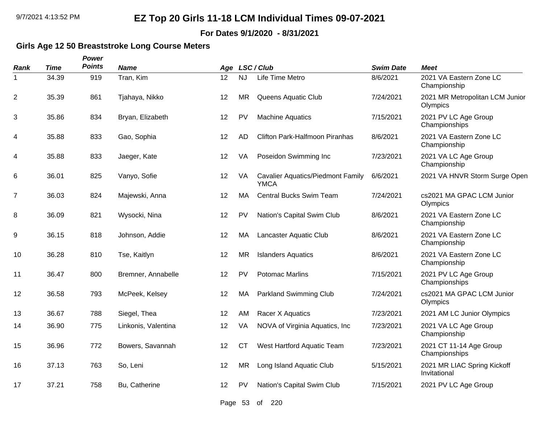**For Dates 9/1/2020 - 8/31/2021**

### **Girls Age 12 50 Breaststroke Long Course Meters**

| Rank             | <b>Time</b> | Power<br><b>Points</b> | <b>Name</b>         |    |           | Age LSC/Club                                            | <b>Swim Date</b> | <b>Meet</b>                                 |
|------------------|-------------|------------------------|---------------------|----|-----------|---------------------------------------------------------|------------------|---------------------------------------------|
| 1                | 34.39       | 919                    | Tran, Kim           | 12 | <b>NJ</b> | Life Time Metro                                         | 8/6/2021         | 2021 VA Eastern Zone LC<br>Championship     |
| $\overline{2}$   | 35.39       | 861                    | Tjahaya, Nikko      | 12 | <b>MR</b> | Queens Aquatic Club                                     | 7/24/2021        | 2021 MR Metropolitan LCM Junior<br>Olympics |
| 3                | 35.86       | 834                    | Bryan, Elizabeth    | 12 | <b>PV</b> | <b>Machine Aquatics</b>                                 | 7/15/2021        | 2021 PV LC Age Group<br>Championships       |
| 4                | 35.88       | 833                    | Gao, Sophia         | 12 | <b>AD</b> | <b>Clifton Park-Halfmoon Piranhas</b>                   | 8/6/2021         | 2021 VA Eastern Zone LC<br>Championship     |
| 4                | 35.88       | 833                    | Jaeger, Kate        | 12 | VA        | Poseidon Swimming Inc                                   | 7/23/2021        | 2021 VA LC Age Group<br>Championship        |
| 6                | 36.01       | 825                    | Vanyo, Sofie        | 12 | VA        | <b>Cavalier Aquatics/Piedmont Family</b><br><b>YMCA</b> | 6/6/2021         | 2021 VA HNVR Storm Surge Open               |
| $\boldsymbol{7}$ | 36.03       | 824                    | Majewski, Anna      | 12 | MA        | Central Bucks Swim Team                                 | 7/24/2021        | cs2021 MA GPAC LCM Junior<br>Olympics       |
| 8                | 36.09       | 821                    | Wysocki, Nina       | 12 | <b>PV</b> | Nation's Capital Swim Club                              | 8/6/2021         | 2021 VA Eastern Zone LC<br>Championship     |
| 9                | 36.15       | 818                    | Johnson, Addie      | 12 | MA        | Lancaster Aquatic Club                                  | 8/6/2021         | 2021 VA Eastern Zone LC<br>Championship     |
| 10               | 36.28       | 810                    | Tse, Kaitlyn        | 12 | <b>MR</b> | <b>Islanders Aquatics</b>                               | 8/6/2021         | 2021 VA Eastern Zone LC<br>Championship     |
| 11               | 36.47       | 800                    | Bremner, Annabelle  | 12 | <b>PV</b> | <b>Potomac Marlins</b>                                  | 7/15/2021        | 2021 PV LC Age Group<br>Championships       |
| 12               | 36.58       | 793                    | McPeek, Kelsey      | 12 | MA        | <b>Parkland Swimming Club</b>                           | 7/24/2021        | cs2021 MA GPAC LCM Junior<br>Olympics       |
| 13               | 36.67       | 788                    | Siegel, Thea        | 12 | AM        | Racer X Aquatics                                        | 7/23/2021        | 2021 AM LC Junior Olympics                  |
| 14               | 36.90       | 775                    | Linkonis, Valentina | 12 | VA        | NOVA of Virginia Aquatics, Inc.                         | 7/23/2021        | 2021 VA LC Age Group<br>Championship        |
| 15               | 36.96       | 772                    | Bowers, Savannah    | 12 | <b>CT</b> | West Hartford Aquatic Team                              | 7/23/2021        | 2021 CT 11-14 Age Group<br>Championships    |
| 16               | 37.13       | 763                    | So, Leni            | 12 | <b>MR</b> | Long Island Aquatic Club                                | 5/15/2021        | 2021 MR LIAC Spring Kickoff<br>Invitational |
| 17               | 37.21       | 758                    | Bu, Catherine       | 12 | <b>PV</b> | Nation's Capital Swim Club                              | 7/15/2021        | 2021 PV LC Age Group                        |

Page 53 of 220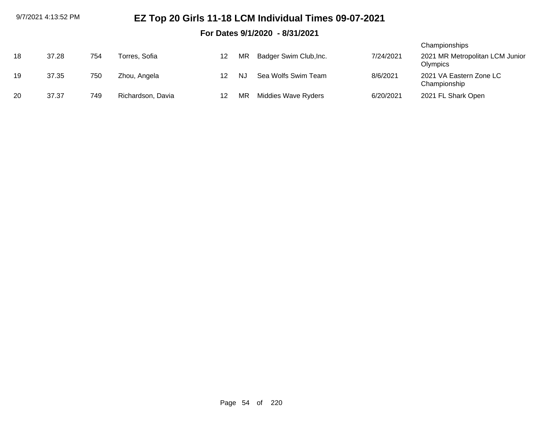#### **For Dates 9/1/2020 - 8/31/2021**

|    |       |     |                   |     |                        |           | Championships                               |
|----|-------|-----|-------------------|-----|------------------------|-----------|---------------------------------------------|
| 18 | 37.28 | 754 | Torres, Sofia     | ΜR  | Badger Swim Club, Inc. | 7/24/2021 | 2021 MR Metropolitan LCM Junior<br>Olympics |
| 19 | 37.35 | 750 | Zhou, Angela      | NJ. | Sea Wolfs Swim Team    | 8/6/2021  | 2021 VA Eastern Zone LC<br>Championship     |
| 20 | 37.37 | 749 | Richardson, Davia | МR  | Middies Wave Ryders    | 6/20/2021 | 2021 FL Shark Open                          |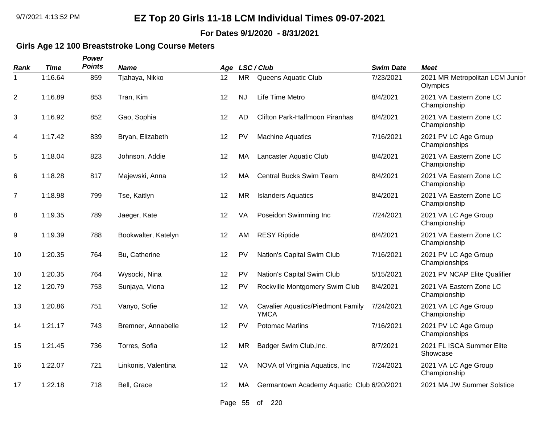**For Dates 9/1/2020 - 8/31/2021**

### **Girls Age 12 100 Breaststroke Long Course Meters**

| Rank           | <b>Time</b> | Power<br><b>Points</b> | <b>Name</b>         |    |           | Age LSC/Club                                            | <b>Swim Date</b> | <b>Meet</b>                                 |
|----------------|-------------|------------------------|---------------------|----|-----------|---------------------------------------------------------|------------------|---------------------------------------------|
| 1              | 1:16.64     | 859                    | Tjahaya, Nikko      | 12 | <b>MR</b> | Queens Aquatic Club                                     | 7/23/2021        | 2021 MR Metropolitan LCM Junior<br>Olympics |
| $\overline{c}$ | 1:16.89     | 853                    | Tran, Kim           | 12 | NJ        | Life Time Metro                                         | 8/4/2021         | 2021 VA Eastern Zone LC<br>Championship     |
| 3              | 1:16.92     | 852                    | Gao, Sophia         | 12 | <b>AD</b> | Clifton Park-Halfmoon Piranhas                          | 8/4/2021         | 2021 VA Eastern Zone LC<br>Championship     |
| 4              | 1:17.42     | 839                    | Bryan, Elizabeth    | 12 | PV        | <b>Machine Aquatics</b>                                 | 7/16/2021        | 2021 PV LC Age Group<br>Championships       |
| 5              | 1:18.04     | 823                    | Johnson, Addie      | 12 | MA        | Lancaster Aquatic Club                                  | 8/4/2021         | 2021 VA Eastern Zone LC<br>Championship     |
| 6              | 1:18.28     | 817                    | Majewski, Anna      | 12 | MA        | <b>Central Bucks Swim Team</b>                          | 8/4/2021         | 2021 VA Eastern Zone LC<br>Championship     |
| $\overline{7}$ | 1:18.98     | 799                    | Tse, Kaitlyn        | 12 | <b>MR</b> | <b>Islanders Aquatics</b>                               | 8/4/2021         | 2021 VA Eastern Zone LC<br>Championship     |
| 8              | 1:19.35     | 789                    | Jaeger, Kate        | 12 | VA        | Poseidon Swimming Inc                                   | 7/24/2021        | 2021 VA LC Age Group<br>Championship        |
| 9              | 1:19.39     | 788                    | Bookwalter, Katelyn | 12 | AM        | <b>RESY Riptide</b>                                     | 8/4/2021         | 2021 VA Eastern Zone LC<br>Championship     |
| 10             | 1:20.35     | 764                    | Bu, Catherine       | 12 | PV        | Nation's Capital Swim Club                              | 7/16/2021        | 2021 PV LC Age Group<br>Championships       |
| 10             | 1:20.35     | 764                    | Wysocki, Nina       | 12 | PV        | Nation's Capital Swim Club                              | 5/15/2021        | 2021 PV NCAP Elite Qualifier                |
| 12             | 1:20.79     | 753                    | Sunjaya, Viona      | 12 | PV        | Rockville Montgomery Swim Club                          | 8/4/2021         | 2021 VA Eastern Zone LC<br>Championship     |
| 13             | 1:20.86     | 751                    | Vanyo, Sofie        | 12 | VA        | <b>Cavalier Aquatics/Piedmont Family</b><br><b>YMCA</b> | 7/24/2021        | 2021 VA LC Age Group<br>Championship        |
| 14             | 1:21.17     | 743                    | Bremner, Annabelle  | 12 | PV        | <b>Potomac Marlins</b>                                  | 7/16/2021        | 2021 PV LC Age Group<br>Championships       |
| 15             | 1:21.45     | 736                    | Torres, Sofia       | 12 | <b>MR</b> | Badger Swim Club, Inc.                                  | 8/7/2021         | 2021 FL ISCA Summer Elite<br>Showcase       |
| 16             | 1:22.07     | 721                    | Linkonis, Valentina | 12 | VA        | NOVA of Virginia Aquatics, Inc.                         | 7/24/2021        | 2021 VA LC Age Group<br>Championship        |
| 17             | 1:22.18     | 718                    | Bell, Grace         | 12 | MA        | Germantown Academy Aquatic Club 6/20/2021               |                  | 2021 MA JW Summer Solstice                  |
|                |             |                        |                     |    |           |                                                         |                  |                                             |

Page 55 of 220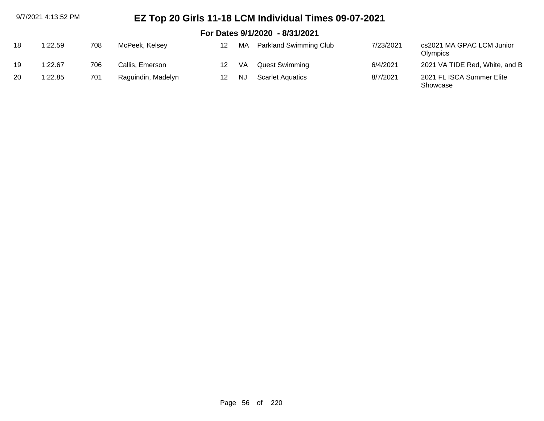|    | 9/7/2021 4:13:52 PM |     |                    |                   | EZ Top 20 Girls 11-18 LCM Individual Times 09-07-2021 |                               |           |                                       |  |  |
|----|---------------------|-----|--------------------|-------------------|-------------------------------------------------------|-------------------------------|-----------|---------------------------------------|--|--|
|    |                     |     |                    |                   |                                                       |                               |           |                                       |  |  |
| 18 | 1:22.59             | 708 | McPeek, Kelsey     | 12                | MA                                                    | <b>Parkland Swimming Club</b> | 7/23/2021 | cs2021 MA GPAC LCM Junior<br>Olympics |  |  |
| 19 | 1:22.67             | 706 | Callis, Emerson    | $12 \overline{ }$ | VA                                                    | <b>Quest Swimming</b>         | 6/4/2021  | 2021 VA TIDE Red, White, and B        |  |  |
| 20 | 1:22.85             | 701 | Raguindin, Madelyn | 12                | NJ                                                    | <b>Scarlet Aquatics</b>       | 8/7/2021  | 2021 FL ISCA Summer Elite<br>Showcase |  |  |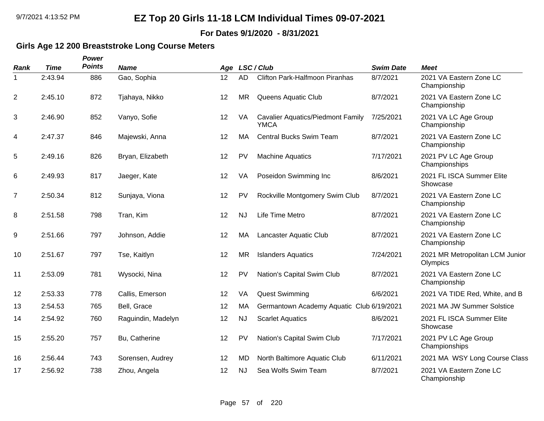**For Dates 9/1/2020 - 8/31/2021**

### **Girls Age 12 200 Breaststroke Long Course Meters**

| Rank           | <b>Time</b> | Power<br><b>Points</b> | <b>Name</b>        |    |           | Age LSC/Club                                            | <b>Swim Date</b> | <b>Meet</b>                                 |
|----------------|-------------|------------------------|--------------------|----|-----------|---------------------------------------------------------|------------------|---------------------------------------------|
| 1              | 2:43.94     | 886                    | Gao, Sophia        | 12 | <b>AD</b> | Clifton Park-Halfmoon Piranhas                          | 8/7/2021         | 2021 VA Eastern Zone LC<br>Championship     |
| $\overline{2}$ | 2:45.10     | 872                    | Tjahaya, Nikko     | 12 | <b>MR</b> | Queens Aquatic Club                                     | 8/7/2021         | 2021 VA Eastern Zone LC<br>Championship     |
| 3              | 2:46.90     | 852                    | Vanyo, Sofie       | 12 | VA        | <b>Cavalier Aquatics/Piedmont Family</b><br><b>YMCA</b> | 7/25/2021        | 2021 VA LC Age Group<br>Championship        |
| 4              | 2:47.37     | 846                    | Majewski, Anna     | 12 | <b>MA</b> | <b>Central Bucks Swim Team</b>                          | 8/7/2021         | 2021 VA Eastern Zone LC<br>Championship     |
| 5              | 2:49.16     | 826                    | Bryan, Elizabeth   | 12 | PV        | <b>Machine Aquatics</b>                                 | 7/17/2021        | 2021 PV LC Age Group<br>Championships       |
| 6              | 2:49.93     | 817                    | Jaeger, Kate       | 12 | VA        | Poseidon Swimming Inc                                   | 8/6/2021         | 2021 FL ISCA Summer Elite<br>Showcase       |
| $\overline{7}$ | 2:50.34     | 812                    | Sunjaya, Viona     | 12 | <b>PV</b> | Rockville Montgomery Swim Club                          | 8/7/2021         | 2021 VA Eastern Zone LC<br>Championship     |
| 8              | 2:51.58     | 798                    | Tran, Kim          | 12 | <b>NJ</b> | Life Time Metro                                         | 8/7/2021         | 2021 VA Eastern Zone LC<br>Championship     |
| 9              | 2:51.66     | 797                    | Johnson, Addie     | 12 | MA        | Lancaster Aquatic Club                                  | 8/7/2021         | 2021 VA Eastern Zone LC<br>Championship     |
| 10             | 2:51.67     | 797                    | Tse, Kaitlyn       | 12 | <b>MR</b> | <b>Islanders Aquatics</b>                               | 7/24/2021        | 2021 MR Metropolitan LCM Junior<br>Olympics |
| 11             | 2:53.09     | 781                    | Wysocki, Nina      | 12 | PV        | Nation's Capital Swim Club                              | 8/7/2021         | 2021 VA Eastern Zone LC<br>Championship     |
| 12             | 2:53.33     | 778                    | Callis, Emerson    | 12 | VA        | <b>Quest Swimming</b>                                   | 6/6/2021         | 2021 VA TIDE Red, White, and B              |
| 13             | 2:54.53     | 765                    | Bell, Grace        | 12 | MA        | Germantown Academy Aquatic Club 6/19/2021               |                  | 2021 MA JW Summer Solstice                  |
| 14             | 2:54.92     | 760                    | Raguindin, Madelyn | 12 | <b>NJ</b> | <b>Scarlet Aquatics</b>                                 | 8/6/2021         | 2021 FL ISCA Summer Elite<br>Showcase       |
| 15             | 2:55.20     | 757                    | Bu, Catherine      | 12 | <b>PV</b> | Nation's Capital Swim Club                              | 7/17/2021        | 2021 PV LC Age Group<br>Championships       |
| 16             | 2:56.44     | 743                    | Sorensen, Audrey   | 12 | <b>MD</b> | North Baltimore Aquatic Club                            | 6/11/2021        | 2021 MA WSY Long Course Class               |
| 17             | 2:56.92     | 738                    | Zhou, Angela       | 12 | <b>NJ</b> | Sea Wolfs Swim Team                                     | 8/7/2021         | 2021 VA Eastern Zone LC<br>Championship     |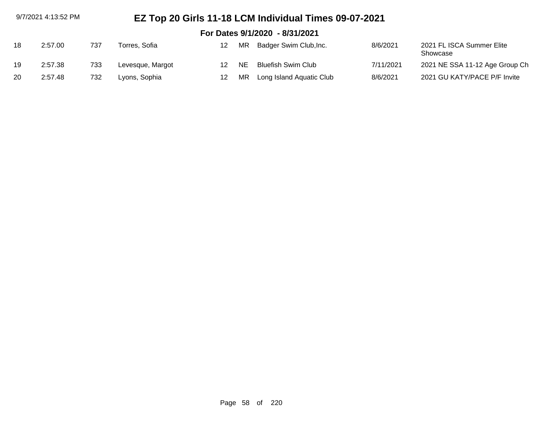| 9/7/2021 4:13:52 PM |         |     |                  |    |           | EZ Top 20 Girls 11-18 LCM Individual Times 09-07-2021 |           |                                       |  |  |  |  |
|---------------------|---------|-----|------------------|----|-----------|-------------------------------------------------------|-----------|---------------------------------------|--|--|--|--|
|                     |         |     |                  |    |           | For Dates 9/1/2020 - 8/31/2021                        |           |                                       |  |  |  |  |
| 18                  | 2:57.00 | 737 | Torres, Sofia    | 12 | MR        | Badger Swim Club, Inc.                                | 8/6/2021  | 2021 FL ISCA Summer Elite<br>Showcase |  |  |  |  |
| 19                  | 2:57.38 | 733 | Levesque, Margot | 12 | <b>NE</b> | <b>Bluefish Swim Club</b>                             | 7/11/2021 | 2021 NE SSA 11-12 Age Group Ch        |  |  |  |  |
| 20                  | 2:57.48 | 732 | Lyons, Sophia    | 12 | MR        | Long Island Aquatic Club                              | 8/6/2021  | 2021 GU KATY/PACE P/F Invite          |  |  |  |  |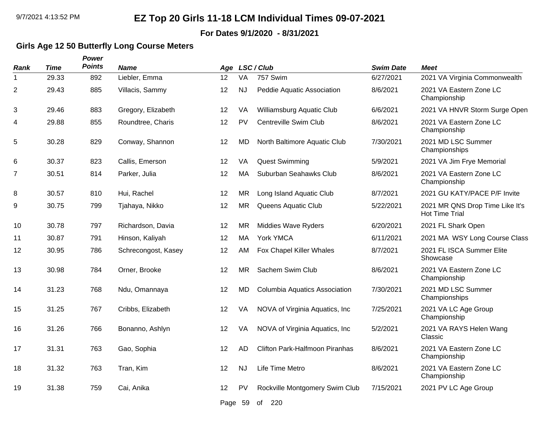### **For Dates 9/1/2020 - 8/31/2021**

### **Girls Age 12 50 Butterfly Long Course Meters**

*Power*

| <b>Rank</b>    | <b>Time</b> | <b>Points</b> | <b>Name</b>         |         |           | Age LSC/Club                    | <b>Swim Date</b> | <b>Meet</b>                                              |
|----------------|-------------|---------------|---------------------|---------|-----------|---------------------------------|------------------|----------------------------------------------------------|
| 1              | 29.33       | 892           | Liebler, Emma       | 12      | VA        | 757 Swim                        | 6/27/2021        | 2021 VA Virginia Commonwealth                            |
| $\overline{c}$ | 29.43       | 885           | Villacis, Sammy     | 12      | <b>NJ</b> | Peddie Aquatic Association      | 8/6/2021         | 2021 VA Eastern Zone LC<br>Championship                  |
| 3              | 29.46       | 883           | Gregory, Elizabeth  | 12      | VA        | Williamsburg Aquatic Club       | 6/6/2021         | 2021 VA HNVR Storm Surge Open                            |
| 4              | 29.88       | 855           | Roundtree, Charis   | 12      | PV        | <b>Centreville Swim Club</b>    | 8/6/2021         | 2021 VA Eastern Zone LC<br>Championship                  |
| 5              | 30.28       | 829           | Conway, Shannon     | 12      | <b>MD</b> | North Baltimore Aquatic Club    | 7/30/2021        | 2021 MD LSC Summer<br>Championships                      |
| 6              | 30.37       | 823           | Callis, Emerson     | 12      | VA        | <b>Quest Swimming</b>           | 5/9/2021         | 2021 VA Jim Frye Memorial                                |
| 7              | 30.51       | 814           | Parker, Julia       | 12      | MA        | Suburban Seahawks Club          | 8/6/2021         | 2021 VA Eastern Zone LC<br>Championship                  |
| 8              | 30.57       | 810           | Hui, Rachel         | 12      | <b>MR</b> | Long Island Aquatic Club        | 8/7/2021         | 2021 GU KATY/PACE P/F Invite                             |
| 9              | 30.75       | 799           | Tjahaya, Nikko      | 12      | <b>MR</b> | Queens Aquatic Club             | 5/22/2021        | 2021 MR QNS Drop Time Like It's<br><b>Hot Time Trial</b> |
| 10             | 30.78       | 797           | Richardson, Davia   | 12      | <b>MR</b> | Middies Wave Ryders             | 6/20/2021        | 2021 FL Shark Open                                       |
| 11             | 30.87       | 791           | Hinson, Kaliyah     | 12      | MA        | York YMCA                       | 6/11/2021        | 2021 MA WSY Long Course Class                            |
| 12             | 30.95       | 786           | Schrecongost, Kasey | 12      | <b>AM</b> | Fox Chapel Killer Whales        | 8/7/2021         | 2021 FL ISCA Summer Elite<br>Showcase                    |
| 13             | 30.98       | 784           | Orner, Brooke       | 12      | <b>MR</b> | Sachem Swim Club                | 8/6/2021         | 2021 VA Eastern Zone LC<br>Championship                  |
| 14             | 31.23       | 768           | Ndu, Omannaya       | 12      | <b>MD</b> | Columbia Aquatics Association   | 7/30/2021        | 2021 MD LSC Summer<br>Championships                      |
| 15             | 31.25       | 767           | Cribbs, Elizabeth   | 12      | VA        | NOVA of Virginia Aquatics, Inc. | 7/25/2021        | 2021 VA LC Age Group<br>Championship                     |
| 16             | 31.26       | 766           | Bonanno, Ashlyn     | 12      | VA        | NOVA of Virginia Aquatics, Inc. | 5/2/2021         | 2021 VA RAYS Helen Wang<br>Classic                       |
| 17             | 31.31       | 763           | Gao, Sophia         | 12      | <b>AD</b> | Clifton Park-Halfmoon Piranhas  | 8/6/2021         | 2021 VA Eastern Zone LC<br>Championship                  |
| 18             | 31.32       | 763           | Tran, Kim           | 12      | NJ        | Life Time Metro                 | 8/6/2021         | 2021 VA Eastern Zone LC<br>Championship                  |
| 19             | 31.38       | 759           | Cai, Anika          | 12      | <b>PV</b> | Rockville Montgomery Swim Club  | 7/15/2021        | 2021 PV LC Age Group                                     |
|                |             |               |                     | Page 59 |           | of 220                          |                  |                                                          |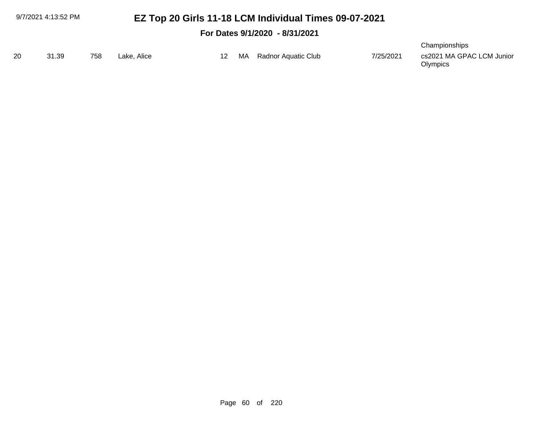#### **For Dates 9/1/2020 - 8/31/2021**

| 20 | 31.39 | 758 | Lake, Alice |  | 12 MA Radnor Aquatic Club | 7/25/2021 | cs2021 MA GPAC LCM Junior |
|----|-------|-----|-------------|--|---------------------------|-----------|---------------------------|
|    |       |     |             |  |                           |           | Olympics                  |

Championships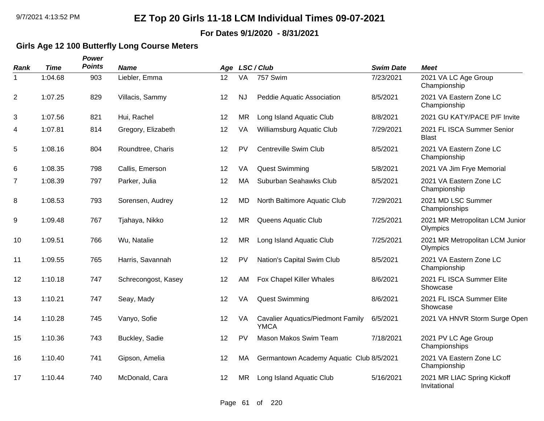**For Dates 9/1/2020 - 8/31/2021**

### **Girls Age 12 100 Butterfly Long Course Meters**

| Rank           | <b>Time</b> | Power<br><b>Points</b> | <b>Name</b>         | Age |           | LSC / Club                                              | <b>Swim Date</b> | <b>Meet</b>                                 |
|----------------|-------------|------------------------|---------------------|-----|-----------|---------------------------------------------------------|------------------|---------------------------------------------|
| 1              | 1:04.68     | 903                    | Liebler, Emma       | 12  | VA        | 757 Swim                                                | 7/23/2021        | 2021 VA LC Age Group<br>Championship        |
| 2              | 1:07.25     | 829                    | Villacis, Sammy     | 12  | <b>NJ</b> | Peddie Aquatic Association                              | 8/5/2021         | 2021 VA Eastern Zone LC<br>Championship     |
| 3              | 1:07.56     | 821                    | Hui, Rachel         | 12  | <b>MR</b> | Long Island Aquatic Club                                | 8/8/2021         | 2021 GU KATY/PACE P/F Invite                |
| 4              | 1:07.81     | 814                    | Gregory, Elizabeth  | 12  | VA        | Williamsburg Aquatic Club                               | 7/29/2021        | 2021 FL ISCA Summer Senior<br><b>Blast</b>  |
| 5              | 1:08.16     | 804                    | Roundtree, Charis   | 12  | PV        | <b>Centreville Swim Club</b>                            | 8/5/2021         | 2021 VA Eastern Zone LC<br>Championship     |
| 6              | 1:08.35     | 798                    | Callis, Emerson     | 12  | VA        | <b>Quest Swimming</b>                                   | 5/8/2021         | 2021 VA Jim Frye Memorial                   |
| $\overline{7}$ | 1:08.39     | 797                    | Parker, Julia       | 12  | MA        | Suburban Seahawks Club                                  | 8/5/2021         | 2021 VA Eastern Zone LC<br>Championship     |
| 8              | 1:08.53     | 793                    | Sorensen, Audrey    | 12  | <b>MD</b> | North Baltimore Aquatic Club                            | 7/29/2021        | 2021 MD LSC Summer<br>Championships         |
| 9              | 1:09.48     | 767                    | Tjahaya, Nikko      | 12  | <b>MR</b> | Queens Aquatic Club                                     | 7/25/2021        | 2021 MR Metropolitan LCM Junior<br>Olympics |
| 10             | 1:09.51     | 766                    | Wu, Natalie         | 12  | <b>MR</b> | Long Island Aquatic Club                                | 7/25/2021        | 2021 MR Metropolitan LCM Junior<br>Olympics |
| 11             | 1:09.55     | 765                    | Harris, Savannah    | 12  | PV        | Nation's Capital Swim Club                              | 8/5/2021         | 2021 VA Eastern Zone LC<br>Championship     |
| 12             | 1:10.18     | 747                    | Schrecongost, Kasey | 12  | AM        | Fox Chapel Killer Whales                                | 8/6/2021         | 2021 FL ISCA Summer Elite<br>Showcase       |
| 13             | 1:10.21     | 747                    | Seay, Mady          | 12  | VA        | <b>Quest Swimming</b>                                   | 8/6/2021         | 2021 FL ISCA Summer Elite<br>Showcase       |
| 14             | 1:10.28     | 745                    | Vanyo, Sofie        | 12  | VA        | <b>Cavalier Aquatics/Piedmont Family</b><br><b>YMCA</b> | 6/5/2021         | 2021 VA HNVR Storm Surge Open               |
| 15             | 1:10.36     | 743                    | Buckley, Sadie      | 12  | PV        | Mason Makos Swim Team                                   | 7/18/2021        | 2021 PV LC Age Group<br>Championships       |
| 16             | 1:10.40     | 741                    | Gipson, Amelia      | 12  | МA        | Germantown Academy Aquatic Club 8/5/2021                |                  | 2021 VA Eastern Zone LC<br>Championship     |
| 17             | 1:10.44     | 740                    | McDonald, Cara      | 12  | <b>MR</b> | Long Island Aquatic Club                                | 5/16/2021        | 2021 MR LIAC Spring Kickoff<br>Invitational |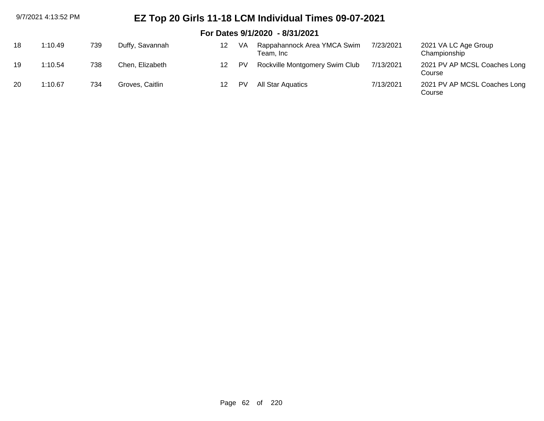| 9/7/2021 4:13:52 PM            |         |     | EZ Top 20 Girls 11-18 LCM Individual Times 09-07-2021 |    |    |                                          |           |                                        |  |  |
|--------------------------------|---------|-----|-------------------------------------------------------|----|----|------------------------------------------|-----------|----------------------------------------|--|--|
| For Dates 9/1/2020 - 8/31/2021 |         |     |                                                       |    |    |                                          |           |                                        |  |  |
| 18                             | 1:10.49 | 739 | Duffy, Savannah                                       | 12 | VA | Rappahannock Area YMCA Swim<br>Team. Inc | 7/23/2021 | 2021 VA LC Age Group<br>Championship   |  |  |
| 19                             | 1:10.54 | 738 | Chen, Elizabeth                                       | 12 | PV | Rockville Montgomery Swim Club           | 7/13/2021 | 2021 PV AP MCSL Coaches Long<br>Course |  |  |
| 20                             | 1:10.67 | 734 | Groves, Caitlin                                       | 12 | PV | <b>All Star Aquatics</b>                 | 7/13/2021 | 2021 PV AP MCSL Coaches Long<br>Course |  |  |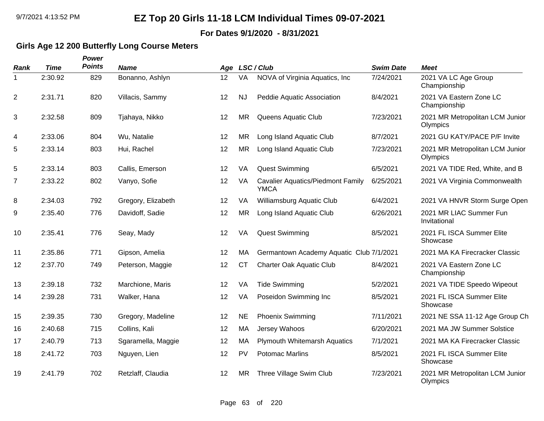**For Dates 9/1/2020 - 8/31/2021**

### **Girls Age 12 200 Butterfly Long Course Meters**

| <b>Rank</b>    | <b>Time</b> | Power<br><b>Points</b> | <b>Name</b>        |    |           | Age LSC/Club                                            | <b>Swim Date</b> | <b>Meet</b>                                 |
|----------------|-------------|------------------------|--------------------|----|-----------|---------------------------------------------------------|------------------|---------------------------------------------|
| 1              | 2:30.92     | 829                    | Bonanno, Ashlyn    | 12 | <b>VA</b> | NOVA of Virginia Aquatics, Inc                          | 7/24/2021        | 2021 VA LC Age Group<br>Championship        |
| $\overline{2}$ | 2:31.71     | 820                    | Villacis, Sammy    | 12 | <b>NJ</b> | Peddie Aquatic Association                              | 8/4/2021         | 2021 VA Eastern Zone LC<br>Championship     |
| 3              | 2:32.58     | 809                    | Tjahaya, Nikko     | 12 | <b>MR</b> | Queens Aquatic Club                                     | 7/23/2021        | 2021 MR Metropolitan LCM Junior<br>Olympics |
| 4              | 2:33.06     | 804                    | Wu, Natalie        | 12 | <b>MR</b> | Long Island Aquatic Club                                | 8/7/2021         | 2021 GU KATY/PACE P/F Invite                |
| 5              | 2:33.14     | 803                    | Hui, Rachel        | 12 | <b>MR</b> | Long Island Aquatic Club                                | 7/23/2021        | 2021 MR Metropolitan LCM Junior<br>Olympics |
| 5              | 2:33.14     | 803                    | Callis, Emerson    | 12 | VA        | <b>Quest Swimming</b>                                   | 6/5/2021         | 2021 VA TIDE Red, White, and B              |
| $\overline{7}$ | 2:33.22     | 802                    | Vanyo, Sofie       | 12 | VA        | <b>Cavalier Aquatics/Piedmont Family</b><br><b>YMCA</b> | 6/25/2021        | 2021 VA Virginia Commonwealth               |
| 8              | 2:34.03     | 792                    | Gregory, Elizabeth | 12 | VA        | Williamsburg Aquatic Club                               | 6/4/2021         | 2021 VA HNVR Storm Surge Open               |
| 9              | 2:35.40     | 776                    | Davidoff, Sadie    | 12 | <b>MR</b> | Long Island Aquatic Club                                | 6/26/2021        | 2021 MR LIAC Summer Fun<br>Invitational     |
| 10             | 2:35.41     | 776                    | Seay, Mady         | 12 | VA        | <b>Quest Swimming</b>                                   | 8/5/2021         | 2021 FL ISCA Summer Elite<br>Showcase       |
| 11             | 2:35.86     | 771                    | Gipson, Amelia     | 12 | MA        | Germantown Academy Aquatic Club 7/1/2021                |                  | 2021 MA KA Firecracker Classic              |
| 12             | 2:37.70     | 749                    | Peterson, Maggie   | 12 | <b>CT</b> | <b>Charter Oak Aquatic Club</b>                         | 8/4/2021         | 2021 VA Eastern Zone LC<br>Championship     |
| 13             | 2:39.18     | 732                    | Marchione, Maris   | 12 | VA        | <b>Tide Swimming</b>                                    | 5/2/2021         | 2021 VA TIDE Speedo Wipeout                 |
| 14             | 2:39.28     | 731                    | Walker, Hana       | 12 | VA        | Poseidon Swimming Inc                                   | 8/5/2021         | 2021 FL ISCA Summer Elite<br>Showcase       |
| 15             | 2:39.35     | 730                    | Gregory, Madeline  | 12 | <b>NE</b> | <b>Phoenix Swimming</b>                                 | 7/11/2021        | 2021 NE SSA 11-12 Age Group Ch              |
| 16             | 2:40.68     | 715                    | Collins, Kali      | 12 | MA        | Jersey Wahoos                                           | 6/20/2021        | 2021 MA JW Summer Solstice                  |
| 17             | 2:40.79     | 713                    | Sgaramella, Maggie | 12 | МA        | <b>Plymouth Whitemarsh Aquatics</b>                     | 7/1/2021         | 2021 MA KA Firecracker Classic              |
| 18             | 2:41.72     | 703                    | Nguyen, Lien       | 12 | <b>PV</b> | <b>Potomac Marlins</b>                                  | 8/5/2021         | 2021 FL ISCA Summer Elite<br>Showcase       |
| 19             | 2:41.79     | 702                    | Retzlaff, Claudia  | 12 | <b>MR</b> | Three Village Swim Club                                 | 7/23/2021        | 2021 MR Metropolitan LCM Junior<br>Olympics |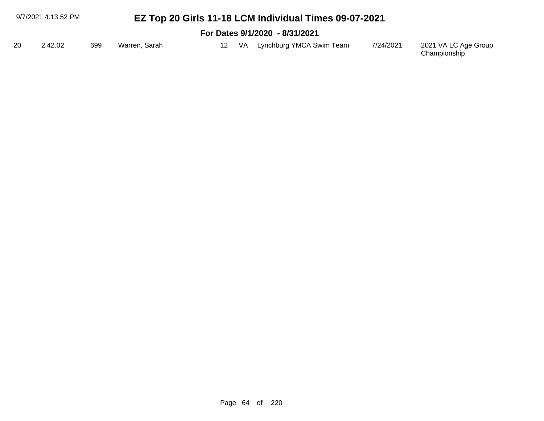| 9/7/2021 4:13:52 PM |         |     |               | EZ Top 20 Girls 11-18 LCM Individual Times 09-07-2021 |  |                                |           |                                      |  |  |
|---------------------|---------|-----|---------------|-------------------------------------------------------|--|--------------------------------|-----------|--------------------------------------|--|--|
|                     |         |     |               |                                                       |  | For Dates 9/1/2020 - 8/31/2021 |           |                                      |  |  |
| 20                  | 2:42.02 | 699 | Warren, Sarah |                                                       |  | 12 VA Lynchburg YMCA Swim Team | 7/24/2021 | 2021 VA LC Age Group<br>Championship |  |  |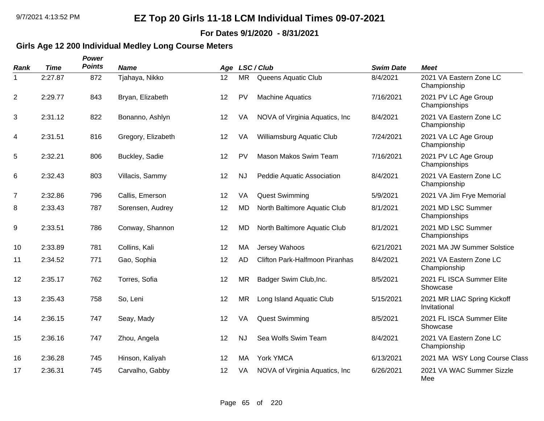**For Dates 9/1/2020 - 8/31/2021**

### **Girls Age 12 200 Individual Medley Long Course Meters**

| Rank           | <b>Time</b> | Power<br><b>Points</b> | <b>Name</b>        | Age |           | LSC / Club                      | <b>Swim Date</b> | <b>Meet</b>                                 |
|----------------|-------------|------------------------|--------------------|-----|-----------|---------------------------------|------------------|---------------------------------------------|
| 1              | 2:27.87     | 872                    | Tjahaya, Nikko     | 12  | <b>MR</b> | Queens Aquatic Club             | 8/4/2021         | 2021 VA Eastern Zone LC<br>Championship     |
| $\overline{c}$ | 2:29.77     | 843                    | Bryan, Elizabeth   | 12  | PV        | <b>Machine Aquatics</b>         | 7/16/2021        | 2021 PV LC Age Group<br>Championships       |
| 3              | 2:31.12     | 822                    | Bonanno, Ashlyn    | 12  | VA        | NOVA of Virginia Aquatics, Inc. | 8/4/2021         | 2021 VA Eastern Zone LC<br>Championship     |
| 4              | 2:31.51     | 816                    | Gregory, Elizabeth | 12  | VA        | Williamsburg Aquatic Club       | 7/24/2021        | 2021 VA LC Age Group<br>Championship        |
| 5              | 2:32.21     | 806                    | Buckley, Sadie     | 12  | PV        | Mason Makos Swim Team           | 7/16/2021        | 2021 PV LC Age Group<br>Championships       |
| 6              | 2:32.43     | 803                    | Villacis, Sammy    | 12  | <b>NJ</b> | Peddie Aquatic Association      | 8/4/2021         | 2021 VA Eastern Zone LC<br>Championship     |
| $\overline{7}$ | 2:32.86     | 796                    | Callis, Emerson    | 12  | VA        | <b>Quest Swimming</b>           | 5/9/2021         | 2021 VA Jim Frye Memorial                   |
| 8              | 2:33.43     | 787                    | Sorensen, Audrey   | 12  | <b>MD</b> | North Baltimore Aquatic Club    | 8/1/2021         | 2021 MD LSC Summer<br>Championships         |
| 9              | 2:33.51     | 786                    | Conway, Shannon    | 12  | <b>MD</b> | North Baltimore Aquatic Club    | 8/1/2021         | 2021 MD LSC Summer<br>Championships         |
| 10             | 2:33.89     | 781                    | Collins, Kali      | 12  | MA        | Jersey Wahoos                   | 6/21/2021        | 2021 MA JW Summer Solstice                  |
| 11             | 2:34.52     | 771                    | Gao, Sophia        | 12  | <b>AD</b> | Clifton Park-Halfmoon Piranhas  | 8/4/2021         | 2021 VA Eastern Zone LC<br>Championship     |
| 12             | 2:35.17     | 762                    | Torres, Sofia      | 12  | <b>MR</b> | Badger Swim Club, Inc.          | 8/5/2021         | 2021 FL ISCA Summer Elite<br>Showcase       |
| 13             | 2:35.43     | 758                    | So, Leni           | 12  | <b>MR</b> | Long Island Aquatic Club        | 5/15/2021        | 2021 MR LIAC Spring Kickoff<br>Invitational |
| 14             | 2:36.15     | 747                    | Seay, Mady         | 12  | VA        | <b>Quest Swimming</b>           | 8/5/2021         | 2021 FL ISCA Summer Elite<br>Showcase       |
| 15             | 2:36.16     | 747                    | Zhou, Angela       | 12  | <b>NJ</b> | Sea Wolfs Swim Team             | 8/4/2021         | 2021 VA Eastern Zone LC<br>Championship     |
| 16             | 2:36.28     | 745                    | Hinson, Kaliyah    | 12  | MA        | York YMCA                       | 6/13/2021        | 2021 MA WSY Long Course Class               |
| 17             | 2:36.31     | 745                    | Carvalho, Gabby    | 12  | VA        | NOVA of Virginia Aquatics, Inc. | 6/26/2021        | 2021 VA WAC Summer Sizzle<br>Mee            |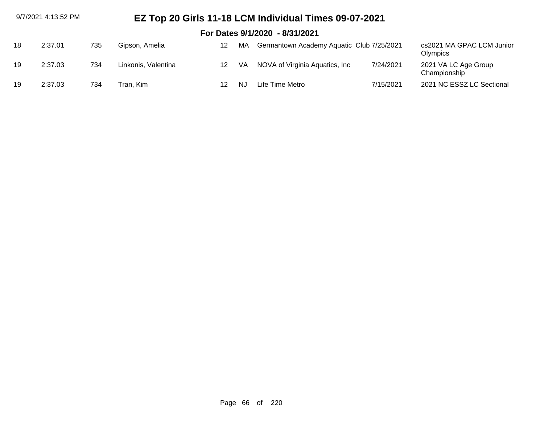| 9/7/2021 4:13:52 PM |         |     | EZ Top 20 Girls 11-18 LCM Individual Times 09-07-2021 |     |     |                                           |           |                                       |  |
|---------------------|---------|-----|-------------------------------------------------------|-----|-----|-------------------------------------------|-----------|---------------------------------------|--|
|                     |         |     |                                                       |     |     |                                           |           |                                       |  |
| 18                  | 2:37.01 | 735 | Gipson, Amelia                                        | 12  | MA. | Germantown Academy Aquatic Club 7/25/2021 |           | cs2021 MA GPAC LCM Junior<br>Olympics |  |
| 19                  | 2:37.03 | 734 | Linkonis, Valentina                                   | 12. | VA. | NOVA of Virginia Aquatics, Inc            | 7/24/2021 | 2021 VA LC Age Group<br>Championship  |  |
| 19                  | 2:37.03 | 734 | Tran, Kim                                             | 12. | NJ. | Life Time Metro                           | 7/15/2021 | 2021 NC ESSZ LC Sectional             |  |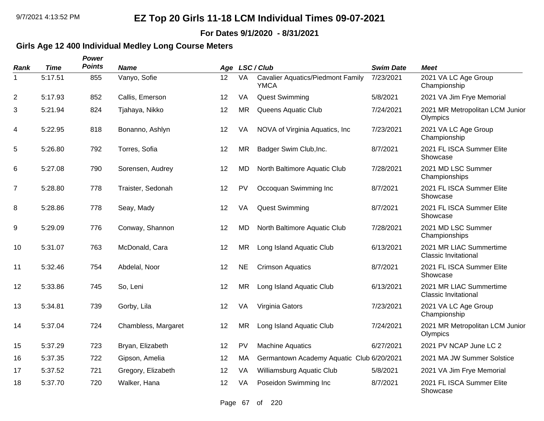**For Dates 9/1/2020 - 8/31/2021**

### **Girls Age 12 400 Individual Medley Long Course Meters**

| <b>Rank</b>    | <b>Time</b> | Power<br><b>Points</b> | <b>Name</b>         |    |           | Age LSC/Club                                            | <b>Swim Date</b> | <b>Meet</b>                                            |
|----------------|-------------|------------------------|---------------------|----|-----------|---------------------------------------------------------|------------------|--------------------------------------------------------|
| 1              | 5:17.51     | 855                    | Vanyo, Sofie        | 12 | VA        | <b>Cavalier Aquatics/Piedmont Family</b><br><b>YMCA</b> | 7/23/2021        | 2021 VA LC Age Group<br>Championship                   |
| $\overline{2}$ | 5:17.93     | 852                    | Callis, Emerson     | 12 | VA        | <b>Quest Swimming</b>                                   | 5/8/2021         | 2021 VA Jim Frye Memorial                              |
| 3              | 5:21.94     | 824                    | Tjahaya, Nikko      | 12 | <b>MR</b> | Queens Aquatic Club                                     | 7/24/2021        | 2021 MR Metropolitan LCM Junior<br>Olympics            |
| 4              | 5:22.95     | 818                    | Bonanno, Ashlyn     | 12 | VA        | NOVA of Virginia Aquatics, Inc.                         | 7/23/2021        | 2021 VA LC Age Group<br>Championship                   |
| 5              | 5:26.80     | 792                    | Torres, Sofia       | 12 | <b>MR</b> | Badger Swim Club, Inc.                                  | 8/7/2021         | 2021 FL ISCA Summer Elite<br>Showcase                  |
| 6              | 5:27.08     | 790                    | Sorensen, Audrey    | 12 | MD        | North Baltimore Aquatic Club                            | 7/28/2021        | 2021 MD LSC Summer<br>Championships                    |
| $\overline{7}$ | 5:28.80     | 778                    | Traister, Sedonah   | 12 | PV        | Occoquan Swimming Inc                                   | 8/7/2021         | 2021 FL ISCA Summer Elite<br>Showcase                  |
| 8              | 5:28.86     | 778                    | Seay, Mady          | 12 | VA        | <b>Quest Swimming</b>                                   | 8/7/2021         | 2021 FL ISCA Summer Elite<br>Showcase                  |
| 9              | 5:29.09     | 776                    | Conway, Shannon     | 12 | MD        | North Baltimore Aquatic Club                            | 7/28/2021        | 2021 MD LSC Summer<br>Championships                    |
| 10             | 5:31.07     | 763                    | McDonald, Cara      | 12 | <b>MR</b> | Long Island Aquatic Club                                | 6/13/2021        | 2021 MR LIAC Summertime<br><b>Classic Invitational</b> |
| 11             | 5:32.46     | 754                    | Abdelal, Noor       | 12 | <b>NE</b> | <b>Crimson Aquatics</b>                                 | 8/7/2021         | 2021 FL ISCA Summer Elite<br>Showcase                  |
| 12             | 5:33.86     | 745                    | So, Leni            | 12 | <b>MR</b> | Long Island Aquatic Club                                | 6/13/2021        | 2021 MR LIAC Summertime<br><b>Classic Invitational</b> |
| 13             | 5:34.81     | 739                    | Gorby, Lila         | 12 | VA        | Virginia Gators                                         | 7/23/2021        | 2021 VA LC Age Group<br>Championship                   |
| 14             | 5:37.04     | 724                    | Chambless, Margaret | 12 | <b>MR</b> | Long Island Aquatic Club                                | 7/24/2021        | 2021 MR Metropolitan LCM Junior<br>Olympics            |
| 15             | 5:37.29     | 723                    | Bryan, Elizabeth    | 12 | PV        | <b>Machine Aquatics</b>                                 | 6/27/2021        | 2021 PV NCAP June LC 2                                 |
| 16             | 5:37.35     | 722                    | Gipson, Amelia      | 12 | МA        | Germantown Academy Aquatic Club 6/20/2021               |                  | 2021 MA JW Summer Solstice                             |
| 17             | 5:37.52     | 721                    | Gregory, Elizabeth  | 12 | VA        | Williamsburg Aquatic Club                               | 5/8/2021         | 2021 VA Jim Frye Memorial                              |
| 18             | 5:37.70     | 720                    | Walker, Hana        | 12 | VA        | Poseidon Swimming Inc                                   | 8/7/2021         | 2021 FL ISCA Summer Elite<br>Showcase                  |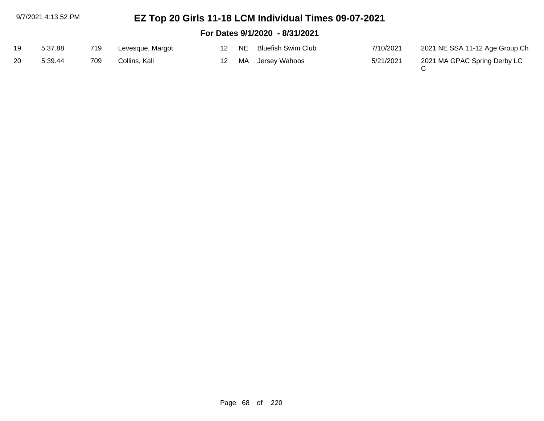#### **EZ Top 20 Girls 11-18 LCM Individual Times 09-07-2021** 9/7/2021 4:13:52 PM

#### **For Dates 9/1/2020 - 8/31/2021**

| 19 | 5:37.88 | 719 | Levesque, Margot | 12 NE | Bluefish Swim Club | 7/10/2021 | 2021 NE SSA 11-12 Age Group Ch |
|----|---------|-----|------------------|-------|--------------------|-----------|--------------------------------|
| 20 | 5:39.44 | 709 | Collins, Kali    |       | MA Jersey Wahoos   | 5/21/2021 | 2021 MA GPAC Spring Derby LC   |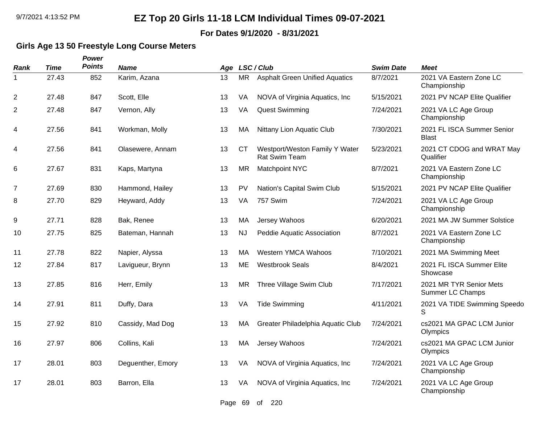#### **For Dates 9/1/2020 - 8/31/2021**

### **Girls Age 13 50 Freestyle Long Course Meters**

*Power*

| <b>Rank</b>    | <b>Time</b> | <b>Points</b> | <b>Name</b>       |    |           | Age LSC/Club                                    | <b>Swim Date</b> | <b>Meet</b>                                        |
|----------------|-------------|---------------|-------------------|----|-----------|-------------------------------------------------|------------------|----------------------------------------------------|
| 1              | 27.43       | 852           | Karim, Azana      | 13 | <b>MR</b> | <b>Asphalt Green Unified Aquatics</b>           | 8/7/2021         | 2021 VA Eastern Zone LC<br>Championship            |
| $\overline{2}$ | 27.48       | 847           | Scott, Elle       | 13 | VA        | NOVA of Virginia Aquatics, Inc.                 | 5/15/2021        | 2021 PV NCAP Elite Qualifier                       |
| 2              | 27.48       | 847           | Vernon, Ally      | 13 | VA        | <b>Quest Swimming</b>                           | 7/24/2021        | 2021 VA LC Age Group<br>Championship               |
| 4              | 27.56       | 841           | Workman, Molly    | 13 | МA        | Nittany Lion Aquatic Club                       | 7/30/2021        | 2021 FL ISCA Summer Senior<br><b>Blast</b>         |
| 4              | 27.56       | 841           | Olasewere, Annam  | 13 | <b>CT</b> | Westport/Weston Family Y Water<br>Rat Swim Team | 5/23/2021        | 2021 CT CDOG and WRAT May<br>Qualifier             |
| 6              | 27.67       | 831           | Kaps, Martyna     | 13 | <b>MR</b> | Matchpoint NYC                                  | 8/7/2021         | 2021 VA Eastern Zone LC<br>Championship            |
| $\overline{7}$ | 27.69       | 830           | Hammond, Hailey   | 13 | <b>PV</b> | Nation's Capital Swim Club                      | 5/15/2021        | 2021 PV NCAP Elite Qualifier                       |
| 8              | 27.70       | 829           | Heyward, Addy     | 13 | VA        | 757 Swim                                        | 7/24/2021        | 2021 VA LC Age Group<br>Championship               |
| 9              | 27.71       | 828           | Bak, Renee        | 13 | MA        | Jersey Wahoos                                   | 6/20/2021        | 2021 MA JW Summer Solstice                         |
| 10             | 27.75       | 825           | Bateman, Hannah   | 13 | <b>NJ</b> | Peddie Aquatic Association                      | 8/7/2021         | 2021 VA Eastern Zone LC<br>Championship            |
| 11             | 27.78       | 822           | Napier, Alyssa    | 13 | MA        | Western YMCA Wahoos                             | 7/10/2021        | 2021 MA Swimming Meet                              |
| 12             | 27.84       | 817           | Lavigueur, Brynn  | 13 | <b>ME</b> | <b>Westbrook Seals</b>                          | 8/4/2021         | 2021 FL ISCA Summer Elite<br>Showcase              |
| 13             | 27.85       | 816           | Herr, Emily       | 13 | <b>MR</b> | Three Village Swim Club                         | 7/17/2021        | 2021 MR TYR Senior Mets<br><b>Summer LC Champs</b> |
| 14             | 27.91       | 811           | Duffy, Dara       | 13 | VA        | <b>Tide Swimming</b>                            | 4/11/2021        | 2021 VA TIDE Swimming Speedo<br>S                  |
| 15             | 27.92       | 810           | Cassidy, Mad Dog  | 13 | МA        | Greater Philadelphia Aquatic Club               | 7/24/2021        | cs2021 MA GPAC LCM Junior<br>Olympics              |
| 16             | 27.97       | 806           | Collins, Kali     | 13 | МA        | Jersey Wahoos                                   | 7/24/2021        | cs2021 MA GPAC LCM Junior<br>Olympics              |
| 17             | 28.01       | 803           | Deguenther, Emory | 13 | VA        | NOVA of Virginia Aquatics, Inc.                 | 7/24/2021        | 2021 VA LC Age Group<br>Championship               |
| 17             | 28.01       | 803           | Barron, Ella      | 13 | VA        | NOVA of Virginia Aquatics, Inc.                 | 7/24/2021        | 2021 VA LC Age Group<br>Championship               |

Page 69 of 220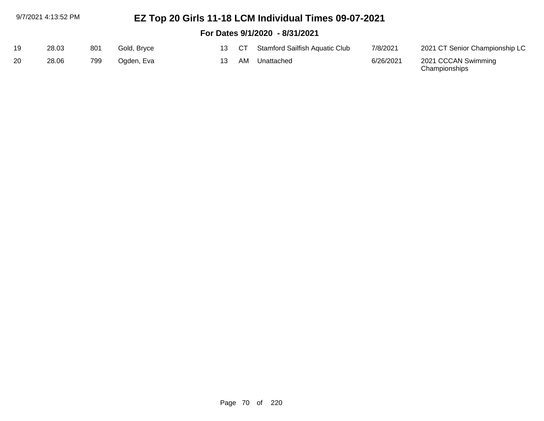|                                | 9/7/2021 4:13:52 PM |     |             |     |     | EZ Top 20 Girls 11-18 LCM Individual Times 09-07-2021 |           |                                |  |  |
|--------------------------------|---------------------|-----|-------------|-----|-----|-------------------------------------------------------|-----------|--------------------------------|--|--|
| For Dates 9/1/2020 - 8/31/2021 |                     |     |             |     |     |                                                       |           |                                |  |  |
| 19                             | 28.03               | 801 | Gold, Bryce | 13. | CT. | <b>Stamford Sailfish Aquatic Club</b>                 | 7/8/2021  | 2021 CT Senior Championship LC |  |  |
| 20                             | 28.06               | 799 | Ogden, Eva  |     | AM  | Unattached                                            | 6/26/2021 | 2021 CCCAN Swimming            |  |  |

Championships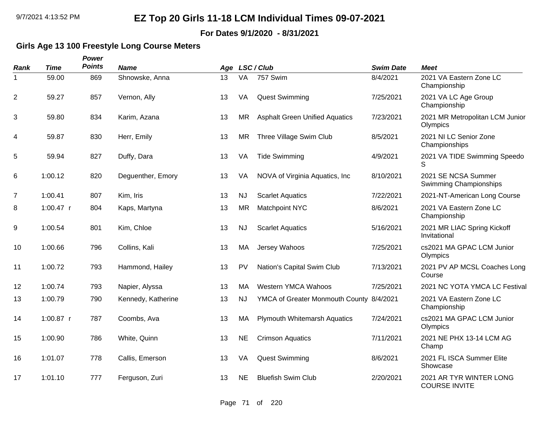**For Dates 9/1/2020 - 8/31/2021**

### **Girls Age 13 100 Freestyle Long Course Meters**

| <b>Rank</b>    | <b>Time</b> | Power<br><b>Points</b> | <b>Name</b>        |    |           | Age LSC/Club                             | <b>Swim Date</b> | <b>Meet</b>                                     |
|----------------|-------------|------------------------|--------------------|----|-----------|------------------------------------------|------------------|-------------------------------------------------|
| 1              | 59.00       | 869                    | Shnowske, Anna     | 13 | VA        | 757 Swim                                 | 8/4/2021         | 2021 VA Eastern Zone LC<br>Championship         |
| $\overline{2}$ | 59.27       | 857                    | Vernon, Ally       | 13 | VA        | <b>Quest Swimming</b>                    | 7/25/2021        | 2021 VA LC Age Group<br>Championship            |
| 3              | 59.80       | 834                    | Karim, Azana       | 13 | <b>MR</b> | <b>Asphalt Green Unified Aquatics</b>    | 7/23/2021        | 2021 MR Metropolitan LCM Junior<br>Olympics     |
| 4              | 59.87       | 830                    | Herr, Emily        | 13 | <b>MR</b> | Three Village Swim Club                  | 8/5/2021         | 2021 NI LC Senior Zone<br>Championships         |
| 5              | 59.94       | 827                    | Duffy, Dara        | 13 | VA        | <b>Tide Swimming</b>                     | 4/9/2021         | 2021 VA TIDE Swimming Speedo<br>S               |
| 6              | 1:00.12     | 820                    | Deguenther, Emory  | 13 | VA        | NOVA of Virginia Aquatics, Inc.          | 8/10/2021        | 2021 SE NCSA Summer<br>Swimming Championships   |
| $\overline{7}$ | 1:00.41     | 807                    | Kim, Iris          | 13 | <b>NJ</b> | <b>Scarlet Aquatics</b>                  | 7/22/2021        | 2021-NT-American Long Course                    |
| 8              | 1:00.47 $r$ | 804                    | Kaps, Martyna      | 13 | <b>MR</b> | Matchpoint NYC                           | 8/6/2021         | 2021 VA Eastern Zone LC<br>Championship         |
| 9              | 1:00.54     | 801                    | Kim, Chloe         | 13 | <b>NJ</b> | <b>Scarlet Aquatics</b>                  | 5/16/2021        | 2021 MR LIAC Spring Kickoff<br>Invitational     |
| 10             | 1:00.66     | 796                    | Collins, Kali      | 13 | MA        | Jersey Wahoos                            | 7/25/2021        | cs2021 MA GPAC LCM Junior<br>Olympics           |
| 11             | 1:00.72     | 793                    | Hammond, Hailey    | 13 | <b>PV</b> | Nation's Capital Swim Club               | 7/13/2021        | 2021 PV AP MCSL Coaches Long<br>Course          |
| 12             | 1:00.74     | 793                    | Napier, Alyssa     | 13 | МA        | Western YMCA Wahoos                      | 7/25/2021        | 2021 NC YOTA YMCA LC Festival                   |
| 13             | 1:00.79     | 790                    | Kennedy, Katherine | 13 | <b>NJ</b> | YMCA of Greater Monmouth County 8/4/2021 |                  | 2021 VA Eastern Zone LC<br>Championship         |
| 14             | 1:00.87 r   | 787                    | Coombs, Ava        | 13 | MA        | <b>Plymouth Whitemarsh Aquatics</b>      | 7/24/2021        | cs2021 MA GPAC LCM Junior<br>Olympics           |
| 15             | 1:00.90     | 786                    | White, Quinn       | 13 | <b>NE</b> | <b>Crimson Aquatics</b>                  | 7/11/2021        | 2021 NE PHX 13-14 LCM AG<br>Champ               |
| 16             | 1:01.07     | 778                    | Callis, Emerson    | 13 | VA        | <b>Quest Swimming</b>                    | 8/6/2021         | 2021 FL ISCA Summer Elite<br>Showcase           |
| 17             | 1:01.10     | 777                    | Ferguson, Zuri     | 13 | <b>NE</b> | <b>Bluefish Swim Club</b>                | 2/20/2021        | 2021 AR TYR WINTER LONG<br><b>COURSE INVITE</b> |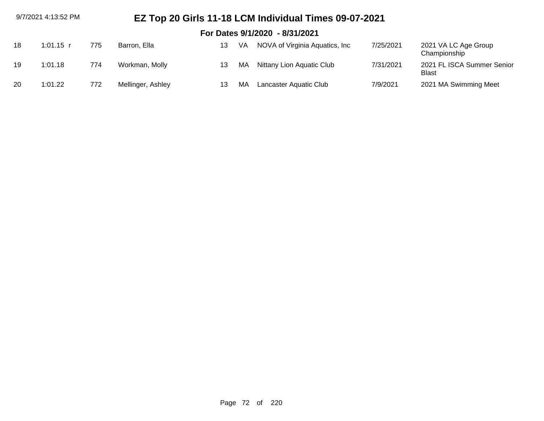|    | 9/7/2021 4:13:52 PM            |     |                   | EZ Top 20 Girls 11-18 LCM Individual Times 09-07-2021 |     |                                 |           |                                            |  |  |  |  |
|----|--------------------------------|-----|-------------------|-------------------------------------------------------|-----|---------------------------------|-----------|--------------------------------------------|--|--|--|--|
|    | For Dates 9/1/2020 - 8/31/2021 |     |                   |                                                       |     |                                 |           |                                            |  |  |  |  |
| 18 | 1:01.15 $r$                    | 775 | Barron, Ella      | 13                                                    | VA. | NOVA of Virginia Aquatics, Inc. | 7/25/2021 | 2021 VA LC Age Group<br>Championship       |  |  |  |  |
| 19 | 1:01.18                        | 774 | Workman, Molly    | 13                                                    | MA  | Nittany Lion Aquatic Club       | 7/31/2021 | 2021 FL ISCA Summer Senior<br><b>Blast</b> |  |  |  |  |
| 20 | 1:01.22                        | 772 | Mellinger, Ashley | 13                                                    | МA  | Lancaster Aquatic Club          | 7/9/2021  | 2021 MA Swimming Meet                      |  |  |  |  |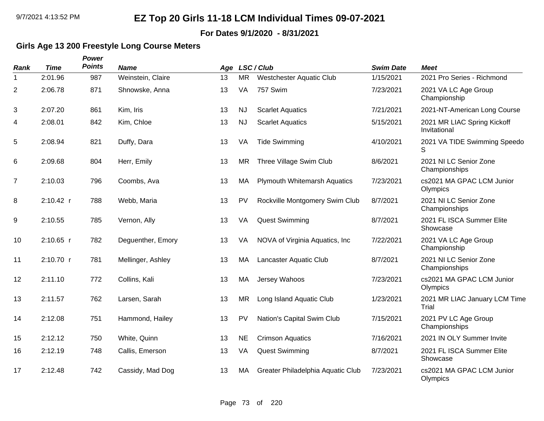#### **For Dates 9/1/2020 - 8/31/2021**

### **Girls Age 13 200 Freestyle Long Course Meters**

| Rank           | <b>Time</b> | <b>Points</b> | <b>Name</b>       | Age |           | LSC / Club                          | <b>Swim Date</b> | <b>Meet</b>                                 |
|----------------|-------------|---------------|-------------------|-----|-----------|-------------------------------------|------------------|---------------------------------------------|
| $\mathbf{1}$   | 2:01.96     | 987           | Weinstein, Claire | 13  | <b>MR</b> | <b>Westchester Aquatic Club</b>     | 1/15/2021        | 2021 Pro Series - Richmond                  |
| 2              | 2:06.78     | 871           | Shnowske, Anna    | 13  | VA        | 757 Swim                            | 7/23/2021        | 2021 VA LC Age Group<br>Championship        |
| 3              | 2:07.20     | 861           | Kim, Iris         | 13  | <b>NJ</b> | <b>Scarlet Aquatics</b>             | 7/21/2021        | 2021-NT-American Long Course                |
| 4              | 2:08.01     | 842           | Kim, Chloe        | 13  | <b>NJ</b> | <b>Scarlet Aquatics</b>             | 5/15/2021        | 2021 MR LIAC Spring Kickoff<br>Invitational |
| 5              | 2:08.94     | 821           | Duffy, Dara       | 13  | VA        | <b>Tide Swimming</b>                | 4/10/2021        | 2021 VA TIDE Swimming Speedo<br>S           |
| 6              | 2:09.68     | 804           | Herr, Emily       | 13  | <b>MR</b> | Three Village Swim Club             | 8/6/2021         | 2021 NI LC Senior Zone<br>Championships     |
| $\overline{7}$ | 2:10.03     | 796           | Coombs, Ava       | 13  | MA        | <b>Plymouth Whitemarsh Aquatics</b> | 7/23/2021        | cs2021 MA GPAC LCM Junior<br>Olympics       |
| 8              | $2:10.42$ r | 788           | Webb, Maria       | 13  | PV        | Rockville Montgomery Swim Club      | 8/7/2021         | 2021 NI LC Senior Zone<br>Championships     |
| 9              | 2:10.55     | 785           | Vernon, Ally      | 13  | VA        | <b>Quest Swimming</b>               | 8/7/2021         | 2021 FL ISCA Summer Elite<br>Showcase       |
| 10             | $2:10.65$ r | 782           | Deguenther, Emory | 13  | VA        | NOVA of Virginia Aquatics, Inc.     | 7/22/2021        | 2021 VA LC Age Group<br>Championship        |
| 11             | 2:10.70 r   | 781           | Mellinger, Ashley | 13  | MA        | Lancaster Aquatic Club              | 8/7/2021         | 2021 NI LC Senior Zone<br>Championships     |
| 12             | 2:11.10     | 772           | Collins, Kali     | 13  | MA        | Jersey Wahoos                       | 7/23/2021        | cs2021 MA GPAC LCM Junior<br>Olympics       |
| 13             | 2:11.57     | 762           | Larsen, Sarah     | 13  | <b>MR</b> | Long Island Aquatic Club            | 1/23/2021        | 2021 MR LIAC January LCM Time<br>Trial      |
| 14             | 2:12.08     | 751           | Hammond, Hailey   | 13  | <b>PV</b> | Nation's Capital Swim Club          | 7/15/2021        | 2021 PV LC Age Group<br>Championships       |
| 15             | 2:12.12     | 750           | White, Quinn      | 13  | <b>NE</b> | <b>Crimson Aquatics</b>             | 7/16/2021        | 2021 IN OLY Summer Invite                   |
| 16             | 2:12.19     | 748           | Callis, Emerson   | 13  | VA        | <b>Quest Swimming</b>               | 8/7/2021         | 2021 FL ISCA Summer Elite<br>Showcase       |
| 17             | 2:12.48     | 742           | Cassidy, Mad Dog  | 13  | МA        | Greater Philadelphia Aquatic Club   | 7/23/2021        | cs2021 MA GPAC LCM Junior<br>Olympics       |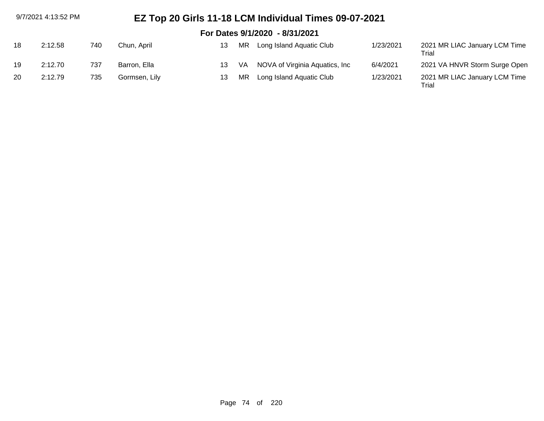| 9/7/2021 4:13:52 PM |                                |     |               | EZ Top 20 Girls 11-18 LCM Individual Times 09-07-2021 |     |                                |           |                                        |  |  |  |  |
|---------------------|--------------------------------|-----|---------------|-------------------------------------------------------|-----|--------------------------------|-----------|----------------------------------------|--|--|--|--|
|                     | For Dates 9/1/2020 - 8/31/2021 |     |               |                                                       |     |                                |           |                                        |  |  |  |  |
| 18                  | 2:12.58                        | 740 | Chun, April   | 13                                                    | MR  | Long Island Aquatic Club       | 1/23/2021 | 2021 MR LIAC January LCM Time<br>Trial |  |  |  |  |
| 19                  | 2:12.70                        | 737 | Barron, Ella  | 13                                                    | VA. | NOVA of Virginia Aquatics, Inc | 6/4/2021  | 2021 VA HNVR Storm Surge Open          |  |  |  |  |
| 20                  | 2:12.79                        | 735 | Gormsen, Lily | 13                                                    | MR  | Long Island Aquatic Club       | 1/23/2021 | 2021 MR LIAC January LCM Time<br>Trial |  |  |  |  |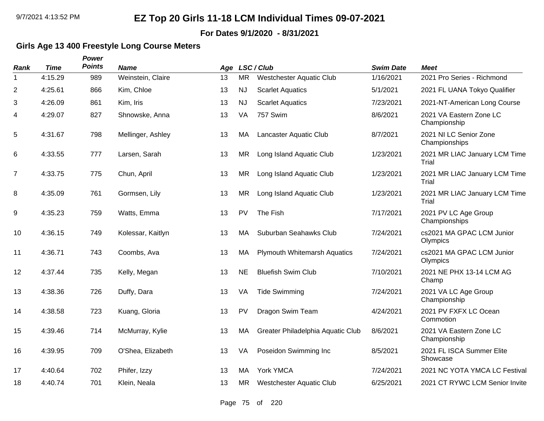#### **For Dates 9/1/2020 - 8/31/2021**

### **Girls Age 13 400 Freestyle Long Course Meters**

*Power*

| <b>Rank</b>    | <b>Time</b> | <b>Points</b> | <b>Name</b>       | Age |           | LSC/Club                            | <b>Swim Date</b> | <b>Meet</b>                             |
|----------------|-------------|---------------|-------------------|-----|-----------|-------------------------------------|------------------|-----------------------------------------|
| 1              | 4:15.29     | 989           | Weinstein, Claire | 13  | <b>MR</b> | Westchester Aquatic Club            | 1/16/2021        | 2021 Pro Series - Richmond              |
| $\overline{c}$ | 4:25.61     | 866           | Kim, Chloe        | 13  | <b>NJ</b> | <b>Scarlet Aquatics</b>             | 5/1/2021         | 2021 FL UANA Tokyo Qualifier            |
| 3              | 4:26.09     | 861           | Kim, Iris         | 13  | <b>NJ</b> | <b>Scarlet Aquatics</b>             | 7/23/2021        | 2021-NT-American Long Course            |
| 4              | 4:29.07     | 827           | Shnowske, Anna    | 13  | VA        | 757 Swim                            | 8/6/2021         | 2021 VA Eastern Zone LC<br>Championship |
| 5              | 4:31.67     | 798           | Mellinger, Ashley | 13  | MA        | Lancaster Aquatic Club              | 8/7/2021         | 2021 NI LC Senior Zone<br>Championships |
| 6              | 4:33.55     | 777           | Larsen, Sarah     | 13  | <b>MR</b> | Long Island Aquatic Club            | 1/23/2021        | 2021 MR LIAC January LCM Time<br>Trial  |
| $\overline{7}$ | 4:33.75     | 775           | Chun, April       | 13  | <b>MR</b> | Long Island Aquatic Club            | 1/23/2021        | 2021 MR LIAC January LCM Time<br>Trial  |
| 8              | 4:35.09     | 761           | Gormsen, Lily     | 13  | <b>MR</b> | Long Island Aquatic Club            | 1/23/2021        | 2021 MR LIAC January LCM Time<br>Trial  |
| 9              | 4:35.23     | 759           | Watts, Emma       | 13  | PV        | The Fish                            | 7/17/2021        | 2021 PV LC Age Group<br>Championships   |
| 10             | 4:36.15     | 749           | Kolessar, Kaitlyn | 13  | MA        | Suburban Seahawks Club              | 7/24/2021        | cs2021 MA GPAC LCM Junior<br>Olympics   |
| 11             | 4:36.71     | 743           | Coombs, Ava       | 13  | MA        | <b>Plymouth Whitemarsh Aquatics</b> | 7/24/2021        | cs2021 MA GPAC LCM Junior<br>Olympics   |
| 12             | 4:37.44     | 735           | Kelly, Megan      | 13  | <b>NE</b> | <b>Bluefish Swim Club</b>           | 7/10/2021        | 2021 NE PHX 13-14 LCM AG<br>Champ       |
| 13             | 4:38.36     | 726           | Duffy, Dara       | 13  | VA        | <b>Tide Swimming</b>                | 7/24/2021        | 2021 VA LC Age Group<br>Championship    |
| 14             | 4:38.58     | 723           | Kuang, Gloria     | 13  | <b>PV</b> | Dragon Swim Team                    | 4/24/2021        | 2021 PV FXFX LC Ocean<br>Commotion      |
| 15             | 4:39.46     | 714           | McMurray, Kylie   | 13  | МA        | Greater Philadelphia Aquatic Club   | 8/6/2021         | 2021 VA Eastern Zone LC<br>Championship |
| 16             | 4:39.95     | 709           | O'Shea, Elizabeth | 13  | <b>VA</b> | Poseidon Swimming Inc               | 8/5/2021         | 2021 FL ISCA Summer Elite<br>Showcase   |
| 17             | 4:40.64     | 702           | Phifer, Izzy      | 13  | МA        | York YMCA                           | 7/24/2021        | 2021 NC YOTA YMCA LC Festival           |
| 18             | 4:40.74     | 701           | Klein, Neala      | 13  | <b>MR</b> | Westchester Aquatic Club            | 6/25/2021        | 2021 CT RYWC LCM Senior Invite          |

Page 75 of 220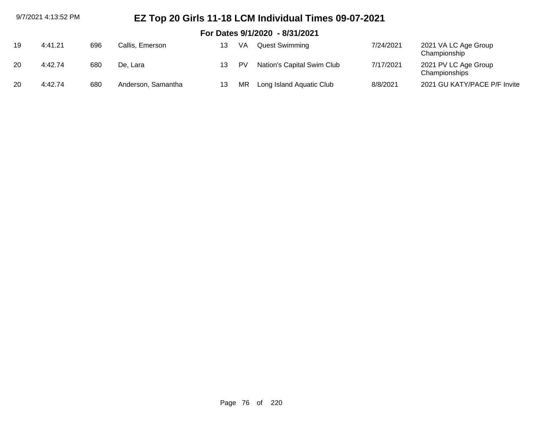| 9/7/2021 4:13:52 PM |                                |     |                    | EZ Top 20 Girls 11-18 LCM Individual Times 09-07-2021 |    |                            |           |                                       |  |  |  |  |
|---------------------|--------------------------------|-----|--------------------|-------------------------------------------------------|----|----------------------------|-----------|---------------------------------------|--|--|--|--|
|                     | For Dates 9/1/2020 - 8/31/2021 |     |                    |                                                       |    |                            |           |                                       |  |  |  |  |
| 19                  | 4:41.21                        | 696 | Callis, Emerson    | 13                                                    | VA | <b>Quest Swimming</b>      | 7/24/2021 | 2021 VA LC Age Group<br>Championship  |  |  |  |  |
| 20                  | 4:42.74                        | 680 | De. Lara           | 13                                                    | PV | Nation's Capital Swim Club | 7/17/2021 | 2021 PV LC Age Group<br>Championships |  |  |  |  |
| 20                  | 4:42.74                        | 680 | Anderson, Samantha | 13                                                    | МR | Long Island Aquatic Club   | 8/8/2021  | 2021 GU KATY/PACE P/F Invite          |  |  |  |  |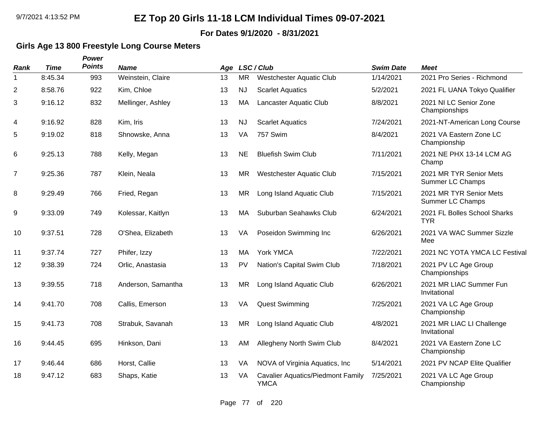#### **For Dates 9/1/2020 - 8/31/2021**

### **Girls Age 13 800 Freestyle Long Course Meters**

| Rank           | <b>Time</b> | <b>Points</b> | <b>Name</b>        | Age |           | LSC / Club                                              | <b>Swim Date</b> | <b>Meet</b>                                        |
|----------------|-------------|---------------|--------------------|-----|-----------|---------------------------------------------------------|------------------|----------------------------------------------------|
| 1              | 8:45.34     | 993           | Weinstein, Claire  | 13  | <b>MR</b> | <b>Westchester Aquatic Club</b>                         | 1/14/2021        | 2021 Pro Series - Richmond                         |
| $\overline{2}$ | 8:58.76     | 922           | Kim, Chloe         | 13  | <b>NJ</b> | <b>Scarlet Aquatics</b>                                 | 5/2/2021         | 2021 FL UANA Tokyo Qualifier                       |
| 3              | 9:16.12     | 832           | Mellinger, Ashley  | 13  | MA        | Lancaster Aquatic Club                                  | 8/8/2021         | 2021 NI LC Senior Zone<br>Championships            |
| 4              | 9:16.92     | 828           | Kim, Iris          | 13  | <b>NJ</b> | <b>Scarlet Aquatics</b>                                 | 7/24/2021        | 2021-NT-American Long Course                       |
| 5              | 9:19.02     | 818           | Shnowske, Anna     | 13  | VA        | 757 Swim                                                | 8/4/2021         | 2021 VA Eastern Zone LC<br>Championship            |
| 6              | 9:25.13     | 788           | Kelly, Megan       | 13  | <b>NE</b> | <b>Bluefish Swim Club</b>                               | 7/11/2021        | 2021 NE PHX 13-14 LCM AG<br>Champ                  |
| 7              | 9:25.36     | 787           | Klein, Neala       | 13  | <b>MR</b> | <b>Westchester Aquatic Club</b>                         | 7/15/2021        | 2021 MR TYR Senior Mets<br><b>Summer LC Champs</b> |
| 8              | 9:29.49     | 766           | Fried, Regan       | 13  | <b>MR</b> | Long Island Aquatic Club                                | 7/15/2021        | 2021 MR TYR Senior Mets<br>Summer LC Champs        |
| 9              | 9:33.09     | 749           | Kolessar, Kaitlyn  | 13  | MA        | Suburban Seahawks Club                                  | 6/24/2021        | 2021 FL Bolles School Sharks<br><b>TYR</b>         |
| 10             | 9:37.51     | 728           | O'Shea, Elizabeth  | 13  | VA        | Poseidon Swimming Inc                                   | 6/26/2021        | 2021 VA WAC Summer Sizzle<br>Mee                   |
| 11             | 9:37.74     | 727           | Phifer, Izzy       | 13  | MA        | York YMCA                                               | 7/22/2021        | 2021 NC YOTA YMCA LC Festival                      |
| 12             | 9:38.39     | 724           | Orlic, Anastasia   | 13  | PV        | Nation's Capital Swim Club                              | 7/18/2021        | 2021 PV LC Age Group<br>Championships              |
| 13             | 9:39.55     | 718           | Anderson, Samantha | 13  | <b>MR</b> | Long Island Aquatic Club                                | 6/26/2021        | 2021 MR LIAC Summer Fun<br>Invitational            |
| 14             | 9:41.70     | 708           | Callis, Emerson    | 13  | VA        | <b>Quest Swimming</b>                                   | 7/25/2021        | 2021 VA LC Age Group<br>Championship               |
| 15             | 9:41.73     | 708           | Strabuk, Savanah   | 13  | <b>MR</b> | Long Island Aquatic Club                                | 4/8/2021         | 2021 MR LIAC LI Challenge<br>Invitational          |
| 16             | 9:44.45     | 695           | Hinkson, Dani      | 13  | AM        | Allegheny North Swim Club                               | 8/4/2021         | 2021 VA Eastern Zone LC<br>Championship            |
| 17             | 9:46.44     | 686           | Horst, Callie      | 13  | VA        | NOVA of Virginia Aquatics, Inc                          | 5/14/2021        | 2021 PV NCAP Elite Qualifier                       |
| 18             | 9:47.12     | 683           | Shaps, Katie       | 13  | VA        | <b>Cavalier Aquatics/Piedmont Family</b><br><b>YMCA</b> | 7/25/2021        | 2021 VA LC Age Group<br>Championship               |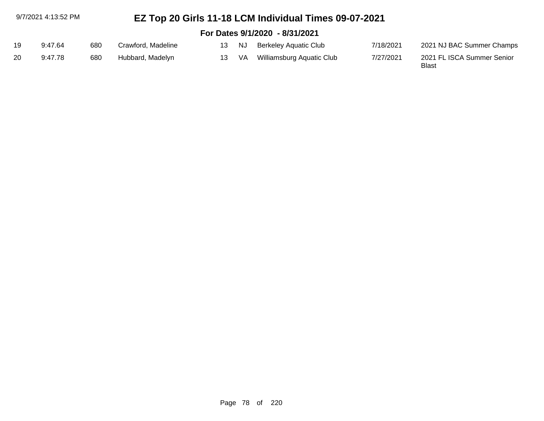|    | 9/7/2021 4:13:52 PM            |     | EZ Top 20 Girls 11-18 LCM Individual Times 09-07-2021 |  |       |                              |           |                            |  |  |  |  |
|----|--------------------------------|-----|-------------------------------------------------------|--|-------|------------------------------|-----------|----------------------------|--|--|--|--|
|    | For Dates 9/1/2020 - 8/31/2021 |     |                                                       |  |       |                              |           |                            |  |  |  |  |
| 19 | 9:47.64                        | 680 | Crawford, Madeline                                    |  | 13 NJ | <b>Berkeley Aquatic Club</b> | 7/18/2021 | 2021 NJ BAC Summer Champs  |  |  |  |  |
| 20 | 9:47.78                        | 680 | Hubbard, Madelyn                                      |  | 13 VA | Williamsburg Aquatic Club    | 7/27/2021 | 2021 FL ISCA Summer Senior |  |  |  |  |

2021 F<br>Blast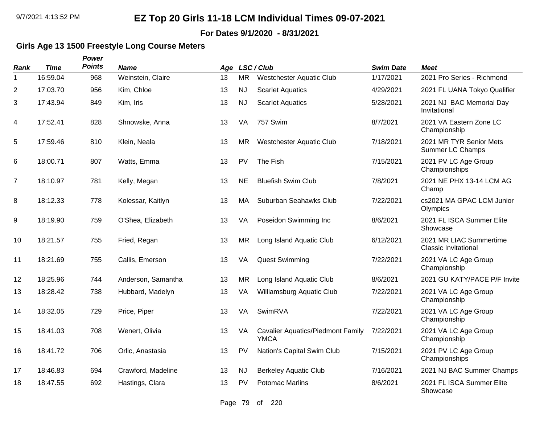#### **For Dates 9/1/2020 - 8/31/2021**

### **Girls Age 13 1500 Freestyle Long Course Meters**

| Rank           | <b>Time</b> | <b>Points</b> | <b>Name</b>        |    |           | Age LSC/Club                                            | <b>Swim Date</b> | <b>Meet</b>                                            |
|----------------|-------------|---------------|--------------------|----|-----------|---------------------------------------------------------|------------------|--------------------------------------------------------|
| $\mathbf 1$    | 16:59.04    | 968           | Weinstein, Claire  | 13 | <b>MR</b> | Westchester Aquatic Club                                | 1/17/2021        | 2021 Pro Series - Richmond                             |
| $\overline{c}$ | 17:03.70    | 956           | Kim, Chloe         | 13 | <b>NJ</b> | <b>Scarlet Aquatics</b>                                 | 4/29/2021        | 2021 FL UANA Tokyo Qualifier                           |
| 3              | 17:43.94    | 849           | Kim, Iris          | 13 | <b>NJ</b> | <b>Scarlet Aquatics</b>                                 | 5/28/2021        | 2021 NJ BAC Memorial Day<br>Invitational               |
| 4              | 17:52.41    | 828           | Shnowske, Anna     | 13 | VA        | 757 Swim                                                | 8/7/2021         | 2021 VA Eastern Zone LC<br>Championship                |
| 5              | 17:59.46    | 810           | Klein, Neala       | 13 | MR        | <b>Westchester Aquatic Club</b>                         | 7/18/2021        | 2021 MR TYR Senior Mets<br>Summer LC Champs            |
| 6              | 18:00.71    | 807           | Watts, Emma        | 13 | PV        | The Fish                                                | 7/15/2021        | 2021 PV LC Age Group<br>Championships                  |
| $\overline{7}$ | 18:10.97    | 781           | Kelly, Megan       | 13 | <b>NE</b> | <b>Bluefish Swim Club</b>                               | 7/8/2021         | 2021 NE PHX 13-14 LCM AG<br>Champ                      |
| 8              | 18:12.33    | 778           | Kolessar, Kaitlyn  | 13 | МA        | Suburban Seahawks Club                                  | 7/22/2021        | cs2021 MA GPAC LCM Junior<br>Olympics                  |
| 9              | 18:19.90    | 759           | O'Shea, Elizabeth  | 13 | VA        | Poseidon Swimming Inc                                   | 8/6/2021         | 2021 FL ISCA Summer Elite<br>Showcase                  |
| 10             | 18:21.57    | 755           | Fried, Regan       | 13 | <b>MR</b> | Long Island Aquatic Club                                | 6/12/2021        | 2021 MR LIAC Summertime<br><b>Classic Invitational</b> |
| 11             | 18:21.69    | 755           | Callis, Emerson    | 13 | VA        | <b>Quest Swimming</b>                                   | 7/22/2021        | 2021 VA LC Age Group<br>Championship                   |
| 12             | 18:25.96    | 744           | Anderson, Samantha | 13 | MR        | Long Island Aquatic Club                                | 8/6/2021         | 2021 GU KATY/PACE P/F Invite                           |
| 13             | 18:28.42    | 738           | Hubbard, Madelyn   | 13 | VA        | Williamsburg Aquatic Club                               | 7/22/2021        | 2021 VA LC Age Group<br>Championship                   |
| 14             | 18:32.05    | 729           | Price, Piper       | 13 | VA        | SwimRVA                                                 | 7/22/2021        | 2021 VA LC Age Group<br>Championship                   |
| 15             | 18:41.03    | 708           | Wenert, Olivia     | 13 | VA        | <b>Cavalier Aquatics/Piedmont Family</b><br><b>YMCA</b> | 7/22/2021        | 2021 VA LC Age Group<br>Championship                   |
| 16             | 18:41.72    | 706           | Orlic, Anastasia   | 13 | <b>PV</b> | Nation's Capital Swim Club                              | 7/15/2021        | 2021 PV LC Age Group<br>Championships                  |
| 17             | 18:46.83    | 694           | Crawford, Madeline | 13 | <b>NJ</b> | <b>Berkeley Aquatic Club</b>                            | 7/16/2021        | 2021 NJ BAC Summer Champs                              |
| 18             | 18:47.55    | 692           | Hastings, Clara    | 13 | PV        | <b>Potomac Marlins</b>                                  | 8/6/2021         | 2021 FL ISCA Summer Elite<br>Showcase                  |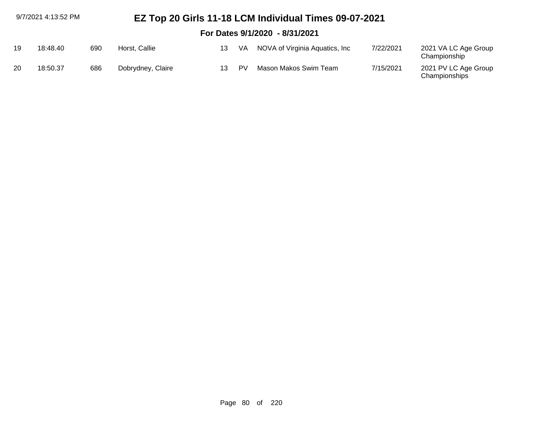| 9/7/2021 4:13:52 PM |          |     | EZ Top 20 Girls 11-18 LCM Individual Times 09-07-2021 |    |           |                                 |           |                                       |  |  |  |  |  |
|---------------------|----------|-----|-------------------------------------------------------|----|-----------|---------------------------------|-----------|---------------------------------------|--|--|--|--|--|
|                     |          |     |                                                       |    |           | For Dates 9/1/2020 - 8/31/2021  |           |                                       |  |  |  |  |  |
| 19                  | 18:48.40 | 690 | Horst, Callie                                         | 13 | VA.       | NOVA of Virginia Aquatics, Inc. | 7/22/2021 | 2021 VA LC Age Group<br>Championship  |  |  |  |  |  |
| 20                  | 18:50.37 | 686 | Dobrydney, Claire                                     | 13 | <b>PV</b> | Mason Makos Swim Team           | 7/15/2021 | 2021 PV LC Age Group<br>Championships |  |  |  |  |  |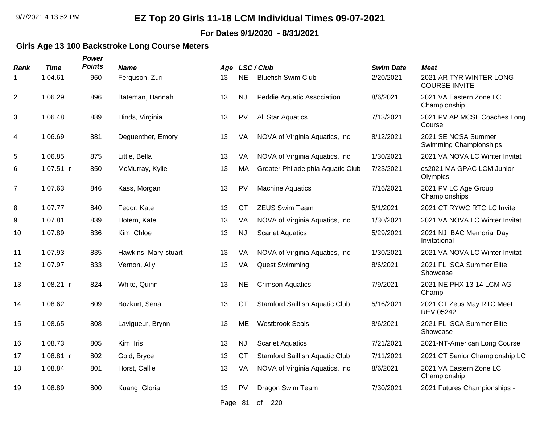**For Dates 9/1/2020 - 8/31/2021**

### **Girls Age 13 100 Backstroke Long Course Meters**

| <b>Rank</b>    | <b>Time</b> | Power<br><b>Points</b> | <b>Name</b>          |         |           | Age LSC/Club                          | <b>Swim Date</b> | <b>Meet</b>                                     |
|----------------|-------------|------------------------|----------------------|---------|-----------|---------------------------------------|------------------|-------------------------------------------------|
| 1              | 1:04.61     | 960                    | Ferguson, Zuri       | 13      | <b>NE</b> | <b>Bluefish Swim Club</b>             | 2/20/2021        | 2021 AR TYR WINTER LONG<br><b>COURSE INVITE</b> |
| $\overline{2}$ | 1:06.29     | 896                    | Bateman, Hannah      | 13      | <b>NJ</b> | Peddie Aquatic Association            | 8/6/2021         | 2021 VA Eastern Zone LC<br>Championship         |
| 3              | 1:06.48     | 889                    | Hinds, Virginia      | 13      | PV        | All Star Aquatics                     | 7/13/2021        | 2021 PV AP MCSL Coaches Long<br>Course          |
| 4              | 1:06.69     | 881                    | Deguenther, Emory    | 13      | VA        | NOVA of Virginia Aquatics, Inc        | 8/12/2021        | 2021 SE NCSA Summer<br>Swimming Championships   |
| 5              | 1:06.85     | 875                    | Little, Bella        | 13      | VA        | NOVA of Virginia Aquatics, Inc.       | 1/30/2021        | 2021 VA NOVA LC Winter Invitat                  |
| 6              | 1:07.51 r   | 850                    | McMurray, Kylie      | 13      | MA        | Greater Philadelphia Aquatic Club     | 7/23/2021        | cs2021 MA GPAC LCM Junior<br>Olympics           |
| 7              | 1:07.63     | 846                    | Kass, Morgan         | 13      | <b>PV</b> | <b>Machine Aquatics</b>               | 7/16/2021        | 2021 PV LC Age Group<br>Championships           |
| 8              | 1:07.77     | 840                    | Fedor, Kate          | 13      | <b>CT</b> | <b>ZEUS Swim Team</b>                 | 5/1/2021         | 2021 CT RYWC RTC LC Invite                      |
| 9              | 1:07.81     | 839                    | Hotem, Kate          | 13      | VA        | NOVA of Virginia Aquatics, Inc.       | 1/30/2021        | 2021 VA NOVA LC Winter Invitat                  |
| 10             | 1:07.89     | 836                    | Kim, Chloe           | 13      | <b>NJ</b> | <b>Scarlet Aquatics</b>               | 5/29/2021        | 2021 NJ BAC Memorial Day<br>Invitational        |
| 11             | 1:07.93     | 835                    | Hawkins, Mary-stuart | 13      | VA        | NOVA of Virginia Aquatics, Inc.       | 1/30/2021        | 2021 VA NOVA LC Winter Invitat                  |
| $12 \,$        | 1:07.97     | 833                    | Vernon, Ally         | 13      | VA        | <b>Quest Swimming</b>                 | 8/6/2021         | 2021 FL ISCA Summer Elite<br>Showcase           |
| 13             | 1:08.21 $r$ | 824                    | White, Quinn         | 13      | <b>NE</b> | <b>Crimson Aquatics</b>               | 7/9/2021         | 2021 NE PHX 13-14 LCM AG<br>Champ               |
| 14             | 1:08.62     | 809                    | Bozkurt, Sena        | 13      | <b>CT</b> | <b>Stamford Sailfish Aquatic Club</b> | 5/16/2021        | 2021 CT Zeus May RTC Meet<br><b>REV 05242</b>   |
| 15             | 1:08.65     | 808                    | Lavigueur, Brynn     | 13      | ME        | <b>Westbrook Seals</b>                | 8/6/2021         | 2021 FL ISCA Summer Elite<br>Showcase           |
| 16             | 1:08.73     | 805                    | Kim, Iris            | 13      | <b>NJ</b> | <b>Scarlet Aquatics</b>               | 7/21/2021        | 2021-NT-American Long Course                    |
| 17             | 1:08.81 $r$ | 802                    | Gold, Bryce          | 13      | <b>CT</b> | <b>Stamford Sailfish Aquatic Club</b> | 7/11/2021        | 2021 CT Senior Championship LC                  |
| 18             | 1:08.84     | 801                    | Horst, Callie        | 13      | VA        | NOVA of Virginia Aquatics, Inc.       | 8/6/2021         | 2021 VA Eastern Zone LC<br>Championship         |
| 19             | 1:08.89     | 800                    | Kuang, Gloria        | 13      | <b>PV</b> | Dragon Swim Team                      | 7/30/2021        | 2021 Futures Championships -                    |
|                |             |                        |                      | Page 81 |           | of 220                                |                  |                                                 |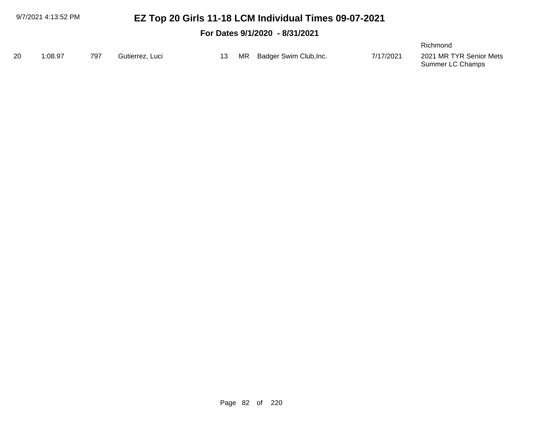#### **For Dates 9/1/2020 - 8/31/2021**

Richmond

| 20 | 1:08.97 | 797 | Gutierrez, Luci |  | 13 MR Badger Swim Club, Inc. | 7/17/2021 | 2021 MR TYR Senior Mets |
|----|---------|-----|-----------------|--|------------------------------|-----------|-------------------------|
|    |         |     |                 |  |                              |           | Summer LC Champs        |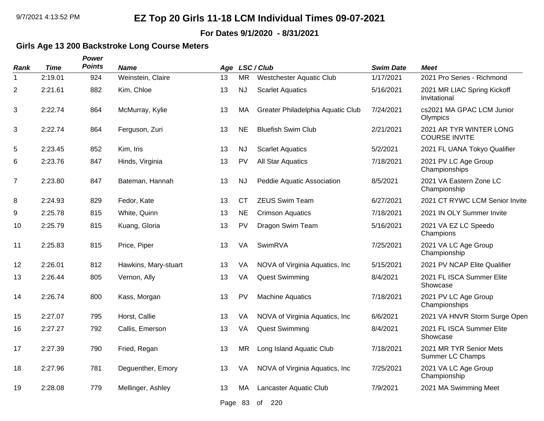**For Dates 9/1/2020 - 8/31/2021**

### **Girls Age 13 200 Backstroke Long Course Meters**

| <b>Rank</b>    | <b>Time</b> | Power<br><b>Points</b> | <b>Name</b>          |    |           | Age LSC/Club                      | <b>Swim Date</b> | <b>Meet</b>                                        |
|----------------|-------------|------------------------|----------------------|----|-----------|-----------------------------------|------------------|----------------------------------------------------|
| $\mathbf{1}$   | 2:19.01     | 924                    | Weinstein, Claire    | 13 | <b>MR</b> | <b>Westchester Aquatic Club</b>   | 1/17/2021        | 2021 Pro Series - Richmond                         |
| $\overline{c}$ | 2:21.61     | 882                    | Kim, Chloe           | 13 | <b>NJ</b> | <b>Scarlet Aquatics</b>           | 5/16/2021        | 2021 MR LIAC Spring Kickoff<br>Invitational        |
| 3              | 2:22.74     | 864                    | McMurray, Kylie      | 13 | MA        | Greater Philadelphia Aquatic Club | 7/24/2021        | cs2021 MA GPAC LCM Junior<br>Olympics              |
| 3              | 2:22.74     | 864                    | Ferguson, Zuri       | 13 | <b>NE</b> | <b>Bluefish Swim Club</b>         | 2/21/2021        | 2021 AR TYR WINTER LONG<br><b>COURSE INVITE</b>    |
| 5              | 2:23.45     | 852                    | Kim, Iris            | 13 | <b>NJ</b> | <b>Scarlet Aquatics</b>           | 5/2/2021         | 2021 FL UANA Tokyo Qualifier                       |
| 6              | 2:23.76     | 847                    | Hinds, Virginia      | 13 | PV        | All Star Aquatics                 | 7/18/2021        | 2021 PV LC Age Group<br>Championships              |
| $\overline{7}$ | 2:23.80     | 847                    | Bateman, Hannah      | 13 | <b>NJ</b> | Peddie Aquatic Association        | 8/5/2021         | 2021 VA Eastern Zone LC<br>Championship            |
| 8              | 2:24.93     | 829                    | Fedor, Kate          | 13 | <b>CT</b> | <b>ZEUS Swim Team</b>             | 6/27/2021        | 2021 CT RYWC LCM Senior Invite                     |
| 9              | 2:25.78     | 815                    | White, Quinn         | 13 | <b>NE</b> | <b>Crimson Aquatics</b>           | 7/18/2021        | 2021 IN OLY Summer Invite                          |
| 10             | 2:25.79     | 815                    | Kuang, Gloria        | 13 | <b>PV</b> | Dragon Swim Team                  | 5/16/2021        | 2021 VA EZ LC Speedo<br>Champions                  |
| 11             | 2:25.83     | 815                    | Price, Piper         | 13 | VA        | SwimRVA                           | 7/25/2021        | 2021 VA LC Age Group<br>Championship               |
| 12             | 2:26.01     | 812                    | Hawkins, Mary-stuart | 13 | VA        | NOVA of Virginia Aquatics, Inc.   | 5/15/2021        | 2021 PV NCAP Elite Qualifier                       |
| 13             | 2:26.44     | 805                    | Vernon, Ally         | 13 | VA        | <b>Quest Swimming</b>             | 8/4/2021         | 2021 FL ISCA Summer Elite<br>Showcase              |
| 14             | 2:26.74     | 800                    | Kass, Morgan         | 13 | PV        | <b>Machine Aquatics</b>           | 7/18/2021        | 2021 PV LC Age Group<br>Championships              |
| 15             | 2:27.07     | 795                    | Horst, Callie        | 13 | VA        | NOVA of Virginia Aquatics, Inc    | 6/6/2021         | 2021 VA HNVR Storm Surge Open                      |
| 16             | 2:27.27     | 792                    | Callis, Emerson      | 13 | VA        | <b>Quest Swimming</b>             | 8/4/2021         | 2021 FL ISCA Summer Elite<br>Showcase              |
| 17             | 2:27.39     | 790                    | Fried, Regan         | 13 | <b>MR</b> | Long Island Aquatic Club          | 7/18/2021        | 2021 MR TYR Senior Mets<br><b>Summer LC Champs</b> |
| 18             | 2:27.96     | 781                    | Deguenther, Emory    | 13 | VA        | NOVA of Virginia Aquatics, Inc.   | 7/25/2021        | 2021 VA LC Age Group<br>Championship               |
| 19             | 2:28.08     | 779                    | Mellinger, Ashley    | 13 | MA        | Lancaster Aquatic Club            | 7/9/2021         | 2021 MA Swimming Meet                              |
|                |             |                        |                      |    | Page 83   | of 220                            |                  |                                                    |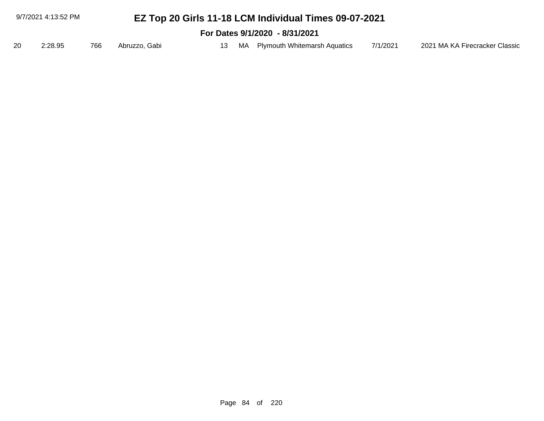| 9/7/2021 4:13:52 PM<br>EZ Top 20 Girls 11-18 LCM Individual Times 09-07-2021 |                                |     |               |  |     |  |                                 |          |                                |  |
|------------------------------------------------------------------------------|--------------------------------|-----|---------------|--|-----|--|---------------------------------|----------|--------------------------------|--|
|                                                                              | For Dates 9/1/2020 - 8/31/2021 |     |               |  |     |  |                                 |          |                                |  |
|                                                                              | 2:28.95                        | 766 | Abruzzo. Gabi |  | 13. |  | MA Plymouth Whitemarsh Aquatics | 7/1/2021 | 2021 MA KA Firecracker Classic |  |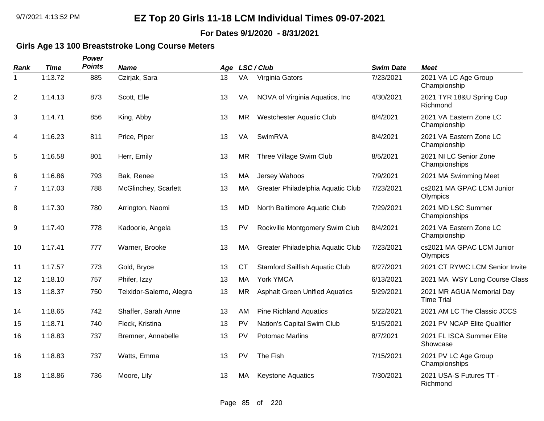**For Dates 9/1/2020 - 8/31/2021**

### **Girls Age 13 100 Breaststroke Long Course Meters**

| <b>Rank</b> | <b>Time</b> | Power<br><b>Points</b> | <b>Name</b>              |    |           | Age LSC/Club                          | <b>Swim Date</b> | <b>Meet</b>                                    |
|-------------|-------------|------------------------|--------------------------|----|-----------|---------------------------------------|------------------|------------------------------------------------|
| 1           | 1:13.72     | 885                    | Czirjak, Sara            | 13 | VA        | Virginia Gators                       | 7/23/2021        | 2021 VA LC Age Group<br>Championship           |
| 2           | 1:14.13     | 873                    | Scott, Elle              | 13 | VA        | NOVA of Virginia Aquatics, Inc.       | 4/30/2021        | 2021 TYR 18&U Spring Cup<br>Richmond           |
| 3           | 1:14.71     | 856                    | King, Abby               | 13 | <b>MR</b> | Westchester Aquatic Club              | 8/4/2021         | 2021 VA Eastern Zone LC<br>Championship        |
| 4           | 1:16.23     | 811                    | Price, Piper             | 13 | VA        | SwimRVA                               | 8/4/2021         | 2021 VA Eastern Zone LC<br>Championship        |
| 5           | 1:16.58     | 801                    | Herr, Emily              | 13 | <b>MR</b> | Three Village Swim Club               | 8/5/2021         | 2021 NI LC Senior Zone<br>Championships        |
| 6           | 1:16.86     | 793                    | Bak, Renee               | 13 | MA        | Jersey Wahoos                         | 7/9/2021         | 2021 MA Swimming Meet                          |
| 7           | 1:17.03     | 788                    | McGlinchey, Scarlett     | 13 | MA        | Greater Philadelphia Aquatic Club     | 7/23/2021        | cs2021 MA GPAC LCM Junior<br>Olympics          |
| 8           | 1:17.30     | 780                    | Arrington, Naomi         | 13 | <b>MD</b> | North Baltimore Aquatic Club          | 7/29/2021        | 2021 MD LSC Summer<br>Championships            |
| 9           | 1:17.40     | 778                    | Kadoorie, Angela         | 13 | <b>PV</b> | Rockville Montgomery Swim Club        | 8/4/2021         | 2021 VA Eastern Zone LC<br>Championship        |
| 10          | 1:17.41     | 777                    | Warner, Brooke           | 13 | MA        | Greater Philadelphia Aquatic Club     | 7/23/2021        | cs2021 MA GPAC LCM Junior<br>Olympics          |
| 11          | 1:17.57     | 773                    | Gold, Bryce              | 13 | <b>CT</b> | Stamford Sailfish Aquatic Club        | 6/27/2021        | 2021 CT RYWC LCM Senior Invite                 |
| 12          | 1:18.10     | 757                    | Phifer, Izzy             | 13 | MA        | York YMCA                             | 6/13/2021        | 2021 MA WSY Long Course Class                  |
| 13          | 1:18.37     | 750                    | Teixidor-Salerno, Alegra | 13 | <b>MR</b> | <b>Asphalt Green Unified Aquatics</b> | 5/29/2021        | 2021 MR AGUA Memorial Day<br><b>Time Trial</b> |
| 14          | 1:18.65     | 742                    | Shaffer, Sarah Anne      | 13 | <b>AM</b> | <b>Pine Richland Aquatics</b>         | 5/22/2021        | 2021 AM LC The Classic JCCS                    |
| 15          | 1:18.71     | 740                    | Fleck, Kristina          | 13 | <b>PV</b> | Nation's Capital Swim Club            | 5/15/2021        | 2021 PV NCAP Elite Qualifier                   |
| 16          | 1:18.83     | 737                    | Bremner, Annabelle       | 13 | PV        | <b>Potomac Marlins</b>                | 8/7/2021         | 2021 FL ISCA Summer Elite<br>Showcase          |
| 16          | 1:18.83     | 737                    | Watts, Emma              | 13 | PV        | The Fish                              | 7/15/2021        | 2021 PV LC Age Group<br>Championships          |
| 18          | 1:18.86     | 736                    | Moore, Lily              | 13 | MA        | <b>Keystone Aquatics</b>              | 7/30/2021        | 2021 USA-S Futures TT -<br>Richmond            |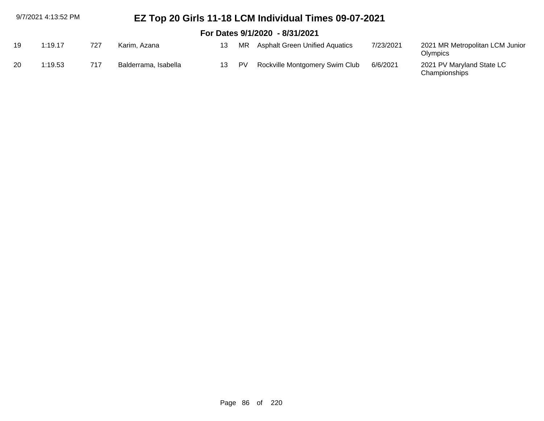| 9/7/2021 4:13:52 PM |         |     | EZ Top 20 Girls 11-18 LCM Individual Times 09-07-2021 |    |           |                                       |           |                                             |  |  |  |
|---------------------|---------|-----|-------------------------------------------------------|----|-----------|---------------------------------------|-----------|---------------------------------------------|--|--|--|
|                     |         |     |                                                       |    |           | For Dates 9/1/2020 - 8/31/2021        |           |                                             |  |  |  |
| 19                  | 1:19.17 | 727 | Karim, Azana                                          | 13 | MR.       | <b>Asphalt Green Unified Aquatics</b> | 7/23/2021 | 2021 MR Metropolitan LCM Junior<br>Olympics |  |  |  |
| 20                  | 1:19.53 | 717 | Balderrama, Isabella                                  | 13 | <b>PV</b> | Rockville Montgomery Swim Club        | 6/6/2021  | 2021 PV Maryland State LC<br>Championships  |  |  |  |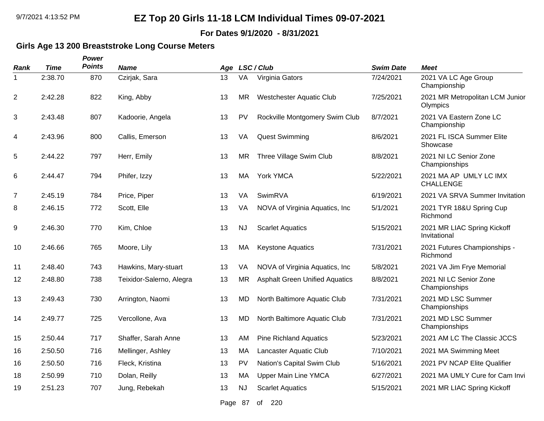**For Dates 9/1/2020 - 8/31/2021**

### **Girls Age 13 200 Breaststroke Long Course Meters**

| Rank           | <b>Time</b> | Power<br><b>Points</b> | <b>Name</b>              |    |           | Age LSC/Club                          | <b>Swim Date</b> | <b>Meet</b>                                 |
|----------------|-------------|------------------------|--------------------------|----|-----------|---------------------------------------|------------------|---------------------------------------------|
| 1              | 2:38.70     | 870                    | Czirjak, Sara            | 13 | <b>VA</b> | Virginia Gators                       | 7/24/2021        | 2021 VA LC Age Group<br>Championship        |
| $\overline{c}$ | 2:42.28     | 822                    | King, Abby               | 13 | <b>MR</b> | <b>Westchester Aquatic Club</b>       | 7/25/2021        | 2021 MR Metropolitan LCM Junior<br>Olympics |
| 3              | 2:43.48     | 807                    | Kadoorie, Angela         | 13 | PV        | Rockville Montgomery Swim Club        | 8/7/2021         | 2021 VA Eastern Zone LC<br>Championship     |
| 4              | 2:43.96     | 800                    | Callis, Emerson          | 13 | VA        | <b>Quest Swimming</b>                 | 8/6/2021         | 2021 FL ISCA Summer Elite<br>Showcase       |
| 5              | 2:44.22     | 797                    | Herr, Emily              | 13 | <b>MR</b> | Three Village Swim Club               | 8/8/2021         | 2021 NI LC Senior Zone<br>Championships     |
| 6              | 2:44.47     | 794                    | Phifer, Izzy             | 13 | MA        | York YMCA                             | 5/22/2021        | 2021 MA AP UMLY LC IMX<br><b>CHALLENGE</b>  |
| 7              | 2:45.19     | 784                    | Price, Piper             | 13 | <b>VA</b> | SwimRVA                               | 6/19/2021        | 2021 VA SRVA Summer Invitation              |
| 8              | 2:46.15     | 772                    | Scott, Elle              | 13 | VA        | NOVA of Virginia Aquatics, Inc.       | 5/1/2021         | 2021 TYR 18&U Spring Cup<br>Richmond        |
| 9              | 2:46.30     | 770                    | Kim, Chloe               | 13 | <b>NJ</b> | <b>Scarlet Aquatics</b>               | 5/15/2021        | 2021 MR LIAC Spring Kickoff<br>Invitational |
| 10             | 2:46.66     | 765                    | Moore, Lily              | 13 | MA        | <b>Keystone Aquatics</b>              | 7/31/2021        | 2021 Futures Championships -<br>Richmond    |
| 11             | 2:48.40     | 743                    | Hawkins, Mary-stuart     | 13 | VA        | NOVA of Virginia Aquatics, Inc.       | 5/8/2021         | 2021 VA Jim Frye Memorial                   |
| 12             | 2:48.80     | 738                    | Teixidor-Salerno, Alegra | 13 | <b>MR</b> | <b>Asphalt Green Unified Aquatics</b> | 8/8/2021         | 2021 NI LC Senior Zone<br>Championships     |
| 13             | 2:49.43     | 730                    | Arrington, Naomi         | 13 | <b>MD</b> | North Baltimore Aquatic Club          | 7/31/2021        | 2021 MD LSC Summer<br>Championships         |
| 14             | 2:49.77     | 725                    | Vercollone, Ava          | 13 | <b>MD</b> | North Baltimore Aquatic Club          | 7/31/2021        | 2021 MD LSC Summer<br>Championships         |
| 15             | 2:50.44     | 717                    | Shaffer, Sarah Anne      | 13 | AM        | <b>Pine Richland Aquatics</b>         | 5/23/2021        | 2021 AM LC The Classic JCCS                 |
| 16             | 2:50.50     | 716                    | Mellinger, Ashley        | 13 | MA        | Lancaster Aquatic Club                | 7/10/2021        | 2021 MA Swimming Meet                       |
| 16             | 2:50.50     | 716                    | Fleck, Kristina          | 13 | <b>PV</b> | Nation's Capital Swim Club            | 5/16/2021        | 2021 PV NCAP Elite Qualifier                |
| 18             | 2:50.99     | 710                    | Dolan, Reilly            | 13 | MA        | <b>Upper Main Line YMCA</b>           | 6/27/2021        | 2021 MA UMLY Cure for Cam Invi              |
| 19             | 2:51.23     | 707                    | Jung, Rebekah            | 13 | <b>NJ</b> | <b>Scarlet Aquatics</b>               | 5/15/2021        | 2021 MR LIAC Spring Kickoff                 |

Page 87 of 220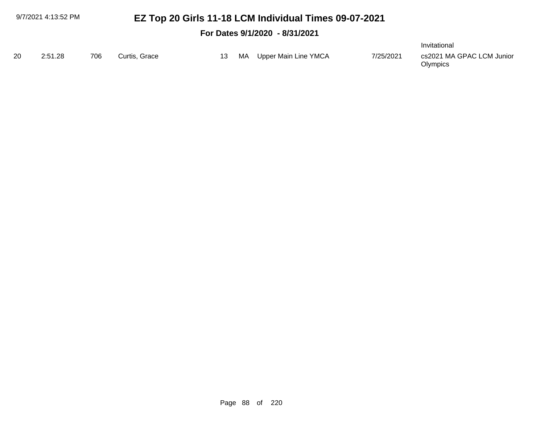#### **For Dates 9/1/2020 - 8/31/2021**

Invitational

| 20 | 2:51.28 | 706 | Curtis, Grace |  | 13 MA Upper Main Line YMCA | 7/25/2021 | cs2021 MA GPAC LCM Junior |
|----|---------|-----|---------------|--|----------------------------|-----------|---------------------------|
|    |         |     |               |  |                            |           | Olympics                  |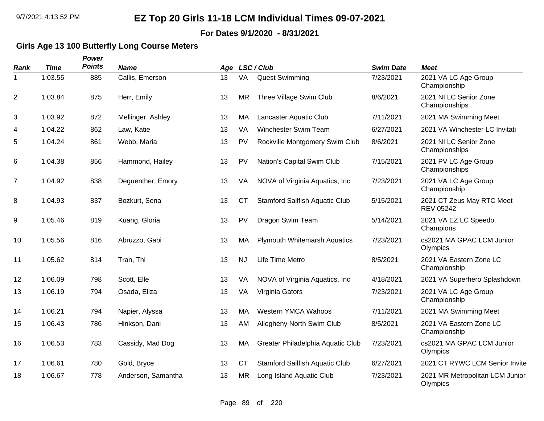**For Dates 9/1/2020 - 8/31/2021**

### **Girls Age 13 100 Butterfly Long Course Meters**

| <b>Rank</b>    | <b>Time</b> | <b>Points</b> | <b>Name</b>        |    |           | Age LSC/Club                          | <b>Swim Date</b> | <b>Meet</b>                                   |
|----------------|-------------|---------------|--------------------|----|-----------|---------------------------------------|------------------|-----------------------------------------------|
| $\mathbf{1}$   | 1:03.55     | 885           | Callis, Emerson    | 13 | VA        | <b>Quest Swimming</b>                 | 7/23/2021        | 2021 VA LC Age Group<br>Championship          |
| $\overline{c}$ | 1:03.84     | 875           | Herr, Emily        | 13 | <b>MR</b> | Three Village Swim Club               | 8/6/2021         | 2021 NI LC Senior Zone<br>Championships       |
| 3              | 1:03.92     | 872           | Mellinger, Ashley  | 13 | MA        | Lancaster Aquatic Club                | 7/11/2021        | 2021 MA Swimming Meet                         |
| 4              | 1:04.22     | 862           | Law, Katie         | 13 | VA        | Winchester Swim Team                  | 6/27/2021        | 2021 VA Winchester LC Invitati                |
| 5              | 1:04.24     | 861           | Webb, Maria        | 13 | PV        | Rockville Montgomery Swim Club        | 8/6/2021         | 2021 NI LC Senior Zone<br>Championships       |
| 6              | 1:04.38     | 856           | Hammond, Hailey    | 13 | PV        | Nation's Capital Swim Club            | 7/15/2021        | 2021 PV LC Age Group<br>Championships         |
| $\overline{7}$ | 1:04.92     | 838           | Deguenther, Emory  | 13 | VA        | NOVA of Virginia Aquatics, Inc.       | 7/23/2021        | 2021 VA LC Age Group<br>Championship          |
| 8              | 1:04.93     | 837           | Bozkurt, Sena      | 13 | <b>CT</b> | <b>Stamford Sailfish Aquatic Club</b> | 5/15/2021        | 2021 CT Zeus May RTC Meet<br><b>REV 05242</b> |
| 9              | 1:05.46     | 819           | Kuang, Gloria      | 13 | PV        | Dragon Swim Team                      | 5/14/2021        | 2021 VA EZ LC Speedo<br>Champions             |
| 10             | 1:05.56     | 816           | Abruzzo, Gabi      | 13 | МA        | <b>Plymouth Whitemarsh Aquatics</b>   | 7/23/2021        | cs2021 MA GPAC LCM Junior<br>Olympics         |
| 11             | 1:05.62     | 814           | Tran, Thi          | 13 | <b>NJ</b> | Life Time Metro                       | 8/5/2021         | 2021 VA Eastern Zone LC<br>Championship       |
| 12             | 1:06.09     | 798           | Scott, Elle        | 13 | VA        | NOVA of Virginia Aquatics, Inc.       | 4/18/2021        | 2021 VA Superhero Splashdown                  |
| 13             | 1:06.19     | 794           | Osada, Eliza       | 13 | VA        | Virginia Gators                       | 7/23/2021        | 2021 VA LC Age Group<br>Championship          |
| 14             | 1:06.21     | 794           | Napier, Alyssa     | 13 | MA        | <b>Western YMCA Wahoos</b>            | 7/11/2021        | 2021 MA Swimming Meet                         |
| 15             | 1:06.43     | 786           | Hinkson, Dani      | 13 | AM        | Allegheny North Swim Club             | 8/5/2021         | 2021 VA Eastern Zone LC<br>Championship       |
| 16             | 1:06.53     | 783           | Cassidy, Mad Dog   | 13 | MA        | Greater Philadelphia Aquatic Club     | 7/23/2021        | cs2021 MA GPAC LCM Junior<br>Olympics         |
| 17             | 1:06.61     | 780           | Gold, Bryce        | 13 | <b>CT</b> | Stamford Sailfish Aquatic Club        | 6/27/2021        | 2021 CT RYWC LCM Senior Invite                |
| 18             | 1:06.67     | 778           | Anderson, Samantha | 13 | <b>MR</b> | Long Island Aquatic Club              | 7/23/2021        | 2021 MR Metropolitan LCM Junior<br>Olympics   |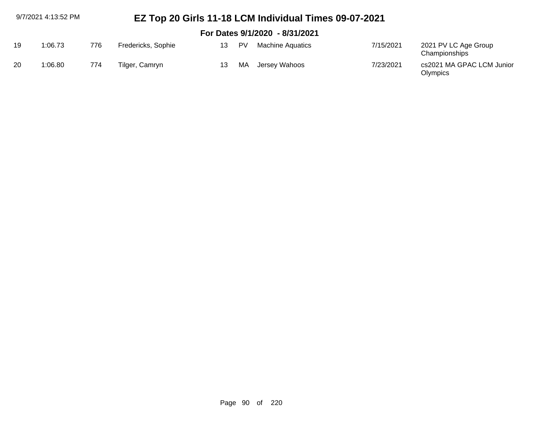| 9/7/2021 4:13:52 PM |                                |     | EZ Top 20 Girls 11-18 LCM Individual Times 09-07-2021 |     |    |                         |           |                                       |  |  |  |  |
|---------------------|--------------------------------|-----|-------------------------------------------------------|-----|----|-------------------------|-----------|---------------------------------------|--|--|--|--|
|                     | For Dates 9/1/2020 - 8/31/2021 |     |                                                       |     |    |                         |           |                                       |  |  |  |  |
| 19                  | 1:06.73                        | 776 | Fredericks, Sophie                                    | 13. | PV | <b>Machine Aquatics</b> | 7/15/2021 | 2021 PV LC Age Group<br>Championships |  |  |  |  |
| 20                  | 1:06.80                        | 774 | Tilger, Camryn                                        | 13  | MA | Jersey Wahoos           | 7/23/2021 | cs2021 MA GPAC LCM Junior<br>Olympics |  |  |  |  |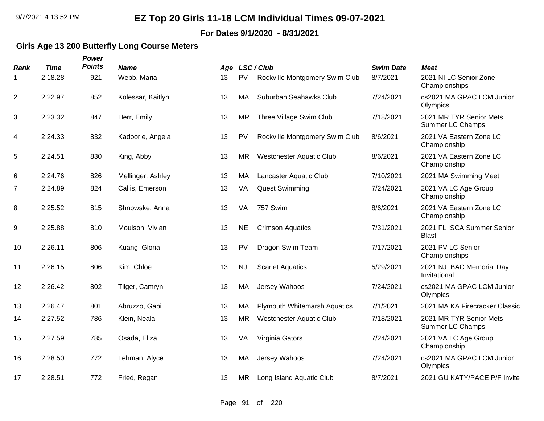**For Dates 9/1/2020 - 8/31/2021**

### **Girls Age 13 200 Butterfly Long Course Meters**

| Rank           | <b>Time</b> | <b>Points</b> | <b>Name</b>       |    |           | Age LSC/Club                        | <b>Swim Date</b> | <b>Meet</b>                                        |
|----------------|-------------|---------------|-------------------|----|-----------|-------------------------------------|------------------|----------------------------------------------------|
| 1              | 2:18.28     | 921           | Webb, Maria       | 13 | <b>PV</b> | Rockville Montgomery Swim Club      | 8/7/2021         | 2021 NI LC Senior Zone<br>Championships            |
| $\overline{2}$ | 2:22.97     | 852           | Kolessar, Kaitlyn | 13 | MA        | Suburban Seahawks Club              | 7/24/2021        | cs2021 MA GPAC LCM Junior<br>Olympics              |
| 3              | 2:23.32     | 847           | Herr, Emily       | 13 | MR.       | Three Village Swim Club             | 7/18/2021        | 2021 MR TYR Senior Mets<br><b>Summer LC Champs</b> |
| 4              | 2:24.33     | 832           | Kadoorie, Angela  | 13 | PV        | Rockville Montgomery Swim Club      | 8/6/2021         | 2021 VA Eastern Zone LC<br>Championship            |
| 5              | 2:24.51     | 830           | King, Abby        | 13 | <b>MR</b> | <b>Westchester Aquatic Club</b>     | 8/6/2021         | 2021 VA Eastern Zone LC<br>Championship            |
| 6              | 2:24.76     | 826           | Mellinger, Ashley | 13 | MA        | Lancaster Aquatic Club              | 7/10/2021        | 2021 MA Swimming Meet                              |
| 7              | 2:24.89     | 824           | Callis, Emerson   | 13 | VA        | <b>Quest Swimming</b>               | 7/24/2021        | 2021 VA LC Age Group<br>Championship               |
| 8              | 2:25.52     | 815           | Shnowske, Anna    | 13 | VA        | 757 Swim                            | 8/6/2021         | 2021 VA Eastern Zone LC<br>Championship            |
| 9              | 2:25.88     | 810           | Moulson, Vivian   | 13 | <b>NE</b> | <b>Crimson Aquatics</b>             | 7/31/2021        | 2021 FL ISCA Summer Senior<br><b>Blast</b>         |
| 10             | 2:26.11     | 806           | Kuang, Gloria     | 13 | <b>PV</b> | Dragon Swim Team                    | 7/17/2021        | 2021 PV LC Senior<br>Championships                 |
| 11             | 2:26.15     | 806           | Kim, Chloe        | 13 | <b>NJ</b> | <b>Scarlet Aquatics</b>             | 5/29/2021        | 2021 NJ BAC Memorial Day<br>Invitational           |
| 12             | 2:26.42     | 802           | Tilger, Camryn    | 13 | MA        | Jersey Wahoos                       | 7/24/2021        | cs2021 MA GPAC LCM Junior<br>Olympics              |
| 13             | 2:26.47     | 801           | Abruzzo, Gabi     | 13 | MA        | <b>Plymouth Whitemarsh Aquatics</b> | 7/1/2021         | 2021 MA KA Firecracker Classic                     |
| 14             | 2:27.52     | 786           | Klein, Neala      | 13 | <b>MR</b> | Westchester Aquatic Club            | 7/18/2021        | 2021 MR TYR Senior Mets<br>Summer LC Champs        |
| 15             | 2:27.59     | 785           | Osada, Eliza      | 13 | VA        | Virginia Gators                     | 7/24/2021        | 2021 VA LC Age Group<br>Championship               |
| 16             | 2:28.50     | 772           | Lehman, Alyce     | 13 | MA        | Jersey Wahoos                       | 7/24/2021        | cs2021 MA GPAC LCM Junior<br>Olympics              |
| 17             | 2:28.51     | 772           | Fried, Regan      | 13 | MR        | Long Island Aquatic Club            | 8/7/2021         | 2021 GU KATY/PACE P/F Invite                       |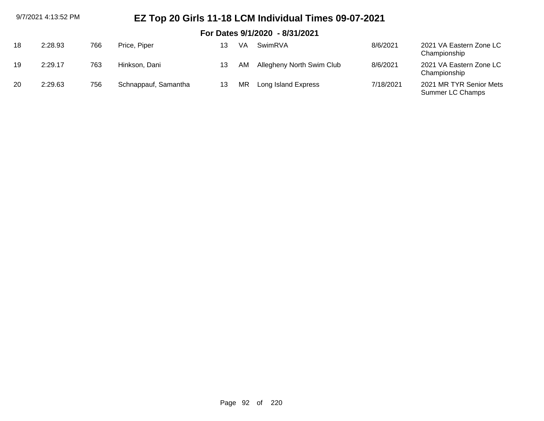| 9/7/2021 4:13:52 PM            |         |     | EZ Top 20 Girls 11-18 LCM Individual Times 09-07-2021 |     |     |                           |           |                                             |  |  |  |  |
|--------------------------------|---------|-----|-------------------------------------------------------|-----|-----|---------------------------|-----------|---------------------------------------------|--|--|--|--|
| For Dates 9/1/2020 - 8/31/2021 |         |     |                                                       |     |     |                           |           |                                             |  |  |  |  |
| 18                             | 2:28.93 | 766 | Price, Piper                                          | 13. | VA. | SwimRVA                   | 8/6/2021  | 2021 VA Eastern Zone LC<br>Championship     |  |  |  |  |
| 19                             | 2:29.17 | 763 | Hinkson, Dani                                         | 13  | AM. | Allegheny North Swim Club | 8/6/2021  | 2021 VA Eastern Zone LC<br>Championship     |  |  |  |  |
| 20                             | 2:29.63 | 756 | Schnappauf, Samantha                                  | 13  | MR. | Long Island Express       | 7/18/2021 | 2021 MR TYR Senior Mets<br>Summer LC Champs |  |  |  |  |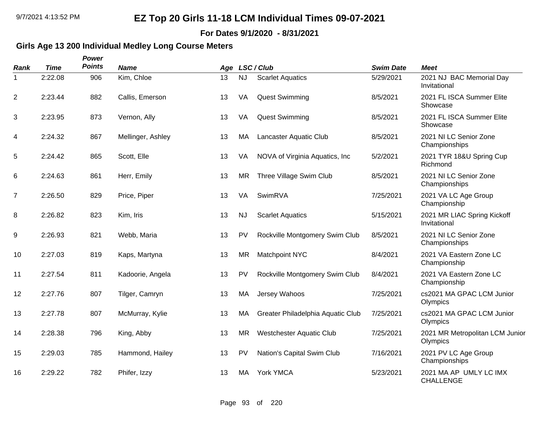**For Dates 9/1/2020 - 8/31/2021**

### **Girls Age 13 200 Individual Medley Long Course Meters**

| <b>Rank</b>    | <b>Time</b> | Power<br><b>Points</b> | <b>Name</b>       |    |           | Age LSC/Club                      | <b>Swim Date</b> | <b>Meet</b>                                 |
|----------------|-------------|------------------------|-------------------|----|-----------|-----------------------------------|------------------|---------------------------------------------|
| 1              | 2:22.08     | 906                    | Kim, Chloe        | 13 | <b>NJ</b> | <b>Scarlet Aquatics</b>           | 5/29/2021        | 2021 NJ BAC Memorial Day<br>Invitational    |
| $\overline{2}$ | 2:23.44     | 882                    | Callis, Emerson   | 13 | VA        | <b>Quest Swimming</b>             | 8/5/2021         | 2021 FL ISCA Summer Elite<br>Showcase       |
| 3              | 2:23.95     | 873                    | Vernon, Ally      | 13 | VA        | <b>Quest Swimming</b>             | 8/5/2021         | 2021 FL ISCA Summer Elite<br>Showcase       |
| 4              | 2:24.32     | 867                    | Mellinger, Ashley | 13 | MA        | Lancaster Aquatic Club            | 8/5/2021         | 2021 NI LC Senior Zone<br>Championships     |
| 5              | 2:24.42     | 865                    | Scott, Elle       | 13 | VA        | NOVA of Virginia Aquatics, Inc.   | 5/2/2021         | 2021 TYR 18&U Spring Cup<br>Richmond        |
| 6              | 2:24.63     | 861                    | Herr, Emily       | 13 | MR.       | Three Village Swim Club           | 8/5/2021         | 2021 NI LC Senior Zone<br>Championships     |
| $\overline{7}$ | 2:26.50     | 829                    | Price, Piper      | 13 | VA        | SwimRVA                           | 7/25/2021        | 2021 VA LC Age Group<br>Championship        |
| 8              | 2:26.82     | 823                    | Kim, Iris         | 13 | NJ        | <b>Scarlet Aquatics</b>           | 5/15/2021        | 2021 MR LIAC Spring Kickoff<br>Invitational |
| 9              | 2:26.93     | 821                    | Webb, Maria       | 13 | <b>PV</b> | Rockville Montgomery Swim Club    | 8/5/2021         | 2021 NI LC Senior Zone<br>Championships     |
| 10             | 2:27.03     | 819                    | Kaps, Martyna     | 13 | <b>MR</b> | Matchpoint NYC                    | 8/4/2021         | 2021 VA Eastern Zone LC<br>Championship     |
| 11             | 2:27.54     | 811                    | Kadoorie, Angela  | 13 | <b>PV</b> | Rockville Montgomery Swim Club    | 8/4/2021         | 2021 VA Eastern Zone LC<br>Championship     |
| 12             | 2:27.76     | 807                    | Tilger, Camryn    | 13 | МA        | Jersey Wahoos                     | 7/25/2021        | cs2021 MA GPAC LCM Junior<br>Olympics       |
| 13             | 2:27.78     | 807                    | McMurray, Kylie   | 13 | МA        | Greater Philadelphia Aquatic Club | 7/25/2021        | cs2021 MA GPAC LCM Junior<br>Olympics       |
| 14             | 2:28.38     | 796                    | King, Abby        | 13 | <b>MR</b> | <b>Westchester Aquatic Club</b>   | 7/25/2021        | 2021 MR Metropolitan LCM Junior<br>Olympics |
| 15             | 2:29.03     | 785                    | Hammond, Hailey   | 13 | <b>PV</b> | Nation's Capital Swim Club        | 7/16/2021        | 2021 PV LC Age Group<br>Championships       |
| 16             | 2:29.22     | 782                    | Phifer, Izzy      | 13 | МA        | York YMCA                         | 5/23/2021        | 2021 MA AP UMLY LC IMX<br><b>CHALLENGE</b>  |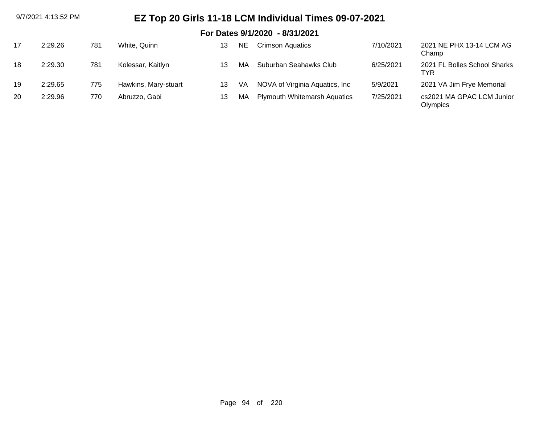| 9/7/2021 4:13:52 PM            |         |     | EZ Top 20 Girls 11-18 LCM Individual Times 09-07-2021 |    |           |                                     |           |                                       |  |  |  |  |  |
|--------------------------------|---------|-----|-------------------------------------------------------|----|-----------|-------------------------------------|-----------|---------------------------------------|--|--|--|--|--|
| For Dates 9/1/2020 - 8/31/2021 |         |     |                                                       |    |           |                                     |           |                                       |  |  |  |  |  |
| 17                             | 2:29.26 | 781 | White, Quinn                                          | 13 | <b>NE</b> | <b>Crimson Aquatics</b>             | 7/10/2021 | 2021 NE PHX 13-14 LCM AG<br>Champ     |  |  |  |  |  |
| 18                             | 2:29.30 | 781 | Kolessar, Kaitlyn                                     | 13 | МA        | Suburban Seahawks Club              | 6/25/2021 | 2021 FL Bolles School Sharks<br>TYR.  |  |  |  |  |  |
| 19                             | 2:29.65 | 775 | Hawkins, Mary-stuart                                  | 13 | VA        | NOVA of Virginia Aquatics, Inc.     | 5/9/2021  | 2021 VA Jim Frye Memorial             |  |  |  |  |  |
| 20                             | 2:29.96 | 770 | Abruzzo, Gabi                                         | 13 | MA        | <b>Plymouth Whitemarsh Aquatics</b> | 7/25/2021 | cs2021 MA GPAC LCM Junior<br>Olympics |  |  |  |  |  |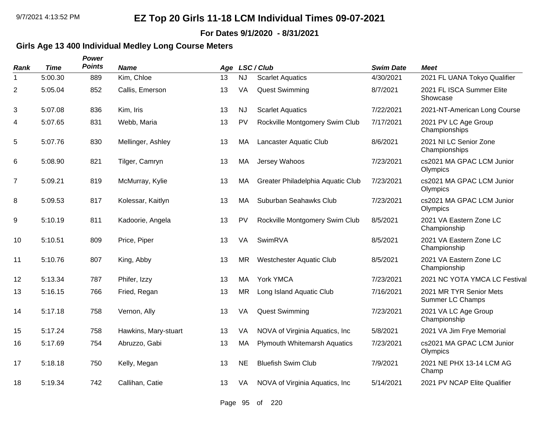**For Dates 9/1/2020 - 8/31/2021**

### **Girls Age 13 400 Individual Medley Long Course Meters**

| Rank           | <b>Time</b> | Power<br><b>Points</b> | <b>Name</b>          | Age |           | LSC / Club                          | <b>Swim Date</b> | <b>Meet</b>                                        |
|----------------|-------------|------------------------|----------------------|-----|-----------|-------------------------------------|------------------|----------------------------------------------------|
| $\mathbf 1$    | 5:00.30     | 889                    | Kim, Chloe           | 13  | <b>NJ</b> | <b>Scarlet Aquatics</b>             | 4/30/2021        | 2021 FL UANA Tokyo Qualifier                       |
| $\overline{2}$ | 5:05.04     | 852                    | Callis, Emerson      | 13  | VA        | <b>Quest Swimming</b>               | 8/7/2021         | 2021 FL ISCA Summer Elite<br>Showcase              |
| 3              | 5:07.08     | 836                    | Kim, Iris            | 13  | <b>NJ</b> | <b>Scarlet Aquatics</b>             | 7/22/2021        | 2021-NT-American Long Course                       |
| 4              | 5:07.65     | 831                    | Webb, Maria          | 13  | PV        | Rockville Montgomery Swim Club      | 7/17/2021        | 2021 PV LC Age Group<br>Championships              |
| 5              | 5:07.76     | 830                    | Mellinger, Ashley    | 13  | MA        | Lancaster Aquatic Club              | 8/6/2021         | 2021 NI LC Senior Zone<br>Championships            |
| 6              | 5:08.90     | 821                    | Tilger, Camryn       | 13  | MA        | Jersey Wahoos                       | 7/23/2021        | cs2021 MA GPAC LCM Junior<br>Olympics              |
| $\overline{7}$ | 5:09.21     | 819                    | McMurray, Kylie      | 13  | MA        | Greater Philadelphia Aquatic Club   | 7/23/2021        | cs2021 MA GPAC LCM Junior<br>Olympics              |
| 8              | 5:09.53     | 817                    | Kolessar, Kaitlyn    | 13  | MA        | Suburban Seahawks Club              | 7/23/2021        | cs2021 MA GPAC LCM Junior<br>Olympics              |
| 9              | 5:10.19     | 811                    | Kadoorie, Angela     | 13  | PV        | Rockville Montgomery Swim Club      | 8/5/2021         | 2021 VA Eastern Zone LC<br>Championship            |
| 10             | 5:10.51     | 809                    | Price, Piper         | 13  | VA        | SwimRVA                             | 8/5/2021         | 2021 VA Eastern Zone LC<br>Championship            |
| 11             | 5:10.76     | 807                    | King, Abby           | 13  | <b>MR</b> | <b>Westchester Aquatic Club</b>     | 8/5/2021         | 2021 VA Eastern Zone LC<br>Championship            |
| 12             | 5:13.34     | 787                    | Phifer, Izzy         | 13  | MA        | York YMCA                           | 7/23/2021        | 2021 NC YOTA YMCA LC Festival                      |
| 13             | 5:16.15     | 766                    | Fried, Regan         | 13  | <b>MR</b> | Long Island Aquatic Club            | 7/16/2021        | 2021 MR TYR Senior Mets<br><b>Summer LC Champs</b> |
| 14             | 5:17.18     | 758                    | Vernon, Ally         | 13  | VA        | <b>Quest Swimming</b>               | 7/23/2021        | 2021 VA LC Age Group<br>Championship               |
| 15             | 5:17.24     | 758                    | Hawkins, Mary-stuart | 13  | VA        | NOVA of Virginia Aquatics, Inc.     | 5/8/2021         | 2021 VA Jim Frye Memorial                          |
| 16             | 5:17.69     | 754                    | Abruzzo, Gabi        | 13  | MA        | <b>Plymouth Whitemarsh Aquatics</b> | 7/23/2021        | cs2021 MA GPAC LCM Junior<br>Olympics              |
| 17             | 5:18.18     | 750                    | Kelly, Megan         | 13  | <b>NE</b> | <b>Bluefish Swim Club</b>           | 7/9/2021         | 2021 NE PHX 13-14 LCM AG<br>Champ                  |
| 18             | 5:19.34     | 742                    | Callihan, Catie      | 13  | VA        | NOVA of Virginia Aquatics, Inc.     | 5/14/2021        | 2021 PV NCAP Elite Qualifier                       |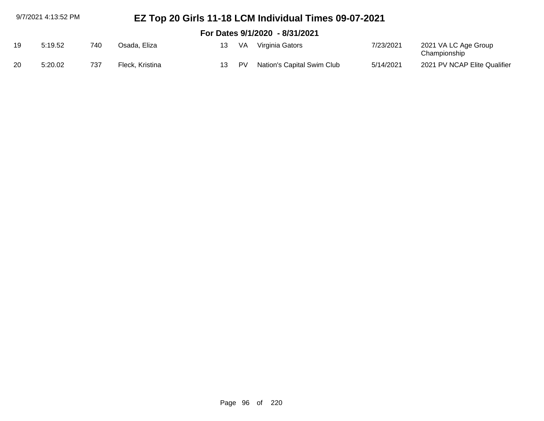| 9/7/2021 4:13:52 PM |                                |     |                 | EZ Top 20 Girls 11-18 LCM Individual Times 09-07-2021 |     |                            |           |                                      |  |  |  |
|---------------------|--------------------------------|-----|-----------------|-------------------------------------------------------|-----|----------------------------|-----------|--------------------------------------|--|--|--|
|                     | For Dates 9/1/2020 - 8/31/2021 |     |                 |                                                       |     |                            |           |                                      |  |  |  |
| 19                  | 5:19.52                        | 740 | Osada, Eliza    | 13.                                                   | VA. | Virginia Gators            | 7/23/2021 | 2021 VA LC Age Group<br>Championship |  |  |  |
| 20                  | 5:20.02                        | 737 | Fleck, Kristina | 13                                                    | PV  | Nation's Capital Swim Club | 5/14/2021 | 2021 PV NCAP Elite Qualifier         |  |  |  |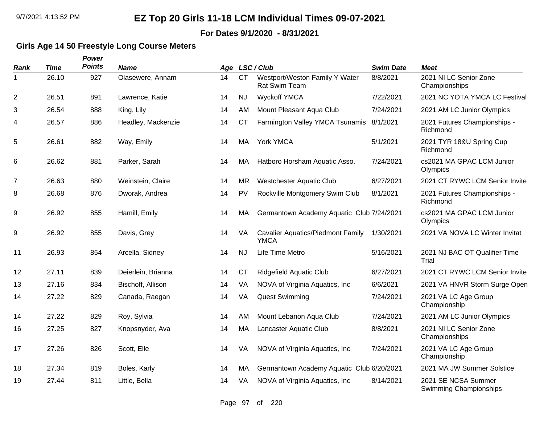#### **For Dates 9/1/2020 - 8/31/2021**

### **Girls Age 14 50 Freestyle Long Course Meters**

| <b>Rank</b>    | <b>Time</b> | Power<br><b>Points</b> | <b>Name</b>        | Age |           | LSC / Club                                              | <b>Swim Date</b> | <b>Meet</b>                                   |
|----------------|-------------|------------------------|--------------------|-----|-----------|---------------------------------------------------------|------------------|-----------------------------------------------|
| 1              | 26.10       | 927                    | Olasewere, Annam   | 14  | <b>CT</b> | Westport/Weston Family Y Water<br>Rat Swim Team         | 8/8/2021         | 2021 NI LC Senior Zone<br>Championships       |
| $\overline{2}$ | 26.51       | 891                    | Lawrence, Katie    | 14  | <b>NJ</b> | <b>Wyckoff YMCA</b>                                     | 7/22/2021        | 2021 NC YOTA YMCA LC Festival                 |
| 3              | 26.54       | 888                    | King, Lily         | 14  | AM        | Mount Pleasant Aqua Club                                | 7/24/2021        | 2021 AM LC Junior Olympics                    |
| 4              | 26.57       | 886                    | Headley, Mackenzie | 14  | <b>CT</b> | Farmington Valley YMCA Tsunamis                         | 8/1/2021         | 2021 Futures Championships -<br>Richmond      |
| 5              | 26.61       | 882                    | Way, Emily         | 14  | MA        | York YMCA                                               | 5/1/2021         | 2021 TYR 18&U Spring Cup<br>Richmond          |
| 6              | 26.62       | 881                    | Parker, Sarah      | 14  | MA        | Hatboro Horsham Aquatic Asso.                           | 7/24/2021        | cs2021 MA GPAC LCM Junior<br>Olympics         |
| $\overline{7}$ | 26.63       | 880                    | Weinstein, Claire  | 14  | <b>MR</b> | <b>Westchester Aquatic Club</b>                         | 6/27/2021        | 2021 CT RYWC LCM Senior Invite                |
| 8              | 26.68       | 876                    | Dworak, Andrea     | 14  | PV        | Rockville Montgomery Swim Club                          | 8/1/2021         | 2021 Futures Championships -<br>Richmond      |
| 9              | 26.92       | 855                    | Hamill, Emily      | 14  | МA        | Germantown Academy Aquatic Club 7/24/2021               |                  | cs2021 MA GPAC LCM Junior<br>Olympics         |
| 9              | 26.92       | 855                    | Davis, Grey        | 14  | VA        | <b>Cavalier Aquatics/Piedmont Family</b><br><b>YMCA</b> | 1/30/2021        | 2021 VA NOVA LC Winter Invitat                |
| 11             | 26.93       | 854                    | Arcella, Sidney    | 14  | <b>NJ</b> | Life Time Metro                                         | 5/16/2021        | 2021 NJ BAC OT Qualifier Time<br>Trial        |
| 12             | 27.11       | 839                    | Deierlein, Brianna | 14  | <b>CT</b> | <b>Ridgefield Aquatic Club</b>                          | 6/27/2021        | 2021 CT RYWC LCM Senior Invite                |
| 13             | 27.16       | 834                    | Bischoff, Allison  | 14  | VA        | NOVA of Virginia Aquatics, Inc.                         | 6/6/2021         | 2021 VA HNVR Storm Surge Open                 |
| 14             | 27.22       | 829                    | Canada, Raegan     | 14  | VA        | <b>Quest Swimming</b>                                   | 7/24/2021        | 2021 VA LC Age Group<br>Championship          |
| 14             | 27.22       | 829                    | Roy, Sylvia        | 14  | AM        | Mount Lebanon Aqua Club                                 | 7/24/2021        | 2021 AM LC Junior Olympics                    |
| 16             | 27.25       | 827                    | Knopsnyder, Ava    | 14  | MA        | Lancaster Aquatic Club                                  | 8/8/2021         | 2021 NI LC Senior Zone<br>Championships       |
| 17             | 27.26       | 826                    | Scott, Elle        | 14  | VA        | NOVA of Virginia Aquatics, Inc.                         | 7/24/2021        | 2021 VA LC Age Group<br>Championship          |
| 18             | 27.34       | 819                    | Boles, Karly       | 14  | МA        | Germantown Academy Aquatic Club 6/20/2021               |                  | 2021 MA JW Summer Solstice                    |
| 19             | 27.44       | 811                    | Little, Bella      | 14  | VA        | NOVA of Virginia Aquatics, Inc.                         | 8/14/2021        | 2021 SE NCSA Summer<br>Swimming Championships |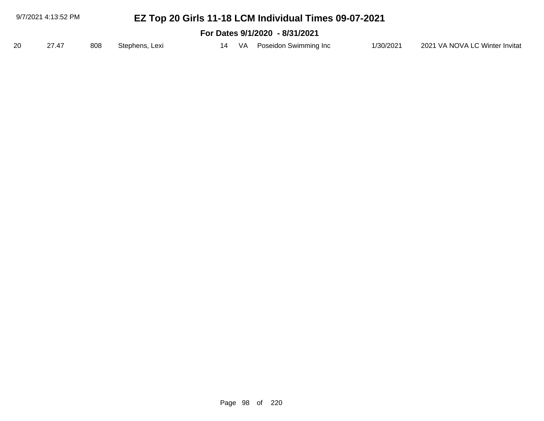| 9/7/2021 4:13:52 PM<br>EZ Top 20 Girls 11-18 LCM Individual Times 09-07-2021 |                                |     |                |  |  |  |                             |           |                                |  |
|------------------------------------------------------------------------------|--------------------------------|-----|----------------|--|--|--|-----------------------------|-----------|--------------------------------|--|
|                                                                              | For Dates 9/1/2020 - 8/31/2021 |     |                |  |  |  |                             |           |                                |  |
| 20                                                                           | 27.47                          | 808 | Stephens, Lexi |  |  |  | 14 VA Poseidon Swimming Inc | 1/30/2021 | 2021 VA NOVA LC Winter Invitat |  |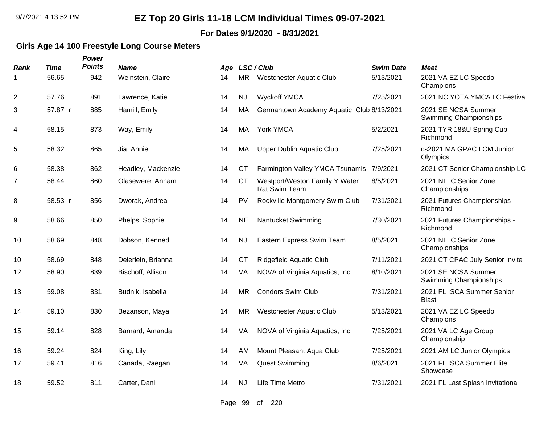**For Dates 9/1/2020 - 8/31/2021**

### **Girls Age 14 100 Freestyle Long Course Meters**

| <b>Rank</b>    | <b>Time</b> | <b>Points</b> | <b>Name</b>        | Age |           | LSC / Club                                      | <b>Swim Date</b> | <b>Meet</b>                                   |
|----------------|-------------|---------------|--------------------|-----|-----------|-------------------------------------------------|------------------|-----------------------------------------------|
| 1              | 56.65       | 942           | Weinstein, Claire  | 14  | <b>MR</b> | <b>Westchester Aquatic Club</b>                 | 5/13/2021        | 2021 VA EZ LC Speedo<br>Champions             |
| $\overline{2}$ | 57.76       | 891           | Lawrence, Katie    | 14  | <b>NJ</b> | <b>Wyckoff YMCA</b>                             | 7/25/2021        | 2021 NC YOTA YMCA LC Festival                 |
| 3              | 57.87 r     | 885           | Hamill, Emily      | 14  | MA        | Germantown Academy Aquatic Club 8/13/2021       |                  | 2021 SE NCSA Summer<br>Swimming Championships |
| 4              | 58.15       | 873           | Way, Emily         | 14  | MA        | York YMCA                                       | 5/2/2021         | 2021 TYR 18&U Spring Cup<br>Richmond          |
| 5              | 58.32       | 865           | Jia, Annie         | 14  | МA        | <b>Upper Dublin Aquatic Club</b>                | 7/25/2021        | cs2021 MA GPAC LCM Junior<br>Olympics         |
| 6              | 58.38       | 862           | Headley, Mackenzie | 14  | <b>CT</b> | Farmington Valley YMCA Tsunamis 7/9/2021        |                  | 2021 CT Senior Championship LC                |
| $\overline{7}$ | 58.44       | 860           | Olasewere, Annam   | 14  | <b>CT</b> | Westport/Weston Family Y Water<br>Rat Swim Team | 8/5/2021         | 2021 NI LC Senior Zone<br>Championships       |
| 8              | 58.53 r     | 856           | Dworak, Andrea     | 14  | PV        | Rockville Montgomery Swim Club                  | 7/31/2021        | 2021 Futures Championships -<br>Richmond      |
| 9              | 58.66       | 850           | Phelps, Sophie     | 14  | <b>NE</b> | <b>Nantucket Swimming</b>                       | 7/30/2021        | 2021 Futures Championships -<br>Richmond      |
| 10             | 58.69       | 848           | Dobson, Kennedi    | 14  | <b>NJ</b> | Eastern Express Swim Team                       | 8/5/2021         | 2021 NI LC Senior Zone<br>Championships       |
| 10             | 58.69       | 848           | Deierlein, Brianna | 14  | <b>CT</b> | Ridgefield Aquatic Club                         | 7/11/2021        | 2021 CT CPAC July Senior Invite               |
| 12             | 58.90       | 839           | Bischoff, Allison  | 14  | VA        | NOVA of Virginia Aquatics, Inc.                 | 8/10/2021        | 2021 SE NCSA Summer<br>Swimming Championships |
| 13             | 59.08       | 831           | Budnik, Isabella   | 14  | <b>MR</b> | <b>Condors Swim Club</b>                        | 7/31/2021        | 2021 FL ISCA Summer Senior<br><b>Blast</b>    |
| 14             | 59.10       | 830           | Bezanson, Maya     | 14  | <b>MR</b> | <b>Westchester Aquatic Club</b>                 | 5/13/2021        | 2021 VA EZ LC Speedo<br>Champions             |
| 15             | 59.14       | 828           | Barnard, Amanda    | 14  | VA        | NOVA of Virginia Aquatics, Inc.                 | 7/25/2021        | 2021 VA LC Age Group<br>Championship          |
| 16             | 59.24       | 824           | King, Lily         | 14  | AM        | Mount Pleasant Aqua Club                        | 7/25/2021        | 2021 AM LC Junior Olympics                    |
| 17             | 59.41       | 816           | Canada, Raegan     | 14  | VA        | <b>Quest Swimming</b>                           | 8/6/2021         | 2021 FL ISCA Summer Elite<br>Showcase         |
| 18             | 59.52       | 811           | Carter, Dani       | 14  | <b>NJ</b> | Life Time Metro                                 | 7/31/2021        | 2021 FL Last Splash Invitational              |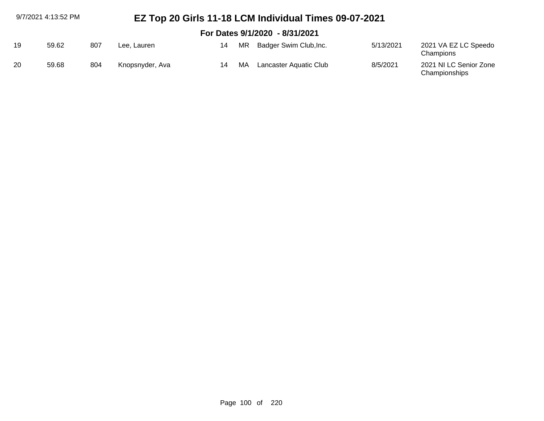| 9/7/2021 4:13:52 PM |                                |     | EZ Top 20 Girls 11-18 LCM Individual Times 09-07-2021 |    |     |                        |           |                                         |  |  |  |  |  |
|---------------------|--------------------------------|-----|-------------------------------------------------------|----|-----|------------------------|-----------|-----------------------------------------|--|--|--|--|--|
|                     | For Dates 9/1/2020 - 8/31/2021 |     |                                                       |    |     |                        |           |                                         |  |  |  |  |  |
| 19                  | 59.62                          | 807 | Lee, Lauren                                           | 14 | MR. | Badger Swim Club, Inc. | 5/13/2021 | 2021 VA EZ LC Speedo<br>Champions       |  |  |  |  |  |
| 20                  | 59.68                          | 804 | Knopsnyder, Ava                                       | 14 | MA  | Lancaster Aquatic Club | 8/5/2021  | 2021 NI LC Senior Zone<br>Championships |  |  |  |  |  |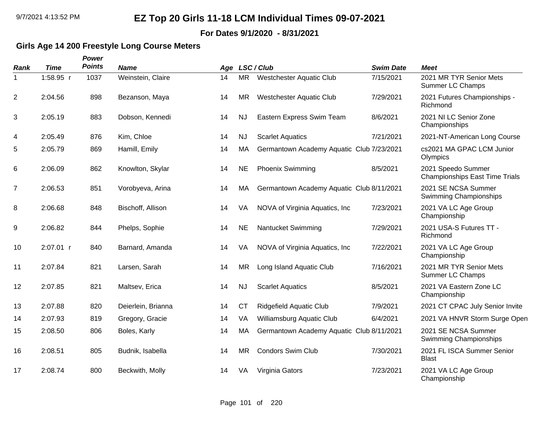**For Dates 9/1/2020 - 8/31/2021**

### **Girls Age 14 200 Freestyle Long Course Meters**

| Rank           | <b>Time</b> | Power<br><b>Points</b> | <b>Name</b>        |    |           | Age LSC/Club                              | <b>Swim Date</b> | <b>Meet</b>                                                 |
|----------------|-------------|------------------------|--------------------|----|-----------|-------------------------------------------|------------------|-------------------------------------------------------------|
| -1             | 1:58.95 r   | 1037                   | Weinstein, Claire  | 14 | <b>MR</b> | Westchester Aquatic Club                  | 7/15/2021        | 2021 MR TYR Senior Mets<br><b>Summer LC Champs</b>          |
| $\overline{c}$ | 2:04.56     | 898                    | Bezanson, Maya     | 14 | <b>MR</b> | <b>Westchester Aquatic Club</b>           | 7/29/2021        | 2021 Futures Championships -<br>Richmond                    |
| 3              | 2:05.19     | 883                    | Dobson, Kennedi    | 14 | <b>NJ</b> | Eastern Express Swim Team                 | 8/6/2021         | 2021 NI LC Senior Zone<br>Championships                     |
| 4              | 2:05.49     | 876                    | Kim, Chloe         | 14 | <b>NJ</b> | <b>Scarlet Aquatics</b>                   | 7/21/2021        | 2021-NT-American Long Course                                |
| 5              | 2:05.79     | 869                    | Hamill, Emily      | 14 | MA        | Germantown Academy Aquatic Club 7/23/2021 |                  | cs2021 MA GPAC LCM Junior<br>Olympics                       |
| 6              | 2:06.09     | 862                    | Knowlton, Skylar   | 14 | <b>NE</b> | <b>Phoenix Swimming</b>                   | 8/5/2021         | 2021 Speedo Summer<br><b>Championships East Time Trials</b> |
| 7              | 2:06.53     | 851                    | Vorobyeva, Arina   | 14 | MA        | Germantown Academy Aquatic Club 8/11/2021 |                  | 2021 SE NCSA Summer<br>Swimming Championships               |
| 8              | 2:06.68     | 848                    | Bischoff, Allison  | 14 | VA        | NOVA of Virginia Aquatics, Inc.           | 7/23/2021        | 2021 VA LC Age Group<br>Championship                        |
| 9              | 2:06.82     | 844                    | Phelps, Sophie     | 14 | <b>NE</b> | <b>Nantucket Swimming</b>                 | 7/29/2021        | 2021 USA-S Futures TT -<br>Richmond                         |
| 10             | 2:07.01 r   | 840                    | Barnard, Amanda    | 14 | VA        | NOVA of Virginia Aquatics, Inc.           | 7/22/2021        | 2021 VA LC Age Group<br>Championship                        |
| 11             | 2:07.84     | 821                    | Larsen, Sarah      | 14 | <b>MR</b> | Long Island Aquatic Club                  | 7/16/2021        | 2021 MR TYR Senior Mets<br>Summer LC Champs                 |
| 12             | 2:07.85     | 821                    | Maltsev, Erica     | 14 | <b>NJ</b> | <b>Scarlet Aquatics</b>                   | 8/5/2021         | 2021 VA Eastern Zone LC<br>Championship                     |
| 13             | 2:07.88     | 820                    | Deierlein, Brianna | 14 | <b>CT</b> | <b>Ridgefield Aquatic Club</b>            | 7/9/2021         | 2021 CT CPAC July Senior Invite                             |
| 14             | 2:07.93     | 819                    | Gregory, Gracie    | 14 | VA        | Williamsburg Aquatic Club                 | 6/4/2021         | 2021 VA HNVR Storm Surge Open                               |
| 15             | 2:08.50     | 806                    | Boles, Karly       | 14 | MA        | Germantown Academy Aquatic Club 8/11/2021 |                  | 2021 SE NCSA Summer<br>Swimming Championships               |
| 16             | 2:08.51     | 805                    | Budnik, Isabella   | 14 | <b>MR</b> | <b>Condors Swim Club</b>                  | 7/30/2021        | 2021 FL ISCA Summer Senior<br><b>Blast</b>                  |
| 17             | 2:08.74     | 800                    | Beckwith, Molly    | 14 | VA        | Virginia Gators                           | 7/23/2021        | 2021 VA LC Age Group<br>Championship                        |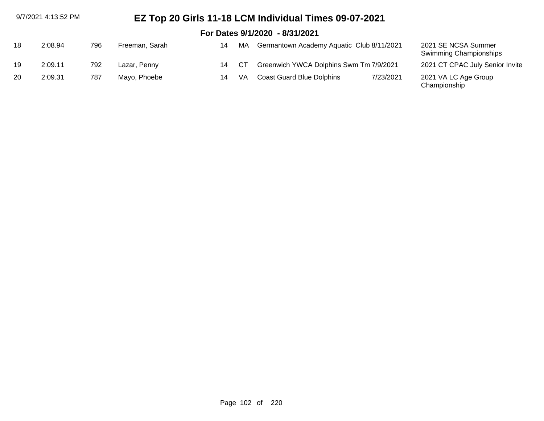| 9/7/2021 4:13:52 PM |         |     | EZ Top 20 Girls 11-18 LCM Individual Times 09-07-2021 |    |     |                                           |           |                                               |  |  |  |  |  |
|---------------------|---------|-----|-------------------------------------------------------|----|-----|-------------------------------------------|-----------|-----------------------------------------------|--|--|--|--|--|
|                     |         |     |                                                       |    |     | For Dates 9/1/2020 - 8/31/2021            |           |                                               |  |  |  |  |  |
| 18                  | 2:08.94 | 796 | Freeman, Sarah                                        | 14 | MA  | Germantown Academy Aquatic Club 8/11/2021 |           | 2021 SE NCSA Summer<br>Swimming Championships |  |  |  |  |  |
| 19                  | 2:09.11 | 792 | Lazar, Penny                                          | 14 | -CT | Greenwich YWCA Dolphins Swm Tm 7/9/2021   |           | 2021 CT CPAC July Senior Invite               |  |  |  |  |  |
| 20                  | 2:09.31 | 787 | Mayo, Phoebe                                          | 14 | VA  | <b>Coast Guard Blue Dolphins</b>          | 7/23/2021 | 2021 VA LC Age Group<br>Championship          |  |  |  |  |  |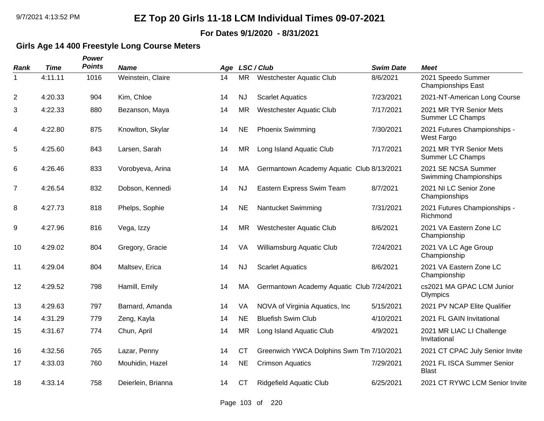**For Dates 9/1/2020 - 8/31/2021**

### **Girls Age 14 400 Freestyle Long Course Meters**

| <b>Rank</b>    | <b>Time</b> | Power<br><b>Points</b> | <b>Name</b>        | Age |           | LSC/Club                                  | <b>Swim Date</b> | <b>Meet</b>                                        |
|----------------|-------------|------------------------|--------------------|-----|-----------|-------------------------------------------|------------------|----------------------------------------------------|
| 1              | 4:11.11     | 1016                   | Weinstein, Claire  | 14  | <b>MR</b> | <b>Westchester Aquatic Club</b>           | 8/6/2021         | 2021 Speedo Summer<br><b>Championships East</b>    |
| 2              | 4:20.33     | 904                    | Kim, Chloe         | 14  | <b>NJ</b> | <b>Scarlet Aquatics</b>                   | 7/23/2021        | 2021-NT-American Long Course                       |
| 3              | 4:22.33     | 880                    | Bezanson, Maya     | 14  | <b>MR</b> | <b>Westchester Aquatic Club</b>           | 7/17/2021        | 2021 MR TYR Senior Mets<br><b>Summer LC Champs</b> |
| 4              | 4:22.80     | 875                    | Knowlton, Skylar   | 14  | <b>NE</b> | <b>Phoenix Swimming</b>                   | 7/30/2021        | 2021 Futures Championships -<br>West Fargo         |
| 5              | 4:25.60     | 843                    | Larsen, Sarah      | 14  | <b>MR</b> | Long Island Aquatic Club                  | 7/17/2021        | 2021 MR TYR Senior Mets<br><b>Summer LC Champs</b> |
| 6              | 4:26.46     | 833                    | Vorobyeva, Arina   | 14  | MA        | Germantown Academy Aquatic Club 8/13/2021 |                  | 2021 SE NCSA Summer<br>Swimming Championships      |
| $\overline{7}$ | 4:26.54     | 832                    | Dobson, Kennedi    | 14  | <b>NJ</b> | Eastern Express Swim Team                 | 8/7/2021         | 2021 NI LC Senior Zone<br>Championships            |
| 8              | 4:27.73     | 818                    | Phelps, Sophie     | 14  | <b>NE</b> | <b>Nantucket Swimming</b>                 | 7/31/2021        | 2021 Futures Championships -<br>Richmond           |
| 9              | 4:27.96     | 816                    | Vega, Izzy         | 14  | <b>MR</b> | Westchester Aquatic Club                  | 8/6/2021         | 2021 VA Eastern Zone LC<br>Championship            |
| 10             | 4:29.02     | 804                    | Gregory, Gracie    | 14  | VA        | Williamsburg Aquatic Club                 | 7/24/2021        | 2021 VA LC Age Group<br>Championship               |
| 11             | 4:29.04     | 804                    | Maltsev, Erica     | 14  | <b>NJ</b> | <b>Scarlet Aquatics</b>                   | 8/6/2021         | 2021 VA Eastern Zone LC<br>Championship            |
| 12             | 4:29.52     | 798                    | Hamill, Emily      | 14  | MA        | Germantown Academy Aquatic Club 7/24/2021 |                  | cs2021 MA GPAC LCM Junior<br>Olympics              |
| 13             | 4:29.63     | 797                    | Barnard, Amanda    | 14  | VA        | NOVA of Virginia Aquatics, Inc.           | 5/15/2021        | 2021 PV NCAP Elite Qualifier                       |
| 14             | 4:31.29     | 779                    | Zeng, Kayla        | 14  | <b>NE</b> | <b>Bluefish Swim Club</b>                 | 4/10/2021        | 2021 FL GAIN Invitational                          |
| 15             | 4:31.67     | 774                    | Chun, April        | 14  | <b>MR</b> | Long Island Aquatic Club                  | 4/9/2021         | 2021 MR LIAC LI Challenge<br>Invitational          |
| 16             | 4:32.56     | 765                    | Lazar, Penny       | 14  | <b>CT</b> | Greenwich YWCA Dolphins Swm Tm 7/10/2021  |                  | 2021 CT CPAC July Senior Invite                    |
| 17             | 4:33.03     | 760                    | Mouhidin, Hazel    | 14  | <b>NE</b> | <b>Crimson Aquatics</b>                   | 7/29/2021        | 2021 FL ISCA Summer Senior<br><b>Blast</b>         |
| 18             | 4:33.14     | 758                    | Deierlein, Brianna | 14  | <b>CT</b> | <b>Ridgefield Aquatic Club</b>            | 6/25/2021        | 2021 CT RYWC LCM Senior Invite                     |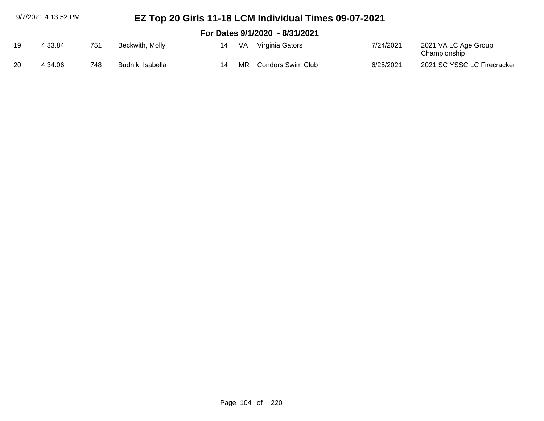|    | 9/7/2021 4:13:52 PM            |     |                  | EZ Top 20 Girls 11-18 LCM Individual Times 09-07-2021 |       |                   |           |                                      |  |  |  |  |  |
|----|--------------------------------|-----|------------------|-------------------------------------------------------|-------|-------------------|-----------|--------------------------------------|--|--|--|--|--|
|    | For Dates 9/1/2020 - 8/31/2021 |     |                  |                                                       |       |                   |           |                                      |  |  |  |  |  |
| 19 | 4:33.84                        | 751 | Beckwith, Molly  |                                                       | 14 VA | Virginia Gators   | 7/24/2021 | 2021 VA LC Age Group<br>Championship |  |  |  |  |  |
| 20 | 4:34.06                        | 748 | Budnik, Isabella |                                                       | MR    | Condors Swim Club | 6/25/2021 | 2021 SC YSSC LC Firecracker          |  |  |  |  |  |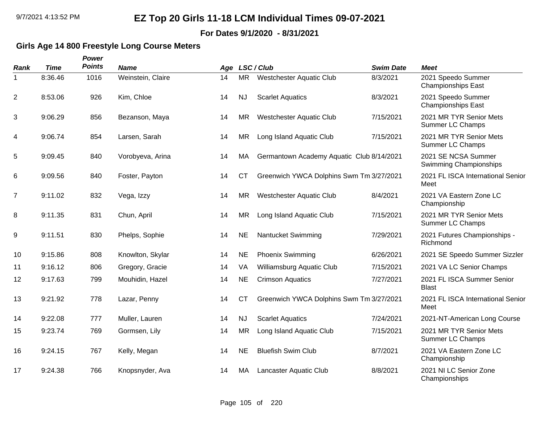**For Dates 9/1/2020 - 8/31/2021**

### **Girls Age 14 800 Freestyle Long Course Meters**

| Rank           | <b>Time</b> | <b>Points</b> | <b>Name</b>       |    |           | Age LSC/Club                              | <b>Swim Date</b> | <b>Meet</b>                                        |
|----------------|-------------|---------------|-------------------|----|-----------|-------------------------------------------|------------------|----------------------------------------------------|
| $\mathbf 1$    | 8:36.46     | 1016          | Weinstein, Claire | 14 | <b>MR</b> | <b>Westchester Aquatic Club</b>           | 8/3/2021         | 2021 Speedo Summer<br><b>Championships East</b>    |
| 2              | 8:53.06     | 926           | Kim, Chloe        | 14 | <b>NJ</b> | <b>Scarlet Aquatics</b>                   | 8/3/2021         | 2021 Speedo Summer<br><b>Championships East</b>    |
| 3              | 9:06.29     | 856           | Bezanson, Maya    | 14 | <b>MR</b> | <b>Westchester Aquatic Club</b>           | 7/15/2021        | 2021 MR TYR Senior Mets<br><b>Summer LC Champs</b> |
| 4              | 9:06.74     | 854           | Larsen, Sarah     | 14 | <b>MR</b> | Long Island Aquatic Club                  | 7/15/2021        | 2021 MR TYR Senior Mets<br>Summer LC Champs        |
| 5              | 9:09.45     | 840           | Vorobyeva, Arina  | 14 | МA        | Germantown Academy Aquatic Club 8/14/2021 |                  | 2021 SE NCSA Summer<br>Swimming Championships      |
| 6              | 9:09.56     | 840           | Foster, Payton    | 14 | <b>CT</b> | Greenwich YWCA Dolphins Swm Tm 3/27/2021  |                  | 2021 FL ISCA International Senior<br>Meet          |
| $\overline{7}$ | 9:11.02     | 832           | Vega, Izzy        | 14 | <b>MR</b> | <b>Westchester Aquatic Club</b>           | 8/4/2021         | 2021 VA Eastern Zone LC<br>Championship            |
| 8              | 9:11.35     | 831           | Chun, April       | 14 | <b>MR</b> | Long Island Aquatic Club                  | 7/15/2021        | 2021 MR TYR Senior Mets<br><b>Summer LC Champs</b> |
| 9              | 9:11.51     | 830           | Phelps, Sophie    | 14 | <b>NE</b> | <b>Nantucket Swimming</b>                 | 7/29/2021        | 2021 Futures Championships -<br>Richmond           |
| 10             | 9:15.86     | 808           | Knowlton, Skylar  | 14 | <b>NE</b> | <b>Phoenix Swimming</b>                   | 6/26/2021        | 2021 SE Speedo Summer Sizzler                      |
| 11             | 9:16.12     | 806           | Gregory, Gracie   | 14 | VA        | Williamsburg Aquatic Club                 | 7/15/2021        | 2021 VA LC Senior Champs                           |
| 12             | 9:17.63     | 799           | Mouhidin, Hazel   | 14 | <b>NE</b> | <b>Crimson Aquatics</b>                   | 7/27/2021        | 2021 FL ISCA Summer Senior<br><b>Blast</b>         |
| 13             | 9:21.92     | 778           | Lazar, Penny      | 14 | <b>CT</b> | Greenwich YWCA Dolphins Swm Tm 3/27/2021  |                  | 2021 FL ISCA International Senior<br>Meet          |
| 14             | 9:22.08     | 777           | Muller, Lauren    | 14 | <b>NJ</b> | <b>Scarlet Aquatics</b>                   | 7/24/2021        | 2021-NT-American Long Course                       |
| 15             | 9:23.74     | 769           | Gormsen, Lily     | 14 | <b>MR</b> | Long Island Aquatic Club                  | 7/15/2021        | 2021 MR TYR Senior Mets<br><b>Summer LC Champs</b> |
| 16             | 9:24.15     | 767           | Kelly, Megan      | 14 | <b>NE</b> | <b>Bluefish Swim Club</b>                 | 8/7/2021         | 2021 VA Eastern Zone LC<br>Championship            |
| 17             | 9:24.38     | 766           | Knopsnyder, Ava   | 14 | MA        | Lancaster Aquatic Club                    | 8/8/2021         | 2021 NI LC Senior Zone<br>Championships            |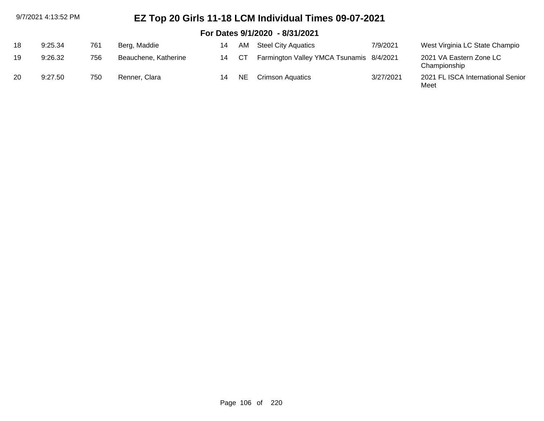| 9/7/2021 4:13:52 PM |                                |     |                      | EZ Top 20 Girls 11-18 LCM Individual Times 09-07-2021 |     |                                          |           |                                           |  |  |  |  |
|---------------------|--------------------------------|-----|----------------------|-------------------------------------------------------|-----|------------------------------------------|-----------|-------------------------------------------|--|--|--|--|
|                     | For Dates 9/1/2020 - 8/31/2021 |     |                      |                                                       |     |                                          |           |                                           |  |  |  |  |
| 18                  | 9:25.34                        | 761 | Berg, Maddie         | 14                                                    | AM  | <b>Steel City Aquatics</b>               | 7/9/2021  | West Virginia LC State Champio            |  |  |  |  |
| 19                  | 9:26.32                        | 756 | Beauchene, Katherine | 14                                                    | -CT | Farmington Valley YMCA Tsunamis 8/4/2021 |           | 2021 VA Eastern Zone LC<br>Championship   |  |  |  |  |
| 20                  | 9:27.50                        | 750 | Renner, Clara        | 14                                                    | NE. | <b>Crimson Aquatics</b>                  | 3/27/2021 | 2021 FL ISCA International Senior<br>Meet |  |  |  |  |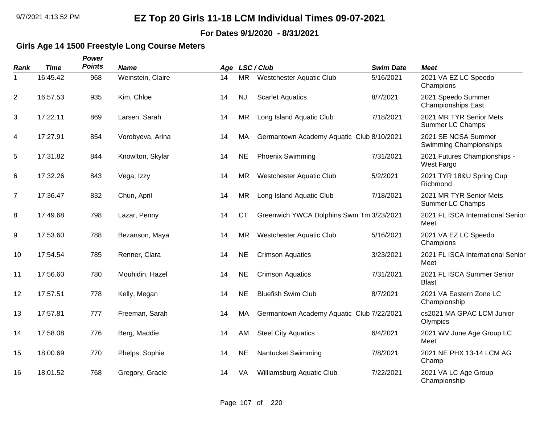**For Dates 9/1/2020 - 8/31/2021**

### **Girls Age 14 1500 Freestyle Long Course Meters**

| Rank           | <b>Time</b> | Power<br><b>Points</b> | <b>Name</b>       |    |           | Age LSC/Club                              | <b>Swim Date</b> | <b>Meet</b>                                        |
|----------------|-------------|------------------------|-------------------|----|-----------|-------------------------------------------|------------------|----------------------------------------------------|
| 1              | 16:45.42    | 968                    | Weinstein, Claire | 14 | <b>MR</b> | <b>Westchester Aquatic Club</b>           | 5/16/2021        | 2021 VA EZ LC Speedo<br>Champions                  |
| $\overline{2}$ | 16:57.53    | 935                    | Kim, Chloe        | 14 | <b>NJ</b> | <b>Scarlet Aquatics</b>                   | 8/7/2021         | 2021 Speedo Summer<br><b>Championships East</b>    |
| 3              | 17:22.11    | 869                    | Larsen, Sarah     | 14 | <b>MR</b> | Long Island Aquatic Club                  | 7/18/2021        | 2021 MR TYR Senior Mets<br><b>Summer LC Champs</b> |
| 4              | 17:27.91    | 854                    | Vorobyeva, Arina  | 14 | MA        | Germantown Academy Aquatic Club 8/10/2021 |                  | 2021 SE NCSA Summer<br>Swimming Championships      |
| 5              | 17:31.82    | 844                    | Knowlton, Skylar  | 14 | <b>NE</b> | <b>Phoenix Swimming</b>                   | 7/31/2021        | 2021 Futures Championships -<br>West Fargo         |
| 6              | 17:32.26    | 843                    | Vega, Izzy        | 14 | <b>MR</b> | <b>Westchester Aquatic Club</b>           | 5/2/2021         | 2021 TYR 18&U Spring Cup<br>Richmond               |
| $\overline{7}$ | 17:36.47    | 832                    | Chun, April       | 14 | <b>MR</b> | Long Island Aquatic Club                  | 7/18/2021        | 2021 MR TYR Senior Mets<br><b>Summer LC Champs</b> |
| 8              | 17:49.68    | 798                    | Lazar, Penny      | 14 | <b>CT</b> | Greenwich YWCA Dolphins Swm Tm 3/23/2021  |                  | 2021 FL ISCA International Senior<br>Meet          |
| 9              | 17:53.60    | 788                    | Bezanson, Maya    | 14 | <b>MR</b> | Westchester Aquatic Club                  | 5/16/2021        | 2021 VA EZ LC Speedo<br>Champions                  |
| 10             | 17:54.54    | 785                    | Renner, Clara     | 14 | <b>NE</b> | <b>Crimson Aquatics</b>                   | 3/23/2021        | 2021 FL ISCA International Senior<br>Meet          |
| 11             | 17:56.60    | 780                    | Mouhidin, Hazel   | 14 | <b>NE</b> | <b>Crimson Aquatics</b>                   | 7/31/2021        | 2021 FL ISCA Summer Senior<br><b>Blast</b>         |
| 12             | 17:57.51    | 778                    | Kelly, Megan      | 14 | <b>NE</b> | <b>Bluefish Swim Club</b>                 | 8/7/2021         | 2021 VA Eastern Zone LC<br>Championship            |
| 13             | 17:57.81    | 777                    | Freeman, Sarah    | 14 | MA        | Germantown Academy Aquatic Club 7/22/2021 |                  | cs2021 MA GPAC LCM Junior<br>Olympics              |
| 14             | 17:58.08    | 776                    | Berg, Maddie      | 14 | AM        | <b>Steel City Aquatics</b>                | 6/4/2021         | 2021 WV June Age Group LC<br>Meet                  |
| 15             | 18:00.69    | 770                    | Phelps, Sophie    | 14 | <b>NE</b> | Nantucket Swimming                        | 7/8/2021         | 2021 NE PHX 13-14 LCM AG<br>Champ                  |
| 16             | 18:01.52    | 768                    | Gregory, Gracie   | 14 | VA        | Williamsburg Aquatic Club                 | 7/22/2021        | 2021 VA LC Age Group<br>Championship               |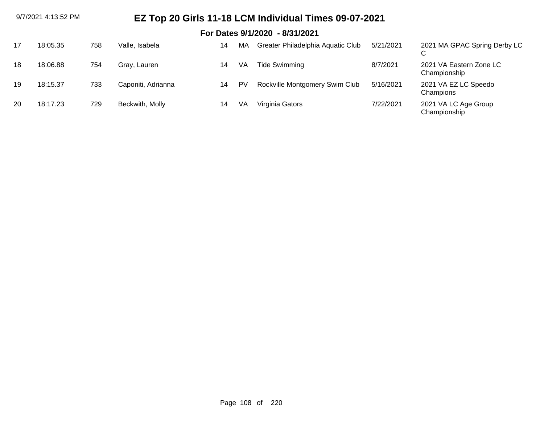| 9/7/2021 4:13:52 PM            |          |     | EZ Top 20 Girls 11-18 LCM Individual Times 09-07-2021 |    |           |                                   |           |                                         |  |  |  |  |  |
|--------------------------------|----------|-----|-------------------------------------------------------|----|-----------|-----------------------------------|-----------|-----------------------------------------|--|--|--|--|--|
| For Dates 9/1/2020 - 8/31/2021 |          |     |                                                       |    |           |                                   |           |                                         |  |  |  |  |  |
| 17                             | 18:05.35 | 758 | Valle, Isabela                                        | 14 | МA        | Greater Philadelphia Aquatic Club | 5/21/2021 | 2021 MA GPAC Spring Derby LC<br>С       |  |  |  |  |  |
| 18                             | 18:06.88 | 754 | Gray, Lauren                                          | 14 | VA        | <b>Tide Swimming</b>              | 8/7/2021  | 2021 VA Eastern Zone LC<br>Championship |  |  |  |  |  |
| 19                             | 18:15.37 | 733 | Caponiti, Adrianna                                    | 14 | <b>PV</b> | Rockville Montgomery Swim Club    | 5/16/2021 | 2021 VA EZ LC Speedo<br>Champions       |  |  |  |  |  |
| 20                             | 18:17.23 | 729 | Beckwith, Molly                                       | 14 | VA        | Virginia Gators                   | 7/22/2021 | 2021 VA LC Age Group<br>Championship    |  |  |  |  |  |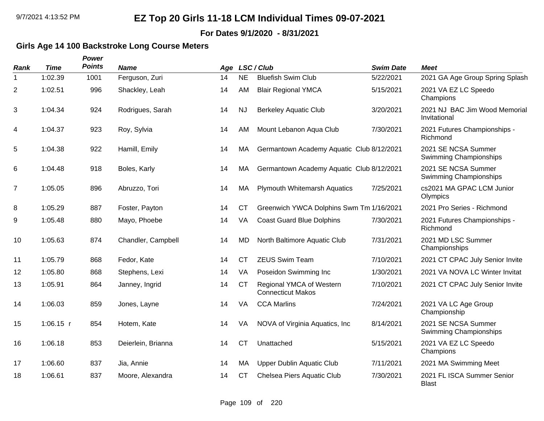**For Dates 9/1/2020 - 8/31/2021**

### **Girls Age 14 100 Backstroke Long Course Meters**

| Rank           | <b>Time</b> | Power<br><b>Points</b> | <b>Name</b>        | Age |           | LSC / Club                                           | <b>Swim Date</b> | <b>Meet</b>                                          |
|----------------|-------------|------------------------|--------------------|-----|-----------|------------------------------------------------------|------------------|------------------------------------------------------|
| $\mathbf 1$    | 1:02.39     | 1001                   | Ferguson, Zuri     | 14  | <b>NE</b> | <b>Bluefish Swim Club</b>                            | 5/22/2021        | 2021 GA Age Group Spring Splash                      |
| $\overline{2}$ | 1:02.51     | 996                    | Shackley, Leah     | 14  | AM        | <b>Blair Regional YMCA</b>                           | 5/15/2021        | 2021 VA EZ LC Speedo<br>Champions                    |
| 3              | 1:04.34     | 924                    | Rodrigues, Sarah   | 14  | <b>NJ</b> | <b>Berkeley Aquatic Club</b>                         | 3/20/2021        | 2021 NJ BAC Jim Wood Memorial<br>Invitational        |
| 4              | 1:04.37     | 923                    | Roy, Sylvia        | 14  | AM        | Mount Lebanon Aqua Club                              | 7/30/2021        | 2021 Futures Championships -<br>Richmond             |
| 5              | 1:04.38     | 922                    | Hamill, Emily      | 14  | MA        | Germantown Academy Aquatic Club 8/12/2021            |                  | 2021 SE NCSA Summer<br>Swimming Championships        |
| 6              | 1:04.48     | 918                    | Boles, Karly       | 14  | MA        | Germantown Academy Aquatic Club 8/12/2021            |                  | 2021 SE NCSA Summer<br><b>Swimming Championships</b> |
| $\overline{7}$ | 1:05.05     | 896                    | Abruzzo, Tori      | 14  | MA        | <b>Plymouth Whitemarsh Aquatics</b>                  | 7/25/2021        | cs2021 MA GPAC LCM Junior<br>Olympics                |
| 8              | 1:05.29     | 887                    | Foster, Payton     | 14  | <b>CT</b> | Greenwich YWCA Dolphins Swm Tm 1/16/2021             |                  | 2021 Pro Series - Richmond                           |
| 9              | 1:05.48     | 880                    | Mayo, Phoebe       | 14  | VA        | <b>Coast Guard Blue Dolphins</b>                     | 7/30/2021        | 2021 Futures Championships -<br>Richmond             |
| 10             | 1:05.63     | 874                    | Chandler, Campbell | 14  | <b>MD</b> | North Baltimore Aquatic Club                         | 7/31/2021        | 2021 MD LSC Summer<br>Championships                  |
| 11             | 1:05.79     | 868                    | Fedor, Kate        | 14  | <b>CT</b> | <b>ZEUS Swim Team</b>                                | 7/10/2021        | 2021 CT CPAC July Senior Invite                      |
| 12             | 1:05.80     | 868                    | Stephens, Lexi     | 14  | VA        | Poseidon Swimming Inc                                | 1/30/2021        | 2021 VA NOVA LC Winter Invitat                       |
| 13             | 1:05.91     | 864                    | Janney, Ingrid     | 14  | <b>CT</b> | Regional YMCA of Western<br><b>Connecticut Makos</b> | 7/10/2021        | 2021 CT CPAC July Senior Invite                      |
| 14             | 1:06.03     | 859                    | Jones, Layne       | 14  | VA        | <b>CCA Marlins</b>                                   | 7/24/2021        | 2021 VA LC Age Group<br>Championship                 |
| 15             | 1:06.15 $r$ | 854                    | Hotem, Kate        | 14  | VA        | NOVA of Virginia Aquatics, Inc.                      | 8/14/2021        | 2021 SE NCSA Summer<br>Swimming Championships        |
| 16             | 1:06.18     | 853                    | Deierlein, Brianna | 14  | <b>CT</b> | Unattached                                           | 5/15/2021        | 2021 VA EZ LC Speedo<br>Champions                    |
| 17             | 1:06.60     | 837                    | Jia, Annie         | 14  | MA        | Upper Dublin Aquatic Club                            | 7/11/2021        | 2021 MA Swimming Meet                                |
| 18             | 1:06.61     | 837                    | Moore, Alexandra   | 14  | <b>CT</b> | Chelsea Piers Aquatic Club                           | 7/30/2021        | 2021 FL ISCA Summer Senior<br><b>Blast</b>           |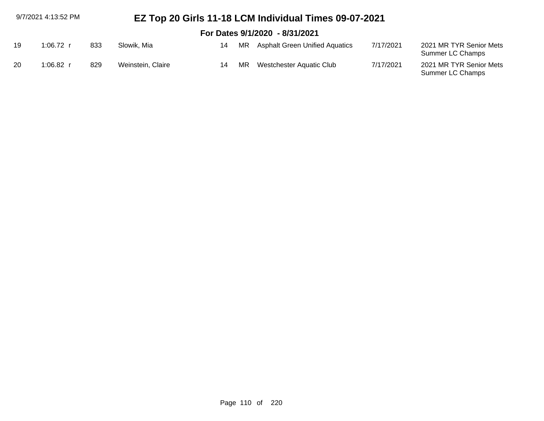| 9/7/2021 4:13:52 PM |                                | EZ Top 20 Girls 11-18 LCM Individual Times 09-07-2021 |                   |    |    |                                       |           |                                             |  |  |  |  |
|---------------------|--------------------------------|-------------------------------------------------------|-------------------|----|----|---------------------------------------|-----------|---------------------------------------------|--|--|--|--|
|                     | For Dates 9/1/2020 - 8/31/2021 |                                                       |                   |    |    |                                       |           |                                             |  |  |  |  |
| 19                  | 1:06.72 $r$                    | 833                                                   | Slowik, Mia       | 14 | MR | <b>Asphalt Green Unified Aquatics</b> | 7/17/2021 | 2021 MR TYR Senior Mets<br>Summer LC Champs |  |  |  |  |
| 20                  | 1:06.82 $r$                    | 829                                                   | Weinstein, Claire | 14 | MR | Westchester Aquatic Club              | 7/17/2021 | 2021 MR TYR Senior Mets<br>Summer LC Champs |  |  |  |  |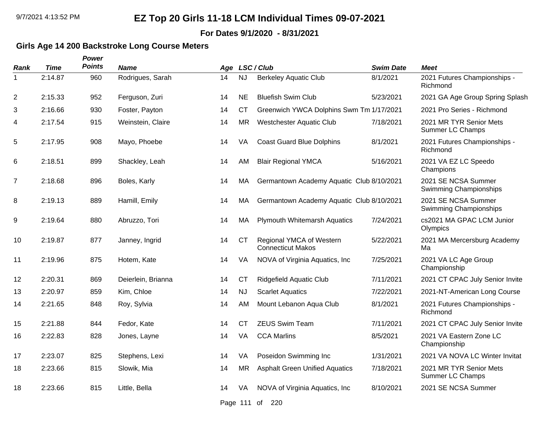**For Dates 9/1/2020 - 8/31/2021**

### **Girls Age 14 200 Backstroke Long Course Meters**

| <b>Rank</b>    | <b>Time</b> | Power<br><b>Points</b> | <b>Name</b>        |    |           | Age LSC/Club                                         | <b>Swim Date</b> | <b>Meet</b>                                   |
|----------------|-------------|------------------------|--------------------|----|-----------|------------------------------------------------------|------------------|-----------------------------------------------|
| 1              | 2:14.87     | 960                    | Rodrigues, Sarah   | 14 | <b>NJ</b> | <b>Berkeley Aquatic Club</b>                         | 8/1/2021         | 2021 Futures Championships -<br>Richmond      |
| $\overline{2}$ | 2:15.33     | 952                    | Ferguson, Zuri     | 14 | <b>NE</b> | <b>Bluefish Swim Club</b>                            | 5/23/2021        | 2021 GA Age Group Spring Splash               |
| 3              | 2:16.66     | 930                    | Foster, Payton     | 14 | <b>CT</b> | Greenwich YWCA Dolphins Swm Tm 1/17/2021             |                  | 2021 Pro Series - Richmond                    |
| 4              | 2:17.54     | 915                    | Weinstein, Claire  | 14 | <b>MR</b> | Westchester Aquatic Club                             | 7/18/2021        | 2021 MR TYR Senior Mets<br>Summer LC Champs   |
| 5              | 2:17.95     | 908                    | Mayo, Phoebe       | 14 | VA        | <b>Coast Guard Blue Dolphins</b>                     | 8/1/2021         | 2021 Futures Championships -<br>Richmond      |
| 6              | 2:18.51     | 899                    | Shackley, Leah     | 14 | AM        | <b>Blair Regional YMCA</b>                           | 5/16/2021        | 2021 VA EZ LC Speedo<br>Champions             |
| $\overline{7}$ | 2:18.68     | 896                    | Boles, Karly       | 14 | MA        | Germantown Academy Aquatic Club 8/10/2021            |                  | 2021 SE NCSA Summer<br>Swimming Championships |
| 8              | 2:19.13     | 889                    | Hamill, Emily      | 14 | MA        | Germantown Academy Aquatic Club 8/10/2021            |                  | 2021 SE NCSA Summer<br>Swimming Championships |
| 9              | 2:19.64     | 880                    | Abruzzo, Tori      | 14 | <b>MA</b> | <b>Plymouth Whitemarsh Aquatics</b>                  | 7/24/2021        | cs2021 MA GPAC LCM Junior<br>Olympics         |
| 10             | 2:19.87     | 877                    | Janney, Ingrid     | 14 | <b>CT</b> | Regional YMCA of Western<br><b>Connecticut Makos</b> | 5/22/2021        | 2021 MA Mercersburg Academy<br>Мa             |
| 11             | 2:19.96     | 875                    | Hotem, Kate        | 14 | VA        | NOVA of Virginia Aquatics, Inc.                      | 7/25/2021        | 2021 VA LC Age Group<br>Championship          |
| 12             | 2:20.31     | 869                    | Deierlein, Brianna | 14 | <b>CT</b> | <b>Ridgefield Aquatic Club</b>                       | 7/11/2021        | 2021 CT CPAC July Senior Invite               |
| 13             | 2:20.97     | 859                    | Kim, Chloe         | 14 | <b>NJ</b> | <b>Scarlet Aquatics</b>                              | 7/22/2021        | 2021-NT-American Long Course                  |
| 14             | 2:21.65     | 848                    | Roy, Sylvia        | 14 | AM        | Mount Lebanon Aqua Club                              | 8/1/2021         | 2021 Futures Championships -<br>Richmond      |
| 15             | 2:21.88     | 844                    | Fedor, Kate        | 14 | <b>CT</b> | <b>ZEUS Swim Team</b>                                | 7/11/2021        | 2021 CT CPAC July Senior Invite               |
| 16             | 2:22.83     | 828                    | Jones, Layne       | 14 | VA        | <b>CCA Marlins</b>                                   | 8/5/2021         | 2021 VA Eastern Zone LC<br>Championship       |
| 17             | 2:23.07     | 825                    | Stephens, Lexi     | 14 | VA        | Poseidon Swimming Inc                                | 1/31/2021        | 2021 VA NOVA LC Winter Invitat                |
| 18             | 2:23.66     | 815                    | Slowik, Mia        | 14 | <b>MR</b> | <b>Asphalt Green Unified Aquatics</b>                | 7/18/2021        | 2021 MR TYR Senior Mets<br>Summer LC Champs   |
| 18             | 2:23.66     | 815                    | Little, Bella      | 14 | VA.       | NOVA of Virginia Aquatics, Inc.                      | 8/10/2021        | 2021 SE NCSA Summer                           |
|                |             |                        |                    |    | Page 111  | of<br>220                                            |                  |                                               |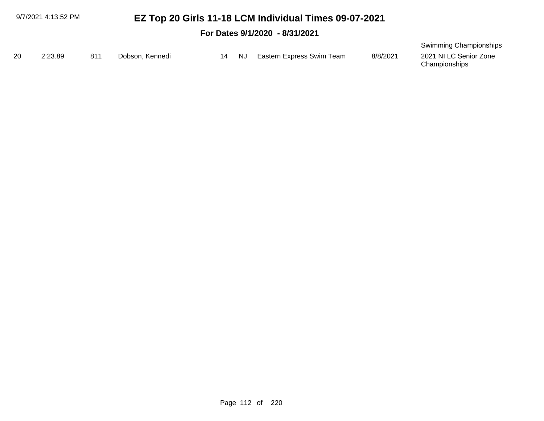#### **For Dates 9/1/2020 - 8/31/2021**

Swimming Championships

| 20 | 2:23.89 | Dobson. Kennedi |  | 14 NJ Eastern Express Swim Team<br>and the contract of the contract of the contract of the contract of the contract of the contract of the contract of | 8/8/2021 | 2021 NI LC Senior Zone |
|----|---------|-----------------|--|--------------------------------------------------------------------------------------------------------------------------------------------------------|----------|------------------------|
|    |         |                 |  |                                                                                                                                                        |          |                        |

Championships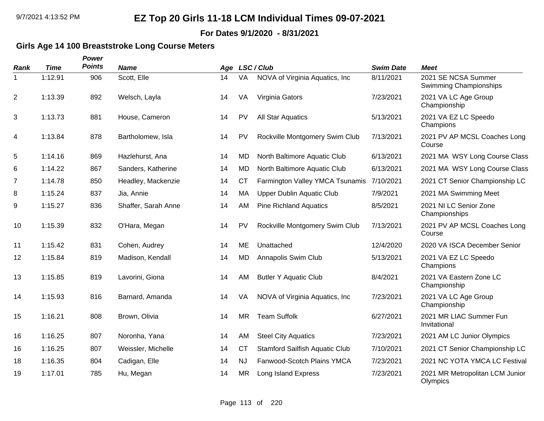**For Dates 9/1/2020 - 8/31/2021**

### **Girls Age 14 100 Breaststroke Long Course Meters**

| Rank        | <b>Time</b> | Power<br><b>Points</b> | <b>Name</b>         |    |           | Age LSC/Club                     | <b>Swim Date</b> | <b>Meet</b>                                   |
|-------------|-------------|------------------------|---------------------|----|-----------|----------------------------------|------------------|-----------------------------------------------|
| $\mathbf 1$ | 1:12.91     | 906                    | Scott, Elle         | 14 | VA        | NOVA of Virginia Aquatics, Inc.  | 8/11/2021        | 2021 SE NCSA Summer<br>Swimming Championships |
| 2           | 1:13.39     | 892                    | Welsch, Layla       | 14 | VA        | Virginia Gators                  | 7/23/2021        | 2021 VA LC Age Group<br>Championship          |
| 3           | 1:13.73     | 881                    | House, Cameron      | 14 | <b>PV</b> | All Star Aquatics                | 5/13/2021        | 2021 VA EZ LC Speedo<br>Champions             |
| 4           | 1:13.84     | 878                    | Bartholomew, Isla   | 14 | PV        | Rockville Montgomery Swim Club   | 7/13/2021        | 2021 PV AP MCSL Coaches Long<br>Course        |
| 5           | 1:14.16     | 869                    | Hazlehurst, Ana     | 14 | <b>MD</b> | North Baltimore Aquatic Club     | 6/13/2021        | 2021 MA WSY Long Course Class                 |
| 6           | 1:14.22     | 867                    | Sanders, Katherine  | 14 | <b>MD</b> | North Baltimore Aquatic Club     | 6/13/2021        | 2021 MA WSY Long Course Class                 |
| 7           | 1:14.78     | 850                    | Headley, Mackenzie  | 14 | <b>CT</b> | Farmington Valley YMCA Tsunamis  | 7/10/2021        | 2021 CT Senior Championship LC                |
| 8           | 1:15.24     | 837                    | Jia, Annie          | 14 | MA        | <b>Upper Dublin Aquatic Club</b> | 7/9/2021         | 2021 MA Swimming Meet                         |
| 9           | 1:15.27     | 836                    | Shaffer, Sarah Anne | 14 | AM        | <b>Pine Richland Aquatics</b>    | 8/5/2021         | 2021 NI LC Senior Zone<br>Championships       |
| 10          | 1:15.39     | 832                    | O'Hara, Megan       | 14 | PV        | Rockville Montgomery Swim Club   | 7/13/2021        | 2021 PV AP MCSL Coaches Long<br>Course        |
| 11          | 1:15.42     | 831                    | Cohen, Audrey       | 14 | ME        | Unattached                       | 12/4/2020        | 2020 VA ISCA December Senior                  |
| 12          | 1:15.84     | 819                    | Madison, Kendall    | 14 | <b>MD</b> | Annapolis Swim Club              | 5/13/2021        | 2021 VA EZ LC Speedo<br>Champions             |
| 13          | 1:15.85     | 819                    | Lavorini, Giona     | 14 | AM        | <b>Butler Y Aquatic Club</b>     | 8/4/2021         | 2021 VA Eastern Zone LC<br>Championship       |
| 14          | 1:15.93     | 816                    | Barnard, Amanda     | 14 | VA        | NOVA of Virginia Aquatics, Inc.  | 7/23/2021        | 2021 VA LC Age Group<br>Championship          |
| 15          | 1:16.21     | 808                    | Brown, Olivia       | 14 | <b>MR</b> | <b>Team Suffolk</b>              | 6/27/2021        | 2021 MR LIAC Summer Fun<br>Invitational       |
| 16          | 1:16.25     | 807                    | Noronha, Yana       | 14 | AM        | <b>Steel City Aquatics</b>       | 7/23/2021        | 2021 AM LC Junior Olympics                    |
| 16          | 1:16.25     | 807                    | Weissler, Michelle  | 14 | <b>CT</b> | Stamford Sailfish Aquatic Club   | 7/10/2021        | 2021 CT Senior Championship LC                |
| 18          | 1:16.35     | 804                    | Cadigan, Elle       | 14 | <b>NJ</b> | Fanwood-Scotch Plains YMCA       | 7/23/2021        | 2021 NC YOTA YMCA LC Festival                 |
| 19          | 1:17.01     | 785                    | Hu, Megan           | 14 | <b>MR</b> | Long Island Express              | 7/23/2021        | 2021 MR Metropolitan LCM Junior<br>Olympics   |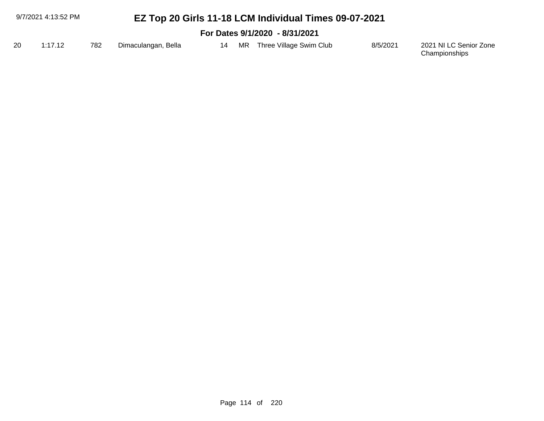|    | 9/7/2021 4:13:52 PM |     | EZ Top 20 Girls 11-18 LCM Individual Times 09-07-2021 |  |  |                                |          |                                         |
|----|---------------------|-----|-------------------------------------------------------|--|--|--------------------------------|----------|-----------------------------------------|
|    |                     |     |                                                       |  |  | For Dates 9/1/2020 - 8/31/2021 |          |                                         |
| 20 | 1:17.12             | 782 | Dimaculangan, Bella                                   |  |  | 14 MR Three Village Swim Club  | 8/5/2021 | 2021 NI LC Senior Zone<br>Championships |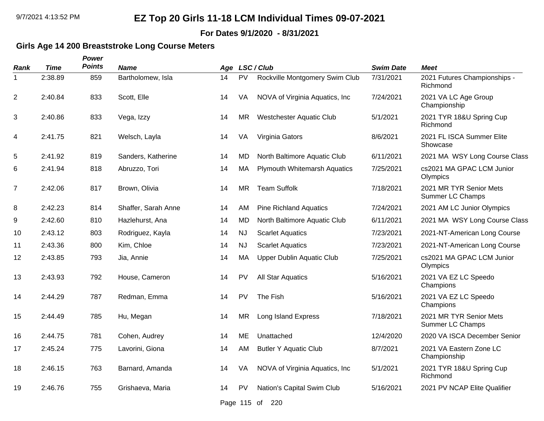**For Dates 9/1/2020 - 8/31/2021**

### **Girls Age 14 200 Breaststroke Long Course Meters**

| <b>Rank</b>    | <b>Time</b> | Power<br><b>Points</b> | <b>Name</b>         |    |             | Age LSC/Club                        | <b>Swim Date</b> | <b>Meet</b>                                        |
|----------------|-------------|------------------------|---------------------|----|-------------|-------------------------------------|------------------|----------------------------------------------------|
| $\mathbf 1$    | 2:38.89     | 859                    | Bartholomew, Isla   | 14 | PV          | Rockville Montgomery Swim Club      | 7/31/2021        | 2021 Futures Championships -<br>Richmond           |
| $\overline{2}$ | 2:40.84     | 833                    | Scott, Elle         | 14 | VA          | NOVA of Virginia Aquatics, Inc.     | 7/24/2021        | 2021 VA LC Age Group<br>Championship               |
| 3              | 2:40.86     | 833                    | Vega, Izzy          | 14 | <b>MR</b>   | <b>Westchester Aquatic Club</b>     | 5/1/2021         | 2021 TYR 18&U Spring Cup<br>Richmond               |
| 4              | 2:41.75     | 821                    | Welsch, Layla       | 14 | VA          | Virginia Gators                     | 8/6/2021         | 2021 FL ISCA Summer Elite<br>Showcase              |
| 5              | 2:41.92     | 819                    | Sanders, Katherine  | 14 | MD          | North Baltimore Aquatic Club        | 6/11/2021        | 2021 MA WSY Long Course Class                      |
| 6              | 2:41.94     | 818                    | Abruzzo, Tori       | 14 | MA          | <b>Plymouth Whitemarsh Aquatics</b> | 7/25/2021        | cs2021 MA GPAC LCM Junior<br>Olympics              |
| $\overline{7}$ | 2:42.06     | 817                    | Brown, Olivia       | 14 | <b>MR</b>   | <b>Team Suffolk</b>                 | 7/18/2021        | 2021 MR TYR Senior Mets<br><b>Summer LC Champs</b> |
| 8              | 2:42.23     | 814                    | Shaffer, Sarah Anne | 14 | AM          | <b>Pine Richland Aquatics</b>       | 7/24/2021        | 2021 AM LC Junior Olympics                         |
| 9              | 2:42.60     | 810                    | Hazlehurst, Ana     | 14 | <b>MD</b>   | North Baltimore Aquatic Club        | 6/11/2021        | 2021 MA WSY Long Course Class                      |
| 10             | 2:43.12     | 803                    | Rodriguez, Kayla    | 14 | <b>NJ</b>   | <b>Scarlet Aquatics</b>             | 7/23/2021        | 2021-NT-American Long Course                       |
| 11             | 2:43.36     | 800                    | Kim, Chloe          | 14 | <b>NJ</b>   | <b>Scarlet Aquatics</b>             | 7/23/2021        | 2021-NT-American Long Course                       |
| 12             | 2:43.85     | 793                    | Jia, Annie          | 14 | MA          | <b>Upper Dublin Aquatic Club</b>    | 7/25/2021        | cs2021 MA GPAC LCM Junior<br>Olympics              |
| 13             | 2:43.93     | 792                    | House, Cameron      | 14 | <b>PV</b>   | <b>All Star Aquatics</b>            | 5/16/2021        | 2021 VA EZ LC Speedo<br>Champions                  |
| 14             | 2:44.29     | 787                    | Redman, Emma        | 14 | PV          | The Fish                            | 5/16/2021        | 2021 VA EZ LC Speedo<br>Champions                  |
| 15             | 2:44.49     | 785                    | Hu, Megan           | 14 | MR.         | Long Island Express                 | 7/18/2021        | 2021 MR TYR Senior Mets<br><b>Summer LC Champs</b> |
| 16             | 2:44.75     | 781                    | Cohen, Audrey       | 14 | ME          | Unattached                          | 12/4/2020        | 2020 VA ISCA December Senior                       |
| 17             | 2:45.24     | 775                    | Lavorini, Giona     | 14 | AM          | <b>Butler Y Aquatic Club</b>        | 8/7/2021         | 2021 VA Eastern Zone LC<br>Championship            |
| 18             | 2:46.15     | 763                    | Barnard, Amanda     | 14 | VA          | NOVA of Virginia Aquatics, Inc      | 5/1/2021         | 2021 TYR 18&U Spring Cup<br>Richmond               |
| 19             | 2:46.76     | 755                    | Grishaeva, Maria    | 14 | PV          | Nation's Capital Swim Club          | 5/16/2021        | 2021 PV NCAP Elite Qualifier                       |
|                |             |                        |                     |    | Page 115 of | 220                                 |                  |                                                    |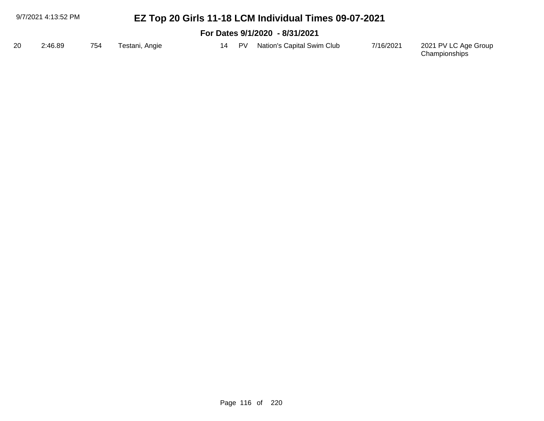| 9/7/2021 4:13:52 PM |         |     |                | EZ Top 20 Girls 11-18 LCM Individual Times 09-07-2021 |           |                                |           |                                       |  |  |
|---------------------|---------|-----|----------------|-------------------------------------------------------|-----------|--------------------------------|-----------|---------------------------------------|--|--|
|                     |         |     |                |                                                       |           | For Dates 9/1/2020 - 8/31/2021 |           |                                       |  |  |
| 20                  | 2:46.89 | 754 | Testani, Angie | 14                                                    | <b>PV</b> | Nation's Capital Swim Club     | 7/16/2021 | 2021 PV LC Age Group<br>Championships |  |  |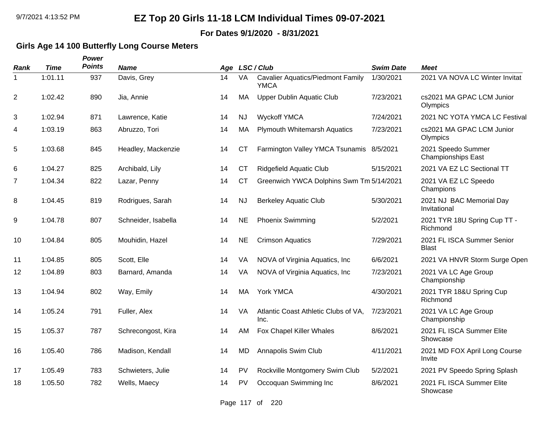**For Dates 9/1/2020 - 8/31/2021**

### **Girls Age 14 100 Butterfly Long Course Meters**

| <b>Rank</b>    | <b>Time</b> | Power<br><b>Points</b> | <b>Name</b>         |    |           | Age LSC/Club                                            | <b>Swim Date</b> | <b>Meet</b>                                     |
|----------------|-------------|------------------------|---------------------|----|-----------|---------------------------------------------------------|------------------|-------------------------------------------------|
| 1              | 1:01.11     | 937                    | Davis, Grey         | 14 | VA        | <b>Cavalier Aquatics/Piedmont Family</b><br><b>YMCA</b> | 1/30/2021        | 2021 VA NOVA LC Winter Invitat                  |
| $\overline{2}$ | 1:02.42     | 890                    | Jia, Annie          | 14 | MA        | <b>Upper Dublin Aquatic Club</b>                        | 7/23/2021        | cs2021 MA GPAC LCM Junior<br>Olympics           |
| 3              | 1:02.94     | 871                    | Lawrence, Katie     | 14 | <b>NJ</b> | <b>Wyckoff YMCA</b>                                     | 7/24/2021        | 2021 NC YOTA YMCA LC Festival                   |
| 4              | 1:03.19     | 863                    | Abruzzo, Tori       | 14 | MA        | <b>Plymouth Whitemarsh Aquatics</b>                     | 7/23/2021        | cs2021 MA GPAC LCM Junior<br>Olympics           |
| 5              | 1:03.68     | 845                    | Headley, Mackenzie  | 14 | <b>CT</b> | Farmington Valley YMCA Tsunamis 8/5/2021                |                  | 2021 Speedo Summer<br><b>Championships East</b> |
| 6              | 1:04.27     | 825                    | Archibald, Lily     | 14 | <b>CT</b> | <b>Ridgefield Aquatic Club</b>                          | 5/15/2021        | 2021 VA EZ LC Sectional TT                      |
| 7              | 1:04.34     | 822                    | Lazar, Penny        | 14 | <b>CT</b> | Greenwich YWCA Dolphins Swm Tm 5/14/2021                |                  | 2021 VA EZ LC Speedo<br>Champions               |
| 8              | 1:04.45     | 819                    | Rodrigues, Sarah    | 14 | <b>NJ</b> | <b>Berkeley Aquatic Club</b>                            | 5/30/2021        | 2021 NJ BAC Memorial Day<br>Invitational        |
| 9              | 1:04.78     | 807                    | Schneider, Isabella | 14 | <b>NE</b> | <b>Phoenix Swimming</b>                                 | 5/2/2021         | 2021 TYR 18U Spring Cup TT -<br>Richmond        |
| 10             | 1:04.84     | 805                    | Mouhidin, Hazel     | 14 | <b>NE</b> | <b>Crimson Aquatics</b>                                 | 7/29/2021        | 2021 FL ISCA Summer Senior<br><b>Blast</b>      |
| 11             | 1:04.85     | 805                    | Scott, Elle         | 14 | VA        | NOVA of Virginia Aquatics, Inc.                         | 6/6/2021         | 2021 VA HNVR Storm Surge Open                   |
| 12             | 1:04.89     | 803                    | Barnard, Amanda     | 14 | VA        | NOVA of Virginia Aquatics, Inc                          | 7/23/2021        | 2021 VA LC Age Group<br>Championship            |
| 13             | 1:04.94     | 802                    | Way, Emily          | 14 | <b>MA</b> | York YMCA                                               | 4/30/2021        | 2021 TYR 18&U Spring Cup<br>Richmond            |
| 14             | 1:05.24     | 791                    | Fuller, Alex        | 14 | VA        | Atlantic Coast Athletic Clubs of VA,<br>Inc.            | 7/23/2021        | 2021 VA LC Age Group<br>Championship            |
| 15             | 1:05.37     | 787                    | Schrecongost, Kira  | 14 | AM        | Fox Chapel Killer Whales                                | 8/6/2021         | 2021 FL ISCA Summer Elite<br>Showcase           |
| 16             | 1:05.40     | 786                    | Madison, Kendall    | 14 | <b>MD</b> | Annapolis Swim Club                                     | 4/11/2021        | 2021 MD FOX April Long Course<br>Invite         |
| 17             | 1:05.49     | 783                    | Schwieters, Julie   | 14 | PV        | Rockville Montgomery Swim Club                          | 5/2/2021         | 2021 PV Speedo Spring Splash                    |
| 18             | 1:05.50     | 782                    | Wells, Maecy        | 14 | PV        | Occoquan Swimming Inc                                   | 8/6/2021         | 2021 FL ISCA Summer Elite<br>Showcase           |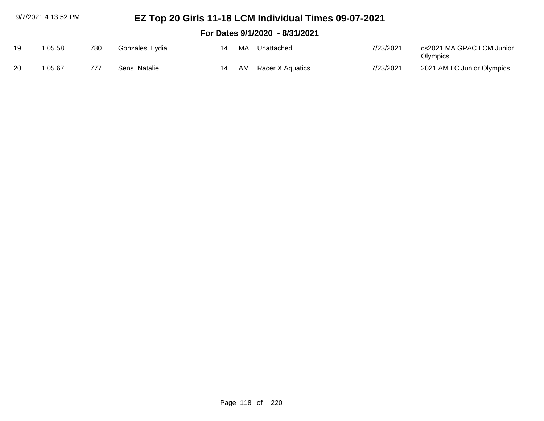|    | 9/7/2021 4:13:52 PM            |     |                 |    | EZ Top 20 Girls 11-18 LCM Individual Times 09-07-2021 |                  |           |                                       |  |  |  |
|----|--------------------------------|-----|-----------------|----|-------------------------------------------------------|------------------|-----------|---------------------------------------|--|--|--|
|    | For Dates 9/1/2020 - 8/31/2021 |     |                 |    |                                                       |                  |           |                                       |  |  |  |
| 19 | 1:05.58                        | 780 | Gonzales, Lydia | 14 | MA                                                    | Unattached       | 7/23/2021 | cs2021 MA GPAC LCM Junior<br>Olympics |  |  |  |
| 20 | 1:05.67                        | 777 | Sens, Natalie   | 14 | AM                                                    | Racer X Aquatics | 7/23/2021 | 2021 AM LC Junior Olympics            |  |  |  |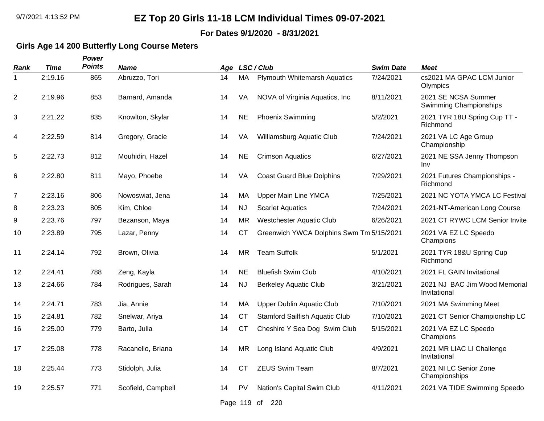**For Dates 9/1/2020 - 8/31/2021**

# **Girls Age 14 200 Butterfly Long Course Meters**

| <b>Rank</b>    | <b>Time</b> | Power<br><b>Points</b> | <b>Name</b>        |    |             | Age LSC/Club                             | <b>Swim Date</b> | <b>Meet</b>                                   |
|----------------|-------------|------------------------|--------------------|----|-------------|------------------------------------------|------------------|-----------------------------------------------|
| 1              | 2:19.16     | 865                    | Abruzzo, Tori      | 14 | MA          | <b>Plymouth Whitemarsh Aquatics</b>      | 7/24/2021        | cs2021 MA GPAC LCM Junior<br>Olympics         |
| $\overline{c}$ | 2:19.96     | 853                    | Barnard, Amanda    | 14 | VA          | NOVA of Virginia Aquatics, Inc.          | 8/11/2021        | 2021 SE NCSA Summer<br>Swimming Championships |
| 3              | 2:21.22     | 835                    | Knowlton, Skylar   | 14 | <b>NE</b>   | <b>Phoenix Swimming</b>                  | 5/2/2021         | 2021 TYR 18U Spring Cup TT -<br>Richmond      |
| 4              | 2:22.59     | 814                    | Gregory, Gracie    | 14 | VA          | Williamsburg Aquatic Club                | 7/24/2021        | 2021 VA LC Age Group<br>Championship          |
| 5              | 2:22.73     | 812                    | Mouhidin, Hazel    | 14 | <b>NE</b>   | <b>Crimson Aquatics</b>                  | 6/27/2021        | 2021 NE SSA Jenny Thompson<br>Inv             |
| 6              | 2:22.80     | 811                    | Mayo, Phoebe       | 14 | VA          | <b>Coast Guard Blue Dolphins</b>         | 7/29/2021        | 2021 Futures Championships -<br>Richmond      |
| $\overline{7}$ | 2:23.16     | 806                    | Nowoswiat, Jena    | 14 | MA          | <b>Upper Main Line YMCA</b>              | 7/25/2021        | 2021 NC YOTA YMCA LC Festival                 |
| 8              | 2:23.23     | 805                    | Kim, Chloe         | 14 | <b>NJ</b>   | <b>Scarlet Aquatics</b>                  | 7/24/2021        | 2021-NT-American Long Course                  |
| 9              | 2:23.76     | 797                    | Bezanson, Maya     | 14 | <b>MR</b>   | Westchester Aquatic Club                 | 6/26/2021        | 2021 CT RYWC LCM Senior Invite                |
| 10             | 2:23.89     | 795                    | Lazar, Penny       | 14 | <b>CT</b>   | Greenwich YWCA Dolphins Swm Tm 5/15/2021 |                  | 2021 VA EZ LC Speedo<br>Champions             |
| 11             | 2:24.14     | 792                    | Brown, Olivia      | 14 | <b>MR</b>   | <b>Team Suffolk</b>                      | 5/1/2021         | 2021 TYR 18&U Spring Cup<br>Richmond          |
| 12             | 2:24.41     | 788                    | Zeng, Kayla        | 14 | <b>NE</b>   | <b>Bluefish Swim Club</b>                | 4/10/2021        | 2021 FL GAIN Invitational                     |
| 13             | 2:24.66     | 784                    | Rodrigues, Sarah   | 14 | <b>NJ</b>   | <b>Berkeley Aquatic Club</b>             | 3/21/2021        | 2021 NJ BAC Jim Wood Memorial<br>Invitational |
| 14             | 2:24.71     | 783                    | Jia, Annie         | 14 | MA          | <b>Upper Dublin Aquatic Club</b>         | 7/10/2021        | 2021 MA Swimming Meet                         |
| 15             | 2:24.81     | 782                    | Snelwar, Ariya     | 14 | <b>CT</b>   | <b>Stamford Sailfish Aquatic Club</b>    | 7/10/2021        | 2021 CT Senior Championship LC                |
| 16             | 2:25.00     | 779                    | Barto, Julia       | 14 | <b>CT</b>   | Cheshire Y Sea Dog Swim Club             | 5/15/2021        | 2021 VA EZ LC Speedo<br>Champions             |
| 17             | 2:25.08     | 778                    | Racanello, Briana  | 14 | <b>MR</b>   | Long Island Aquatic Club                 | 4/9/2021         | 2021 MR LIAC LI Challenge<br>Invitational     |
| 18             | 2:25.44     | 773                    | Stidolph, Julia    | 14 | <b>CT</b>   | <b>ZEUS Swim Team</b>                    | 8/7/2021         | 2021 NI LC Senior Zone<br>Championships       |
| 19             | 2:25.57     | 771                    | Scofield, Campbell | 14 | PV          | Nation's Capital Swim Club               | 4/11/2021        | 2021 VA TIDE Swimming Speedo                  |
|                |             |                        |                    |    | Page 119 of | 220                                      |                  |                                               |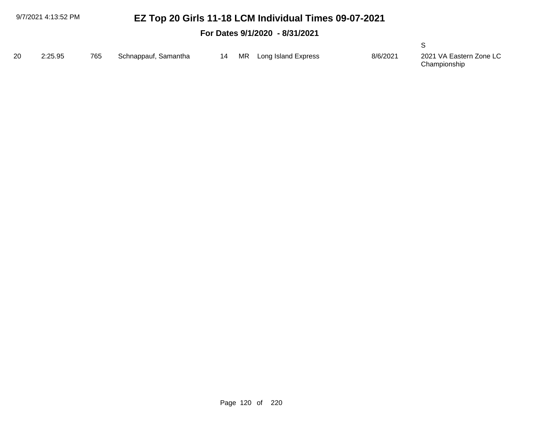| 9/7/2021 4:13:52 PM<br>EZ Top 20 Girls 11-18 LCM Individual Times 09-07-2021 |                                |     |                      |    |     |                     |          |                         |  |  |  |  |  |  |
|------------------------------------------------------------------------------|--------------------------------|-----|----------------------|----|-----|---------------------|----------|-------------------------|--|--|--|--|--|--|
|                                                                              | For Dates 9/1/2020 - 8/31/2021 |     |                      |    |     |                     |          |                         |  |  |  |  |  |  |
|                                                                              |                                |     |                      |    |     |                     |          |                         |  |  |  |  |  |  |
| 20                                                                           | 2:25.95                        | 765 | Schnappauf, Samantha | 14 | MR. | Long Island Express | 8/6/2021 | 2021 VA Eastern Zone LC |  |  |  |  |  |  |

Championship

Page 120 of 220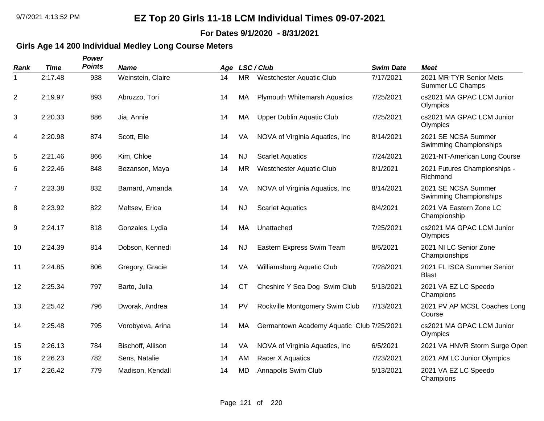**For Dates 9/1/2020 - 8/31/2021**

### **Girls Age 14 200 Individual Medley Long Course Meters**

| <b>Rank</b>       | <b>Time</b> | Power<br><b>Points</b> | <b>Name</b>       |    |           | Age LSC/Club                              | <b>Swim Date</b> | <b>Meet</b>                                        |
|-------------------|-------------|------------------------|-------------------|----|-----------|-------------------------------------------|------------------|----------------------------------------------------|
| $\mathbf 1$       | 2:17.48     | 938                    | Weinstein, Claire | 14 | <b>MR</b> | <b>Westchester Aquatic Club</b>           | 7/17/2021        | 2021 MR TYR Senior Mets<br><b>Summer LC Champs</b> |
| $\overline{2}$    | 2:19.97     | 893                    | Abruzzo, Tori     | 14 | MA        | <b>Plymouth Whitemarsh Aquatics</b>       | 7/25/2021        | cs2021 MA GPAC LCM Junior<br>Olympics              |
| 3                 | 2:20.33     | 886                    | Jia, Annie        | 14 | MA        | <b>Upper Dublin Aquatic Club</b>          | 7/25/2021        | cs2021 MA GPAC LCM Junior<br>Olympics              |
| 4                 | 2:20.98     | 874                    | Scott, Elle       | 14 | VA        | NOVA of Virginia Aquatics, Inc.           | 8/14/2021        | 2021 SE NCSA Summer<br>Swimming Championships      |
| 5                 | 2:21.46     | 866                    | Kim, Chloe        | 14 | <b>NJ</b> | <b>Scarlet Aquatics</b>                   | 7/24/2021        | 2021-NT-American Long Course                       |
| 6                 | 2:22.46     | 848                    | Bezanson, Maya    | 14 | <b>MR</b> | <b>Westchester Aquatic Club</b>           | 8/1/2021         | 2021 Futures Championships -<br>Richmond           |
| $\overline{7}$    | 2:23.38     | 832                    | Barnard, Amanda   | 14 | VA        | NOVA of Virginia Aquatics, Inc.           | 8/14/2021        | 2021 SE NCSA Summer<br>Swimming Championships      |
| 8                 | 2:23.92     | 822                    | Maltsev, Erica    | 14 | <b>NJ</b> | <b>Scarlet Aquatics</b>                   | 8/4/2021         | 2021 VA Eastern Zone LC<br>Championship            |
| 9                 | 2:24.17     | 818                    | Gonzales, Lydia   | 14 | МA        | Unattached                                | 7/25/2021        | cs2021 MA GPAC LCM Junior<br>Olympics              |
| 10                | 2:24.39     | 814                    | Dobson, Kennedi   | 14 | <b>NJ</b> | Eastern Express Swim Team                 | 8/5/2021         | 2021 NI LC Senior Zone<br>Championships            |
| 11                | 2:24.85     | 806                    | Gregory, Gracie   | 14 | VA        | Williamsburg Aquatic Club                 | 7/28/2021        | 2021 FL ISCA Summer Senior<br><b>Blast</b>         |
| $12 \overline{ }$ | 2:25.34     | 797                    | Barto, Julia      | 14 | <b>CT</b> | Cheshire Y Sea Dog Swim Club              | 5/13/2021        | 2021 VA EZ LC Speedo<br>Champions                  |
| 13                | 2:25.42     | 796                    | Dworak, Andrea    | 14 | PV        | Rockville Montgomery Swim Club            | 7/13/2021        | 2021 PV AP MCSL Coaches Long<br>Course             |
| 14                | 2:25.48     | 795                    | Vorobyeva, Arina  | 14 | MA        | Germantown Academy Aquatic Club 7/25/2021 |                  | cs2021 MA GPAC LCM Junior<br>Olympics              |
| 15                | 2:26.13     | 784                    | Bischoff, Allison | 14 | VA        | NOVA of Virginia Aquatics, Inc.           | 6/5/2021         | 2021 VA HNVR Storm Surge Open                      |
| 16                | 2:26.23     | 782                    | Sens, Natalie     | 14 | AM        | Racer X Aquatics                          | 7/23/2021        | 2021 AM LC Junior Olympics                         |
| 17                | 2:26.42     | 779                    | Madison, Kendall  | 14 | <b>MD</b> | Annapolis Swim Club                       | 5/13/2021        | 2021 VA EZ LC Speedo<br>Champions                  |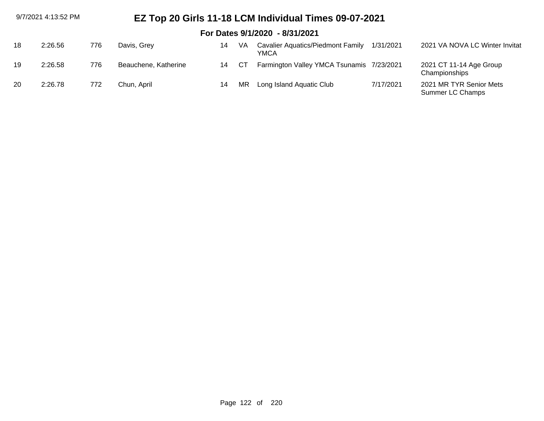| 9/7/2021 4:13:52 PM |         | EZ Top 20 Girls 11-18 LCM Individual Times 09-07-2021 |                      |    |     |                                                  |           |                                             |  |  |
|---------------------|---------|-------------------------------------------------------|----------------------|----|-----|--------------------------------------------------|-----------|---------------------------------------------|--|--|
|                     |         |                                                       |                      |    |     | For Dates 9/1/2020 - 8/31/2021                   |           |                                             |  |  |
| 18                  | 2:26.56 | 776                                                   | Davis, Grey          | 14 | VA  | <b>Cavalier Aquatics/Piedmont Family</b><br>YMCA | 1/31/2021 | 2021 VA NOVA LC Winter Invitat              |  |  |
| 19                  | 2:26.58 | 776                                                   | Beauchene, Katherine | 14 | -CT | Farmington Valley YMCA Tsunamis 7/23/2021        |           | 2021 CT 11-14 Age Group<br>Championships    |  |  |
| 20                  | 2:26.78 | 772                                                   | Chun, April          | 14 | MR  | Long Island Aquatic Club                         | 7/17/2021 | 2021 MR TYR Senior Mets<br>Summer LC Champs |  |  |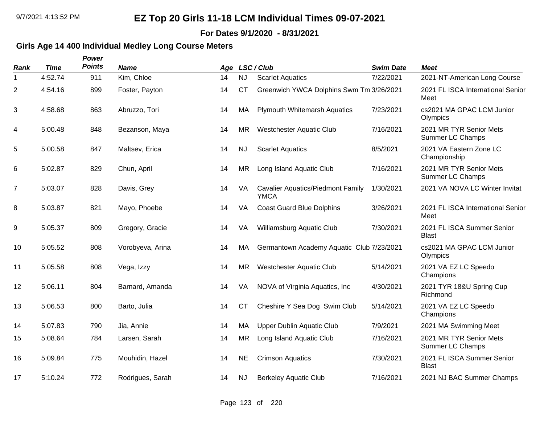**For Dates 9/1/2020 - 8/31/2021**

### **Girls Age 14 400 Individual Medley Long Course Meters**

| <b>Rank</b>    | <b>Time</b> | Power<br><b>Points</b> | <b>Name</b>      | Age |           | LSC / Club                                              | <b>Swim Date</b> | <b>Meet</b>                                        |
|----------------|-------------|------------------------|------------------|-----|-----------|---------------------------------------------------------|------------------|----------------------------------------------------|
| 1              | 4:52.74     | 911                    | Kim, Chloe       | 14  | <b>NJ</b> | <b>Scarlet Aquatics</b>                                 | 7/22/2021        | 2021-NT-American Long Course                       |
| 2              | 4:54.16     | 899                    | Foster, Payton   | 14  | <b>CT</b> | Greenwich YWCA Dolphins Swm Tm 3/26/2021                |                  | 2021 FL ISCA International Senior<br>Meet          |
| 3              | 4:58.68     | 863                    | Abruzzo, Tori    | 14  | MA        | <b>Plymouth Whitemarsh Aquatics</b>                     | 7/23/2021        | cs2021 MA GPAC LCM Junior<br>Olympics              |
| 4              | 5:00.48     | 848                    | Bezanson, Maya   | 14  | <b>MR</b> | <b>Westchester Aquatic Club</b>                         | 7/16/2021        | 2021 MR TYR Senior Mets<br><b>Summer LC Champs</b> |
| 5              | 5:00.58     | 847                    | Maltsev, Erica   | 14  | <b>NJ</b> | <b>Scarlet Aquatics</b>                                 | 8/5/2021         | 2021 VA Eastern Zone LC<br>Championship            |
| 6              | 5:02.87     | 829                    | Chun, April      | 14  | <b>MR</b> | Long Island Aquatic Club                                | 7/16/2021        | 2021 MR TYR Senior Mets<br>Summer LC Champs        |
| $\overline{7}$ | 5:03.07     | 828                    | Davis, Grey      | 14  | VA        | <b>Cavalier Aquatics/Piedmont Family</b><br><b>YMCA</b> | 1/30/2021        | 2021 VA NOVA LC Winter Invitat                     |
| 8              | 5:03.87     | 821                    | Mayo, Phoebe     | 14  | VA        | <b>Coast Guard Blue Dolphins</b>                        | 3/26/2021        | 2021 FL ISCA International Senior<br>Meet          |
| 9              | 5:05.37     | 809                    | Gregory, Gracie  | 14  | VA        | Williamsburg Aquatic Club                               | 7/30/2021        | 2021 FL ISCA Summer Senior<br><b>Blast</b>         |
| 10             | 5:05.52     | 808                    | Vorobyeva, Arina | 14  | MA        | Germantown Academy Aquatic Club 7/23/2021               |                  | cs2021 MA GPAC LCM Junior<br>Olympics              |
| 11             | 5:05.58     | 808                    | Vega, Izzy       | 14  | <b>MR</b> | <b>Westchester Aquatic Club</b>                         | 5/14/2021        | 2021 VA EZ LC Speedo<br>Champions                  |
| 12             | 5:06.11     | 804                    | Barnard, Amanda  | 14  | VA        | NOVA of Virginia Aquatics, Inc.                         | 4/30/2021        | 2021 TYR 18&U Spring Cup<br>Richmond               |
| 13             | 5:06.53     | 800                    | Barto, Julia     | 14  | <b>CT</b> | Cheshire Y Sea Dog Swim Club                            | 5/14/2021        | 2021 VA EZ LC Speedo<br>Champions                  |
| 14             | 5:07.83     | 790                    | Jia, Annie       | 14  | MA        | <b>Upper Dublin Aquatic Club</b>                        | 7/9/2021         | 2021 MA Swimming Meet                              |
| 15             | 5:08.64     | 784                    | Larsen, Sarah    | 14  | <b>MR</b> | Long Island Aquatic Club                                | 7/16/2021        | 2021 MR TYR Senior Mets<br><b>Summer LC Champs</b> |
| 16             | 5:09.84     | 775                    | Mouhidin, Hazel  | 14  | <b>NE</b> | <b>Crimson Aquatics</b>                                 | 7/30/2021        | 2021 FL ISCA Summer Senior<br><b>Blast</b>         |
| 17             | 5:10.24     | 772                    | Rodrigues, Sarah | 14  | <b>NJ</b> | <b>Berkeley Aquatic Club</b>                            | 7/16/2021        | 2021 NJ BAC Summer Champs                          |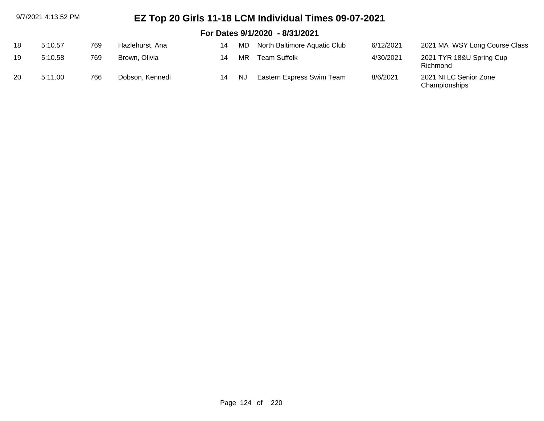| 9/7/2021 4:13:52 PM |                                |     |                 |    |     | EZ Top 20 Girls 11-18 LCM Individual Times 09-07-2021 |           |                                         |  |  |  |  |  |
|---------------------|--------------------------------|-----|-----------------|----|-----|-------------------------------------------------------|-----------|-----------------------------------------|--|--|--|--|--|
|                     | For Dates 9/1/2020 - 8/31/2021 |     |                 |    |     |                                                       |           |                                         |  |  |  |  |  |
| 18                  | 5:10.57                        | 769 | Hazlehurst, Ana | 14 | MD. | North Baltimore Aquatic Club                          | 6/12/2021 | 2021 MA WSY Long Course Class           |  |  |  |  |  |
| 19                  | 5:10.58                        | 769 | Brown, Olivia   | 14 | MR  | Team Suffolk                                          | 4/30/2021 | 2021 TYR 18&U Spring Cup<br>Richmond    |  |  |  |  |  |
| 20                  | 5:11.00                        | 766 | Dobson, Kennedi | 14 | NJ. | Eastern Express Swim Team                             | 8/6/2021  | 2021 NI LC Senior Zone<br>Championships |  |  |  |  |  |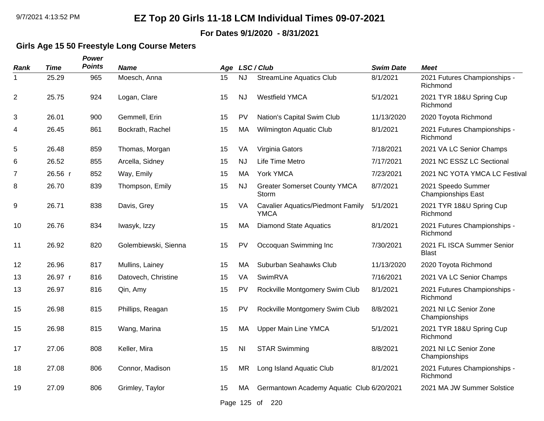### **For Dates 9/1/2020 - 8/31/2021**

### **Girls Age 15 50 Freestyle Long Course Meters**

| Rank    | <b>Time</b> | Power<br><b>Points</b> | <b>Name</b>          |    |             | Age LSC/Club                                            | <b>Swim Date</b> | <b>Meet</b>                                     |
|---------|-------------|------------------------|----------------------|----|-------------|---------------------------------------------------------|------------------|-------------------------------------------------|
| 1       | 25.29       | 965                    | Moesch, Anna         | 15 | <b>NJ</b>   | <b>StreamLine Aquatics Club</b>                         | 8/1/2021         | 2021 Futures Championships -<br>Richmond        |
| 2       | 25.75       | 924                    | Logan, Clare         | 15 | <b>NJ</b>   | <b>Westfield YMCA</b>                                   | 5/1/2021         | 2021 TYR 18&U Spring Cup<br>Richmond            |
| 3       | 26.01       | 900                    | Gemmell, Erin        | 15 | PV          | Nation's Capital Swim Club                              | 11/13/2020       | 2020 Toyota Richmond                            |
| 4       | 26.45       | 861                    | Bockrath, Rachel     | 15 | MA          | <b>Wilmington Aquatic Club</b>                          | 8/1/2021         | 2021 Futures Championships -<br>Richmond        |
| 5       | 26.48       | 859                    | Thomas, Morgan       | 15 | VA          | Virginia Gators                                         | 7/18/2021        | 2021 VA LC Senior Champs                        |
| 6       | 26.52       | 855                    | Arcella, Sidney      | 15 | <b>NJ</b>   | Life Time Metro                                         | 7/17/2021        | 2021 NC ESSZ LC Sectional                       |
| 7       | 26.56 r     | 852                    | Way, Emily           | 15 | MA          | York YMCA                                               | 7/23/2021        | 2021 NC YOTA YMCA LC Festival                   |
| 8       | 26.70       | 839                    | Thompson, Emily      | 15 | <b>NJ</b>   | <b>Greater Somerset County YMCA</b><br>Storm            | 8/7/2021         | 2021 Speedo Summer<br><b>Championships East</b> |
| 9       | 26.71       | 838                    | Davis, Grey          | 15 | VA          | <b>Cavalier Aquatics/Piedmont Family</b><br><b>YMCA</b> | 5/1/2021         | 2021 TYR 18&U Spring Cup<br>Richmond            |
| 10      | 26.76       | 834                    | Iwasyk, Izzy         | 15 | MA          | <b>Diamond State Aquatics</b>                           | 8/1/2021         | 2021 Futures Championships -<br>Richmond        |
| 11      | 26.92       | 820                    | Golembiewski, Sienna | 15 | PV          | Occoquan Swimming Inc                                   | 7/30/2021        | 2021 FL ISCA Summer Senior<br><b>Blast</b>      |
| $12 \,$ | 26.96       | 817                    | Mullins, Lainey      | 15 | MA          | Suburban Seahawks Club                                  | 11/13/2020       | 2020 Toyota Richmond                            |
| 13      | 26.97 r     | 816                    | Datovech, Christine  | 15 | VA          | SwimRVA                                                 | 7/16/2021        | 2021 VA LC Senior Champs                        |
| 13      | 26.97       | 816                    | Qin, Amy             | 15 | PV          | Rockville Montgomery Swim Club                          | 8/1/2021         | 2021 Futures Championships -<br>Richmond        |
| 15      | 26.98       | 815                    | Phillips, Reagan     | 15 | <b>PV</b>   | Rockville Montgomery Swim Club                          | 8/8/2021         | 2021 NI LC Senior Zone<br>Championships         |
| 15      | 26.98       | 815                    | Wang, Marina         | 15 | MA          | <b>Upper Main Line YMCA</b>                             | 5/1/2021         | 2021 TYR 18&U Spring Cup<br>Richmond            |
| 17      | 27.06       | 808                    | Keller, Mira         | 15 | <b>NI</b>   | <b>STAR Swimming</b>                                    | 8/8/2021         | 2021 NI LC Senior Zone<br>Championships         |
| 18      | 27.08       | 806                    | Connor, Madison      | 15 | <b>MR</b>   | Long Island Aquatic Club                                | 8/1/2021         | 2021 Futures Championships -<br>Richmond        |
| 19      | 27.09       | 806                    | Grimley, Taylor      | 15 | МA          | Germantown Academy Aquatic Club 6/20/2021               |                  | 2021 MA JW Summer Solstice                      |
|         |             |                        |                      |    | Page 125 of | 220                                                     |                  |                                                 |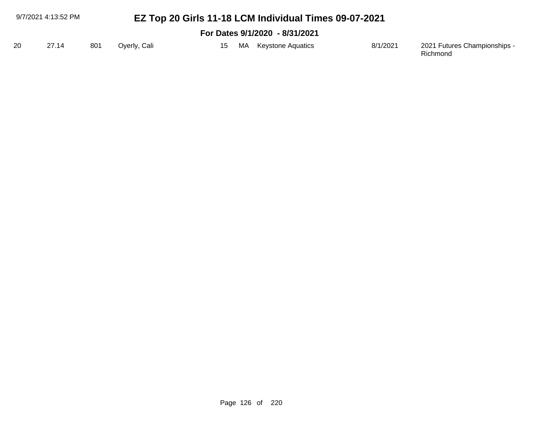| 9/7/2021 4:13:52 PM |                                |     |              |    |    | EZ Top 20 Girls 11-18 LCM Individual Times 09-07-2021 |          |                                          |  |  |  |
|---------------------|--------------------------------|-----|--------------|----|----|-------------------------------------------------------|----------|------------------------------------------|--|--|--|
|                     | For Dates 9/1/2020 - 8/31/2021 |     |              |    |    |                                                       |          |                                          |  |  |  |
| 20                  | 27.14                          | 801 | Oyerly, Cali | 15 | MA | Keystone Aquatics                                     | 8/1/2021 | 2021 Futures Championships -<br>Richmond |  |  |  |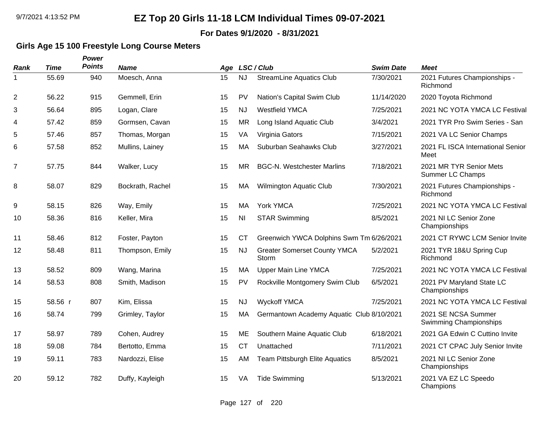### **For Dates 9/1/2020 - 8/31/2021**

### **Girls Age 15 100 Freestyle Long Course Meters**

| <b>Rank</b>    | <b>Time</b> | Power<br><b>Points</b> | <b>Name</b>      |    |                | Age LSC/Club                                 | <b>Swim Date</b> | <b>Meet</b>                                          |
|----------------|-------------|------------------------|------------------|----|----------------|----------------------------------------------|------------------|------------------------------------------------------|
| 1              | 55.69       | 940                    | Moesch, Anna     | 15 | NJ             | <b>StreamLine Aquatics Club</b>              | 7/30/2021        | 2021 Futures Championships -<br>Richmond             |
| $\overline{2}$ | 56.22       | 915                    | Gemmell, Erin    | 15 | <b>PV</b>      | Nation's Capital Swim Club                   | 11/14/2020       | 2020 Toyota Richmond                                 |
| 3              | 56.64       | 895                    | Logan, Clare     | 15 | <b>NJ</b>      | <b>Westfield YMCA</b>                        | 7/25/2021        | 2021 NC YOTA YMCA LC Festival                        |
| 4              | 57.42       | 859                    | Gormsen, Cavan   | 15 | MR             | Long Island Aquatic Club                     | 3/4/2021         | 2021 TYR Pro Swim Series - San                       |
| 5              | 57.46       | 857                    | Thomas, Morgan   | 15 | VA             | Virginia Gators                              | 7/15/2021        | 2021 VA LC Senior Champs                             |
| 6              | 57.58       | 852                    | Mullins, Lainey  | 15 | MA             | Suburban Seahawks Club                       | 3/27/2021        | 2021 FL ISCA International Senior<br>Meet            |
| $\overline{7}$ | 57.75       | 844                    | Walker, Lucy     | 15 | <b>MR</b>      | <b>BGC-N. Westchester Marlins</b>            | 7/18/2021        | 2021 MR TYR Senior Mets<br>Summer LC Champs          |
| 8              | 58.07       | 829                    | Bockrath, Rachel | 15 | MA             | <b>Wilmington Aquatic Club</b>               | 7/30/2021        | 2021 Futures Championships -<br>Richmond             |
| 9              | 58.15       | 826                    | Way, Emily       | 15 | МA             | York YMCA                                    | 7/25/2021        | 2021 NC YOTA YMCA LC Festival                        |
| 10             | 58.36       | 816                    | Keller, Mira     | 15 | N <sub>l</sub> | <b>STAR Swimming</b>                         | 8/5/2021         | 2021 NI LC Senior Zone<br>Championships              |
| 11             | 58.46       | 812                    | Foster, Payton   | 15 | <b>CT</b>      | Greenwich YWCA Dolphins Swm Tm 6/26/2021     |                  | 2021 CT RYWC LCM Senior Invite                       |
| 12             | 58.48       | 811                    | Thompson, Emily  | 15 | NJ             | <b>Greater Somerset County YMCA</b><br>Storm | 5/2/2021         | 2021 TYR 18&U Spring Cup<br>Richmond                 |
| 13             | 58.52       | 809                    | Wang, Marina     | 15 | МA             | <b>Upper Main Line YMCA</b>                  | 7/25/2021        | 2021 NC YOTA YMCA LC Festival                        |
| 14             | 58.53       | 808                    | Smith, Madison   | 15 | <b>PV</b>      | Rockville Montgomery Swim Club               | 6/5/2021         | 2021 PV Maryland State LC<br>Championships           |
| 15             | 58.56 r     | 807                    | Kim, Elissa      | 15 | <b>NJ</b>      | <b>Wyckoff YMCA</b>                          | 7/25/2021        | 2021 NC YOTA YMCA LC Festival                        |
| 16             | 58.74       | 799                    | Grimley, Taylor  | 15 | MA             | Germantown Academy Aquatic Club 8/10/2021    |                  | 2021 SE NCSA Summer<br><b>Swimming Championships</b> |
| 17             | 58.97       | 789                    | Cohen, Audrey    | 15 | ME             | Southern Maine Aquatic Club                  | 6/18/2021        | 2021 GA Edwin C Cuttino Invite                       |
| 18             | 59.08       | 784                    | Bertotto, Emma   | 15 | <b>CT</b>      | Unattached                                   | 7/11/2021        | 2021 CT CPAC July Senior Invite                      |
| 19             | 59.11       | 783                    | Nardozzi, Elise  | 15 | <b>AM</b>      | Team Pittsburgh Elite Aquatics               | 8/5/2021         | 2021 NI LC Senior Zone<br>Championships              |
| 20             | 59.12       | 782                    | Duffy, Kayleigh  | 15 | VA             | <b>Tide Swimming</b>                         | 5/13/2021        | 2021 VA EZ LC Speedo<br>Champions                    |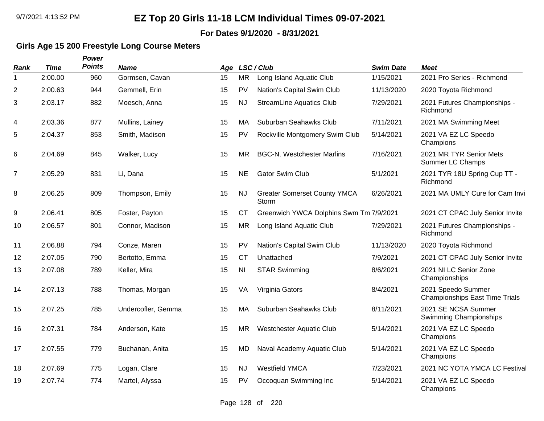### **For Dates 9/1/2020 - 8/31/2021**

### **Girls Age 15 200 Freestyle Long Course Meters**

| <b>Rank</b>    | <b>Time</b> | Power<br><b>Points</b> | <b>Name</b>        |    |           | Age LSC/Club                                 | <b>Swim Date</b> | <b>Meet</b>                                                 |
|----------------|-------------|------------------------|--------------------|----|-----------|----------------------------------------------|------------------|-------------------------------------------------------------|
| 1              | 2:00.00     | 960                    | Gormsen, Cavan     | 15 | <b>MR</b> | Long Island Aquatic Club                     | 1/15/2021        | 2021 Pro Series - Richmond                                  |
| $\overline{2}$ | 2:00.63     | 944                    | Gemmell, Erin      | 15 | <b>PV</b> | Nation's Capital Swim Club                   | 11/13/2020       | 2020 Toyota Richmond                                        |
| 3              | 2:03.17     | 882                    | Moesch, Anna       | 15 | <b>NJ</b> | <b>StreamLine Aquatics Club</b>              | 7/29/2021        | 2021 Futures Championships -<br>Richmond                    |
| 4              | 2:03.36     | 877                    | Mullins, Lainey    | 15 | МA        | Suburban Seahawks Club                       | 7/11/2021        | 2021 MA Swimming Meet                                       |
| 5              | 2:04.37     | 853                    | Smith, Madison     | 15 | <b>PV</b> | Rockville Montgomery Swim Club               | 5/14/2021        | 2021 VA EZ LC Speedo<br>Champions                           |
| 6              | 2:04.69     | 845                    | Walker, Lucy       | 15 | <b>MR</b> | <b>BGC-N. Westchester Marlins</b>            | 7/16/2021        | 2021 MR TYR Senior Mets<br><b>Summer LC Champs</b>          |
| $\overline{7}$ | 2:05.29     | 831                    | Li, Dana           | 15 | <b>NE</b> | <b>Gator Swim Club</b>                       | 5/1/2021         | 2021 TYR 18U Spring Cup TT -<br>Richmond                    |
| 8              | 2:06.25     | 809                    | Thompson, Emily    | 15 | <b>NJ</b> | <b>Greater Somerset County YMCA</b><br>Storm | 6/26/2021        | 2021 MA UMLY Cure for Cam Invi                              |
| 9              | 2:06.41     | 805                    | Foster, Payton     | 15 | <b>CT</b> | Greenwich YWCA Dolphins Swm Tm 7/9/2021      |                  | 2021 CT CPAC July Senior Invite                             |
| 10             | 2:06.57     | 801                    | Connor, Madison    | 15 | <b>MR</b> | Long Island Aquatic Club                     | 7/29/2021        | 2021 Futures Championships -<br>Richmond                    |
| 11             | 2:06.88     | 794                    | Conze, Maren       | 15 | PV        | Nation's Capital Swim Club                   | 11/13/2020       | 2020 Toyota Richmond                                        |
| 12             | 2:07.05     | 790                    | Bertotto, Emma     | 15 | <b>CT</b> | Unattached                                   | 7/9/2021         | 2021 CT CPAC July Senior Invite                             |
| 13             | 2:07.08     | 789                    | Keller, Mira       | 15 | <b>NI</b> | <b>STAR Swimming</b>                         | 8/6/2021         | 2021 NI LC Senior Zone<br>Championships                     |
| 14             | 2:07.13     | 788                    | Thomas, Morgan     | 15 | VA        | Virginia Gators                              | 8/4/2021         | 2021 Speedo Summer<br><b>Championships East Time Trials</b> |
| 15             | 2:07.25     | 785                    | Undercofler, Gemma | 15 | MA        | Suburban Seahawks Club                       | 8/11/2021        | 2021 SE NCSA Summer<br>Swimming Championships               |
| 16             | 2:07.31     | 784                    | Anderson, Kate     | 15 | <b>MR</b> | Westchester Aquatic Club                     | 5/14/2021        | 2021 VA EZ LC Speedo<br>Champions                           |
| 17             | 2:07.55     | 779                    | Buchanan, Anita    | 15 | MD        | Naval Academy Aquatic Club                   | 5/14/2021        | 2021 VA EZ LC Speedo<br>Champions                           |
| 18             | 2:07.69     | 775                    | Logan, Clare       | 15 | <b>NJ</b> | <b>Westfield YMCA</b>                        | 7/23/2021        | 2021 NC YOTA YMCA LC Festival                               |
| 19             | 2:07.74     | 774                    | Martel, Alyssa     | 15 | PV        | Occoquan Swimming Inc                        | 5/14/2021        | 2021 VA EZ LC Speedo<br>Champions                           |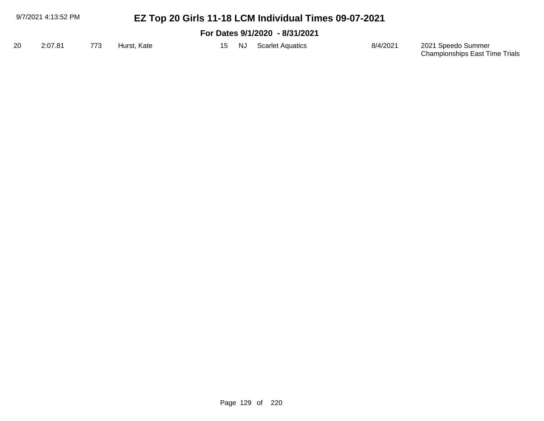|                                | 9/7/2021 4:13:52 PM |     |             |  |       | EZ Top 20 Girls 11-18 LCM Individual Times 09-07-2021 |          |                                                             |
|--------------------------------|---------------------|-----|-------------|--|-------|-------------------------------------------------------|----------|-------------------------------------------------------------|
| For Dates 9/1/2020 - 8/31/2021 |                     |     |             |  |       |                                                       |          |                                                             |
| <b>20</b>                      | 2:07.81             | 773 | Hurst, Kate |  | 15 NJ | Scarlet Aquatics                                      | 8/4/2021 | 2021 Speedo Summer<br><b>Championships East Time Trials</b> |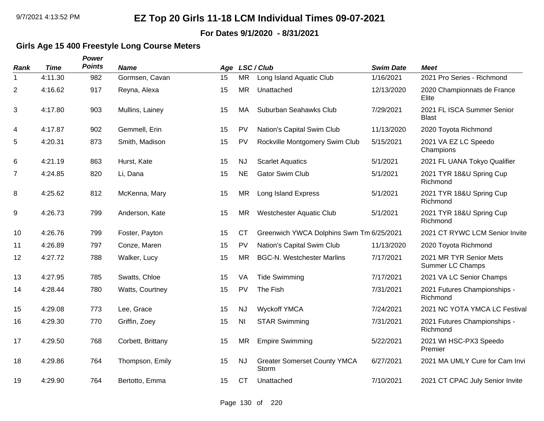### **For Dates 9/1/2020 - 8/31/2021**

### **Girls Age 15 400 Freestyle Long Course Meters**

*Power*

| <b>Rank</b> | <b>Time</b> | <b>Points</b> | <b>Name</b>       | Age |                | LSC / Club                                   | <b>Swim Date</b> | <b>Meet</b>                                        |
|-------------|-------------|---------------|-------------------|-----|----------------|----------------------------------------------|------------------|----------------------------------------------------|
| 1           | 4:11.30     | 982           | Gormsen, Cavan    | 15  | <b>MR</b>      | Long Island Aquatic Club                     | 1/16/2021        | 2021 Pro Series - Richmond                         |
| 2           | 4:16.62     | 917           | Reyna, Alexa      | 15  | <b>MR</b>      | Unattached                                   | 12/13/2020       | 2020 Championnats de France<br>Elite               |
| 3           | 4:17.80     | 903           | Mullins, Lainey   | 15  | МA             | Suburban Seahawks Club                       | 7/29/2021        | 2021 FL ISCA Summer Senior<br><b>Blast</b>         |
| 4           | 4:17.87     | 902           | Gemmell, Erin     | 15  | <b>PV</b>      | Nation's Capital Swim Club                   | 11/13/2020       | 2020 Toyota Richmond                               |
| 5           | 4:20.31     | 873           | Smith, Madison    | 15  | <b>PV</b>      | Rockville Montgomery Swim Club               | 5/15/2021        | 2021 VA EZ LC Speedo<br>Champions                  |
| 6           | 4:21.19     | 863           | Hurst, Kate       | 15  | <b>NJ</b>      | <b>Scarlet Aquatics</b>                      | 5/1/2021         | 2021 FL UANA Tokyo Qualifier                       |
| 7           | 4:24.85     | 820           | Li, Dana          | 15  | <b>NE</b>      | <b>Gator Swim Club</b>                       | 5/1/2021         | 2021 TYR 18&U Spring Cup<br>Richmond               |
| 8           | 4:25.62     | 812           | McKenna, Mary     | 15  | <b>MR</b>      | Long Island Express                          | 5/1/2021         | 2021 TYR 18&U Spring Cup<br>Richmond               |
| 9           | 4:26.73     | 799           | Anderson, Kate    | 15  | <b>MR</b>      | <b>Westchester Aquatic Club</b>              | 5/1/2021         | 2021 TYR 18&U Spring Cup<br>Richmond               |
| 10          | 4:26.76     | 799           | Foster, Payton    | 15  | <b>CT</b>      | Greenwich YWCA Dolphins Swm Tm 6/25/2021     |                  | 2021 CT RYWC LCM Senior Invite                     |
| 11          | 4:26.89     | 797           | Conze, Maren      | 15  | <b>PV</b>      | Nation's Capital Swim Club                   | 11/13/2020       | 2020 Toyota Richmond                               |
| 12          | 4:27.72     | 788           | Walker, Lucy      | 15  | <b>MR</b>      | <b>BGC-N. Westchester Marlins</b>            | 7/17/2021        | 2021 MR TYR Senior Mets<br><b>Summer LC Champs</b> |
| 13          | 4:27.95     | 785           | Swatts, Chloe     | 15  | VA             | <b>Tide Swimming</b>                         | 7/17/2021        | 2021 VA LC Senior Champs                           |
| 14          | 4:28.44     | 780           | Watts, Courtney   | 15  | <b>PV</b>      | The Fish                                     | 7/31/2021        | 2021 Futures Championships -<br>Richmond           |
| 15          | 4:29.08     | 773           | Lee, Grace        | 15  | <b>NJ</b>      | <b>Wyckoff YMCA</b>                          | 7/24/2021        | 2021 NC YOTA YMCA LC Festival                      |
| 16          | 4:29.30     | 770           | Griffin, Zoey     | 15  | N <sub>l</sub> | <b>STAR Swimming</b>                         | 7/31/2021        | 2021 Futures Championships -<br>Richmond           |
| 17          | 4:29.50     | 768           | Corbett, Brittany | 15  | <b>MR</b>      | <b>Empire Swimming</b>                       | 5/22/2021        | 2021 WI HSC-PX3 Speedo<br>Premier                  |
| 18          | 4:29.86     | 764           | Thompson, Emily   | 15  | <b>NJ</b>      | <b>Greater Somerset County YMCA</b><br>Storm | 6/27/2021        | 2021 MA UMLY Cure for Cam Invi                     |
| 19          | 4:29.90     | 764           | Bertotto, Emma    | 15  | <b>CT</b>      | Unattached                                   | 7/10/2021        | 2021 CT CPAC July Senior Invite                    |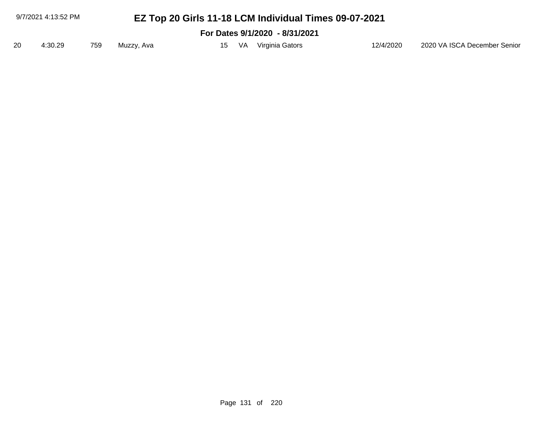| 9/7/2021 4:13:52 PM<br>EZ Top 20 Girls 11-18 LCM Individual Times 09-07-2021 |                                |     |            |  |  |                       |           |                              |  |  |
|------------------------------------------------------------------------------|--------------------------------|-----|------------|--|--|-----------------------|-----------|------------------------------|--|--|
|                                                                              | For Dates 9/1/2020 - 8/31/2021 |     |            |  |  |                       |           |                              |  |  |
| 20                                                                           | 4:30.29                        | 759 | Muzzy, Ava |  |  | 15 VA Virginia Gators | 12/4/2020 | 2020 VA ISCA December Senior |  |  |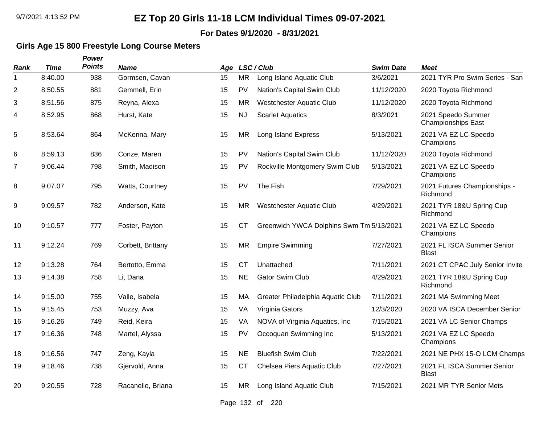### **For Dates 9/1/2020 - 8/31/2021**

### **Girls Age 15 800 Freestyle Long Course Meters**

*Power*

| <b>Rank</b>    | <b>Time</b> | <b>Points</b> | <b>Name</b>       | Age |           | LSC / Club                               | <b>Swim Date</b> | Meet                                            |
|----------------|-------------|---------------|-------------------|-----|-----------|------------------------------------------|------------------|-------------------------------------------------|
| 1              | 8:40.00     | 938           | Gormsen, Cavan    | 15  | <b>MR</b> | Long Island Aquatic Club                 | 3/6/2021         | 2021 TYR Pro Swim Series - San                  |
| $\overline{c}$ | 8:50.55     | 881           | Gemmell, Erin     | 15  | PV        | Nation's Capital Swim Club               | 11/12/2020       | 2020 Toyota Richmond                            |
| 3              | 8:51.56     | 875           | Reyna, Alexa      | 15  | <b>MR</b> | Westchester Aquatic Club                 | 11/12/2020       | 2020 Toyota Richmond                            |
| 4              | 8:52.95     | 868           | Hurst, Kate       | 15  | <b>NJ</b> | <b>Scarlet Aquatics</b>                  | 8/3/2021         | 2021 Speedo Summer<br><b>Championships East</b> |
| 5              | 8:53.64     | 864           | McKenna, Mary     | 15  | <b>MR</b> | Long Island Express                      | 5/13/2021        | 2021 VA EZ LC Speedo<br>Champions               |
| 6              | 8:59.13     | 836           | Conze, Maren      | 15  | PV        | Nation's Capital Swim Club               | 11/12/2020       | 2020 Toyota Richmond                            |
| 7              | 9:06.44     | 798           | Smith, Madison    | 15  | PV        | Rockville Montgomery Swim Club           | 5/13/2021        | 2021 VA EZ LC Speedo<br>Champions               |
| 8              | 9:07.07     | 795           | Watts, Courtney   | 15  | PV        | The Fish                                 | 7/29/2021        | 2021 Futures Championships -<br>Richmond        |
| 9              | 9:09.57     | 782           | Anderson, Kate    | 15  | <b>MR</b> | <b>Westchester Aquatic Club</b>          | 4/29/2021        | 2021 TYR 18&U Spring Cup<br>Richmond            |
| 10             | 9:10.57     | 777           | Foster, Payton    | 15  | <b>CT</b> | Greenwich YWCA Dolphins Swm Tm 5/13/2021 |                  | 2021 VA EZ LC Speedo<br>Champions               |
| 11             | 9:12.24     | 769           | Corbett, Brittany | 15  | <b>MR</b> | <b>Empire Swimming</b>                   | 7/27/2021        | 2021 FL ISCA Summer Senior<br><b>Blast</b>      |
| 12             | 9:13.28     | 764           | Bertotto, Emma    | 15  | <b>CT</b> | Unattached                               | 7/11/2021        | 2021 CT CPAC July Senior Invite                 |
| 13             | 9:14.38     | 758           | Li, Dana          | 15  | <b>NE</b> | Gator Swim Club                          | 4/29/2021        | 2021 TYR 18&U Spring Cup<br>Richmond            |
| 14             | 9:15.00     | 755           | Valle, Isabela    | 15  | MA        | Greater Philadelphia Aquatic Club        | 7/11/2021        | 2021 MA Swimming Meet                           |
| 15             | 9:15.45     | 753           | Muzzy, Ava        | 15  | VA        | Virginia Gators                          | 12/3/2020        | 2020 VA ISCA December Senior                    |
| 16             | 9:16.26     | 749           | Reid, Keira       | 15  | VA        | NOVA of Virginia Aquatics, Inc.          | 7/15/2021        | 2021 VA LC Senior Champs                        |
| 17             | 9:16.36     | 748           | Martel, Alyssa    | 15  | <b>PV</b> | Occoquan Swimming Inc                    | 5/13/2021        | 2021 VA EZ LC Speedo<br>Champions               |
| 18             | 9:16.56     | 747           | Zeng, Kayla       | 15  | <b>NE</b> | <b>Bluefish Swim Club</b>                | 7/22/2021        | 2021 NE PHX 15-O LCM Champs                     |
| 19             | 9:18.46     | 738           | Gjervold, Anna    | 15  | <b>CT</b> | Chelsea Piers Aquatic Club               | 7/27/2021        | 2021 FL ISCA Summer Senior<br><b>Blast</b>      |
| 20             | 9:20.55     | 728           | Racanello, Briana | 15  | <b>MR</b> | Long Island Aquatic Club                 | 7/15/2021        | 2021 MR TYR Senior Mets                         |

Page 132 of 220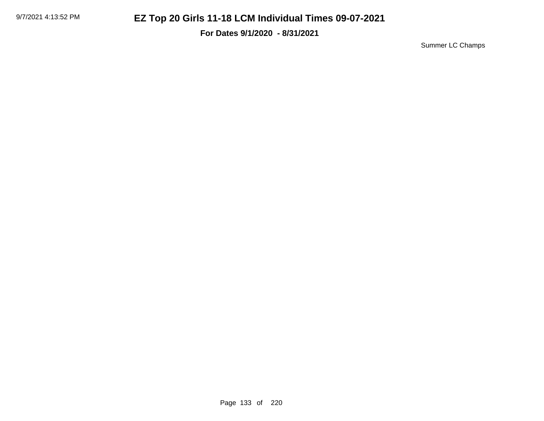**For Dates 9/1/2020 - 8/31/2021**

Summer LC Champs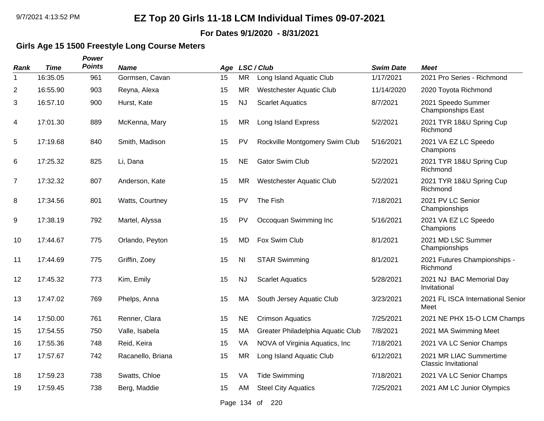### **For Dates 9/1/2020 - 8/31/2021**

### **Girls Age 15 1500 Freestyle Long Course Meters**

*Power*

| Rank           | <b>Time</b> | <b>Points</b> | <b>Name</b>       |    |           | Age LSC/Club                      | <b>Swim Date</b> | <b>Meet</b>                                            |
|----------------|-------------|---------------|-------------------|----|-----------|-----------------------------------|------------------|--------------------------------------------------------|
| 1              | 16:35.05    | 961           | Gormsen, Cavan    | 15 | <b>MR</b> | Long Island Aquatic Club          | 1/17/2021        | 2021 Pro Series - Richmond                             |
| $\overline{c}$ | 16:55.90    | 903           | Reyna, Alexa      | 15 | <b>MR</b> | <b>Westchester Aquatic Club</b>   | 11/14/2020       | 2020 Toyota Richmond                                   |
| 3              | 16:57.10    | 900           | Hurst, Kate       | 15 | <b>NJ</b> | <b>Scarlet Aquatics</b>           | 8/7/2021         | 2021 Speedo Summer<br><b>Championships East</b>        |
| 4              | 17:01.30    | 889           | McKenna, Mary     | 15 | <b>MR</b> | Long Island Express               | 5/2/2021         | 2021 TYR 18&U Spring Cup<br>Richmond                   |
| 5              | 17:19.68    | 840           | Smith, Madison    | 15 | <b>PV</b> | Rockville Montgomery Swim Club    | 5/16/2021        | 2021 VA EZ LC Speedo<br>Champions                      |
| 6              | 17:25.32    | 825           | Li, Dana          | 15 | <b>NE</b> | <b>Gator Swim Club</b>            | 5/2/2021         | 2021 TYR 18&U Spring Cup<br>Richmond                   |
| $\overline{7}$ | 17:32.32    | 807           | Anderson, Kate    | 15 | MR.       | <b>Westchester Aquatic Club</b>   | 5/2/2021         | 2021 TYR 18&U Spring Cup<br>Richmond                   |
| 8              | 17:34.56    | 801           | Watts, Courtney   | 15 | <b>PV</b> | The Fish                          | 7/18/2021        | 2021 PV LC Senior<br>Championships                     |
| 9              | 17:38.19    | 792           | Martel, Alyssa    | 15 | PV        | Occoquan Swimming Inc             | 5/16/2021        | 2021 VA EZ LC Speedo<br>Champions                      |
| 10             | 17:44.67    | 775           | Orlando, Peyton   | 15 | <b>MD</b> | Fox Swim Club                     | 8/1/2021         | 2021 MD LSC Summer<br>Championships                    |
| 11             | 17:44.69    | 775           | Griffin, Zoey     | 15 | <b>NI</b> | <b>STAR Swimming</b>              | 8/1/2021         | 2021 Futures Championships -<br>Richmond               |
| 12             | 17:45.32    | 773           | Kim, Emily        | 15 | <b>NJ</b> | <b>Scarlet Aquatics</b>           | 5/28/2021        | 2021 NJ BAC Memorial Day<br>Invitational               |
| 13             | 17:47.02    | 769           | Phelps, Anna      | 15 | MA        | South Jersey Aquatic Club         | 3/23/2021        | 2021 FL ISCA International Senior<br>Meet              |
| 14             | 17:50.00    | 761           | Renner, Clara     | 15 | <b>NE</b> | <b>Crimson Aquatics</b>           | 7/25/2021        | 2021 NE PHX 15-O LCM Champs                            |
| 15             | 17:54.55    | 750           | Valle, Isabela    | 15 | МA        | Greater Philadelphia Aquatic Club | 7/8/2021         | 2021 MA Swimming Meet                                  |
| 16             | 17:55.36    | 748           | Reid, Keira       | 15 | VA        | NOVA of Virginia Aquatics, Inc.   | 7/18/2021        | 2021 VA LC Senior Champs                               |
| 17             | 17:57.67    | 742           | Racanello, Briana | 15 | <b>MR</b> | Long Island Aquatic Club          | 6/12/2021        | 2021 MR LIAC Summertime<br><b>Classic Invitational</b> |
| 18             | 17:59.23    | 738           | Swatts, Chloe     | 15 | VA        | <b>Tide Swimming</b>              | 7/18/2021        | 2021 VA LC Senior Champs                               |
| 19             | 17:59.45    | 738           | Berg, Maddie      | 15 | AM.       | <b>Steel City Aquatics</b>        | 7/25/2021        | 2021 AM LC Junior Olympics                             |
|                |             |               |                   |    |           | Page 134 of 220                   |                  |                                                        |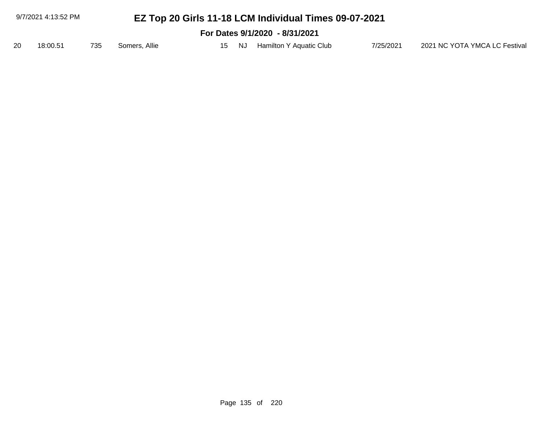|    | 9/7/2021 4:13:52 PM            |     | EZ Top 20 Girls 11-18 LCM Individual Times 09-07-2021 |    |      |                         |           |                               |  |  |
|----|--------------------------------|-----|-------------------------------------------------------|----|------|-------------------------|-----------|-------------------------------|--|--|
|    | For Dates 9/1/2020 - 8/31/2021 |     |                                                       |    |      |                         |           |                               |  |  |
| 20 | 18:00.51                       | 735 | Somers, Allie                                         | 15 | NJ N | Hamilton Y Aguatic Club | 7/25/2021 | 2021 NC YOTA YMCA LC Festival |  |  |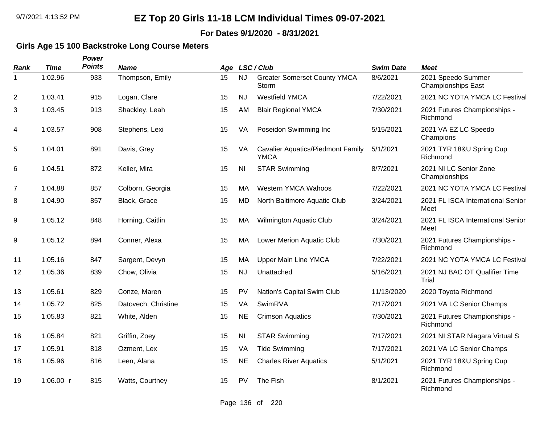#### **For Dates 9/1/2020 - 8/31/2021**

### **Girls Age 15 100 Backstroke Long Course Meters**

| <b>Rank</b>    | <b>Time</b> | Power<br><b>Points</b> | <b>Name</b>         | Age |                | LSC / Club                                              | <b>Swim Date</b> | <b>Meet</b>                                     |
|----------------|-------------|------------------------|---------------------|-----|----------------|---------------------------------------------------------|------------------|-------------------------------------------------|
| $\mathbf 1$    | 1:02.96     | 933                    | Thompson, Emily     | 15  | <b>NJ</b>      | <b>Greater Somerset County YMCA</b><br>Storm            | 8/6/2021         | 2021 Speedo Summer<br><b>Championships East</b> |
| $\overline{2}$ | 1:03.41     | 915                    | Logan, Clare        | 15  | <b>NJ</b>      | <b>Westfield YMCA</b>                                   | 7/22/2021        | 2021 NC YOTA YMCA LC Festival                   |
| 3              | 1:03.45     | 913                    | Shackley, Leah      | 15  | AM             | <b>Blair Regional YMCA</b>                              | 7/30/2021        | 2021 Futures Championships -<br>Richmond        |
| 4              | 1:03.57     | 908                    | Stephens, Lexi      | 15  | VA             | Poseidon Swimming Inc                                   | 5/15/2021        | 2021 VA EZ LC Speedo<br>Champions               |
| 5              | 1:04.01     | 891                    | Davis, Grey         | 15  | VA             | <b>Cavalier Aquatics/Piedmont Family</b><br><b>YMCA</b> | 5/1/2021         | 2021 TYR 18&U Spring Cup<br>Richmond            |
| 6              | 1:04.51     | 872                    | Keller, Mira        | 15  | <b>NI</b>      | <b>STAR Swimming</b>                                    | 8/7/2021         | 2021 NI LC Senior Zone<br>Championships         |
| $\overline{7}$ | 1:04.88     | 857                    | Colborn, Georgia    | 15  | MA             | <b>Western YMCA Wahoos</b>                              | 7/22/2021        | 2021 NC YOTA YMCA LC Festival                   |
| 8              | 1:04.90     | 857                    | Black, Grace        | 15  | <b>MD</b>      | North Baltimore Aquatic Club                            | 3/24/2021        | 2021 FL ISCA International Senior<br>Meet       |
| 9              | 1:05.12     | 848                    | Horning, Caitlin    | 15  | МA             | Wilmington Aquatic Club                                 | 3/24/2021        | 2021 FL ISCA International Senior<br>Meet       |
| 9              | 1:05.12     | 894                    | Conner, Alexa       | 15  | MA             | Lower Merion Aquatic Club                               | 7/30/2021        | 2021 Futures Championships -<br>Richmond        |
| 11             | 1:05.16     | 847                    | Sargent, Devyn      | 15  | МA             | Upper Main Line YMCA                                    | 7/22/2021        | 2021 NC YOTA YMCA LC Festival                   |
| 12             | 1:05.36     | 839                    | Chow, Olivia        | 15  | <b>NJ</b>      | Unattached                                              | 5/16/2021        | 2021 NJ BAC OT Qualifier Time<br>Trial          |
| 13             | 1:05.61     | 829                    | Conze, Maren        | 15  | <b>PV</b>      | Nation's Capital Swim Club                              | 11/13/2020       | 2020 Toyota Richmond                            |
| 14             | 1:05.72     | 825                    | Datovech, Christine | 15  | VA             | SwimRVA                                                 | 7/17/2021        | 2021 VA LC Senior Champs                        |
| 15             | 1:05.83     | 821                    | White, Alden        | 15  | <b>NE</b>      | <b>Crimson Aquatics</b>                                 | 7/30/2021        | 2021 Futures Championships -<br>Richmond        |
| 16             | 1:05.84     | 821                    | Griffin, Zoey       | 15  | N <sub>l</sub> | <b>STAR Swimming</b>                                    | 7/17/2021        | 2021 NI STAR Niagara Virtual S                  |
| 17             | 1:05.91     | 818                    | Ozment, Lex         | 15  | VA             | <b>Tide Swimming</b>                                    | 7/17/2021        | 2021 VA LC Senior Champs                        |
| 18             | 1:05.96     | 816                    | Leen, Alana         | 15  | <b>NE</b>      | <b>Charles River Aquatics</b>                           | 5/1/2021         | 2021 TYR 18&U Spring Cup<br>Richmond            |
| 19             | 1:06.00 $r$ | 815                    | Watts, Courtney     | 15  | PV             | The Fish                                                | 8/1/2021         | 2021 Futures Championships -<br>Richmond        |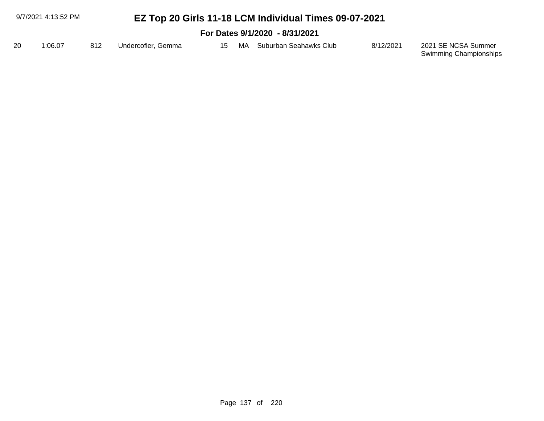| 9/7/2021 4:13:52 PM |         |     |                    |  | EZ Top 20 Girls 11-18 LCM Individual Times 09-07-2021 |           |                                               |
|---------------------|---------|-----|--------------------|--|-------------------------------------------------------|-----------|-----------------------------------------------|
|                     |         |     |                    |  | For Dates 9/1/2020 - 8/31/2021                        |           |                                               |
| -20                 | 1:06.07 | 812 | Undercofler, Gemma |  | 15 MA Suburban Seahawks Club                          | 8/12/2021 | 2021 SE NCSA Summer<br>Swimming Championships |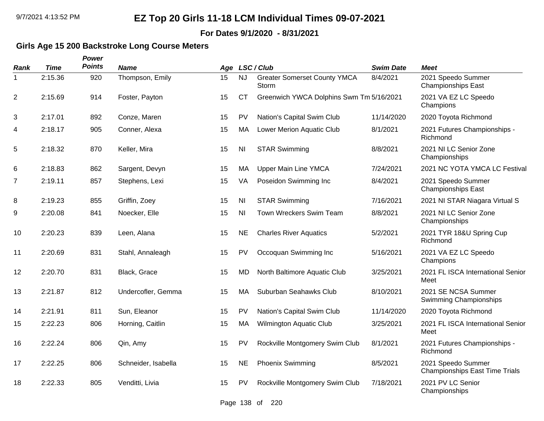**For Dates 9/1/2020 - 8/31/2021**

### **Girls Age 15 200 Backstroke Long Course Meters**

| <b>Rank</b>    | <b>Time</b> | Power<br><b>Points</b> | <b>Name</b>         |    |           | Age LSC/Club                                        | <b>Swim Date</b> | <b>Meet</b>                                                 |
|----------------|-------------|------------------------|---------------------|----|-----------|-----------------------------------------------------|------------------|-------------------------------------------------------------|
| 1              | 2:15.36     | 920                    | Thompson, Emily     | 15 | <b>NJ</b> | <b>Greater Somerset County YMCA</b><br><b>Storm</b> | 8/4/2021         | 2021 Speedo Summer<br><b>Championships East</b>             |
| $\overline{c}$ | 2:15.69     | 914                    | Foster, Payton      | 15 | <b>CT</b> | Greenwich YWCA Dolphins Swm Tm 5/16/2021            |                  | 2021 VA EZ LC Speedo<br>Champions                           |
| 3              | 2:17.01     | 892                    | Conze, Maren        | 15 | PV        | Nation's Capital Swim Club                          | 11/14/2020       | 2020 Toyota Richmond                                        |
| 4              | 2:18.17     | 905                    | Conner, Alexa       | 15 | MA        | Lower Merion Aquatic Club                           | 8/1/2021         | 2021 Futures Championships -<br>Richmond                    |
| 5              | 2:18.32     | 870                    | Keller, Mira        | 15 | <b>NI</b> | <b>STAR Swimming</b>                                | 8/8/2021         | 2021 NI LC Senior Zone<br>Championships                     |
| 6              | 2:18.83     | 862                    | Sargent, Devyn      | 15 | MA        | <b>Upper Main Line YMCA</b>                         | 7/24/2021        | 2021 NC YOTA YMCA LC Festival                               |
| 7              | 2:19.11     | 857                    | Stephens, Lexi      | 15 | VA        | Poseidon Swimming Inc                               | 8/4/2021         | 2021 Speedo Summer<br><b>Championships East</b>             |
| 8              | 2:19.23     | 855                    | Griffin, Zoey       | 15 | <b>NI</b> | <b>STAR Swimming</b>                                | 7/16/2021        | 2021 NI STAR Niagara Virtual S                              |
| 9              | 2:20.08     | 841                    | Noecker, Elle       | 15 | <b>NI</b> | Town Wreckers Swim Team                             | 8/8/2021         | 2021 NI LC Senior Zone<br>Championships                     |
| 10             | 2:20.23     | 839                    | Leen, Alana         | 15 | <b>NE</b> | <b>Charles River Aquatics</b>                       | 5/2/2021         | 2021 TYR 18&U Spring Cup<br>Richmond                        |
| 11             | 2:20.69     | 831                    | Stahl, Annaleagh    | 15 | PV        | Occoquan Swimming Inc                               | 5/16/2021        | 2021 VA EZ LC Speedo<br>Champions                           |
| 12             | 2:20.70     | 831                    | Black, Grace        | 15 | <b>MD</b> | North Baltimore Aquatic Club                        | 3/25/2021        | 2021 FL ISCA International Senior<br>Meet                   |
| 13             | 2:21.87     | 812                    | Undercofler, Gemma  | 15 | MA        | Suburban Seahawks Club                              | 8/10/2021        | 2021 SE NCSA Summer<br>Swimming Championships               |
| 14             | 2:21.91     | 811                    | Sun, Eleanor        | 15 | <b>PV</b> | Nation's Capital Swim Club                          | 11/14/2020       | 2020 Toyota Richmond                                        |
| 15             | 2:22.23     | 806                    | Horning, Caitlin    | 15 | MA        | Wilmington Aquatic Club                             | 3/25/2021        | 2021 FL ISCA International Senior<br>Meet                   |
| 16             | 2:22.24     | 806                    | Qin, Amy            | 15 | <b>PV</b> | Rockville Montgomery Swim Club                      | 8/1/2021         | 2021 Futures Championships -<br>Richmond                    |
| 17             | 2:22.25     | 806                    | Schneider, Isabella | 15 | <b>NE</b> | <b>Phoenix Swimming</b>                             | 8/5/2021         | 2021 Speedo Summer<br><b>Championships East Time Trials</b> |
| 18             | 2:22.33     | 805                    | Venditti, Livia     | 15 | PV        | Rockville Montgomery Swim Club                      | 7/18/2021        | 2021 PV LC Senior<br>Championships                          |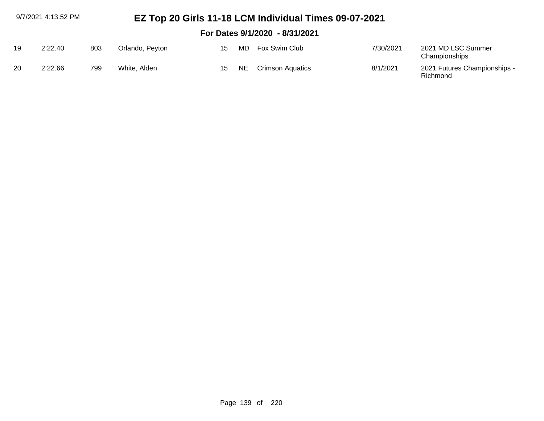| 9/7/2021 4:13:52 PM            |         |     | EZ Top 20 Girls 11-18 LCM Individual Times 09-07-2021 |    |           |                  |           |                                     |  |  |  |  |  |
|--------------------------------|---------|-----|-------------------------------------------------------|----|-----------|------------------|-----------|-------------------------------------|--|--|--|--|--|
| For Dates 9/1/2020 - 8/31/2021 |         |     |                                                       |    |           |                  |           |                                     |  |  |  |  |  |
| 19                             | 2:22.40 | 803 | Orlando, Peyton                                       | 15 | MD        | Fox Swim Club    | 7/30/2021 | 2021 MD LSC Summer<br>Championships |  |  |  |  |  |
| 20                             | 2:22.66 | 799 | White, Alden                                          | 15 | <b>NE</b> | Crimson Aquatics | 8/1/2021  | 2021 Futures Championships -        |  |  |  |  |  |

Richmond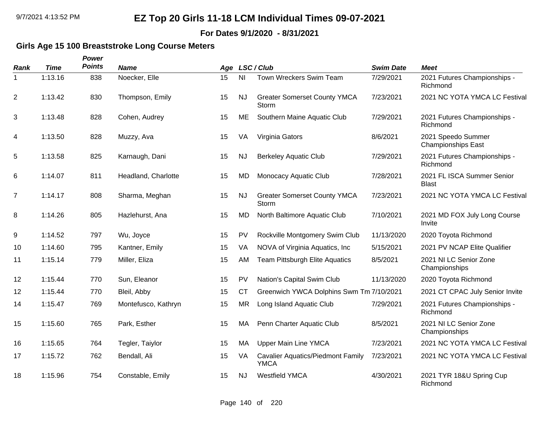**For Dates 9/1/2020 - 8/31/2021**

### **Girls Age 15 100 Breaststroke Long Course Meters**

| Rank           | <b>Time</b> | Power<br><b>Points</b> | <b>Name</b>         |    |                | Age LSC/Club                                            | <b>Swim Date</b> | <b>Meet</b>                                     |
|----------------|-------------|------------------------|---------------------|----|----------------|---------------------------------------------------------|------------------|-------------------------------------------------|
| 1              | 1:13.16     | 838                    | Noecker, Elle       | 15 | N <sub>l</sub> | Town Wreckers Swim Team                                 | 7/29/2021        | 2021 Futures Championships -<br>Richmond        |
| $\overline{c}$ | 1:13.42     | 830                    | Thompson, Emily     | 15 | <b>NJ</b>      | <b>Greater Somerset County YMCA</b><br>Storm            | 7/23/2021        | 2021 NC YOTA YMCA LC Festival                   |
| 3              | 1:13.48     | 828                    | Cohen, Audrey       | 15 | <b>ME</b>      | Southern Maine Aquatic Club                             | 7/29/2021        | 2021 Futures Championships -<br>Richmond        |
| 4              | 1:13.50     | 828                    | Muzzy, Ava          | 15 | VA             | Virginia Gators                                         | 8/6/2021         | 2021 Speedo Summer<br><b>Championships East</b> |
| 5              | 1:13.58     | 825                    | Karnaugh, Dani      | 15 | <b>NJ</b>      | <b>Berkeley Aquatic Club</b>                            | 7/29/2021        | 2021 Futures Championships -<br>Richmond        |
| 6              | 1:14.07     | 811                    | Headland, Charlotte | 15 | <b>MD</b>      | Monocacy Aquatic Club                                   | 7/28/2021        | 2021 FL ISCA Summer Senior<br><b>Blast</b>      |
| $\overline{7}$ | 1:14.17     | 808                    | Sharma, Meghan      | 15 | <b>NJ</b>      | <b>Greater Somerset County YMCA</b><br>Storm            | 7/23/2021        | 2021 NC YOTA YMCA LC Festival                   |
| 8              | 1:14.26     | 805                    | Hazlehurst, Ana     | 15 | <b>MD</b>      | North Baltimore Aquatic Club                            | 7/10/2021        | 2021 MD FOX July Long Course<br>Invite          |
| 9              | 1:14.52     | 797                    | Wu, Joyce           | 15 | <b>PV</b>      | Rockville Montgomery Swim Club                          | 11/13/2020       | 2020 Toyota Richmond                            |
| 10             | 1:14.60     | 795                    | Kantner, Emily      | 15 | VA             | NOVA of Virginia Aquatics, Inc.                         | 5/15/2021        | 2021 PV NCAP Elite Qualifier                    |
| 11             | 1:15.14     | 779                    | Miller, Eliza       | 15 | AM             | <b>Team Pittsburgh Elite Aquatics</b>                   | 8/5/2021         | 2021 NI LC Senior Zone<br>Championships         |
| 12             | 1:15.44     | 770                    | Sun, Eleanor        | 15 | PV             | Nation's Capital Swim Club                              | 11/13/2020       | 2020 Toyota Richmond                            |
| 12             | 1:15.44     | 770                    | Bleil, Abby         | 15 | <b>CT</b>      | Greenwich YWCA Dolphins Swm Tm 7/10/2021                |                  | 2021 CT CPAC July Senior Invite                 |
| 14             | 1:15.47     | 769                    | Montefusco, Kathryn | 15 | <b>MR</b>      | Long Island Aquatic Club                                | 7/29/2021        | 2021 Futures Championships -<br>Richmond        |
| 15             | 1:15.60     | 765                    | Park, Esther        | 15 | МA             | Penn Charter Aquatic Club                               | 8/5/2021         | 2021 NI LC Senior Zone<br>Championships         |
| 16             | 1:15.65     | 764                    | Tegler, Taiylor     | 15 | MA             | <b>Upper Main Line YMCA</b>                             | 7/23/2021        | 2021 NC YOTA YMCA LC Festival                   |
| 17             | 1:15.72     | 762                    | Bendall, Ali        | 15 | VA             | <b>Cavalier Aquatics/Piedmont Family</b><br><b>YMCA</b> | 7/23/2021        | 2021 NC YOTA YMCA LC Festival                   |
| 18             | 1:15.96     | 754                    | Constable, Emily    | 15 | <b>NJ</b>      | <b>Westfield YMCA</b>                                   | 4/30/2021        | 2021 TYR 18&U Spring Cup<br>Richmond            |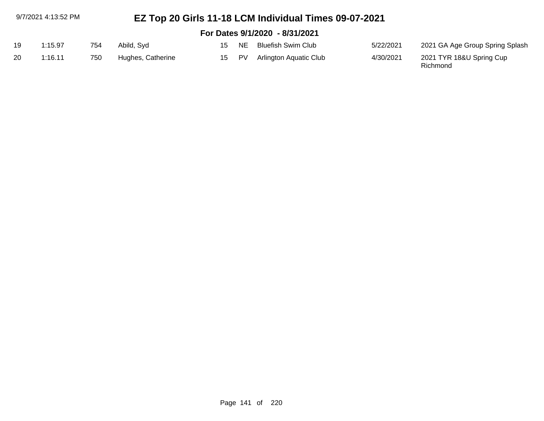|    | 9/7/2021 4:13:52 PM |     | EZ Top 20 Girls 11-18 LCM Individual Times 09-07-2021 |    |           |                                |           |                                      |  |  |  |  |
|----|---------------------|-----|-------------------------------------------------------|----|-----------|--------------------------------|-----------|--------------------------------------|--|--|--|--|
|    |                     |     |                                                       |    |           | For Dates 9/1/2020 - 8/31/2021 |           |                                      |  |  |  |  |
| 19 | 1:15.97             | 754 | Abild, Syd                                            | 15 | NE.       | <b>Bluefish Swim Club</b>      | 5/22/2021 | 2021 GA Age Group Spring Splash      |  |  |  |  |
| 20 | 1:16.11             | 750 | Hughes, Catherine                                     | 15 | <b>PV</b> | <b>Arlington Aquatic Club</b>  | 4/30/2021 | 2021 TYR 18&U Spring Cup<br>Richmond |  |  |  |  |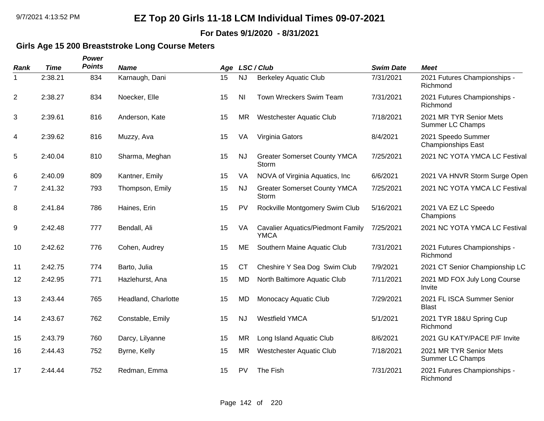**For Dates 9/1/2020 - 8/31/2021**

### **Girls Age 15 200 Breaststroke Long Course Meters**

| <b>Rank</b>    | <b>Time</b> | Power<br><b>Points</b> | <b>Name</b>         | Age |                | LSC / Club                                              | <b>Swim Date</b> | <b>Meet</b>                                     |
|----------------|-------------|------------------------|---------------------|-----|----------------|---------------------------------------------------------|------------------|-------------------------------------------------|
| 1              | 2:38.21     | 834                    | Karnaugh, Dani      | 15  | <b>NJ</b>      | <b>Berkeley Aquatic Club</b>                            | 7/31/2021        | 2021 Futures Championships -<br>Richmond        |
| $\overline{c}$ | 2:38.27     | 834                    | Noecker, Elle       | 15  | N <sub>l</sub> | Town Wreckers Swim Team                                 | 7/31/2021        | 2021 Futures Championships -<br>Richmond        |
| 3              | 2:39.61     | 816                    | Anderson, Kate      | 15  | <b>MR</b>      | <b>Westchester Aquatic Club</b>                         | 7/18/2021        | 2021 MR TYR Senior Mets<br>Summer LC Champs     |
| 4              | 2:39.62     | 816                    | Muzzy, Ava          | 15  | VA             | Virginia Gators                                         | 8/4/2021         | 2021 Speedo Summer<br><b>Championships East</b> |
| 5              | 2:40.04     | 810                    | Sharma, Meghan      | 15  | <b>NJ</b>      | <b>Greater Somerset County YMCA</b><br>Storm            | 7/25/2021        | 2021 NC YOTA YMCA LC Festival                   |
| 6              | 2:40.09     | 809                    | Kantner, Emily      | 15  | VA             | NOVA of Virginia Aquatics, Inc.                         | 6/6/2021         | 2021 VA HNVR Storm Surge Open                   |
| 7              | 2:41.32     | 793                    | Thompson, Emily     | 15  | <b>NJ</b>      | <b>Greater Somerset County YMCA</b><br>Storm            | 7/25/2021        | 2021 NC YOTA YMCA LC Festival                   |
| 8              | 2:41.84     | 786                    | Haines, Erin        | 15  | <b>PV</b>      | Rockville Montgomery Swim Club                          | 5/16/2021        | 2021 VA EZ LC Speedo<br>Champions               |
| 9              | 2:42.48     | 777                    | Bendall, Ali        | 15  | VA             | <b>Cavalier Aquatics/Piedmont Family</b><br><b>YMCA</b> | 7/25/2021        | 2021 NC YOTA YMCA LC Festival                   |
| 10             | 2:42.62     | 776                    | Cohen, Audrey       | 15  | <b>ME</b>      | Southern Maine Aquatic Club                             | 7/31/2021        | 2021 Futures Championships -<br>Richmond        |
| 11             | 2:42.75     | 774                    | Barto, Julia        | 15  | <b>CT</b>      | Cheshire Y Sea Dog Swim Club                            | 7/9/2021         | 2021 CT Senior Championship LC                  |
| 12             | 2:42.95     | 771                    | Hazlehurst, Ana     | 15  | <b>MD</b>      | North Baltimore Aquatic Club                            | 7/11/2021        | 2021 MD FOX July Long Course<br>Invite          |
| 13             | 2:43.44     | 765                    | Headland, Charlotte | 15  | MD             | Monocacy Aquatic Club                                   | 7/29/2021        | 2021 FL ISCA Summer Senior<br><b>Blast</b>      |
| 14             | 2:43.67     | 762                    | Constable, Emily    | 15  | <b>NJ</b>      | <b>Westfield YMCA</b>                                   | 5/1/2021         | 2021 TYR 18&U Spring Cup<br>Richmond            |
| 15             | 2:43.79     | 760                    | Darcy, Lilyanne     | 15  | <b>MR</b>      | Long Island Aquatic Club                                | 8/6/2021         | 2021 GU KATY/PACE P/F Invite                    |
| 16             | 2:44.43     | 752                    | Byrne, Kelly        | 15  | <b>MR</b>      | <b>Westchester Aquatic Club</b>                         | 7/18/2021        | 2021 MR TYR Senior Mets<br>Summer LC Champs     |
| 17             | 2:44.44     | 752                    | Redman, Emma        | 15  | <b>PV</b>      | The Fish                                                | 7/31/2021        | 2021 Futures Championships -<br>Richmond        |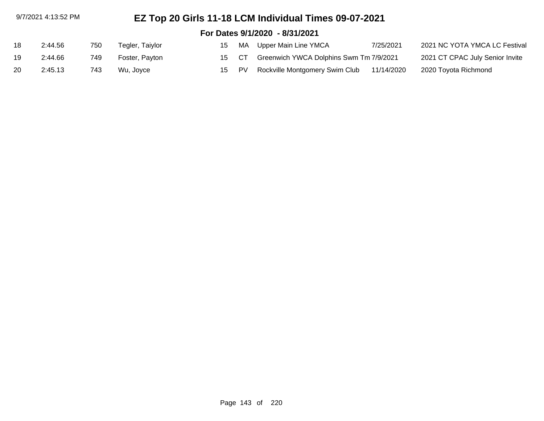|    | 9/7/2021 4:13:52 PM            |     |                 |    |       | EZ Top 20 Girls 11-18 LCM Individual Times 09-07-2021 |           |                                 |  |  |
|----|--------------------------------|-----|-----------------|----|-------|-------------------------------------------------------|-----------|---------------------------------|--|--|
|    | For Dates 9/1/2020 - 8/31/2021 |     |                 |    |       |                                                       |           |                                 |  |  |
| 18 | 2:44.56                        | 750 | Tegler, Taiylor | 15 | MA    | Upper Main Line YMCA                                  | 7/25/2021 | 2021 NC YOTA YMCA LC Festival   |  |  |
| 19 | 2:44.66                        | 749 | Foster, Payton  |    | 15 CT | Greenwich YWCA Dolphins Swm Tm 7/9/2021               |           | 2021 CT CPAC July Senior Invite |  |  |
| 20 | 2:45.13                        | 743 | Wu, Joyce       |    | 15 PV | Rockville Montgomery Swim Club 11/14/2020             |           | 2020 Toyota Richmond            |  |  |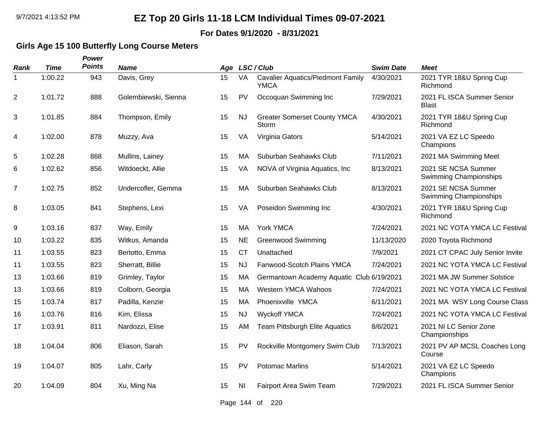**For Dates 9/1/2020 - 8/31/2021**

### **Girls Age 15 100 Butterfly Long Course Meters**

*Power*

| <b>Rank</b>    | <b>Time</b> | <b>Points</b> | <b>Name</b>          |    |           | Age LSC/Club                                            | <b>Swim Date</b> | <b>Meet</b>                                   |
|----------------|-------------|---------------|----------------------|----|-----------|---------------------------------------------------------|------------------|-----------------------------------------------|
| 1              | 1:00.22     | 943           | Davis, Grey          | 15 | VA        | <b>Cavalier Aquatics/Piedmont Family</b><br><b>YMCA</b> | 4/30/2021        | 2021 TYR 18&U Spring Cup<br>Richmond          |
| $\overline{2}$ | 1:01.72     | 888           | Golembiewski, Sienna | 15 | PV        | Occoquan Swimming Inc                                   | 7/29/2021        | 2021 FL ISCA Summer Senior<br><b>Blast</b>    |
| 3              | 1:01.85     | 884           | Thompson, Emily      | 15 | <b>NJ</b> | <b>Greater Somerset County YMCA</b><br>Storm            | 4/30/2021        | 2021 TYR 18&U Spring Cup<br>Richmond          |
| 4              | 1:02.00     | 878           | Muzzy, Ava           | 15 | VA        | Virginia Gators                                         | 5/14/2021        | 2021 VA EZ LC Speedo<br>Champions             |
| 5              | 1:02.28     | 868           | Mullins, Lainey      | 15 | MA        | Suburban Seahawks Club                                  | 7/11/2021        | 2021 MA Swimming Meet                         |
| 6              | 1:02.62     | 856           | Witdoeckt, Allie     | 15 | VA        | NOVA of Virginia Aquatics, Inc.                         | 8/13/2021        | 2021 SE NCSA Summer<br>Swimming Championships |
| 7              | 1:02.75     | 852           | Undercofler, Gemma   | 15 | MA        | Suburban Seahawks Club                                  | 8/13/2021        | 2021 SE NCSA Summer<br>Swimming Championships |
| 8              | 1:03.05     | 841           | Stephens, Lexi       | 15 | VA        | Poseidon Swimming Inc                                   | 4/30/2021        | 2021 TYR 18&U Spring Cup<br>Richmond          |
| 9              | 1:03.16     | 837           | Way, Emily           | 15 | MA        | York YMCA                                               | 7/24/2021        | 2021 NC YOTA YMCA LC Festival                 |
| 10             | 1:03.22     | 835           | Witkus, Amanda       | 15 | <b>NE</b> | <b>Greenwood Swimming</b>                               | 11/13/2020       | 2020 Toyota Richmond                          |
| 11             | 1:03.55     | 823           | Bertotto, Emma       | 15 | <b>CT</b> | Unattached                                              | 7/9/2021         | 2021 CT CPAC July Senior Invite               |
| 11             | 1:03.55     | 823           | Sherratt, Billie     | 15 | <b>NJ</b> | Fanwood-Scotch Plains YMCA                              | 7/24/2021        | 2021 NC YOTA YMCA LC Festival                 |
| 13             | 1:03.66     | 819           | Grimley, Taylor      | 15 | MA        | Germantown Academy Aquatic Club 6/19/2021               |                  | 2021 MA JW Summer Solstice                    |
| 13             | 1:03.66     | 819           | Colborn, Georgia     | 15 | МA        | Western YMCA Wahoos                                     | 7/24/2021        | 2021 NC YOTA YMCA LC Festival                 |
| 15             | 1:03.74     | 817           | Padilla, Kenzie      | 15 | MA        | Phoenixville YMCA                                       | 6/11/2021        | 2021 MA WSY Long Course Class                 |
| 16             | 1:03.76     | 816           | Kim, Elissa          | 15 | <b>NJ</b> | <b>Wyckoff YMCA</b>                                     | 7/24/2021        | 2021 NC YOTA YMCA LC Festival                 |
| 17             | 1:03.91     | 811           | Nardozzi, Elise      | 15 | AM        | Team Pittsburgh Elite Aquatics                          | 8/6/2021         | 2021 NI LC Senior Zone<br>Championships       |
| 18             | 1:04.04     | 806           | Eliason, Sarah       | 15 | <b>PV</b> | Rockville Montgomery Swim Club                          | 7/13/2021        | 2021 PV AP MCSL Coaches Long<br>Course        |
| 19             | 1:04.07     | 805           | Lahr, Carly          | 15 | PV        | <b>Potomac Marlins</b>                                  | 5/14/2021        | 2021 VA EZ LC Speedo<br>Champions             |
| 20             | 1:04.09     | 804           | Xu, Ming Na          | 15 | <b>NI</b> | Fairport Area Swim Team                                 | 7/29/2021        | 2021 FL ISCA Summer Senior                    |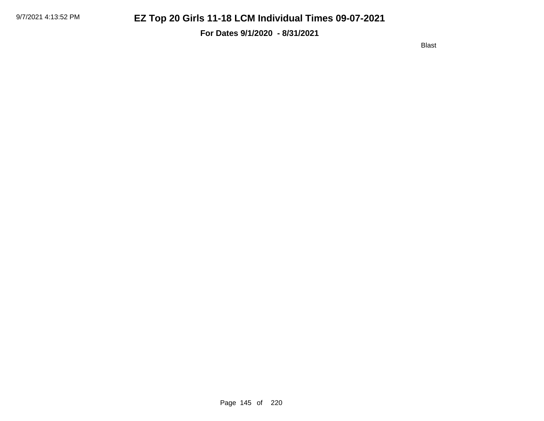**For Dates 9/1/2020 - 8/31/2021**

Blast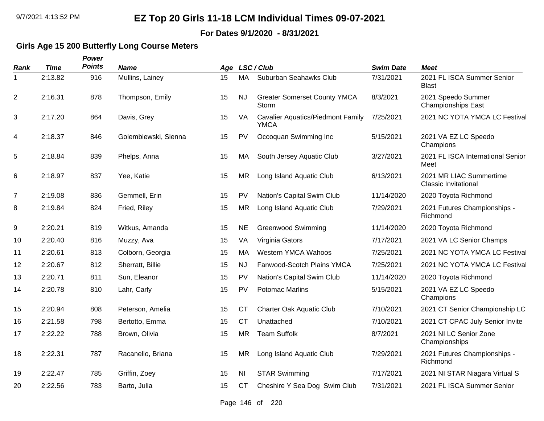#### **For Dates 9/1/2020 - 8/31/2021**

### **Girls Age 15 200 Butterfly Long Course Meters**

*Power*

| <b>Rank</b>    | <b>Time</b> | <b>Points</b> | <b>Name</b>          |    |           | Age LSC/Club                                            | <b>Swim Date</b> | <b>Meet</b>                                            |
|----------------|-------------|---------------|----------------------|----|-----------|---------------------------------------------------------|------------------|--------------------------------------------------------|
| 1              | 2:13.82     | 916           | Mullins, Lainey      | 15 | MA        | Suburban Seahawks Club                                  | 7/31/2021        | 2021 FL ISCA Summer Senior<br><b>Blast</b>             |
| $\overline{2}$ | 2:16.31     | 878           | Thompson, Emily      | 15 | <b>NJ</b> | <b>Greater Somerset County YMCA</b><br><b>Storm</b>     | 8/3/2021         | 2021 Speedo Summer<br><b>Championships East</b>        |
| 3              | 2:17.20     | 864           | Davis, Grey          | 15 | <b>VA</b> | <b>Cavalier Aquatics/Piedmont Family</b><br><b>YMCA</b> | 7/25/2021        | 2021 NC YOTA YMCA LC Festival                          |
| 4              | 2:18.37     | 846           | Golembiewski, Sienna | 15 | PV        | Occoquan Swimming Inc                                   | 5/15/2021        | 2021 VA EZ LC Speedo<br>Champions                      |
| 5              | 2:18.84     | 839           | Phelps, Anna         | 15 | MA        | South Jersey Aquatic Club                               | 3/27/2021        | 2021 FL ISCA International Senior<br>Meet              |
| 6              | 2:18.97     | 837           | Yee, Katie           | 15 | <b>MR</b> | Long Island Aquatic Club                                | 6/13/2021        | 2021 MR LIAC Summertime<br><b>Classic Invitational</b> |
| $\overline{7}$ | 2:19.08     | 836           | Gemmell, Erin        | 15 | PV        | Nation's Capital Swim Club                              | 11/14/2020       | 2020 Toyota Richmond                                   |
| 8              | 2:19.84     | 824           | Fried, Riley         | 15 | <b>MR</b> | Long Island Aquatic Club                                | 7/29/2021        | 2021 Futures Championships -<br>Richmond               |
| 9              | 2:20.21     | 819           | Witkus, Amanda       | 15 | <b>NE</b> | <b>Greenwood Swimming</b>                               | 11/14/2020       | 2020 Toyota Richmond                                   |
| 10             | 2:20.40     | 816           | Muzzy, Ava           | 15 | VA        | Virginia Gators                                         | 7/17/2021        | 2021 VA LC Senior Champs                               |
| 11             | 2:20.61     | 813           | Colborn, Georgia     | 15 | MA        | <b>Western YMCA Wahoos</b>                              | 7/25/2021        | 2021 NC YOTA YMCA LC Festival                          |
| 12             | 2:20.67     | 812           | Sherratt, Billie     | 15 | <b>NJ</b> | Fanwood-Scotch Plains YMCA                              | 7/25/2021        | 2021 NC YOTA YMCA LC Festival                          |
| 13             | 2:20.71     | 811           | Sun, Eleanor         | 15 | <b>PV</b> | Nation's Capital Swim Club                              | 11/14/2020       | 2020 Toyota Richmond                                   |
| 14             | 2:20.78     | 810           | Lahr, Carly          | 15 | <b>PV</b> | <b>Potomac Marlins</b>                                  | 5/15/2021        | 2021 VA EZ LC Speedo<br>Champions                      |
| 15             | 2:20.94     | 808           | Peterson, Amelia     | 15 | <b>CT</b> | <b>Charter Oak Aquatic Club</b>                         | 7/10/2021        | 2021 CT Senior Championship LC                         |
| 16             | 2:21.58     | 798           | Bertotto, Emma       | 15 | <b>CT</b> | Unattached                                              | 7/10/2021        | 2021 CT CPAC July Senior Invite                        |
| 17             | 2:22.22     | 788           | Brown, Olivia        | 15 | <b>MR</b> | <b>Team Suffolk</b>                                     | 8/7/2021         | 2021 NI LC Senior Zone<br>Championships                |
| 18             | 2:22.31     | 787           | Racanello, Briana    | 15 | <b>MR</b> | Long Island Aquatic Club                                | 7/29/2021        | 2021 Futures Championships -<br>Richmond               |
| 19             | 2:22.47     | 785           | Griffin, Zoey        | 15 | <b>NI</b> | <b>STAR Swimming</b>                                    | 7/17/2021        | 2021 NI STAR Niagara Virtual S                         |
| 20             | 2:22.56     | 783           | Barto, Julia         | 15 | <b>CT</b> | Cheshire Y Sea Dog Swim Club                            | 7/31/2021        | 2021 FL ISCA Summer Senior                             |

Page 146 of 220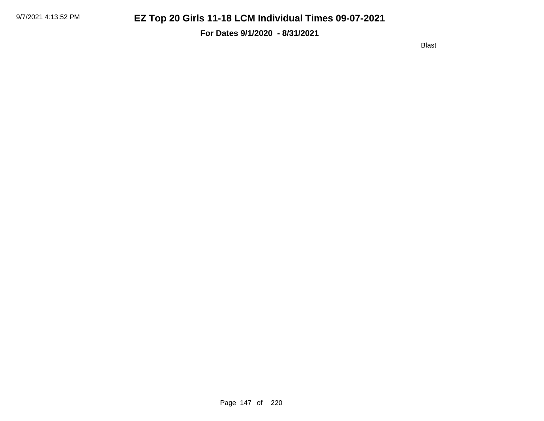**For Dates 9/1/2020 - 8/31/2021**

Blast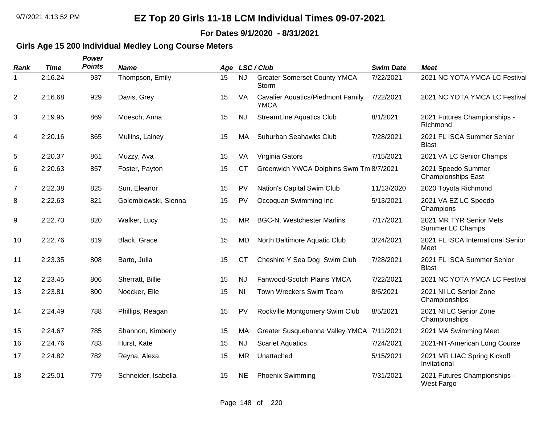**For Dates 9/1/2020 - 8/31/2021**

### **Girls Age 15 200 Individual Medley Long Course Meters**

| <b>Rank</b>    | <b>Time</b> | Power<br><b>Points</b> | <b>Name</b>          |    |                | Age LSC/Club                                            | <b>Swim Date</b> | <b>Meet</b>                                        |
|----------------|-------------|------------------------|----------------------|----|----------------|---------------------------------------------------------|------------------|----------------------------------------------------|
| $\mathbf 1$    | 2:16.24     | 937                    | Thompson, Emily      | 15 | <b>NJ</b>      | <b>Greater Somerset County YMCA</b><br>Storm            | 7/22/2021        | 2021 NC YOTA YMCA LC Festival                      |
| 2              | 2:16.68     | 929                    | Davis, Grey          | 15 | VA             | <b>Cavalier Aquatics/Piedmont Family</b><br><b>YMCA</b> | 7/22/2021        | 2021 NC YOTA YMCA LC Festival                      |
| 3              | 2:19.95     | 869                    | Moesch, Anna         | 15 | <b>NJ</b>      | <b>StreamLine Aquatics Club</b>                         | 8/1/2021         | 2021 Futures Championships -<br>Richmond           |
| 4              | 2:20.16     | 865                    | Mullins, Lainey      | 15 | MA             | Suburban Seahawks Club                                  | 7/28/2021        | 2021 FL ISCA Summer Senior<br><b>Blast</b>         |
| 5              | 2:20.37     | 861                    | Muzzy, Ava           | 15 | VA             | Virginia Gators                                         | 7/15/2021        | 2021 VA LC Senior Champs                           |
| 6              | 2:20.63     | 857                    | Foster, Payton       | 15 | <b>CT</b>      | Greenwich YWCA Dolphins Swm Tm 8/7/2021                 |                  | 2021 Speedo Summer<br><b>Championships East</b>    |
| $\overline{7}$ | 2:22.38     | 825                    | Sun, Eleanor         | 15 | <b>PV</b>      | Nation's Capital Swim Club                              | 11/13/2020       | 2020 Toyota Richmond                               |
| 8              | 2:22.63     | 821                    | Golembiewski, Sienna | 15 | PV             | Occoquan Swimming Inc                                   | 5/13/2021        | 2021 VA EZ LC Speedo<br>Champions                  |
| 9              | 2:22.70     | 820                    | Walker, Lucy         | 15 | ΜR             | <b>BGC-N. Westchester Marlins</b>                       | 7/17/2021        | 2021 MR TYR Senior Mets<br><b>Summer LC Champs</b> |
| 10             | 2:22.76     | 819                    | Black, Grace         | 15 | <b>MD</b>      | North Baltimore Aquatic Club                            | 3/24/2021        | 2021 FL ISCA International Senior<br>Meet          |
| 11             | 2:23.35     | 808                    | Barto, Julia         | 15 | <b>CT</b>      | Cheshire Y Sea Dog Swim Club                            | 7/28/2021        | 2021 FL ISCA Summer Senior<br><b>Blast</b>         |
| 12             | 2:23.45     | 806                    | Sherratt, Billie     | 15 | <b>NJ</b>      | Fanwood-Scotch Plains YMCA                              | 7/22/2021        | 2021 NC YOTA YMCA LC Festival                      |
| 13             | 2:23.81     | 800                    | Noecker, Elle        | 15 | N <sub>l</sub> | Town Wreckers Swim Team                                 | 8/5/2021         | 2021 NI LC Senior Zone<br>Championships            |
| 14             | 2:24.49     | 788                    | Phillips, Reagan     | 15 | <b>PV</b>      | Rockville Montgomery Swim Club                          | 8/5/2021         | 2021 NI LC Senior Zone<br>Championships            |
| 15             | 2:24.67     | 785                    | Shannon, Kimberly    | 15 | MA             | Greater Susquehanna Valley YMCA 7/11/2021               |                  | 2021 MA Swimming Meet                              |
| 16             | 2:24.76     | 783                    | Hurst, Kate          | 15 | <b>NJ</b>      | <b>Scarlet Aquatics</b>                                 | 7/24/2021        | 2021-NT-American Long Course                       |
| 17             | 2:24.82     | 782                    | Reyna, Alexa         | 15 | <b>MR</b>      | Unattached                                              | 5/15/2021        | 2021 MR LIAC Spring Kickoff<br>Invitational        |
| 18             | 2:25.01     | 779                    | Schneider, Isabella  | 15 | <b>NE</b>      | <b>Phoenix Swimming</b>                                 | 7/31/2021        | 2021 Futures Championships -<br><b>West Fargo</b>  |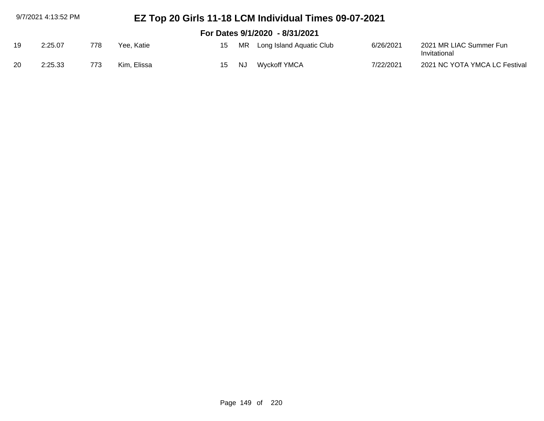|    | 9/7/2021 4:13:52 PM |     |             |    |     | EZ Top 20 Girls 11-18 LCM Individual Times 09-07-2021 |           |                                         |  |  |  |
|----|---------------------|-----|-------------|----|-----|-------------------------------------------------------|-----------|-----------------------------------------|--|--|--|
|    |                     |     |             |    |     | For Dates 9/1/2020 - 8/31/2021                        |           |                                         |  |  |  |
| 19 | 2:25.07             | 778 | Yee, Katie  | 15 |     | MR Long Island Aquatic Club                           | 6/26/2021 | 2021 MR LIAC Summer Fun<br>Invitational |  |  |  |
| 20 | 2:25.33             | 773 | Kim, Elissa | 15 | NJ. | <b>Wyckoff YMCA</b>                                   | 7/22/2021 | 2021 NC YOTA YMCA LC Festival           |  |  |  |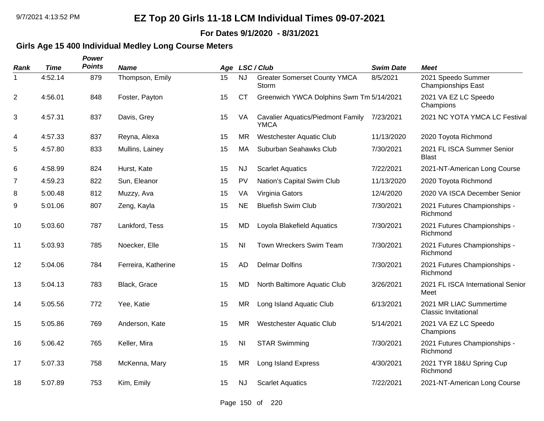**For Dates 9/1/2020 - 8/31/2021**

### **Girls Age 15 400 Individual Medley Long Course Meters**

| <b>Rank</b>    | Time    | Power<br><b>Points</b> | <b>Name</b>         |    |                | Age LSC/Club                                            | <b>Swim Date</b> | <b>Meet</b>                                            |
|----------------|---------|------------------------|---------------------|----|----------------|---------------------------------------------------------|------------------|--------------------------------------------------------|
| 1              | 4:52.14 | 879                    | Thompson, Emily     | 15 | <b>NJ</b>      | <b>Greater Somerset County YMCA</b><br>Storm            | 8/5/2021         | 2021 Speedo Summer<br><b>Championships East</b>        |
| $\overline{c}$ | 4:56.01 | 848                    | Foster, Payton      | 15 | <b>CT</b>      | Greenwich YWCA Dolphins Swm Tm 5/14/2021                |                  | 2021 VA EZ LC Speedo<br>Champions                      |
| 3              | 4:57.31 | 837                    | Davis, Grey         | 15 | VA             | <b>Cavalier Aquatics/Piedmont Family</b><br><b>YMCA</b> | 7/23/2021        | 2021 NC YOTA YMCA LC Festival                          |
| 4              | 4:57.33 | 837                    | Reyna, Alexa        | 15 | <b>MR</b>      | <b>Westchester Aquatic Club</b>                         | 11/13/2020       | 2020 Toyota Richmond                                   |
| 5              | 4:57.80 | 833                    | Mullins, Lainey     | 15 | МA             | Suburban Seahawks Club                                  | 7/30/2021        | 2021 FL ISCA Summer Senior<br><b>Blast</b>             |
| 6              | 4:58.99 | 824                    | Hurst, Kate         | 15 | <b>NJ</b>      | <b>Scarlet Aquatics</b>                                 | 7/22/2021        | 2021-NT-American Long Course                           |
| 7              | 4:59.23 | 822                    | Sun, Eleanor        | 15 | <b>PV</b>      | Nation's Capital Swim Club                              | 11/13/2020       | 2020 Toyota Richmond                                   |
| 8              | 5:00.48 | 812                    | Muzzy, Ava          | 15 | VA             | Virginia Gators                                         | 12/4/2020        | 2020 VA ISCA December Senior                           |
| 9              | 5:01.06 | 807                    | Zeng, Kayla         | 15 | <b>NE</b>      | <b>Bluefish Swim Club</b>                               | 7/30/2021        | 2021 Futures Championships -<br>Richmond               |
| 10             | 5:03.60 | 787                    | Lankford, Tess      | 15 | <b>MD</b>      | Loyola Blakefield Aquatics                              | 7/30/2021        | 2021 Futures Championships -<br>Richmond               |
| 11             | 5:03.93 | 785                    | Noecker, Elle       | 15 | <b>NI</b>      | Town Wreckers Swim Team                                 | 7/30/2021        | 2021 Futures Championships -<br>Richmond               |
| 12             | 5:04.06 | 784                    | Ferreira, Katherine | 15 | <b>AD</b>      | <b>Delmar Dolfins</b>                                   | 7/30/2021        | 2021 Futures Championships -<br>Richmond               |
| 13             | 5:04.13 | 783                    | Black, Grace        | 15 | <b>MD</b>      | North Baltimore Aquatic Club                            | 3/26/2021        | 2021 FL ISCA International Senior<br>Meet              |
| 14             | 5:05.56 | 772                    | Yee, Katie          | 15 | <b>MR</b>      | Long Island Aquatic Club                                | 6/13/2021        | 2021 MR LIAC Summertime<br><b>Classic Invitational</b> |
| 15             | 5:05.86 | 769                    | Anderson, Kate      | 15 | <b>MR</b>      | <b>Westchester Aquatic Club</b>                         | 5/14/2021        | 2021 VA EZ LC Speedo<br>Champions                      |
| 16             | 5:06.42 | 765                    | Keller, Mira        | 15 | N <sub>l</sub> | <b>STAR Swimming</b>                                    | 7/30/2021        | 2021 Futures Championships -<br>Richmond               |
| 17             | 5:07.33 | 758                    | McKenna, Mary       | 15 | <b>MR</b>      | Long Island Express                                     | 4/30/2021        | 2021 TYR 18&U Spring Cup<br>Richmond                   |
| 18             | 5:07.89 | 753                    | Kim, Emily          | 15 | <b>NJ</b>      | <b>Scarlet Aquatics</b>                                 | 7/22/2021        | 2021-NT-American Long Course                           |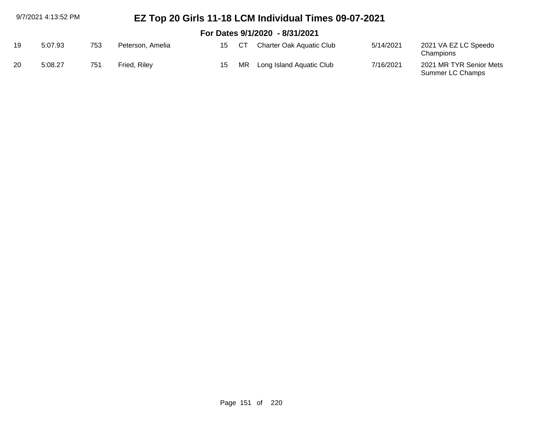| 9/7/2021 4:13:52 PM |                                |     | EZ Top 20 Girls 11-18 LCM Individual Times 09-07-2021 |    |      |                                 |           |                                             |  |  |  |
|---------------------|--------------------------------|-----|-------------------------------------------------------|----|------|---------------------------------|-----------|---------------------------------------------|--|--|--|
|                     | For Dates 9/1/2020 - 8/31/2021 |     |                                                       |    |      |                                 |           |                                             |  |  |  |
| 19                  | 5:07.93                        | 753 | Peterson, Amelia                                      | 15 | - CT | <b>Charter Oak Aquatic Club</b> | 5/14/2021 | 2021 VA EZ LC Speedo<br>Champions           |  |  |  |
| 20                  | 5:08.27                        | 751 | Fried, Riley                                          | 15 | MR.  | Long Island Aquatic Club        | 7/16/2021 | 2021 MR TYR Senior Mets<br>Summer LC Champs |  |  |  |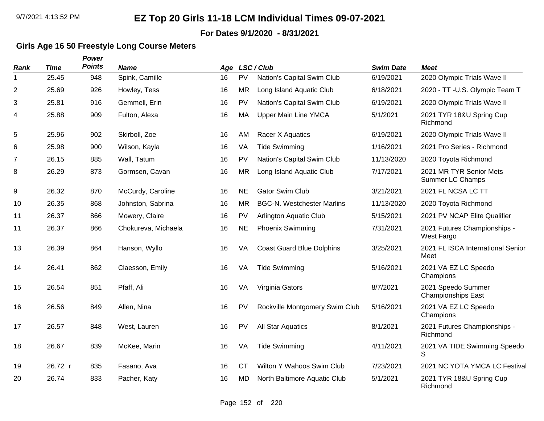#### **For Dates 9/1/2020 - 8/31/2021**

### **Girls Age 16 50 Freestyle Long Course Meters**

| Rank           | <b>Time</b> | Power<br><b>Points</b> | <b>Name</b>         | Age |           | LSC / Club                        | <b>Swim Date</b> | <b>Meet</b>                                        |
|----------------|-------------|------------------------|---------------------|-----|-----------|-----------------------------------|------------------|----------------------------------------------------|
| 1              | 25.45       | 948                    | Spink, Camille      | 16  | <b>PV</b> | Nation's Capital Swim Club        | 6/19/2021        | 2020 Olympic Trials Wave II                        |
| $\overline{c}$ | 25.69       | 926                    | Howley, Tess        | 16  | MR        | Long Island Aquatic Club          | 6/18/2021        | 2020 - TT -U.S. Olympic Team T                     |
| 3              | 25.81       | 916                    | Gemmell, Erin       | 16  | PV        | Nation's Capital Swim Club        | 6/19/2021        | 2020 Olympic Trials Wave II                        |
| 4              | 25.88       | 909                    | Fulton, Alexa       | 16  | MA        | <b>Upper Main Line YMCA</b>       | 5/1/2021         | 2021 TYR 18&U Spring Cup<br>Richmond               |
| 5              | 25.96       | 902                    | Skirboll, Zoe       | 16  | AM        | Racer X Aquatics                  | 6/19/2021        | 2020 Olympic Trials Wave II                        |
| 6              | 25.98       | 900                    | Wilson, Kayla       | 16  | VA        | <b>Tide Swimming</b>              | 1/16/2021        | 2021 Pro Series - Richmond                         |
| $\overline{7}$ | 26.15       | 885                    | Wall, Tatum         | 16  | PV        | Nation's Capital Swim Club        | 11/13/2020       | 2020 Toyota Richmond                               |
| 8              | 26.29       | 873                    | Gormsen, Cavan      | 16  | <b>MR</b> | Long Island Aquatic Club          | 7/17/2021        | 2021 MR TYR Senior Mets<br><b>Summer LC Champs</b> |
| 9              | 26.32       | 870                    | McCurdy, Caroline   | 16  | <b>NE</b> | <b>Gator Swim Club</b>            | 3/21/2021        | 2021 FL NCSA LC TT                                 |
| 10             | 26.35       | 868                    | Johnston, Sabrina   | 16  | <b>MR</b> | <b>BGC-N. Westchester Marlins</b> | 11/13/2020       | 2020 Toyota Richmond                               |
| 11             | 26.37       | 866                    | Mowery, Claire      | 16  | PV        | Arlington Aquatic Club            | 5/15/2021        | 2021 PV NCAP Elite Qualifier                       |
| 11             | 26.37       | 866                    | Chokureva, Michaela | 16  | <b>NE</b> | <b>Phoenix Swimming</b>           | 7/31/2021        | 2021 Futures Championships -<br>West Fargo         |
| 13             | 26.39       | 864                    | Hanson, Wyllo       | 16  | VA        | <b>Coast Guard Blue Dolphins</b>  | 3/25/2021        | 2021 FL ISCA International Senior<br>Meet          |
| 14             | 26.41       | 862                    | Claesson, Emily     | 16  | VA        | <b>Tide Swimming</b>              | 5/16/2021        | 2021 VA EZ LC Speedo<br>Champions                  |
| 15             | 26.54       | 851                    | Pfaff, Ali          | 16  | VA        | Virginia Gators                   | 8/7/2021         | 2021 Speedo Summer<br><b>Championships East</b>    |
| 16             | 26.56       | 849                    | Allen, Nina         | 16  | PV        | Rockville Montgomery Swim Club    | 5/16/2021        | 2021 VA EZ LC Speedo<br>Champions                  |
| 17             | 26.57       | 848                    | West, Lauren        | 16  | PV        | All Star Aquatics                 | 8/1/2021         | 2021 Futures Championships -<br>Richmond           |
| 18             | 26.67       | 839                    | McKee, Marin        | 16  | VA        | <b>Tide Swimming</b>              | 4/11/2021        | 2021 VA TIDE Swimming Speedo<br>S                  |
| 19             | 26.72 r     | 835                    | Fasano, Ava         | 16  | <b>CT</b> | Wilton Y Wahoos Swim Club         | 7/23/2021        | 2021 NC YOTA YMCA LC Festival                      |
| 20             | 26.74       | 833                    | Pacher, Katy        | 16  | <b>MD</b> | North Baltimore Aquatic Club      | 5/1/2021         | 2021 TYR 18&U Spring Cup<br>Richmond               |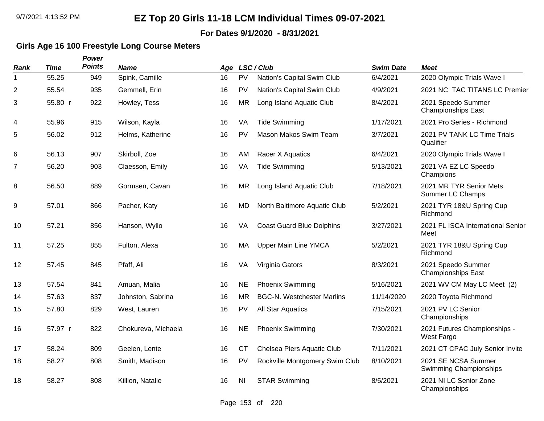#### **For Dates 9/1/2020 - 8/31/2021**

### **Girls Age 16 100 Freestyle Long Course Meters**

| Rank           | <b>Time</b> | Power<br><b>Points</b> | <b>Name</b>         | Age |           | LSC / Club                        | <b>Swim Date</b> | <b>Meet</b>                                        |
|----------------|-------------|------------------------|---------------------|-----|-----------|-----------------------------------|------------------|----------------------------------------------------|
| 1              | 55.25       | 949                    | Spink, Camille      | 16  | PV        | Nation's Capital Swim Club        | 6/4/2021         | 2020 Olympic Trials Wave I                         |
| $\overline{2}$ | 55.54       | 935                    | Gemmell, Erin       | 16  | <b>PV</b> | Nation's Capital Swim Club        | 4/9/2021         | 2021 NC TAC TITANS LC Premier                      |
| 3              | 55.80 r     | 922                    | Howley, Tess        | 16  | <b>MR</b> | Long Island Aquatic Club          | 8/4/2021         | 2021 Speedo Summer<br><b>Championships East</b>    |
| 4              | 55.96       | 915                    | Wilson, Kayla       | 16  | VA        | <b>Tide Swimming</b>              | 1/17/2021        | 2021 Pro Series - Richmond                         |
| 5              | 56.02       | 912                    | Helms, Katherine    | 16  | PV        | Mason Makos Swim Team             | 3/7/2021         | 2021 PV TANK LC Time Trials<br>Qualifier           |
| 6              | 56.13       | 907                    | Skirboll, Zoe       | 16  | AM        | Racer X Aquatics                  | 6/4/2021         | 2020 Olympic Trials Wave I                         |
| $\overline{7}$ | 56.20       | 903                    | Claesson, Emily     | 16  | VA        | <b>Tide Swimming</b>              | 5/13/2021        | 2021 VA EZ LC Speedo<br>Champions                  |
| 8              | 56.50       | 889                    | Gormsen, Cavan      | 16  | <b>MR</b> | Long Island Aquatic Club          | 7/18/2021        | 2021 MR TYR Senior Mets<br><b>Summer LC Champs</b> |
| 9              | 57.01       | 866                    | Pacher, Katy        | 16  | MD        | North Baltimore Aquatic Club      | 5/2/2021         | 2021 TYR 18&U Spring Cup<br>Richmond               |
| 10             | 57.21       | 856                    | Hanson, Wyllo       | 16  | VA        | <b>Coast Guard Blue Dolphins</b>  | 3/27/2021        | 2021 FL ISCA International Senior<br>Meet          |
| 11             | 57.25       | 855                    | Fulton, Alexa       | 16  | MA        | <b>Upper Main Line YMCA</b>       | 5/2/2021         | 2021 TYR 18&U Spring Cup<br>Richmond               |
| 12             | 57.45       | 845                    | Pfaff, Ali          | 16  | VA        | Virginia Gators                   | 8/3/2021         | 2021 Speedo Summer<br><b>Championships East</b>    |
| 13             | 57.54       | 841                    | Amuan, Malia        | 16  | <b>NE</b> | <b>Phoenix Swimming</b>           | 5/16/2021        | 2021 WV CM May LC Meet (2)                         |
| 14             | 57.63       | 837                    | Johnston, Sabrina   | 16  | <b>MR</b> | <b>BGC-N. Westchester Marlins</b> | 11/14/2020       | 2020 Toyota Richmond                               |
| 15             | 57.80       | 829                    | West, Lauren        | 16  | <b>PV</b> | <b>All Star Aquatics</b>          | 7/15/2021        | 2021 PV LC Senior<br>Championships                 |
| 16             | 57.97 r     | 822                    | Chokureva, Michaela | 16  | <b>NE</b> | <b>Phoenix Swimming</b>           | 7/30/2021        | 2021 Futures Championships -<br><b>West Fargo</b>  |
| 17             | 58.24       | 809                    | Geelen, Lente       | 16  | <b>CT</b> | Chelsea Piers Aquatic Club        | 7/11/2021        | 2021 CT CPAC July Senior Invite                    |
| 18             | 58.27       | 808                    | Smith, Madison      | 16  | <b>PV</b> | Rockville Montgomery Swim Club    | 8/10/2021        | 2021 SE NCSA Summer<br>Swimming Championships      |
| 18             | 58.27       | 808                    | Killion, Natalie    | 16  | <b>NI</b> | <b>STAR Swimming</b>              | 8/5/2021         | 2021 NI LC Senior Zone<br>Championships            |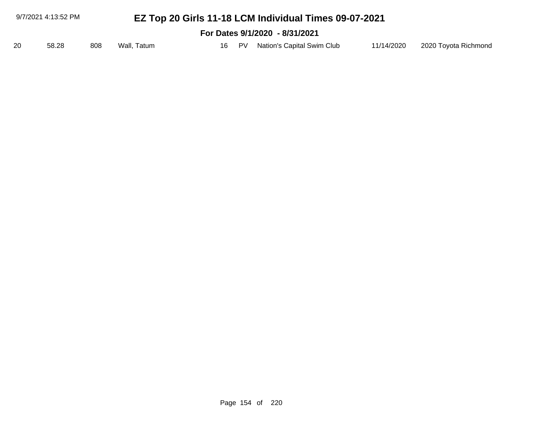|    | 9/7/2021 4:13:52 PM            |     |             |     |  | EZ Top 20 Girls 11-18 LCM Individual Times 09-07-2021 |            |                      |  |  |
|----|--------------------------------|-----|-------------|-----|--|-------------------------------------------------------|------------|----------------------|--|--|
|    | For Dates 9/1/2020 - 8/31/2021 |     |             |     |  |                                                       |            |                      |  |  |
| 20 | 58.28                          | 808 | Wall. Tatum | 16. |  | PV Nation's Capital Swim Club                         | 11/14/2020 | 2020 Toyota Richmond |  |  |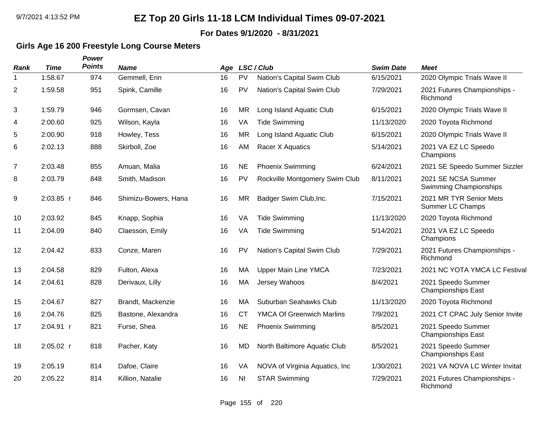#### **For Dates 9/1/2020 - 8/31/2021**

### **Girls Age 16 200 Freestyle Long Course Meters**

| Rank           | <b>Time</b> | Power<br><b>Points</b> | <b>Name</b>          | Age |           | LSC / Club                       | <b>Swim Date</b> | <b>Meet</b>                                          |
|----------------|-------------|------------------------|----------------------|-----|-----------|----------------------------------|------------------|------------------------------------------------------|
| $\mathbf{1}$   | 1:58.67     | 974                    | Gemmell, Erin        | 16  | PV        | Nation's Capital Swim Club       | 6/15/2021        | 2020 Olympic Trials Wave II                          |
| $\overline{c}$ | 1:59.58     | 951                    | Spink, Camille       | 16  | <b>PV</b> | Nation's Capital Swim Club       | 7/29/2021        | 2021 Futures Championships -<br>Richmond             |
| 3              | 1:59.79     | 946                    | Gormsen, Cavan       | 16  | <b>MR</b> | Long Island Aquatic Club         | 6/15/2021        | 2020 Olympic Trials Wave II                          |
| 4              | 2:00.60     | 925                    | Wilson, Kayla        | 16  | VA        | <b>Tide Swimming</b>             | 11/13/2020       | 2020 Toyota Richmond                                 |
| 5              | 2:00.90     | 918                    | Howley, Tess         | 16  | <b>MR</b> | Long Island Aquatic Club         | 6/15/2021        | 2020 Olympic Trials Wave II                          |
| 6              | 2:02.13     | 888                    | Skirboll, Zoe        | 16  | AM        | Racer X Aquatics                 | 5/14/2021        | 2021 VA EZ LC Speedo<br>Champions                    |
| $\overline{7}$ | 2:03.48     | 855                    | Amuan, Malia         | 16  | <b>NE</b> | <b>Phoenix Swimming</b>          | 6/24/2021        | 2021 SE Speedo Summer Sizzler                        |
| 8              | 2:03.79     | 848                    | Smith, Madison       | 16  | PV        | Rockville Montgomery Swim Club   | 8/11/2021        | 2021 SE NCSA Summer<br><b>Swimming Championships</b> |
| 9              | 2:03.85 r   | 846                    | Shimizu-Bowers, Hana | 16  | <b>MR</b> | Badger Swim Club, Inc.           | 7/15/2021        | 2021 MR TYR Senior Mets<br>Summer LC Champs          |
| 10             | 2:03.92     | 845                    | Knapp, Sophia        | 16  | VA        | <b>Tide Swimming</b>             | 11/13/2020       | 2020 Toyota Richmond                                 |
| 11             | 2:04.09     | 840                    | Claesson, Emily      | 16  | VA        | <b>Tide Swimming</b>             | 5/14/2021        | 2021 VA EZ LC Speedo<br>Champions                    |
| 12             | 2:04.42     | 833                    | Conze, Maren         | 16  | PV        | Nation's Capital Swim Club       | 7/29/2021        | 2021 Futures Championships -<br>Richmond             |
| 13             | 2:04.58     | 829                    | Fulton, Alexa        | 16  | МA        | <b>Upper Main Line YMCA</b>      | 7/23/2021        | 2021 NC YOTA YMCA LC Festival                        |
| 14             | 2:04.61     | 828                    | Derivaux, Lilly      | 16  | MA        | Jersey Wahoos                    | 8/4/2021         | 2021 Speedo Summer<br><b>Championships East</b>      |
| 15             | 2:04.67     | 827                    | Brandt, Mackenzie    | 16  | <b>MA</b> | Suburban Seahawks Club           | 11/13/2020       | 2020 Toyota Richmond                                 |
| 16             | 2:04.76     | 825                    | Bastone, Alexandra   | 16  | <b>CT</b> | <b>YMCA Of Greenwich Marlins</b> | 7/9/2021         | 2021 CT CPAC July Senior Invite                      |
| 17             | 2:04.91 r   | 821                    | Furse, Shea          | 16  | <b>NE</b> | <b>Phoenix Swimming</b>          | 8/5/2021         | 2021 Speedo Summer<br><b>Championships East</b>      |
| 18             | $2:05.02$ r | 818                    | Pacher, Katy         | 16  | <b>MD</b> | North Baltimore Aquatic Club     | 8/5/2021         | 2021 Speedo Summer<br><b>Championships East</b>      |
| 19             | 2:05.19     | 814                    | Dafoe, Claire        | 16  | VA        | NOVA of Virginia Aquatics, Inc   | 1/30/2021        | 2021 VA NOVA LC Winter Invitat                       |
| 20             | 2:05.22     | 814                    | Killion, Natalie     | 16  | <b>NI</b> | <b>STAR Swimming</b>             | 7/29/2021        | 2021 Futures Championships -<br>Richmond             |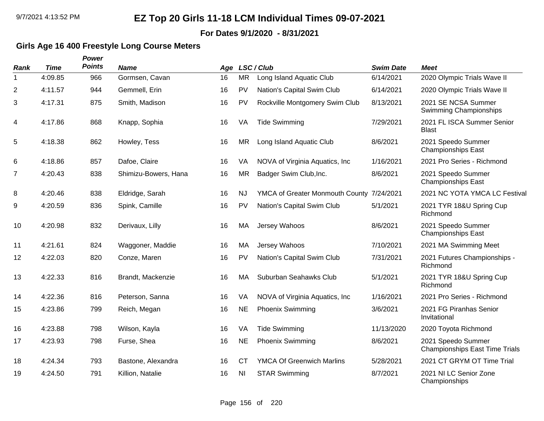#### **For Dates 9/1/2020 - 8/31/2021**

### **Girls Age 16 400 Freestyle Long Course Meters**

| <b>Rank</b>    | <b>Time</b> | Power<br><b>Points</b> | <b>Name</b>          |    |           | Age LSC/Club                              | <b>Swim Date</b> | <b>Meet</b>                                                 |
|----------------|-------------|------------------------|----------------------|----|-----------|-------------------------------------------|------------------|-------------------------------------------------------------|
| 1              | 4:09.85     | 966                    | Gormsen, Cavan       | 16 | <b>MR</b> | Long Island Aquatic Club                  | 6/14/2021        | 2020 Olympic Trials Wave II                                 |
| $\overline{2}$ | 4:11.57     | 944                    | Gemmell, Erin        | 16 | PV        | Nation's Capital Swim Club                | 6/14/2021        | 2020 Olympic Trials Wave II                                 |
| 3              | 4:17.31     | 875                    | Smith, Madison       | 16 | PV        | Rockville Montgomery Swim Club            | 8/13/2021        | 2021 SE NCSA Summer<br>Swimming Championships               |
| 4              | 4:17.86     | 868                    | Knapp, Sophia        | 16 | VA        | <b>Tide Swimming</b>                      | 7/29/2021        | 2021 FL ISCA Summer Senior<br><b>Blast</b>                  |
| 5              | 4:18.38     | 862                    | Howley, Tess         | 16 | <b>MR</b> | Long Island Aquatic Club                  | 8/6/2021         | 2021 Speedo Summer<br><b>Championships East</b>             |
| 6              | 4:18.86     | 857                    | Dafoe, Claire        | 16 | VA        | NOVA of Virginia Aquatics, Inc.           | 1/16/2021        | 2021 Pro Series - Richmond                                  |
| 7              | 4:20.43     | 838                    | Shimizu-Bowers, Hana | 16 | <b>MR</b> | Badger Swim Club, Inc.                    | 8/6/2021         | 2021 Speedo Summer<br><b>Championships East</b>             |
| 8              | 4:20.46     | 838                    | Eldridge, Sarah      | 16 | <b>NJ</b> | YMCA of Greater Monmouth County 7/24/2021 |                  | 2021 NC YOTA YMCA LC Festival                               |
| 9              | 4:20.59     | 836                    | Spink, Camille       | 16 | PV        | Nation's Capital Swim Club                | 5/1/2021         | 2021 TYR 18&U Spring Cup<br>Richmond                        |
| 10             | 4:20.98     | 832                    | Derivaux, Lilly      | 16 | MA        | Jersey Wahoos                             | 8/6/2021         | 2021 Speedo Summer<br><b>Championships East</b>             |
| 11             | 4:21.61     | 824                    | Waggoner, Maddie     | 16 | MA        | Jersey Wahoos                             | 7/10/2021        | 2021 MA Swimming Meet                                       |
| 12             | 4:22.03     | 820                    | Conze, Maren         | 16 | <b>PV</b> | Nation's Capital Swim Club                | 7/31/2021        | 2021 Futures Championships -<br>Richmond                    |
| 13             | 4:22.33     | 816                    | Brandt, Mackenzie    | 16 | MA        | Suburban Seahawks Club                    | 5/1/2021         | 2021 TYR 18&U Spring Cup<br>Richmond                        |
| 14             | 4:22.36     | 816                    | Peterson, Sanna      | 16 | VA        | NOVA of Virginia Aquatics, Inc            | 1/16/2021        | 2021 Pro Series - Richmond                                  |
| 15             | 4:23.86     | 799                    | Reich, Megan         | 16 | <b>NE</b> | <b>Phoenix Swimming</b>                   | 3/6/2021         | 2021 FG Piranhas Senior<br>Invitational                     |
| 16             | 4:23.88     | 798                    | Wilson, Kayla        | 16 | VA        | <b>Tide Swimming</b>                      | 11/13/2020       | 2020 Toyota Richmond                                        |
| 17             | 4:23.93     | 798                    | Furse, Shea          | 16 | <b>NE</b> | <b>Phoenix Swimming</b>                   | 8/6/2021         | 2021 Speedo Summer<br><b>Championships East Time Trials</b> |
| 18             | 4:24.34     | 793                    | Bastone, Alexandra   | 16 | <b>CT</b> | <b>YMCA Of Greenwich Marlins</b>          | 5/28/2021        | 2021 CT GRYM OT Time Trial                                  |
| 19             | 4:24.50     | 791                    | Killion, Natalie     | 16 | <b>NI</b> | <b>STAR Swimming</b>                      | 8/7/2021         | 2021 NI LC Senior Zone<br>Championships                     |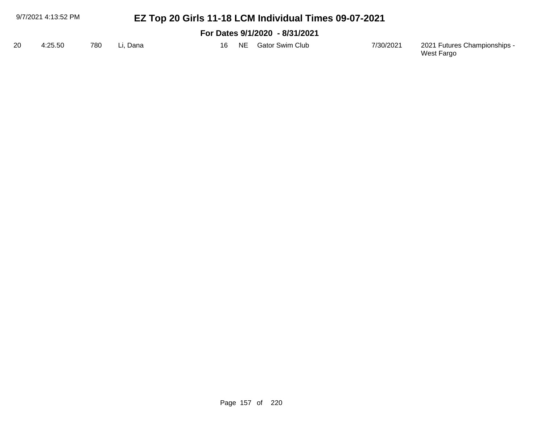|     | 9/7/2021 4:13:52 PM |     | EZ Top 20 Girls 11-18 LCM Individual Times 09-07-2021 |     |  |                                |           |                                            |  |
|-----|---------------------|-----|-------------------------------------------------------|-----|--|--------------------------------|-----------|--------------------------------------------|--|
|     |                     |     |                                                       |     |  | For Dates 9/1/2020 - 8/31/2021 |           |                                            |  |
| -20 | 4:25.50             | 780 | Li. Dana                                              | 16. |  | NE Gator Swim Club             | 7/30/2021 | 2021 Futures Championships -<br>West Fargo |  |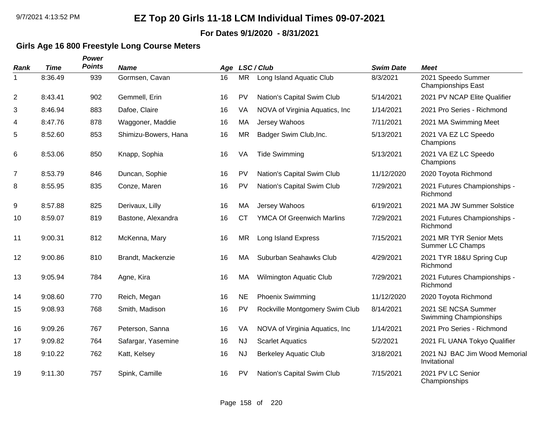#### **For Dates 9/1/2020 - 8/31/2021**

### **Girls Age 16 800 Freestyle Long Course Meters**

| Rank           | <b>Time</b> | Power<br><b>Points</b> | <b>Name</b>          |    |           | Age LSC/Club                     | <b>Swim Date</b> | <b>Meet</b>                                        |
|----------------|-------------|------------------------|----------------------|----|-----------|----------------------------------|------------------|----------------------------------------------------|
| 1              | 8:36.49     | 939                    | Gormsen, Cavan       | 16 | <b>MR</b> | Long Island Aquatic Club         | 8/3/2021         | 2021 Speedo Summer<br><b>Championships East</b>    |
| $\overline{2}$ | 8:43.41     | 902                    | Gemmell, Erin        | 16 | PV        | Nation's Capital Swim Club       | 5/14/2021        | 2021 PV NCAP Elite Qualifier                       |
| 3              | 8:46.94     | 883                    | Dafoe, Claire        | 16 | VA        | NOVA of Virginia Aquatics, Inc.  | 1/14/2021        | 2021 Pro Series - Richmond                         |
| 4              | 8:47.76     | 878                    | Waggoner, Maddie     | 16 | MA        | Jersey Wahoos                    | 7/11/2021        | 2021 MA Swimming Meet                              |
| 5              | 8:52.60     | 853                    | Shimizu-Bowers, Hana | 16 | <b>MR</b> | Badger Swim Club, Inc.           | 5/13/2021        | 2021 VA EZ LC Speedo<br>Champions                  |
| 6              | 8:53.06     | 850                    | Knapp, Sophia        | 16 | VA        | <b>Tide Swimming</b>             | 5/13/2021        | 2021 VA EZ LC Speedo<br>Champions                  |
| $\overline{7}$ | 8:53.79     | 846                    | Duncan, Sophie       | 16 | PV        | Nation's Capital Swim Club       | 11/12/2020       | 2020 Toyota Richmond                               |
| 8              | 8:55.95     | 835                    | Conze, Maren         | 16 | <b>PV</b> | Nation's Capital Swim Club       | 7/29/2021        | 2021 Futures Championships -<br>Richmond           |
| 9              | 8:57.88     | 825                    | Derivaux, Lilly      | 16 | MA        | Jersey Wahoos                    | 6/19/2021        | 2021 MA JW Summer Solstice                         |
| 10             | 8:59.07     | 819                    | Bastone, Alexandra   | 16 | <b>CT</b> | <b>YMCA Of Greenwich Marlins</b> | 7/29/2021        | 2021 Futures Championships -<br>Richmond           |
| 11             | 9:00.31     | 812                    | McKenna, Mary        | 16 | <b>MR</b> | Long Island Express              | 7/15/2021        | 2021 MR TYR Senior Mets<br><b>Summer LC Champs</b> |
| 12             | 9:00.86     | 810                    | Brandt, Mackenzie    | 16 | МA        | Suburban Seahawks Club           | 4/29/2021        | 2021 TYR 18&U Spring Cup<br>Richmond               |
| 13             | 9:05.94     | 784                    | Agne, Kira           | 16 | MA        | Wilmington Aquatic Club          | 7/29/2021        | 2021 Futures Championships -<br>Richmond           |
| 14             | 9:08.60     | 770                    | Reich, Megan         | 16 | <b>NE</b> | <b>Phoenix Swimming</b>          | 11/12/2020       | 2020 Toyota Richmond                               |
| 15             | 9:08.93     | 768                    | Smith, Madison       | 16 | PV        | Rockville Montgomery Swim Club   | 8/14/2021        | 2021 SE NCSA Summer<br>Swimming Championships      |
| 16             | 9:09.26     | 767                    | Peterson, Sanna      | 16 | VA        | NOVA of Virginia Aquatics, Inc.  | 1/14/2021        | 2021 Pro Series - Richmond                         |
| 17             | 9:09.82     | 764                    | Safargar, Yasemine   | 16 | <b>NJ</b> | <b>Scarlet Aquatics</b>          | 5/2/2021         | 2021 FL UANA Tokyo Qualifier                       |
| 18             | 9:10.22     | 762                    | Katt, Kelsey         | 16 | <b>NJ</b> | <b>Berkeley Aquatic Club</b>     | 3/18/2021        | 2021 NJ BAC Jim Wood Memorial<br>Invitational      |
| 19             | 9:11.30     | 757                    | Spink, Camille       | 16 | PV        | Nation's Capital Swim Club       | 7/15/2021        | 2021 PV LC Senior<br>Championships                 |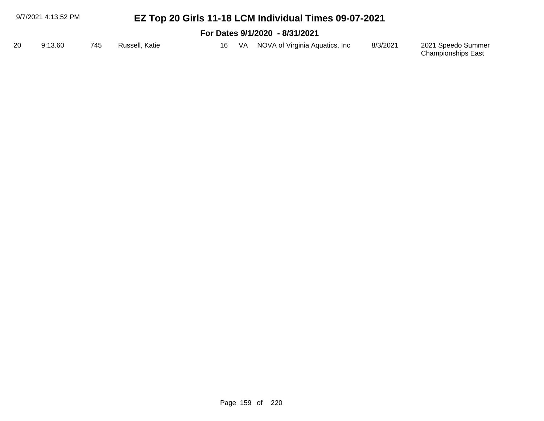| 9/7/2021 4:13:52 PM |         |     |                |    | EZ Top 20 Girls 11-18 LCM Individual Times 09-07-2021 |          |                                          |  |  |  |  |
|---------------------|---------|-----|----------------|----|-------------------------------------------------------|----------|------------------------------------------|--|--|--|--|
|                     |         |     |                |    | For Dates 9/1/2020 - 8/31/2021                        |          |                                          |  |  |  |  |
| 20                  | 9:13.60 | 745 | Russell, Katie | 16 | VA NOVA of Virginia Aquatics, Inc                     | 8/3/2021 | 2021 Speedo Summer<br>Championships East |  |  |  |  |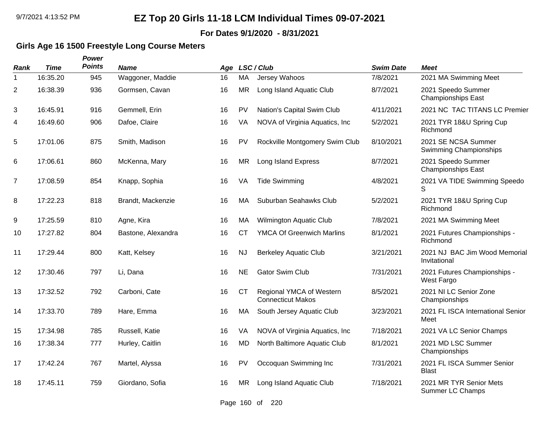#### **For Dates 9/1/2020 - 8/31/2021**

### **Girls Age 16 1500 Freestyle Long Course Meters**

| <b>Rank</b>    | <b>Time</b> | Power<br><b>Points</b> | <b>Name</b>        | Age |           | LSC / Club                                           | <b>Swim Date</b> | <b>Meet</b>                                        |
|----------------|-------------|------------------------|--------------------|-----|-----------|------------------------------------------------------|------------------|----------------------------------------------------|
| -1             | 16:35.20    | 945                    | Waggoner, Maddie   | 16  | MA        | Jersey Wahoos                                        | 7/8/2021         | 2021 MA Swimming Meet                              |
| $\overline{2}$ | 16:38.39    | 936                    | Gormsen, Cavan     | 16  | <b>MR</b> | Long Island Aquatic Club                             | 8/7/2021         | 2021 Speedo Summer<br><b>Championships East</b>    |
| 3              | 16:45.91    | 916                    | Gemmell, Erin      | 16  | <b>PV</b> | Nation's Capital Swim Club                           | 4/11/2021        | 2021 NC TAC TITANS LC Premier                      |
| 4              | 16:49.60    | 906                    | Dafoe, Claire      | 16  | VA        | NOVA of Virginia Aquatics, Inc                       | 5/2/2021         | 2021 TYR 18&U Spring Cup<br>Richmond               |
| $\,$ 5 $\,$    | 17:01.06    | 875                    | Smith, Madison     | 16  | <b>PV</b> | Rockville Montgomery Swim Club                       | 8/10/2021        | 2021 SE NCSA Summer<br>Swimming Championships      |
| 6              | 17:06.61    | 860                    | McKenna, Mary      | 16  | <b>MR</b> | Long Island Express                                  | 8/7/2021         | 2021 Speedo Summer<br><b>Championships East</b>    |
| $\overline{7}$ | 17:08.59    | 854                    | Knapp, Sophia      | 16  | VA        | <b>Tide Swimming</b>                                 | 4/8/2021         | 2021 VA TIDE Swimming Speedo<br>S                  |
| 8              | 17:22.23    | 818                    | Brandt, Mackenzie  | 16  | MA        | Suburban Seahawks Club                               | 5/2/2021         | 2021 TYR 18&U Spring Cup<br>Richmond               |
| 9              | 17:25.59    | 810                    | Agne, Kira         | 16  | MA        | Wilmington Aquatic Club                              | 7/8/2021         | 2021 MA Swimming Meet                              |
| 10             | 17:27.82    | 804                    | Bastone, Alexandra | 16  | <b>CT</b> | <b>YMCA Of Greenwich Marlins</b>                     | 8/1/2021         | 2021 Futures Championships -<br>Richmond           |
| 11             | 17:29.44    | 800                    | Katt, Kelsey       | 16  | <b>NJ</b> | <b>Berkeley Aquatic Club</b>                         | 3/21/2021        | 2021 NJ BAC Jim Wood Memorial<br>Invitational      |
| 12             | 17:30.46    | 797                    | Li, Dana           | 16  | <b>NE</b> | <b>Gator Swim Club</b>                               | 7/31/2021        | 2021 Futures Championships -<br>West Fargo         |
| 13             | 17:32.52    | 792                    | Carboni, Cate      | 16  | <b>CT</b> | Regional YMCA of Western<br><b>Connecticut Makos</b> | 8/5/2021         | 2021 NI LC Senior Zone<br>Championships            |
| 14             | 17:33.70    | 789                    | Hare, Emma         | 16  | MA        | South Jersey Aquatic Club                            | 3/23/2021        | 2021 FL ISCA International Senior<br>Meet          |
| 15             | 17:34.98    | 785                    | Russell, Katie     | 16  | VA        | NOVA of Virginia Aquatics, Inc.                      | 7/18/2021        | 2021 VA LC Senior Champs                           |
| 16             | 17:38.34    | 777                    | Hurley, Caitlin    | 16  | <b>MD</b> | North Baltimore Aquatic Club                         | 8/1/2021         | 2021 MD LSC Summer<br>Championships                |
| 17             | 17:42.24    | 767                    | Martel, Alyssa     | 16  | PV        | Occoquan Swimming Inc                                | 7/31/2021        | 2021 FL ISCA Summer Senior<br><b>Blast</b>         |
| 18             | 17:45.11    | 759                    | Giordano, Sofia    | 16  | <b>MR</b> | Long Island Aquatic Club                             | 7/18/2021        | 2021 MR TYR Senior Mets<br><b>Summer LC Champs</b> |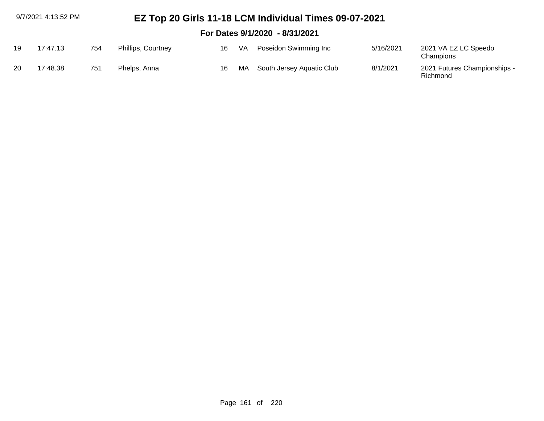| 9/7/2021 4:13:52 PM |          |     |                    |    | EZ Top 20 Girls 11-18 LCM Individual Times 09-07-2021 |                           |           |                                          |  |  |
|---------------------|----------|-----|--------------------|----|-------------------------------------------------------|---------------------------|-----------|------------------------------------------|--|--|
|                     |          |     |                    |    |                                                       |                           |           |                                          |  |  |
| 19                  | 17:47.13 | 754 | Phillips, Courtney | 16 | VA                                                    | Poseidon Swimming Inc     | 5/16/2021 | 2021 VA EZ LC Speedo<br>Champions        |  |  |
| 20                  | 17:48.38 | 751 | Phelps, Anna       | 16 | MA.                                                   | South Jersey Aquatic Club | 8/1/2021  | 2021 Futures Championships -<br>Richmond |  |  |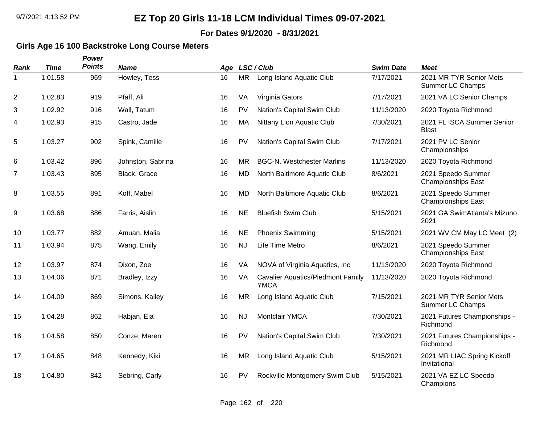#### **For Dates 9/1/2020 - 8/31/2021**

### **Girls Age 16 100 Backstroke Long Course Meters**

| <b>Rank</b>    | <b>Time</b> | Power<br><b>Points</b> | <b>Name</b>       |    |           | Age LSC/Club                                            | <b>Swim Date</b> | <b>Meet</b>                                        |
|----------------|-------------|------------------------|-------------------|----|-----------|---------------------------------------------------------|------------------|----------------------------------------------------|
| 1              | 1:01.58     | 969                    | Howley, Tess      | 16 | <b>MR</b> | Long Island Aquatic Club                                | 7/17/2021        | 2021 MR TYR Senior Mets<br><b>Summer LC Champs</b> |
| $\overline{2}$ | 1:02.83     | 919                    | Pfaff, Ali        | 16 | VA        | Virginia Gators                                         | 7/17/2021        | 2021 VA LC Senior Champs                           |
| 3              | 1:02.92     | 916                    | Wall, Tatum       | 16 | PV        | Nation's Capital Swim Club                              | 11/13/2020       | 2020 Toyota Richmond                               |
| 4              | 1:02.93     | 915                    | Castro, Jade      | 16 | <b>MA</b> | Nittany Lion Aquatic Club                               | 7/30/2021        | 2021 FL ISCA Summer Senior<br><b>Blast</b>         |
| 5              | 1:03.27     | 902                    | Spink, Camille    | 16 | PV        | Nation's Capital Swim Club                              | 7/17/2021        | 2021 PV LC Senior<br>Championships                 |
| 6              | 1:03.42     | 896                    | Johnston, Sabrina | 16 | <b>MR</b> | <b>BGC-N. Westchester Marlins</b>                       | 11/13/2020       | 2020 Toyota Richmond                               |
| 7              | 1:03.43     | 895                    | Black, Grace      | 16 | MD        | North Baltimore Aquatic Club                            | 8/6/2021         | 2021 Speedo Summer<br><b>Championships East</b>    |
| 8              | 1:03.55     | 891                    | Koff, Mabel       | 16 | MD        | North Baltimore Aquatic Club                            | 8/6/2021         | 2021 Speedo Summer<br><b>Championships East</b>    |
| 9              | 1:03.68     | 886                    | Farris, Aislin    | 16 | <b>NE</b> | <b>Bluefish Swim Club</b>                               | 5/15/2021        | 2021 GA SwimAtlanta's Mizuno<br>2021               |
| 10             | 1:03.77     | 882                    | Amuan, Malia      | 16 | <b>NE</b> | <b>Phoenix Swimming</b>                                 | 5/15/2021        | 2021 WV CM May LC Meet (2)                         |
| 11             | 1:03.94     | 875                    | Wang, Emily       | 16 | <b>NJ</b> | Life Time Metro                                         | 8/6/2021         | 2021 Speedo Summer<br><b>Championships East</b>    |
| 12             | 1:03.97     | 874                    | Dixon, Zoe        | 16 | <b>VA</b> | NOVA of Virginia Aquatics, Inc                          | 11/13/2020       | 2020 Toyota Richmond                               |
| 13             | 1:04.06     | 871                    | Bradley, Izzy     | 16 | VA        | <b>Cavalier Aquatics/Piedmont Family</b><br><b>YMCA</b> | 11/13/2020       | 2020 Toyota Richmond                               |
| 14             | 1:04.09     | 869                    | Simons, Kailey    | 16 | <b>MR</b> | Long Island Aquatic Club                                | 7/15/2021        | 2021 MR TYR Senior Mets<br>Summer LC Champs        |
| 15             | 1:04.28     | 862                    | Habjan, Ela       | 16 | <b>NJ</b> | Montclair YMCA                                          | 7/30/2021        | 2021 Futures Championships -<br>Richmond           |
| 16             | 1:04.58     | 850                    | Conze, Maren      | 16 | PV        | Nation's Capital Swim Club                              | 7/30/2021        | 2021 Futures Championships -<br>Richmond           |
| 17             | 1:04.65     | 848                    | Kennedy, Kiki     | 16 | <b>MR</b> | Long Island Aquatic Club                                | 5/15/2021        | 2021 MR LIAC Spring Kickoff<br>Invitational        |
| 18             | 1:04.80     | 842                    | Sebring, Carly    | 16 | <b>PV</b> | Rockville Montgomery Swim Club                          | 5/15/2021        | 2021 VA EZ LC Speedo<br>Champions                  |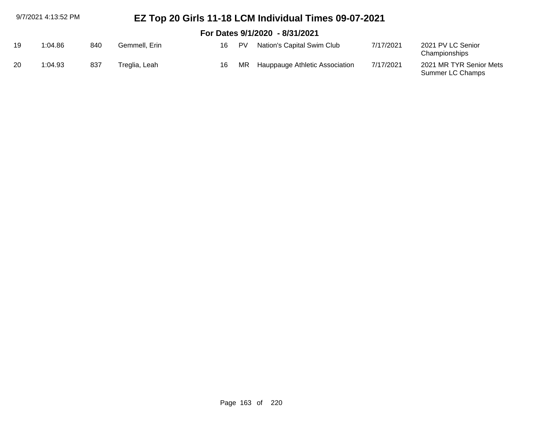| 9/7/2021 4:13:52 PM |         |     |               |    | EZ Top 20 Girls 11-18 LCM Individual Times 09-07-2021 |                                |           |                                             |  |  |  |  |
|---------------------|---------|-----|---------------|----|-------------------------------------------------------|--------------------------------|-----------|---------------------------------------------|--|--|--|--|
|                     |         |     |               |    |                                                       | For Dates 9/1/2020 - 8/31/2021 |           |                                             |  |  |  |  |
| 19                  | 1:04.86 | 840 | Gemmell, Erin | 16 | <b>PV</b>                                             | Nation's Capital Swim Club     | 7/17/2021 | 2021 PV LC Senior<br>Championships          |  |  |  |  |
| 20                  | 1:04.93 | 837 | Treglia, Leah | 16 | MR.                                                   | Hauppauge Athletic Association | 7/17/2021 | 2021 MR TYR Senior Mets<br>Summer LC Champs |  |  |  |  |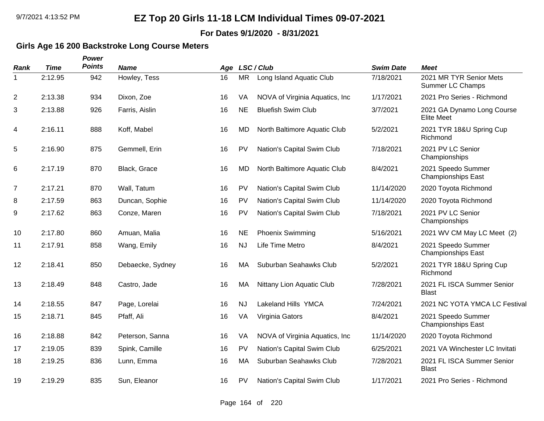#### **For Dates 9/1/2020 - 8/31/2021**

### **Girls Age 16 200 Backstroke Long Course Meters**

| Rank | <b>Time</b> | Power<br><b>Points</b> | <b>Name</b>      |    |           | Age LSC/Club                    | <b>Swim Date</b> | <b>Meet</b>                                        |
|------|-------------|------------------------|------------------|----|-----------|---------------------------------|------------------|----------------------------------------------------|
| 1    | 2:12.95     | 942                    | Howley, Tess     | 16 | <b>MR</b> | Long Island Aquatic Club        | 7/18/2021        | 2021 MR TYR Senior Mets<br><b>Summer LC Champs</b> |
| 2    | 2:13.38     | 934                    | Dixon, Zoe       | 16 | VA        | NOVA of Virginia Aquatics, Inc. | 1/17/2021        | 2021 Pro Series - Richmond                         |
| 3    | 2:13.88     | 926                    | Farris, Aislin   | 16 | <b>NE</b> | <b>Bluefish Swim Club</b>       | 3/7/2021         | 2021 GA Dynamo Long Course<br><b>Elite Meet</b>    |
| 4    | 2:16.11     | 888                    | Koff, Mabel      | 16 | <b>MD</b> | North Baltimore Aquatic Club    | 5/2/2021         | 2021 TYR 18&U Spring Cup<br>Richmond               |
| 5    | 2:16.90     | 875                    | Gemmell, Erin    | 16 | PV        | Nation's Capital Swim Club      | 7/18/2021        | 2021 PV LC Senior<br>Championships                 |
| 6    | 2:17.19     | 870                    | Black, Grace     | 16 | <b>MD</b> | North Baltimore Aquatic Club    | 8/4/2021         | 2021 Speedo Summer<br><b>Championships East</b>    |
| 7    | 2:17.21     | 870                    | Wall, Tatum      | 16 | PV        | Nation's Capital Swim Club      | 11/14/2020       | 2020 Toyota Richmond                               |
| 8    | 2:17.59     | 863                    | Duncan, Sophie   | 16 | PV        | Nation's Capital Swim Club      | 11/14/2020       | 2020 Toyota Richmond                               |
| 9    | 2:17.62     | 863                    | Conze, Maren     | 16 | <b>PV</b> | Nation's Capital Swim Club      | 7/18/2021        | 2021 PV LC Senior<br>Championships                 |
| 10   | 2:17.80     | 860                    | Amuan, Malia     | 16 | <b>NE</b> | <b>Phoenix Swimming</b>         | 5/16/2021        | 2021 WV CM May LC Meet (2)                         |
| 11   | 2:17.91     | 858                    | Wang, Emily      | 16 | <b>NJ</b> | Life Time Metro                 | 8/4/2021         | 2021 Speedo Summer<br><b>Championships East</b>    |
| 12   | 2:18.41     | 850                    | Debaecke, Sydney | 16 | MA        | Suburban Seahawks Club          | 5/2/2021         | 2021 TYR 18&U Spring Cup<br>Richmond               |
| 13   | 2:18.49     | 848                    | Castro, Jade     | 16 | МA        | Nittany Lion Aquatic Club       | 7/28/2021        | 2021 FL ISCA Summer Senior<br><b>Blast</b>         |
| 14   | 2:18.55     | 847                    | Page, Lorelai    | 16 | <b>NJ</b> | Lakeland Hills YMCA             | 7/24/2021        | 2021 NC YOTA YMCA LC Festival                      |
| 15   | 2:18.71     | 845                    | Pfaff, Ali       | 16 | VA        | Virginia Gators                 | 8/4/2021         | 2021 Speedo Summer<br><b>Championships East</b>    |
| 16   | 2:18.88     | 842                    | Peterson, Sanna  | 16 | VA        | NOVA of Virginia Aquatics, Inc. | 11/14/2020       | 2020 Toyota Richmond                               |
| 17   | 2:19.05     | 839                    | Spink, Camille   | 16 | PV        | Nation's Capital Swim Club      | 6/25/2021        | 2021 VA Winchester LC Invitati                     |
| 18   | 2:19.25     | 836                    | Lunn, Emma       | 16 | MA        | Suburban Seahawks Club          | 7/28/2021        | 2021 FL ISCA Summer Senior<br><b>Blast</b>         |
| 19   | 2:19.29     | 835                    | Sun, Eleanor     | 16 | PV        | Nation's Capital Swim Club      | 1/17/2021        | 2021 Pro Series - Richmond                         |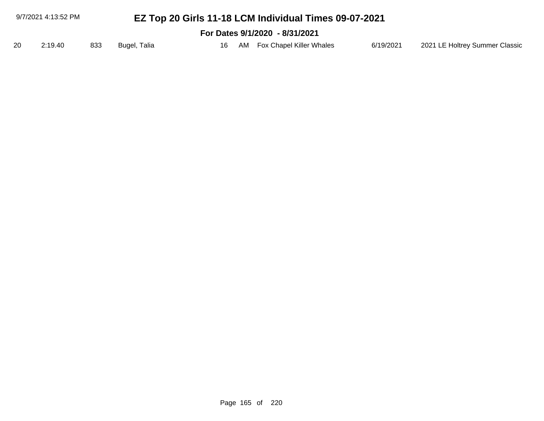|    | 9/7/2021 4:13:52 PM            |     |              |     | EZ Top 20 Girls 11-18 LCM Individual Times 09-07-2021 |                             |           |                                |  |  |
|----|--------------------------------|-----|--------------|-----|-------------------------------------------------------|-----------------------------|-----------|--------------------------------|--|--|
|    | For Dates 9/1/2020 - 8/31/2021 |     |              |     |                                                       |                             |           |                                |  |  |
| 20 | 2:19.40                        | 833 | Bugel, Talia | 16. |                                                       | AM Fox Chapel Killer Whales | 6/19/2021 | 2021 LE Holtrey Summer Classic |  |  |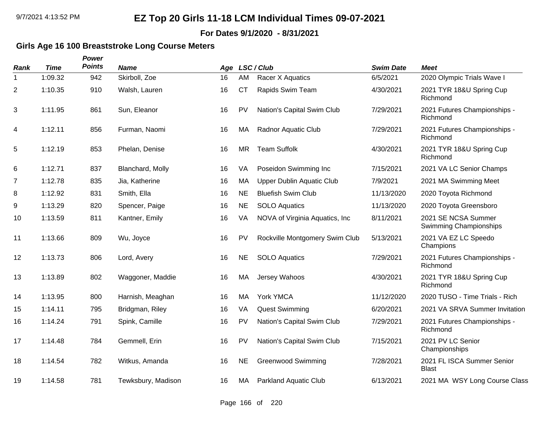**For Dates 9/1/2020 - 8/31/2021**

### **Girls Age 16 100 Breaststroke Long Course Meters**

| <b>Rank</b>    | <b>Time</b> | Power<br><b>Points</b> | <b>Name</b>        |    |           | Age LSC/Club                     | <b>Swim Date</b> | <b>Meet</b>                                          |
|----------------|-------------|------------------------|--------------------|----|-----------|----------------------------------|------------------|------------------------------------------------------|
| $\mathbf{1}$   | 1:09.32     | 942                    | Skirboll, Zoe      | 16 | AM        | Racer X Aquatics                 | 6/5/2021         | 2020 Olympic Trials Wave I                           |
| $\overline{2}$ | 1:10.35     | 910                    | Walsh, Lauren      | 16 | <b>CT</b> | Rapids Swim Team                 | 4/30/2021        | 2021 TYR 18&U Spring Cup<br>Richmond                 |
| 3              | 1:11.95     | 861                    | Sun, Eleanor       | 16 | <b>PV</b> | Nation's Capital Swim Club       | 7/29/2021        | 2021 Futures Championships -<br>Richmond             |
| 4              | 1:12.11     | 856                    | Furman, Naomi      | 16 | MA        | Radnor Aquatic Club              | 7/29/2021        | 2021 Futures Championships -<br>Richmond             |
| 5              | 1:12.19     | 853                    | Phelan, Denise     | 16 | <b>MR</b> | <b>Team Suffolk</b>              | 4/30/2021        | 2021 TYR 18&U Spring Cup<br>Richmond                 |
| 6              | 1:12.71     | 837                    | Blanchard, Molly   | 16 | VA        | Poseidon Swimming Inc            | 7/15/2021        | 2021 VA LC Senior Champs                             |
| $\overline{7}$ | 1:12.78     | 835                    | Jia, Katherine     | 16 | MA        | <b>Upper Dublin Aquatic Club</b> | 7/9/2021         | 2021 MA Swimming Meet                                |
| 8              | 1:12.92     | 831                    | Smith, Ella        | 16 | <b>NE</b> | <b>Bluefish Swim Club</b>        | 11/13/2020       | 2020 Toyota Richmond                                 |
| 9              | 1:13.29     | 820                    | Spencer, Paige     | 16 | <b>NE</b> | <b>SOLO Aquatics</b>             | 11/13/2020       | 2020 Toyota Greensboro                               |
| 10             | 1:13.59     | 811                    | Kantner, Emily     | 16 | VA        | NOVA of Virginia Aquatics, Inc.  | 8/11/2021        | 2021 SE NCSA Summer<br><b>Swimming Championships</b> |
| 11             | 1:13.66     | 809                    | Wu, Joyce          | 16 | PV        | Rockville Montgomery Swim Club   | 5/13/2021        | 2021 VA EZ LC Speedo<br>Champions                    |
| 12             | 1:13.73     | 806                    | Lord, Avery        | 16 | <b>NE</b> | <b>SOLO Aquatics</b>             | 7/29/2021        | 2021 Futures Championships -<br>Richmond             |
| 13             | 1:13.89     | 802                    | Waggoner, Maddie   | 16 | MA        | Jersey Wahoos                    | 4/30/2021        | 2021 TYR 18&U Spring Cup<br>Richmond                 |
| 14             | 1:13.95     | 800                    | Harnish, Meaghan   | 16 | MA        | York YMCA                        | 11/12/2020       | 2020 TUSO - Time Trials - Rich                       |
| 15             | 1:14.11     | 795                    | Bridgman, Riley    | 16 | VA        | <b>Quest Swimming</b>            | 6/20/2021        | 2021 VA SRVA Summer Invitation                       |
| 16             | 1:14.24     | 791                    | Spink, Camille     | 16 | PV        | Nation's Capital Swim Club       | 7/29/2021        | 2021 Futures Championships -<br>Richmond             |
| 17             | 1:14.48     | 784                    | Gemmell, Erin      | 16 | PV        | Nation's Capital Swim Club       | 7/15/2021        | 2021 PV LC Senior<br>Championships                   |
| 18             | 1:14.54     | 782                    | Witkus, Amanda     | 16 | <b>NE</b> | <b>Greenwood Swimming</b>        | 7/28/2021        | 2021 FL ISCA Summer Senior<br><b>Blast</b>           |
| 19             | 1:14.58     | 781                    | Tewksbury, Madison | 16 | МA        | <b>Parkland Aquatic Club</b>     | 6/13/2021        | 2021 MA WSY Long Course Class                        |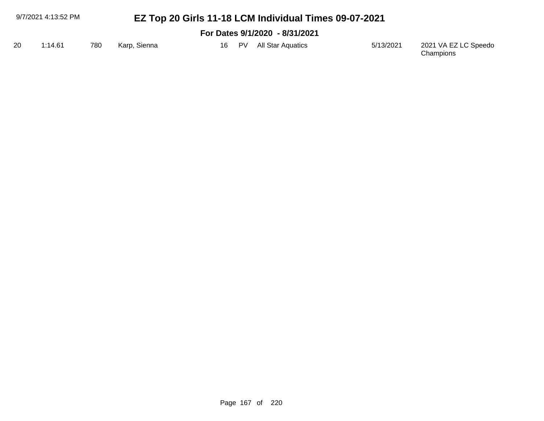| 9/7/2021 4:13:52 PM |         |     |              |      | EZ Top 20 Girls 11-18 LCM Individual Times 09-07-2021 |           |                                   |  |  |  |  |
|---------------------|---------|-----|--------------|------|-------------------------------------------------------|-----------|-----------------------------------|--|--|--|--|
|                     |         |     |              |      | For Dates 9/1/2020 - 8/31/2021                        |           |                                   |  |  |  |  |
| <b>20</b>           | 1:14.61 | 780 | Karp, Sienna | 16 - | PV All Star Aquatics                                  | 5/13/2021 | 2021 VA EZ LC Speedo<br>Champions |  |  |  |  |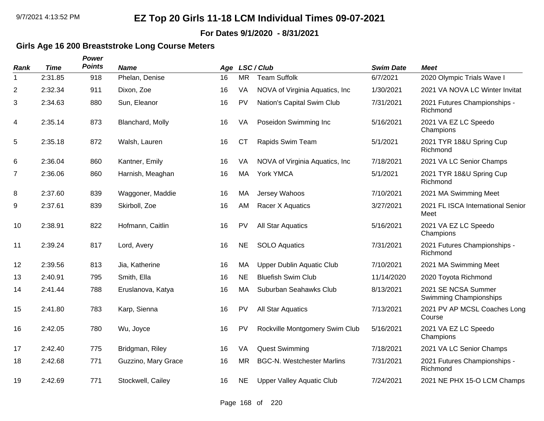#### **For Dates 9/1/2020 - 8/31/2021**

### **Girls Age 16 200 Breaststroke Long Course Meters**

| Rank           | <b>Time</b> | Power<br><b>Points</b> | <b>Name</b>         |    |           | Age LSC/Club                      | <b>Swim Date</b> | <b>Meet</b>                                   |
|----------------|-------------|------------------------|---------------------|----|-----------|-----------------------------------|------------------|-----------------------------------------------|
| $\mathbf 1$    | 2:31.85     | 918                    | Phelan, Denise      | 16 | <b>MR</b> | <b>Team Suffolk</b>               | 6/7/2021         | 2020 Olympic Trials Wave I                    |
| $\overline{2}$ | 2:32.34     | 911                    | Dixon, Zoe          | 16 | VA        | NOVA of Virginia Aquatics, Inc.   | 1/30/2021        | 2021 VA NOVA LC Winter Invitat                |
| 3              | 2:34.63     | 880                    | Sun, Eleanor        | 16 | PV        | Nation's Capital Swim Club        | 7/31/2021        | 2021 Futures Championships -<br>Richmond      |
| 4              | 2:35.14     | 873                    | Blanchard, Molly    | 16 | VA        | Poseidon Swimming Inc             | 5/16/2021        | 2021 VA EZ LC Speedo<br>Champions             |
| 5              | 2:35.18     | 872                    | Walsh, Lauren       | 16 | <b>CT</b> | Rapids Swim Team                  | 5/1/2021         | 2021 TYR 18&U Spring Cup<br>Richmond          |
| 6              | 2:36.04     | 860                    | Kantner, Emily      | 16 | VA        | NOVA of Virginia Aquatics, Inc.   | 7/18/2021        | 2021 VA LC Senior Champs                      |
| $\overline{7}$ | 2:36.06     | 860                    | Harnish, Meaghan    | 16 | MA        | York YMCA                         | 5/1/2021         | 2021 TYR 18&U Spring Cup<br>Richmond          |
| 8              | 2:37.60     | 839                    | Waggoner, Maddie    | 16 | MA        | Jersey Wahoos                     | 7/10/2021        | 2021 MA Swimming Meet                         |
| 9              | 2:37.61     | 839                    | Skirboll, Zoe       | 16 | <b>AM</b> | Racer X Aquatics                  | 3/27/2021        | 2021 FL ISCA International Senior<br>Meet     |
| 10             | 2:38.91     | 822                    | Hofmann, Caitlin    | 16 | PV        | All Star Aquatics                 | 5/16/2021        | 2021 VA EZ LC Speedo<br>Champions             |
| 11             | 2:39.24     | 817                    | Lord, Avery         | 16 | <b>NE</b> | <b>SOLO Aquatics</b>              | 7/31/2021        | 2021 Futures Championships -<br>Richmond      |
| 12             | 2:39.56     | 813                    | Jia, Katherine      | 16 | МA        | <b>Upper Dublin Aquatic Club</b>  | 7/10/2021        | 2021 MA Swimming Meet                         |
| 13             | 2:40.91     | 795                    | Smith, Ella         | 16 | <b>NE</b> | <b>Bluefish Swim Club</b>         | 11/14/2020       | 2020 Toyota Richmond                          |
| 14             | 2:41.44     | 788                    | Eruslanova, Katya   | 16 | MA        | Suburban Seahawks Club            | 8/13/2021        | 2021 SE NCSA Summer<br>Swimming Championships |
| 15             | 2:41.80     | 783                    | Karp, Sienna        | 16 | PV        | All Star Aquatics                 | 7/13/2021        | 2021 PV AP MCSL Coaches Long<br>Course        |
| 16             | 2:42.05     | 780                    | Wu, Joyce           | 16 | PV        | Rockville Montgomery Swim Club    | 5/16/2021        | 2021 VA EZ LC Speedo<br>Champions             |
| 17             | 2:42.40     | 775                    | Bridgman, Riley     | 16 | VA        | <b>Quest Swimming</b>             | 7/18/2021        | 2021 VA LC Senior Champs                      |
| 18             | 2:42.68     | 771                    | Guzzino, Mary Grace | 16 | <b>MR</b> | <b>BGC-N. Westchester Marlins</b> | 7/31/2021        | 2021 Futures Championships -<br>Richmond      |
| 19             | 2:42.69     | 771                    | Stockwell, Cailey   | 16 | <b>NE</b> | <b>Upper Valley Aquatic Club</b>  | 7/24/2021        | 2021 NE PHX 15-O LCM Champs                   |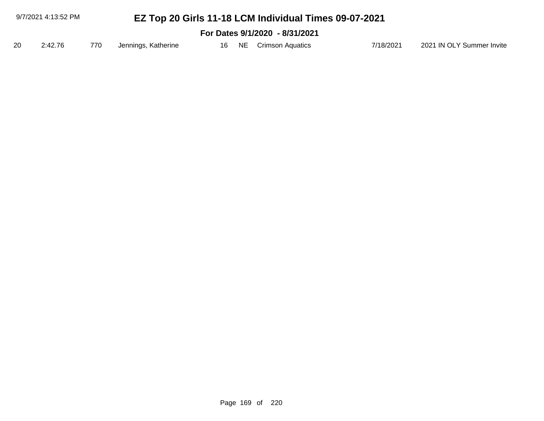| 9/7/2021 4:13:52 PM<br>EZ Top 20 Girls 11-18 LCM Individual Times 09-07-2021 |                                |     |                     |  |  |                        |           |                           |  |
|------------------------------------------------------------------------------|--------------------------------|-----|---------------------|--|--|------------------------|-----------|---------------------------|--|
|                                                                              | For Dates 9/1/2020 - 8/31/2021 |     |                     |  |  |                        |           |                           |  |
| 20                                                                           | 2:42.76                        | 770 | Jennings, Katherine |  |  | 16 NE Crimson Aquatics | 7/18/2021 | 2021 IN OLY Summer Invite |  |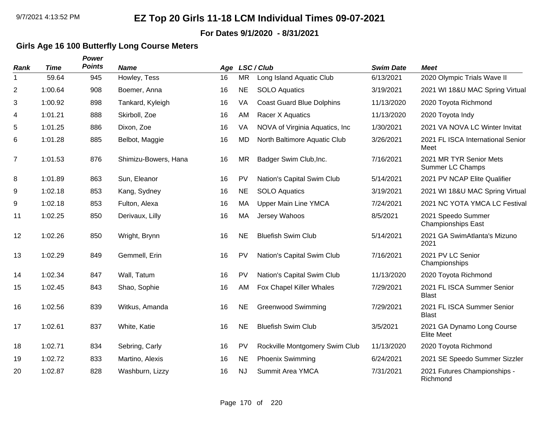#### **For Dates 9/1/2020 - 8/31/2021**

### **Girls Age 16 100 Butterfly Long Course Meters**

| Rank           | <b>Time</b> | Power<br><b>Points</b> | <b>Name</b>          | Age |           | LSC / Club                       | <b>Swim Date</b> | <b>Meet</b>                                        |
|----------------|-------------|------------------------|----------------------|-----|-----------|----------------------------------|------------------|----------------------------------------------------|
| $\mathbf 1$    | 59.64       | 945                    | Howley, Tess         | 16  | <b>MR</b> | Long Island Aquatic Club         | 6/13/2021        | 2020 Olympic Trials Wave II                        |
| $\overline{c}$ | 1:00.64     | 908                    | Boemer, Anna         | 16  | <b>NE</b> | <b>SOLO Aquatics</b>             | 3/19/2021        | 2021 WI 18&U MAC Spring Virtual                    |
| 3              | 1:00.92     | 898                    | Tankard, Kyleigh     | 16  | <b>VA</b> | <b>Coast Guard Blue Dolphins</b> | 11/13/2020       | 2020 Toyota Richmond                               |
| 4              | 1:01.21     | 888                    | Skirboll, Zoe        | 16  | AM        | Racer X Aquatics                 | 11/13/2020       | 2020 Toyota Indy                                   |
| 5              | 1:01.25     | 886                    | Dixon, Zoe           | 16  | VA        | NOVA of Virginia Aquatics, Inc.  | 1/30/2021        | 2021 VA NOVA LC Winter Invitat                     |
| 6              | 1:01.28     | 885                    | Belbot, Maggie       | 16  | <b>MD</b> | North Baltimore Aquatic Club     | 3/26/2021        | 2021 FL ISCA International Senior<br>Meet          |
| $\overline{7}$ | 1:01.53     | 876                    | Shimizu-Bowers, Hana | 16  | <b>MR</b> | Badger Swim Club, Inc.           | 7/16/2021        | 2021 MR TYR Senior Mets<br><b>Summer LC Champs</b> |
| 8              | 1:01.89     | 863                    | Sun, Eleanor         | 16  | <b>PV</b> | Nation's Capital Swim Club       | 5/14/2021        | 2021 PV NCAP Elite Qualifier                       |
| 9              | 1:02.18     | 853                    | Kang, Sydney         | 16  | <b>NE</b> | <b>SOLO Aquatics</b>             | 3/19/2021        | 2021 WI 18&U MAC Spring Virtual                    |
| 9              | 1:02.18     | 853                    | Fulton, Alexa        | 16  | MA        | <b>Upper Main Line YMCA</b>      | 7/24/2021        | 2021 NC YOTA YMCA LC Festival                      |
| 11             | 1:02.25     | 850                    | Derivaux, Lilly      | 16  | MA        | Jersey Wahoos                    | 8/5/2021         | 2021 Speedo Summer<br><b>Championships East</b>    |
| 12             | 1:02.26     | 850                    | Wright, Brynn        | 16  | <b>NE</b> | <b>Bluefish Swim Club</b>        | 5/14/2021        | 2021 GA SwimAtlanta's Mizuno<br>2021               |
| 13             | 1:02.29     | 849                    | Gemmell, Erin        | 16  | PV        | Nation's Capital Swim Club       | 7/16/2021        | 2021 PV LC Senior<br>Championships                 |
| 14             | 1:02.34     | 847                    | Wall, Tatum          | 16  | <b>PV</b> | Nation's Capital Swim Club       | 11/13/2020       | 2020 Toyota Richmond                               |
| 15             | 1:02.45     | 843                    | Shao, Sophie         | 16  | AM        | Fox Chapel Killer Whales         | 7/29/2021        | 2021 FL ISCA Summer Senior<br><b>Blast</b>         |
| 16             | 1:02.56     | 839                    | Witkus, Amanda       | 16  | <b>NE</b> | <b>Greenwood Swimming</b>        | 7/29/2021        | 2021 FL ISCA Summer Senior<br><b>Blast</b>         |
| 17             | 1:02.61     | 837                    | White, Katie         | 16  | <b>NE</b> | <b>Bluefish Swim Club</b>        | 3/5/2021         | 2021 GA Dynamo Long Course<br><b>Elite Meet</b>    |
| 18             | 1:02.71     | 834                    | Sebring, Carly       | 16  | PV        | Rockville Montgomery Swim Club   | 11/13/2020       | 2020 Toyota Richmond                               |
| 19             | 1:02.72     | 833                    | Martino, Alexis      | 16  | <b>NE</b> | <b>Phoenix Swimming</b>          | 6/24/2021        | 2021 SE Speedo Summer Sizzler                      |
| 20             | 1:02.87     | 828                    | Washburn, Lizzy      | 16  | <b>NJ</b> | Summit Area YMCA                 | 7/31/2021        | 2021 Futures Championships -<br>Richmond           |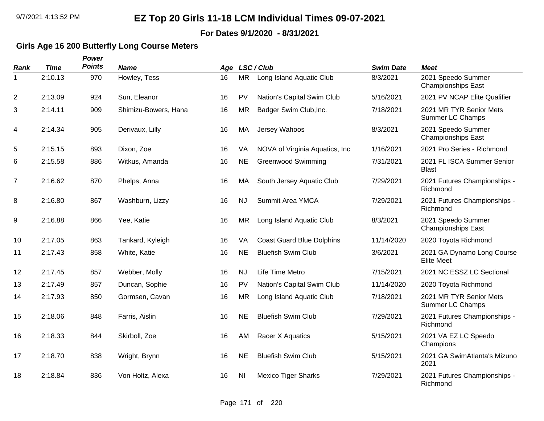#### **For Dates 9/1/2020 - 8/31/2021**

### **Girls Age 16 200 Butterfly Long Course Meters**

*Power*

| <b>Rank</b>  | <b>Time</b> | <b>Points</b> | <b>Name</b>          |    |           | Age LSC/Club                     | <b>Swim Date</b> | <b>Meet</b>                                        |
|--------------|-------------|---------------|----------------------|----|-----------|----------------------------------|------------------|----------------------------------------------------|
| $\mathbf{1}$ | 2:10.13     | 970           | Howley, Tess         | 16 | <b>MR</b> | Long Island Aquatic Club         | 8/3/2021         | 2021 Speedo Summer<br><b>Championships East</b>    |
| 2            | 2:13.09     | 924           | Sun, Eleanor         | 16 | PV        | Nation's Capital Swim Club       | 5/16/2021        | 2021 PV NCAP Elite Qualifier                       |
| 3            | 2:14.11     | 909           | Shimizu-Bowers, Hana | 16 | <b>MR</b> | Badger Swim Club, Inc.           | 7/18/2021        | 2021 MR TYR Senior Mets<br><b>Summer LC Champs</b> |
| 4            | 2:14.34     | 905           | Derivaux, Lilly      | 16 | МA        | Jersey Wahoos                    | 8/3/2021         | 2021 Speedo Summer<br><b>Championships East</b>    |
| 5            | 2:15.15     | 893           | Dixon, Zoe           | 16 | VA        | NOVA of Virginia Aquatics, Inc.  | 1/16/2021        | 2021 Pro Series - Richmond                         |
| 6            | 2:15.58     | 886           | Witkus, Amanda       | 16 | <b>NE</b> | <b>Greenwood Swimming</b>        | 7/31/2021        | 2021 FL ISCA Summer Senior<br><b>Blast</b>         |
| 7            | 2:16.62     | 870           | Phelps, Anna         | 16 | MA        | South Jersey Aquatic Club        | 7/29/2021        | 2021 Futures Championships -<br>Richmond           |
| 8            | 2:16.80     | 867           | Washburn, Lizzy      | 16 | <b>NJ</b> | Summit Area YMCA                 | 7/29/2021        | 2021 Futures Championships -<br>Richmond           |
| 9            | 2:16.88     | 866           | Yee, Katie           | 16 | <b>MR</b> | Long Island Aquatic Club         | 8/3/2021         | 2021 Speedo Summer<br><b>Championships East</b>    |
| 10           | 2:17.05     | 863           | Tankard, Kyleigh     | 16 | VA        | <b>Coast Guard Blue Dolphins</b> | 11/14/2020       | 2020 Toyota Richmond                               |
| 11           | 2:17.43     | 858           | White, Katie         | 16 | <b>NE</b> | <b>Bluefish Swim Club</b>        | 3/6/2021         | 2021 GA Dynamo Long Course<br><b>Elite Meet</b>    |
| 12           | 2:17.45     | 857           | Webber, Molly        | 16 | <b>NJ</b> | Life Time Metro                  | 7/15/2021        | 2021 NC ESSZ LC Sectional                          |
| 13           | 2:17.49     | 857           | Duncan, Sophie       | 16 | PV        | Nation's Capital Swim Club       | 11/14/2020       | 2020 Toyota Richmond                               |
| 14           | 2:17.93     | 850           | Gormsen, Cavan       | 16 | <b>MR</b> | Long Island Aquatic Club         | 7/18/2021        | 2021 MR TYR Senior Mets<br>Summer LC Champs        |
| 15           | 2:18.06     | 848           | Farris, Aislin       | 16 | <b>NE</b> | <b>Bluefish Swim Club</b>        | 7/29/2021        | 2021 Futures Championships -<br>Richmond           |
| 16           | 2:18.33     | 844           | Skirboll, Zoe        | 16 | AM        | Racer X Aquatics                 | 5/15/2021        | 2021 VA EZ LC Speedo<br>Champions                  |
| 17           | 2:18.70     | 838           | Wright, Brynn        | 16 | <b>NE</b> | <b>Bluefish Swim Club</b>        | 5/15/2021        | 2021 GA SwimAtlanta's Mizuno<br>2021               |
| 18           | 2:18.84     | 836           | Von Holtz, Alexa     | 16 | <b>NI</b> | <b>Mexico Tiger Sharks</b>       | 7/29/2021        | 2021 Futures Championships -<br>Richmond           |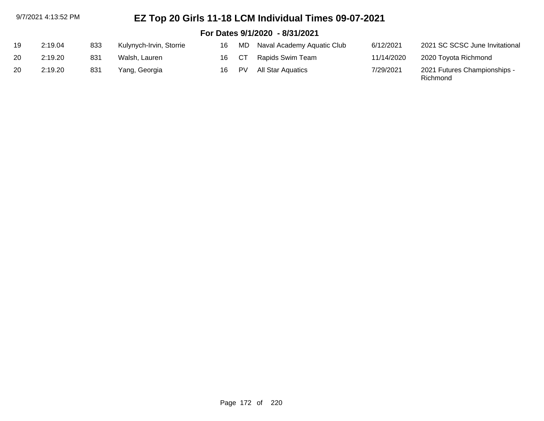| 9/7/2021 4:13:52 PM |                                |     | EZ Top 20 Girls 11-18 LCM Individual Times 09-07-2021 |     |      |                            |            |                                          |  |  |  |
|---------------------|--------------------------------|-----|-------------------------------------------------------|-----|------|----------------------------|------------|------------------------------------------|--|--|--|
|                     | For Dates 9/1/2020 - 8/31/2021 |     |                                                       |     |      |                            |            |                                          |  |  |  |
| 19                  | 2:19.04                        | 833 | Kulynych-Irvin, Storrie                               | 16  | MD.  | Naval Academy Aquatic Club | 6/12/2021  | 2021 SC SCSC June Invitational           |  |  |  |
| <b>20</b>           | 2:19.20                        | 831 | Walsh, Lauren                                         | 16. | - CT | Rapids Swim Team           | 11/14/2020 | 2020 Toyota Richmond                     |  |  |  |
| <b>20</b>           | 2:19.20                        | 831 | Yang, Georgia                                         | 16  | PV   | All Star Aquatics          | 7/29/2021  | 2021 Futures Championships -<br>Richmond |  |  |  |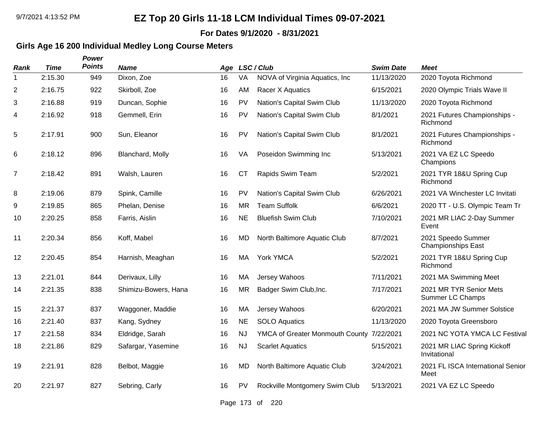**For Dates 9/1/2020 - 8/31/2021**

### **Girls Age 16 200 Individual Medley Long Course Meters**

| Rank           | <b>Time</b> | Power<br><b>Points</b> | <b>Name</b>          |    |           | Age LSC/Club                              | <b>Swim Date</b> | <b>Meet</b>                                     |
|----------------|-------------|------------------------|----------------------|----|-----------|-------------------------------------------|------------------|-------------------------------------------------|
| 1              | 2:15.30     | 949                    | Dixon, Zoe           | 16 | VA        | NOVA of Virginia Aquatics, Inc.           | 11/13/2020       | 2020 Toyota Richmond                            |
| 2              | 2:16.75     | 922                    | Skirboll, Zoe        | 16 | AM.       | Racer X Aquatics                          | 6/15/2021        | 2020 Olympic Trials Wave II                     |
| 3              | 2:16.88     | 919                    | Duncan, Sophie       | 16 | PV        | Nation's Capital Swim Club                | 11/13/2020       | 2020 Toyota Richmond                            |
| 4              | 2:16.92     | 918                    | Gemmell, Erin        | 16 | PV        | Nation's Capital Swim Club                | 8/1/2021         | 2021 Futures Championships -<br>Richmond        |
| 5              | 2:17.91     | 900                    | Sun, Eleanor         | 16 | PV        | Nation's Capital Swim Club                | 8/1/2021         | 2021 Futures Championships -<br>Richmond        |
| 6              | 2:18.12     | 896                    | Blanchard, Molly     | 16 | VA        | Poseidon Swimming Inc                     | 5/13/2021        | 2021 VA EZ LC Speedo<br>Champions               |
| $\overline{7}$ | 2:18.42     | 891                    | Walsh, Lauren        | 16 | <b>CT</b> | Rapids Swim Team                          | 5/2/2021         | 2021 TYR 18&U Spring Cup<br>Richmond            |
| 8              | 2:19.06     | 879                    | Spink, Camille       | 16 | PV        | Nation's Capital Swim Club                | 6/26/2021        | 2021 VA Winchester LC Invitati                  |
| 9              | 2:19.85     | 865                    | Phelan, Denise       | 16 | <b>MR</b> | <b>Team Suffolk</b>                       | 6/6/2021         | 2020 TT - U.S. Olympic Team Tr                  |
| 10             | 2:20.25     | 858                    | Farris, Aislin       | 16 | <b>NE</b> | <b>Bluefish Swim Club</b>                 | 7/10/2021        | 2021 MR LIAC 2-Day Summer<br>Event              |
| 11             | 2:20.34     | 856                    | Koff, Mabel          | 16 | <b>MD</b> | North Baltimore Aquatic Club              | 8/7/2021         | 2021 Speedo Summer<br><b>Championships East</b> |
| 12             | 2:20.45     | 854                    | Harnish, Meaghan     | 16 | MA        | York YMCA                                 | 5/2/2021         | 2021 TYR 18&U Spring Cup<br>Richmond            |
| 13             | 2:21.01     | 844                    | Derivaux, Lilly      | 16 | MA        | Jersey Wahoos                             | 7/11/2021        | 2021 MA Swimming Meet                           |
| 14             | 2:21.35     | 838                    | Shimizu-Bowers, Hana | 16 | <b>MR</b> | Badger Swim Club, Inc.                    | 7/17/2021        | 2021 MR TYR Senior Mets<br>Summer LC Champs     |
| 15             | 2:21.37     | 837                    | Waggoner, Maddie     | 16 | MA        | Jersey Wahoos                             | 6/20/2021        | 2021 MA JW Summer Solstice                      |
| 16             | 2:21.40     | 837                    | Kang, Sydney         | 16 | <b>NE</b> | <b>SOLO Aquatics</b>                      | 11/13/2020       | 2020 Toyota Greensboro                          |
| 17             | 2:21.58     | 834                    | Eldridge, Sarah      | 16 | <b>NJ</b> | YMCA of Greater Monmouth County 7/22/2021 |                  | 2021 NC YOTA YMCA LC Festival                   |
| 18             | 2:21.86     | 829                    | Safargar, Yasemine   | 16 | <b>NJ</b> | <b>Scarlet Aquatics</b>                   | 5/15/2021        | 2021 MR LIAC Spring Kickoff<br>Invitational     |
| 19             | 2:21.91     | 828                    | Belbot, Maggie       | 16 | <b>MD</b> | North Baltimore Aquatic Club              | 3/24/2021        | 2021 FL ISCA International Senior<br>Meet       |
| 20             | 2:21.97     | 827                    | Sebring, Carly       | 16 | PV        | Rockville Montgomery Swim Club            | 5/13/2021        | 2021 VA EZ LC Speedo                            |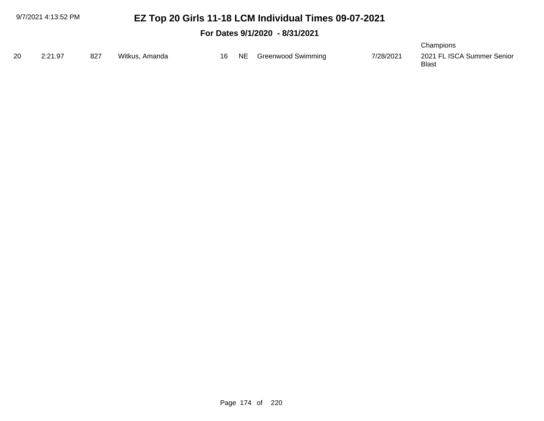#### **For Dates 9/1/2020 - 8/31/2021**

| 20 | 2:21.97 | 827 | Witkus, Amanda |  | 16 NE Greenwood Swimming | 7/28/2021 | 2021 FL ISCA Summer Senior<br>Blast |
|----|---------|-----|----------------|--|--------------------------|-----------|-------------------------------------|

**Champions**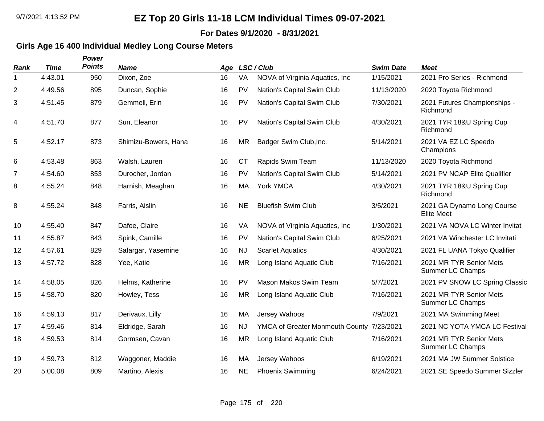**For Dates 9/1/2020 - 8/31/2021**

### **Girls Age 16 400 Individual Medley Long Course Meters**

| Rank           | <b>Time</b> | Power<br><b>Points</b> | <b>Name</b>          |    |           | Age LSC/Club                              | <b>Swim Date</b> | <b>Meet</b>                                        |
|----------------|-------------|------------------------|----------------------|----|-----------|-------------------------------------------|------------------|----------------------------------------------------|
| 1              | 4:43.01     | 950                    | Dixon, Zoe           | 16 | VA        | NOVA of Virginia Aquatics, Inc.           | 1/15/2021        | 2021 Pro Series - Richmond                         |
| $\overline{2}$ | 4:49.56     | 895                    | Duncan, Sophie       | 16 | PV        | Nation's Capital Swim Club                | 11/13/2020       | 2020 Toyota Richmond                               |
| 3              | 4:51.45     | 879                    | Gemmell, Erin        | 16 | <b>PV</b> | Nation's Capital Swim Club                | 7/30/2021        | 2021 Futures Championships -<br>Richmond           |
| 4              | 4:51.70     | 877                    | Sun, Eleanor         | 16 | PV        | Nation's Capital Swim Club                | 4/30/2021        | 2021 TYR 18&U Spring Cup<br>Richmond               |
| 5              | 4:52.17     | 873                    | Shimizu-Bowers, Hana | 16 | <b>MR</b> | Badger Swim Club, Inc.                    | 5/14/2021        | 2021 VA EZ LC Speedo<br>Champions                  |
| 6              | 4:53.48     | 863                    | Walsh, Lauren        | 16 | <b>CT</b> | Rapids Swim Team                          | 11/13/2020       | 2020 Toyota Richmond                               |
| 7              | 4:54.60     | 853                    | Durocher, Jordan     | 16 | PV        | Nation's Capital Swim Club                | 5/14/2021        | 2021 PV NCAP Elite Qualifier                       |
| 8              | 4:55.24     | 848                    | Harnish, Meaghan     | 16 | MA        | York YMCA                                 | 4/30/2021        | 2021 TYR 18&U Spring Cup<br>Richmond               |
| 8              | 4:55.24     | 848                    | Farris, Aislin       | 16 | <b>NE</b> | <b>Bluefish Swim Club</b>                 | 3/5/2021         | 2021 GA Dynamo Long Course<br><b>Elite Meet</b>    |
| 10             | 4:55.40     | 847                    | Dafoe, Claire        | 16 | VA        | NOVA of Virginia Aquatics, Inc.           | 1/30/2021        | 2021 VA NOVA LC Winter Invitat                     |
| 11             | 4:55.87     | 843                    | Spink, Camille       | 16 | PV        | Nation's Capital Swim Club                | 6/25/2021        | 2021 VA Winchester LC Invitati                     |
| 12             | 4:57.61     | 829                    | Safargar, Yasemine   | 16 | <b>NJ</b> | <b>Scarlet Aquatics</b>                   | 4/30/2021        | 2021 FL UANA Tokyo Qualifier                       |
| 13             | 4:57.72     | 828                    | Yee, Katie           | 16 | <b>MR</b> | Long Island Aquatic Club                  | 7/16/2021        | 2021 MR TYR Senior Mets<br><b>Summer LC Champs</b> |
| 14             | 4:58.05     | 826                    | Helms, Katherine     | 16 | PV        | Mason Makos Swim Team                     | 5/7/2021         | 2021 PV SNOW LC Spring Classic                     |
| 15             | 4:58.70     | 820                    | Howley, Tess         | 16 | <b>MR</b> | Long Island Aquatic Club                  | 7/16/2021        | 2021 MR TYR Senior Mets<br>Summer LC Champs        |
| 16             | 4:59.13     | 817                    | Derivaux, Lilly      | 16 | MA        | Jersey Wahoos                             | 7/9/2021         | 2021 MA Swimming Meet                              |
| 17             | 4:59.46     | 814                    | Eldridge, Sarah      | 16 | <b>NJ</b> | YMCA of Greater Monmouth County 7/23/2021 |                  | 2021 NC YOTA YMCA LC Festival                      |
| 18             | 4:59.53     | 814                    | Gormsen, Cavan       | 16 | <b>MR</b> | Long Island Aquatic Club                  | 7/16/2021        | 2021 MR TYR Senior Mets<br><b>Summer LC Champs</b> |
| 19             | 4:59.73     | 812                    | Waggoner, Maddie     | 16 | MA        | Jersey Wahoos                             | 6/19/2021        | 2021 MA JW Summer Solstice                         |
| 20             | 5:00.08     | 809                    | Martino, Alexis      | 16 | <b>NE</b> | <b>Phoenix Swimming</b>                   | 6/24/2021        | 2021 SE Speedo Summer Sizzler                      |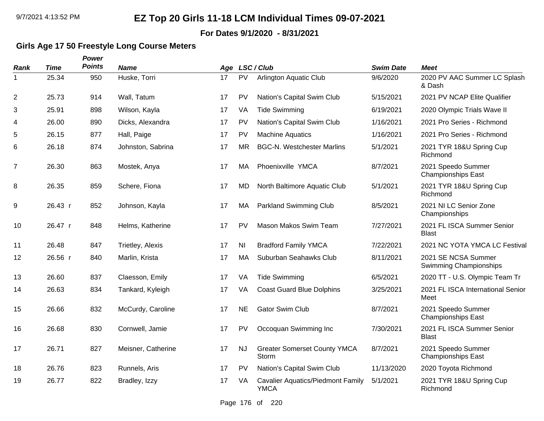#### **For Dates 9/1/2020 - 8/31/2021**

### **Girls Age 17 50 Freestyle Long Course Meters**

*Power*

| <b>Rank</b>    | <b>Time</b> | <b>Points</b> | <b>Name</b>        |    |                | Age LSC/Club                                            | <b>Swim Date</b> | <b>Meet</b>                                          |
|----------------|-------------|---------------|--------------------|----|----------------|---------------------------------------------------------|------------------|------------------------------------------------------|
|                | 25.34       | 950           | Huske, Torri       | 17 | PV             | <b>Arlington Aquatic Club</b>                           | 9/6/2020         | 2020 PV AAC Summer LC Splash<br>& Dash               |
| $\overline{2}$ | 25.73       | 914           | Wall, Tatum        | 17 | <b>PV</b>      | Nation's Capital Swim Club                              | 5/15/2021        | 2021 PV NCAP Elite Qualifier                         |
| 3              | 25.91       | 898           | Wilson, Kayla      | 17 | VA             | <b>Tide Swimming</b>                                    | 6/19/2021        | 2020 Olympic Trials Wave II                          |
| 4              | 26.00       | 890           | Dicks, Alexandra   | 17 | <b>PV</b>      | Nation's Capital Swim Club                              | 1/16/2021        | 2021 Pro Series - Richmond                           |
| 5              | 26.15       | 877           | Hall, Paige        | 17 | <b>PV</b>      | <b>Machine Aquatics</b>                                 | 1/16/2021        | 2021 Pro Series - Richmond                           |
| 6              | 26.18       | 874           | Johnston, Sabrina  | 17 | <b>MR</b>      | <b>BGC-N. Westchester Marlins</b>                       | 5/1/2021         | 2021 TYR 18&U Spring Cup<br>Richmond                 |
| $\overline{7}$ | 26.30       | 863           | Mostek, Anya       | 17 | MA             | Phoenixville YMCA                                       | 8/7/2021         | 2021 Speedo Summer<br><b>Championships East</b>      |
| 8              | 26.35       | 859           | Schere, Fiona      | 17 | MD             | North Baltimore Aquatic Club                            | 5/1/2021         | 2021 TYR 18&U Spring Cup<br>Richmond                 |
| 9              | 26.43 r     | 852           | Johnson, Kayla     | 17 | MA             | Parkland Swimming Club                                  | 8/5/2021         | 2021 NI LC Senior Zone<br>Championships              |
| 10             | 26.47 r     | 848           | Helms, Katherine   | 17 | PV             | Mason Makos Swim Team                                   | 7/27/2021        | 2021 FL ISCA Summer Senior<br><b>Blast</b>           |
| 11             | 26.48       | 847           | Trietley, Alexis   | 17 | N <sub>l</sub> | <b>Bradford Family YMCA</b>                             | 7/22/2021        | 2021 NC YOTA YMCA LC Festival                        |
| 12             | 26.56 r     | 840           | Marlin, Krista     | 17 | MA             | Suburban Seahawks Club                                  | 8/11/2021        | 2021 SE NCSA Summer<br><b>Swimming Championships</b> |
| 13             | 26.60       | 837           | Claesson, Emily    | 17 | VA             | <b>Tide Swimming</b>                                    | 6/5/2021         | 2020 TT - U.S. Olympic Team Tr                       |
| 14             | 26.63       | 834           | Tankard, Kyleigh   | 17 | VA             | <b>Coast Guard Blue Dolphins</b>                        | 3/25/2021        | 2021 FL ISCA International Senior<br>Meet            |
| 15             | 26.66       | 832           | McCurdy, Caroline  | 17 | <b>NE</b>      | <b>Gator Swim Club</b>                                  | 8/7/2021         | 2021 Speedo Summer<br><b>Championships East</b>      |
| 16             | 26.68       | 830           | Cornwell, Jamie    | 17 | PV             | Occoquan Swimming Inc                                   | 7/30/2021        | 2021 FL ISCA Summer Senior<br><b>Blast</b>           |
| 17             | 26.71       | 827           | Meisner, Catherine | 17 | <b>NJ</b>      | <b>Greater Somerset County YMCA</b><br>Storm            | 8/7/2021         | 2021 Speedo Summer<br><b>Championships East</b>      |
| 18             | 26.76       | 823           | Runnels, Aris      | 17 | PV             | Nation's Capital Swim Club                              | 11/13/2020       | 2020 Toyota Richmond                                 |
| 19             | 26.77       | 822           | Bradley, Izzy      | 17 | VA             | <b>Cavalier Aquatics/Piedmont Family</b><br><b>YMCA</b> | 5/1/2021         | 2021 TYR 18&U Spring Cup<br>Richmond                 |

Page 176 of 220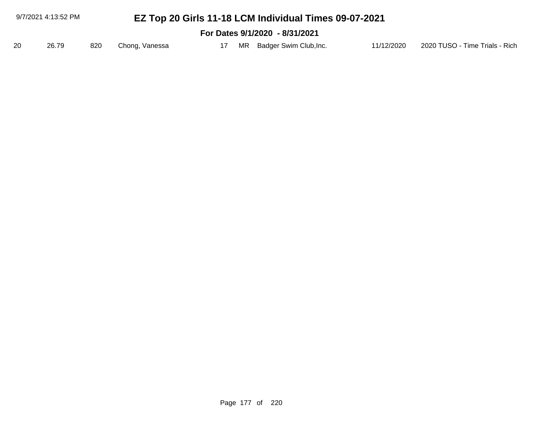|    | 9/7/2021 4:13:52 PM            |     | EZ Top 20 Girls 11-18 LCM Individual Times 09-07-2021 |  |  |                           |            |                                |  |  |  |
|----|--------------------------------|-----|-------------------------------------------------------|--|--|---------------------------|------------|--------------------------------|--|--|--|
|    | For Dates 9/1/2020 - 8/31/2021 |     |                                                       |  |  |                           |            |                                |  |  |  |
| 20 | 26.79                          | 820 | Chong, Vanessa                                        |  |  | MR Badger Swim Club, Inc. | 11/12/2020 | 2020 TUSO - Time Trials - Rich |  |  |  |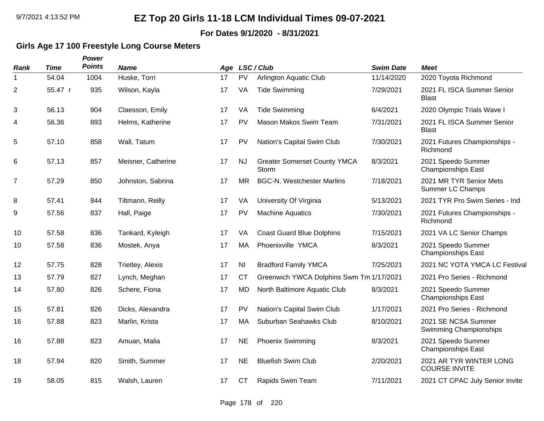#### **For Dates 9/1/2020 - 8/31/2021**

### **Girls Age 17 100 Freestyle Long Course Meters**

| Rank | <b>Time</b> | Power<br><b>Points</b> | <b>Name</b>        |    |           | Age LSC/Club                                 | <b>Swim Date</b> | <b>Meet</b>                                     |
|------|-------------|------------------------|--------------------|----|-----------|----------------------------------------------|------------------|-------------------------------------------------|
| 1    | 54.04       | 1004                   | Huske, Torri       | 17 | <b>PV</b> | Arlington Aquatic Club                       | 11/14/2020       | 2020 Toyota Richmond                            |
| 2    | 55.47 r     | 935                    | Wilson, Kayla      | 17 | VA        | <b>Tide Swimming</b>                         | 7/29/2021        | 2021 FL ISCA Summer Senior<br><b>Blast</b>      |
| 3    | 56.13       | 904                    | Claesson, Emily    | 17 | VA        | <b>Tide Swimming</b>                         | 6/4/2021         | 2020 Olympic Trials Wave I                      |
| 4    | 56.36       | 893                    | Helms, Katherine   | 17 | PV        | Mason Makos Swim Team                        | 7/31/2021        | 2021 FL ISCA Summer Senior<br><b>Blast</b>      |
| 5    | 57.10       | 858                    | Wall, Tatum        | 17 | PV        | Nation's Capital Swim Club                   | 7/30/2021        | 2021 Futures Championships -<br>Richmond        |
| 6    | 57.13       | 857                    | Meisner, Catherine | 17 | <b>NJ</b> | <b>Greater Somerset County YMCA</b><br>Storm | 8/3/2021         | 2021 Speedo Summer<br><b>Championships East</b> |
| 7    | 57.29       | 850                    | Johnston, Sabrina  | 17 | <b>MR</b> | <b>BGC-N. Westchester Marlins</b>            | 7/18/2021        | 2021 MR TYR Senior Mets<br>Summer LC Champs     |
| 8    | 57.41       | 844                    | Tiltmann, Reilly   | 17 | VA        | University Of Virginia                       | 5/13/2021        | 2021 TYR Pro Swim Series - Ind                  |
| 9    | 57.56       | 837                    | Hall, Paige        | 17 | PV        | <b>Machine Aquatics</b>                      | 7/30/2021        | 2021 Futures Championships -<br>Richmond        |
| 10   | 57.58       | 836                    | Tankard, Kyleigh   | 17 | VA        | <b>Coast Guard Blue Dolphins</b>             | 7/15/2021        | 2021 VA LC Senior Champs                        |
| 10   | 57.58       | 836                    | Mostek, Anya       | 17 | MA        | Phoenixville YMCA                            | 8/3/2021         | 2021 Speedo Summer<br><b>Championships East</b> |
| 12   | 57.75       | 828                    | Trietley, Alexis   | 17 | <b>NI</b> | <b>Bradford Family YMCA</b>                  | 7/25/2021        | 2021 NC YOTA YMCA LC Festival                   |
| 13   | 57.79       | 827                    | Lynch, Meghan      | 17 | <b>CT</b> | Greenwich YWCA Dolphins Swm Tm 1/17/2021     |                  | 2021 Pro Series - Richmond                      |
| 14   | 57.80       | 826                    | Schere, Fiona      | 17 | <b>MD</b> | North Baltimore Aquatic Club                 | 8/3/2021         | 2021 Speedo Summer<br><b>Championships East</b> |
| 15   | 57.81       | 826                    | Dicks, Alexandra   | 17 | PV        | Nation's Capital Swim Club                   | 1/17/2021        | 2021 Pro Series - Richmond                      |
| 16   | 57.88       | 823                    | Marlin, Krista     | 17 | MA        | Suburban Seahawks Club                       | 8/10/2021        | 2021 SE NCSA Summer<br>Swimming Championships   |
| 16   | 57.88       | 823                    | Amuan, Malia       | 17 | <b>NE</b> | <b>Phoenix Swimming</b>                      | 8/3/2021         | 2021 Speedo Summer<br><b>Championships East</b> |
| 18   | 57.94       | 820                    | Smith, Summer      | 17 | <b>NE</b> | <b>Bluefish Swim Club</b>                    | 2/20/2021        | 2021 AR TYR WINTER LONG<br><b>COURSE INVITE</b> |
| 19   | 58.05       | 815                    | Walsh, Lauren      | 17 | <b>CT</b> | Rapids Swim Team                             | 7/11/2021        | 2021 CT CPAC July Senior Invite                 |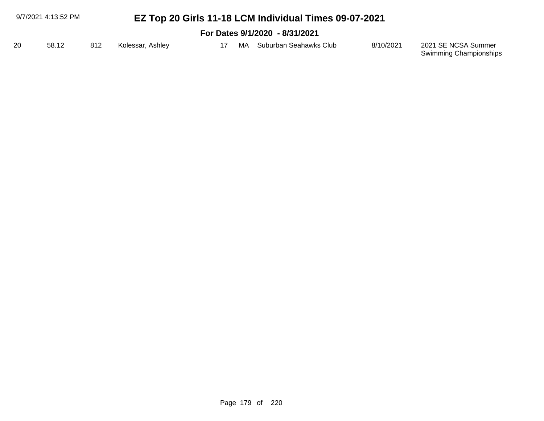| 9/7/2021 4:13:52 PM |       |     | EZ Top 20 Girls 11-18 LCM Individual Times 09-07-2021 |  |    |                                |           |                                               |  |  |  |  |
|---------------------|-------|-----|-------------------------------------------------------|--|----|--------------------------------|-----------|-----------------------------------------------|--|--|--|--|
|                     |       |     |                                                       |  |    | For Dates 9/1/2020 - 8/31/2021 |           |                                               |  |  |  |  |
| 20                  | 58.12 | 812 | Kolessar, Ashley                                      |  | MA | Suburban Seahawks Club         | 8/10/2021 | 2021 SE NCSA Summer<br>Swimming Championships |  |  |  |  |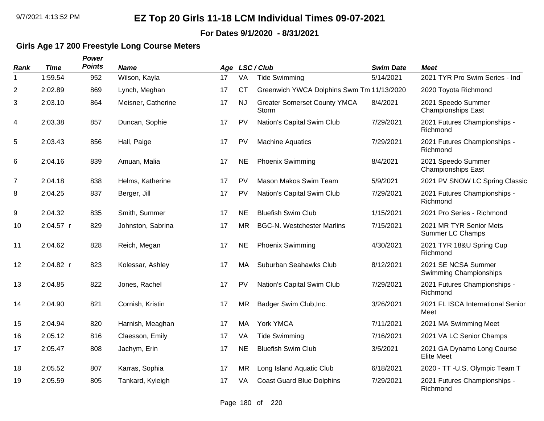#### **For Dates 9/1/2020 - 8/31/2021**

### **Girls Age 17 200 Freestyle Long Course Meters**

*Power*

| <b>Rank</b>    | <b>Time</b> | <b>Points</b> | <b>Name</b>        |    |           | Age LSC/Club                                 | <b>Swim Date</b> | <b>Meet</b>                                        |
|----------------|-------------|---------------|--------------------|----|-----------|----------------------------------------------|------------------|----------------------------------------------------|
| 1              | 1:59.54     | 952           | Wilson, Kayla      | 17 | VA        | <b>Tide Swimming</b>                         | 5/14/2021        | 2021 TYR Pro Swim Series - Ind                     |
| $\overline{c}$ | 2:02.89     | 869           | Lynch, Meghan      | 17 | <b>CT</b> | Greenwich YWCA Dolphins Swm Tm 11/13/2020    |                  | 2020 Toyota Richmond                               |
| 3              | 2:03.10     | 864           | Meisner, Catherine | 17 | <b>NJ</b> | <b>Greater Somerset County YMCA</b><br>Storm | 8/4/2021         | 2021 Speedo Summer<br><b>Championships East</b>    |
| 4              | 2:03.38     | 857           | Duncan, Sophie     | 17 | <b>PV</b> | Nation's Capital Swim Club                   | 7/29/2021        | 2021 Futures Championships -<br>Richmond           |
| 5              | 2:03.43     | 856           | Hall, Paige        | 17 | PV        | <b>Machine Aquatics</b>                      | 7/29/2021        | 2021 Futures Championships -<br>Richmond           |
| 6              | 2:04.16     | 839           | Amuan, Malia       | 17 | <b>NE</b> | <b>Phoenix Swimming</b>                      | 8/4/2021         | 2021 Speedo Summer<br><b>Championships East</b>    |
| 7              | 2:04.18     | 838           | Helms, Katherine   | 17 | PV        | Mason Makos Swim Team                        | 5/9/2021         | 2021 PV SNOW LC Spring Classic                     |
| 8              | 2:04.25     | 837           | Berger, Jill       | 17 | PV        | Nation's Capital Swim Club                   | 7/29/2021        | 2021 Futures Championships -<br>Richmond           |
| 9              | 2:04.32     | 835           | Smith, Summer      | 17 | <b>NE</b> | <b>Bluefish Swim Club</b>                    | 1/15/2021        | 2021 Pro Series - Richmond                         |
| 10             | 2:04.57 r   | 829           | Johnston, Sabrina  | 17 | MR        | <b>BGC-N. Westchester Marlins</b>            | 7/15/2021        | 2021 MR TYR Senior Mets<br><b>Summer LC Champs</b> |
| 11             | 2:04.62     | 828           | Reich, Megan       | 17 | <b>NE</b> | <b>Phoenix Swimming</b>                      | 4/30/2021        | 2021 TYR 18&U Spring Cup<br>Richmond               |
| 12             | 2:04.82 r   | 823           | Kolessar, Ashley   | 17 | МA        | Suburban Seahawks Club                       | 8/12/2021        | 2021 SE NCSA Summer<br>Swimming Championships      |
| 13             | 2:04.85     | 822           | Jones, Rachel      | 17 | PV        | Nation's Capital Swim Club                   | 7/29/2021        | 2021 Futures Championships -<br>Richmond           |
| 14             | 2:04.90     | 821           | Cornish, Kristin   | 17 | <b>MR</b> | Badger Swim Club, Inc.                       | 3/26/2021        | 2021 FL ISCA International Senior<br>Meet          |
| 15             | 2:04.94     | 820           | Harnish, Meaghan   | 17 | MA        | York YMCA                                    | 7/11/2021        | 2021 MA Swimming Meet                              |
| 16             | 2:05.12     | 816           | Claesson, Emily    | 17 | VA        | <b>Tide Swimming</b>                         | 7/16/2021        | 2021 VA LC Senior Champs                           |
| 17             | 2:05.47     | 808           | Jachym, Erin       | 17 | <b>NE</b> | <b>Bluefish Swim Club</b>                    | 3/5/2021         | 2021 GA Dynamo Long Course<br><b>Elite Meet</b>    |
| 18             | 2:05.52     | 807           | Karras, Sophia     | 17 | <b>MR</b> | Long Island Aquatic Club                     | 6/18/2021        | 2020 - TT -U.S. Olympic Team T                     |
| 19             | 2:05.59     | 805           | Tankard, Kyleigh   | 17 | VA        | <b>Coast Guard Blue Dolphins</b>             | 7/29/2021        | 2021 Futures Championships -<br>Richmond           |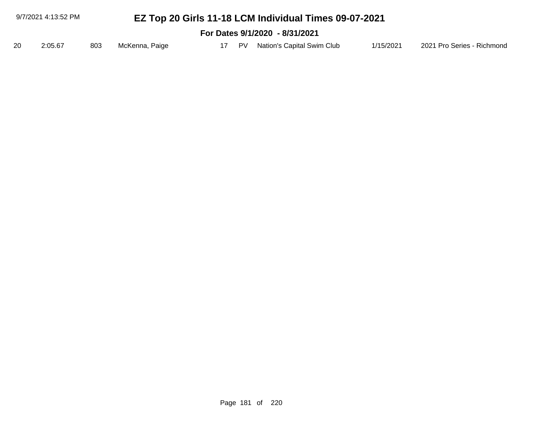|    | 9/7/2021 4:13:52 PM            |     |                |  |     | EZ Top 20 Girls 11-18 LCM Individual Times 09-07-2021 |           |                            |  |  |  |
|----|--------------------------------|-----|----------------|--|-----|-------------------------------------------------------|-----------|----------------------------|--|--|--|
|    | For Dates 9/1/2020 - 8/31/2021 |     |                |  |     |                                                       |           |                            |  |  |  |
| 20 | 2:05.67                        | 803 | McKenna, Paige |  | PV. | Nation's Capital Swim Club                            | 1/15/2021 | 2021 Pro Series - Richmond |  |  |  |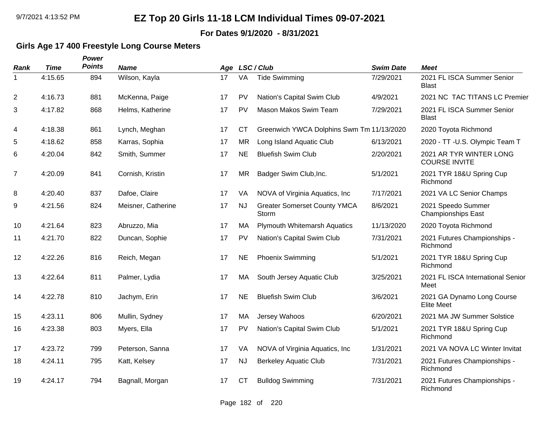#### **For Dates 9/1/2020 - 8/31/2021**

### **Girls Age 17 400 Freestyle Long Course Meters**

| <b>Rank</b>    | <b>Time</b> | Power<br><b>Points</b> | <b>Name</b>        |    |           | Age LSC/Club                                 | <b>Swim Date</b> | <b>Meet</b>                                     |
|----------------|-------------|------------------------|--------------------|----|-----------|----------------------------------------------|------------------|-------------------------------------------------|
| 1              | 4:15.65     | 894                    | Wilson, Kayla      | 17 | VA        | <b>Tide Swimming</b>                         | 7/29/2021        | 2021 FL ISCA Summer Senior<br><b>Blast</b>      |
| 2              | 4:16.73     | 881                    | McKenna, Paige     | 17 | <b>PV</b> | Nation's Capital Swim Club                   | 4/9/2021         | 2021 NC TAC TITANS LC Premier                   |
| 3              | 4:17.82     | 868                    | Helms, Katherine   | 17 | <b>PV</b> | Mason Makos Swim Team                        | 7/29/2021        | 2021 FL ISCA Summer Senior<br><b>Blast</b>      |
| 4              | 4:18.38     | 861                    | Lynch, Meghan      | 17 | <b>CT</b> | Greenwich YWCA Dolphins Swm Tm 11/13/2020    |                  | 2020 Toyota Richmond                            |
| 5              | 4:18.62     | 858                    | Karras, Sophia     | 17 | <b>MR</b> | Long Island Aquatic Club                     | 6/13/2021        | 2020 - TT -U.S. Olympic Team T                  |
| 6              | 4:20.04     | 842                    | Smith, Summer      | 17 | <b>NE</b> | <b>Bluefish Swim Club</b>                    | 2/20/2021        | 2021 AR TYR WINTER LONG<br><b>COURSE INVITE</b> |
| $\overline{7}$ | 4:20.09     | 841                    | Cornish, Kristin   | 17 | <b>MR</b> | Badger Swim Club, Inc.                       | 5/1/2021         | 2021 TYR 18&U Spring Cup<br>Richmond            |
| 8              | 4:20.40     | 837                    | Dafoe, Claire      | 17 | VA        | NOVA of Virginia Aquatics, Inc.              | 7/17/2021        | 2021 VA LC Senior Champs                        |
| 9              | 4:21.56     | 824                    | Meisner, Catherine | 17 | <b>NJ</b> | <b>Greater Somerset County YMCA</b><br>Storm | 8/6/2021         | 2021 Speedo Summer<br><b>Championships East</b> |
| 10             | 4:21.64     | 823                    | Abruzzo, Mia       | 17 | MA        | <b>Plymouth Whitemarsh Aquatics</b>          | 11/13/2020       | 2020 Toyota Richmond                            |
| 11             | 4:21.70     | 822                    | Duncan, Sophie     | 17 | PV        | Nation's Capital Swim Club                   | 7/31/2021        | 2021 Futures Championships -<br>Richmond        |
| 12             | 4:22.26     | 816                    | Reich, Megan       | 17 | <b>NE</b> | <b>Phoenix Swimming</b>                      | 5/1/2021         | 2021 TYR 18&U Spring Cup<br>Richmond            |
| 13             | 4:22.64     | 811                    | Palmer, Lydia      | 17 | MA        | South Jersey Aquatic Club                    | 3/25/2021        | 2021 FL ISCA International Senior<br>Meet       |
| 14             | 4:22.78     | 810                    | Jachym, Erin       | 17 | <b>NE</b> | <b>Bluefish Swim Club</b>                    | 3/6/2021         | 2021 GA Dynamo Long Course<br><b>Elite Meet</b> |
| 15             | 4:23.11     | 806                    | Mullin, Sydney     | 17 | МA        | Jersey Wahoos                                | 6/20/2021        | 2021 MA JW Summer Solstice                      |
| 16             | 4:23.38     | 803                    | Myers, Ella        | 17 | <b>PV</b> | Nation's Capital Swim Club                   | 5/1/2021         | 2021 TYR 18&U Spring Cup<br>Richmond            |
| 17             | 4:23.72     | 799                    | Peterson, Sanna    | 17 | VA        | NOVA of Virginia Aquatics, Inc.              | 1/31/2021        | 2021 VA NOVA LC Winter Invitat                  |
| 18             | 4:24.11     | 795                    | Katt, Kelsey       | 17 | <b>NJ</b> | <b>Berkeley Aquatic Club</b>                 | 7/31/2021        | 2021 Futures Championships -<br>Richmond        |
| 19             | 4:24.17     | 794                    | Bagnall, Morgan    | 17 | <b>CT</b> | <b>Bulldog Swimming</b>                      | 7/31/2021        | 2021 Futures Championships -<br>Richmond        |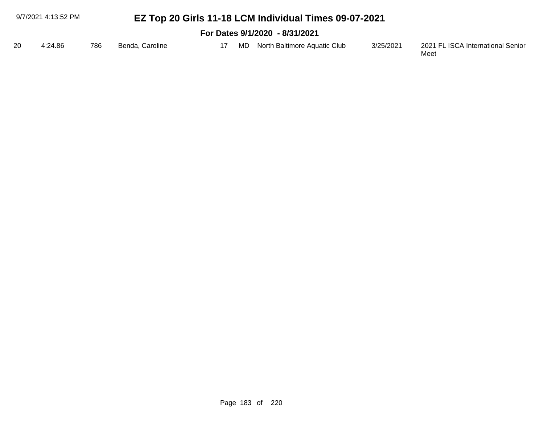| 9/7/2021 4:13:52 PM |         |     |                 |     | EZ Top 20 Girls 11-18 LCM Individual Times 09-07-2021 |           |                                           |
|---------------------|---------|-----|-----------------|-----|-------------------------------------------------------|-----------|-------------------------------------------|
|                     |         |     |                 |     | For Dates 9/1/2020 - 8/31/2021                        |           |                                           |
| 20                  | 4:24.86 | 786 | Benda, Caroline | MD. | North Baltimore Aquatic Club                          | 3/25/2021 | 2021 FL ISCA International Senior<br>Meet |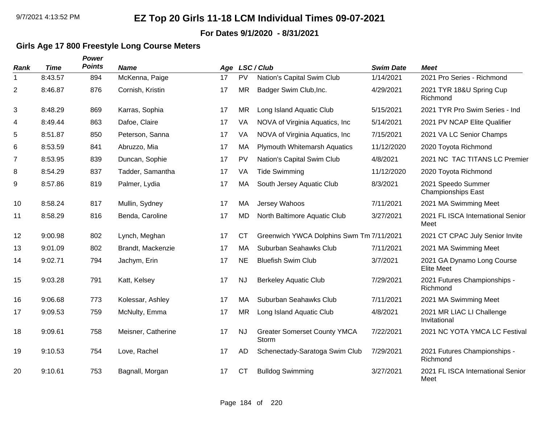#### **For Dates 9/1/2020 - 8/31/2021**

### **Girls Age 17 800 Freestyle Long Course Meters**

| <b>Rank</b>    | <b>Time</b> | <b>Points</b> | <b>Name</b>        |    |           | Age LSC/Club                                 | <b>Swim Date</b> | <b>Meet</b>                                     |
|----------------|-------------|---------------|--------------------|----|-----------|----------------------------------------------|------------------|-------------------------------------------------|
| 1              | 8:43.57     | 894           | McKenna, Paige     | 17 | PV        | Nation's Capital Swim Club                   | 1/14/2021        | 2021 Pro Series - Richmond                      |
| $\overline{c}$ | 8:46.87     | 876           | Cornish, Kristin   | 17 | <b>MR</b> | Badger Swim Club, Inc.                       | 4/29/2021        | 2021 TYR 18&U Spring Cup<br>Richmond            |
| 3              | 8:48.29     | 869           | Karras, Sophia     | 17 | <b>MR</b> | Long Island Aquatic Club                     | 5/15/2021        | 2021 TYR Pro Swim Series - Ind                  |
| 4              | 8:49.44     | 863           | Dafoe, Claire      | 17 | VA        | NOVA of Virginia Aquatics, Inc.              | 5/14/2021        | 2021 PV NCAP Elite Qualifier                    |
| 5              | 8:51.87     | 850           | Peterson, Sanna    | 17 | VA        | NOVA of Virginia Aquatics, Inc.              | 7/15/2021        | 2021 VA LC Senior Champs                        |
| 6              | 8:53.59     | 841           | Abruzzo, Mia       | 17 | MA        | <b>Plymouth Whitemarsh Aquatics</b>          | 11/12/2020       | 2020 Toyota Richmond                            |
| $\overline{7}$ | 8:53.95     | 839           | Duncan, Sophie     | 17 | <b>PV</b> | Nation's Capital Swim Club                   | 4/8/2021         | 2021 NC TAC TITANS LC Premier                   |
| 8              | 8:54.29     | 837           | Tadder, Samantha   | 17 | VA        | <b>Tide Swimming</b>                         | 11/12/2020       | 2020 Toyota Richmond                            |
| 9              | 8:57.86     | 819           | Palmer, Lydia      | 17 | MA        | South Jersey Aquatic Club                    | 8/3/2021         | 2021 Speedo Summer<br><b>Championships East</b> |
| 10             | 8:58.24     | 817           | Mullin, Sydney     | 17 | МA        | Jersey Wahoos                                | 7/11/2021        | 2021 MA Swimming Meet                           |
| 11             | 8:58.29     | 816           | Benda, Caroline    | 17 | <b>MD</b> | North Baltimore Aquatic Club                 | 3/27/2021        | 2021 FL ISCA International Senior<br>Meet       |
| 12             | 9:00.98     | 802           | Lynch, Meghan      | 17 | <b>CT</b> | Greenwich YWCA Dolphins Swm Tm 7/11/2021     |                  | 2021 CT CPAC July Senior Invite                 |
| 13             | 9:01.09     | 802           | Brandt, Mackenzie  | 17 | MA        | Suburban Seahawks Club                       | 7/11/2021        | 2021 MA Swimming Meet                           |
| 14             | 9:02.71     | 794           | Jachym, Erin       | 17 | <b>NE</b> | <b>Bluefish Swim Club</b>                    | 3/7/2021         | 2021 GA Dynamo Long Course<br><b>Elite Meet</b> |
| 15             | 9:03.28     | 791           | Katt, Kelsey       | 17 | <b>NJ</b> | <b>Berkeley Aquatic Club</b>                 | 7/29/2021        | 2021 Futures Championships -<br>Richmond        |
| 16             | 9:06.68     | 773           | Kolessar, Ashley   | 17 | МA        | Suburban Seahawks Club                       | 7/11/2021        | 2021 MA Swimming Meet                           |
| 17             | 9:09.53     | 759           | McNulty, Emma      | 17 | <b>MR</b> | Long Island Aquatic Club                     | 4/8/2021         | 2021 MR LIAC LI Challenge<br>Invitational       |
| 18             | 9:09.61     | 758           | Meisner, Catherine | 17 | <b>NJ</b> | <b>Greater Somerset County YMCA</b><br>Storm | 7/22/2021        | 2021 NC YOTA YMCA LC Festival                   |
| 19             | 9:10.53     | 754           | Love, Rachel       | 17 | <b>AD</b> | Schenectady-Saratoga Swim Club               | 7/29/2021        | 2021 Futures Championships -<br>Richmond        |
| 20             | 9:10.61     | 753           | Bagnall, Morgan    | 17 | <b>CT</b> | <b>Bulldog Swimming</b>                      | 3/27/2021        | 2021 FL ISCA International Senior<br>Meet       |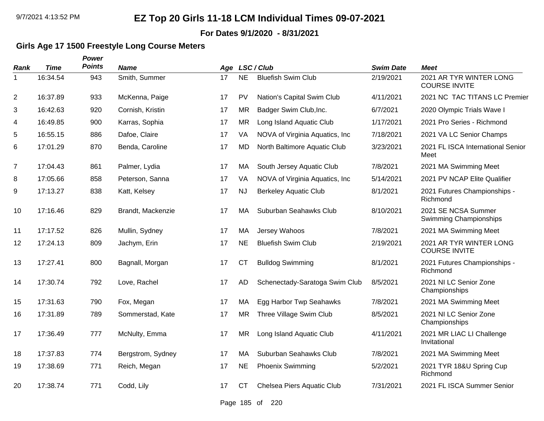#### **For Dates 9/1/2020 - 8/31/2021**

### **Girls Age 17 1500 Freestyle Long Course Meters**

| <b>Rank</b>    | <b>Time</b> | Power<br><b>Points</b> | <b>Name</b>       |    |           | Age LSC/Club                    | <b>Swim Date</b> | <b>Meet</b>                                     |
|----------------|-------------|------------------------|-------------------|----|-----------|---------------------------------|------------------|-------------------------------------------------|
| 1              | 16:34.54    | 943                    | Smith, Summer     | 17 | <b>NE</b> | <b>Bluefish Swim Club</b>       | 2/19/2021        | 2021 AR TYR WINTER LONG<br><b>COURSE INVITE</b> |
| 2              | 16:37.89    | 933                    | McKenna, Paige    | 17 | PV        | Nation's Capital Swim Club      | 4/11/2021        | 2021 NC TAC TITANS LC Premier                   |
| 3              | 16:42.63    | 920                    | Cornish, Kristin  | 17 | <b>MR</b> | Badger Swim Club, Inc.          | 6/7/2021         | 2020 Olympic Trials Wave I                      |
| 4              | 16:49.85    | 900                    | Karras, Sophia    | 17 | <b>MR</b> | Long Island Aquatic Club        | 1/17/2021        | 2021 Pro Series - Richmond                      |
| 5              | 16:55.15    | 886                    | Dafoe, Claire     | 17 | VA        | NOVA of Virginia Aquatics, Inc. | 7/18/2021        | 2021 VA LC Senior Champs                        |
| 6              | 17:01.29    | 870                    | Benda, Caroline   | 17 | <b>MD</b> | North Baltimore Aquatic Club    | 3/23/2021        | 2021 FL ISCA International Senior<br>Meet       |
| $\overline{7}$ | 17:04.43    | 861                    | Palmer, Lydia     | 17 | МA        | South Jersey Aquatic Club       | 7/8/2021         | 2021 MA Swimming Meet                           |
| 8              | 17:05.66    | 858                    | Peterson, Sanna   | 17 | VA        | NOVA of Virginia Aquatics, Inc. | 5/14/2021        | 2021 PV NCAP Elite Qualifier                    |
| 9              | 17:13.27    | 838                    | Katt, Kelsey      | 17 | <b>NJ</b> | <b>Berkeley Aquatic Club</b>    | 8/1/2021         | 2021 Futures Championships -<br>Richmond        |
| 10             | 17:16.46    | 829                    | Brandt, Mackenzie | 17 | МA        | Suburban Seahawks Club          | 8/10/2021        | 2021 SE NCSA Summer<br>Swimming Championships   |
| 11             | 17:17.52    | 826                    | Mullin, Sydney    | 17 | MA        | Jersey Wahoos                   | 7/8/2021         | 2021 MA Swimming Meet                           |
| 12             | 17:24.13    | 809                    | Jachym, Erin      | 17 | <b>NE</b> | <b>Bluefish Swim Club</b>       | 2/19/2021        | 2021 AR TYR WINTER LONG<br><b>COURSE INVITE</b> |
| 13             | 17:27.41    | 800                    | Bagnall, Morgan   | 17 | <b>CT</b> | <b>Bulldog Swimming</b>         | 8/1/2021         | 2021 Futures Championships -<br>Richmond        |
| 14             | 17:30.74    | 792                    | Love, Rachel      | 17 | <b>AD</b> | Schenectady-Saratoga Swim Club  | 8/5/2021         | 2021 NI LC Senior Zone<br>Championships         |
| 15             | 17:31.63    | 790                    | Fox, Megan        | 17 | MA        | Egg Harbor Twp Seahawks         | 7/8/2021         | 2021 MA Swimming Meet                           |
| 16             | 17:31.89    | 789                    | Sommerstad, Kate  | 17 | <b>MR</b> | Three Village Swim Club         | 8/5/2021         | 2021 NI LC Senior Zone<br>Championships         |
| 17             | 17:36.49    | 777                    | McNulty, Emma     | 17 | <b>MR</b> | Long Island Aquatic Club        | 4/11/2021        | 2021 MR LIAC LI Challenge<br>Invitational       |
| 18             | 17:37.83    | 774                    | Bergstrom, Sydney | 17 | MA        | Suburban Seahawks Club          | 7/8/2021         | 2021 MA Swimming Meet                           |
| 19             | 17:38.69    | 771                    | Reich, Megan      | 17 | <b>NE</b> | <b>Phoenix Swimming</b>         | 5/2/2021         | 2021 TYR 18&U Spring Cup<br>Richmond            |
| 20             | 17:38.74    | 771                    | Codd, Lily        | 17 | <b>CT</b> | Chelsea Piers Aquatic Club      | 7/31/2021        | 2021 FL ISCA Summer Senior                      |

Page 185 of 220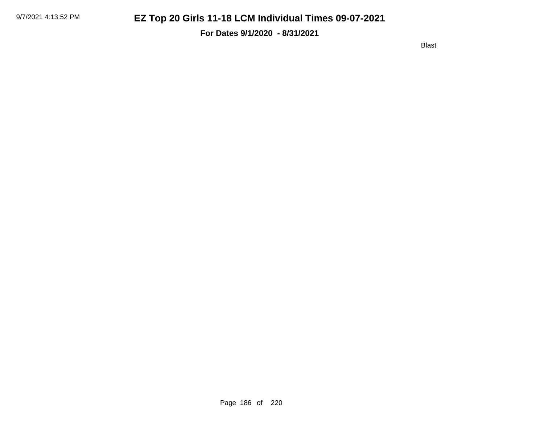**For Dates 9/1/2020 - 8/31/2021**

Blast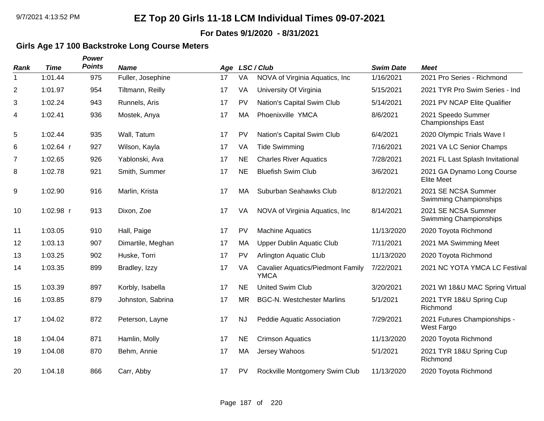#### **For Dates 9/1/2020 - 8/31/2021**

### **Girls Age 17 100 Backstroke Long Course Meters**

| Rank           | <b>Time</b> | Power<br><b>Points</b> | <b>Name</b>       |    |           | Age LSC/Club                                            | <b>Swim Date</b> | <b>Meet</b>                                          |
|----------------|-------------|------------------------|-------------------|----|-----------|---------------------------------------------------------|------------------|------------------------------------------------------|
|                | 1:01.44     | 975                    | Fuller, Josephine | 17 | VA        | NOVA of Virginia Aquatics, Inc.                         | 1/16/2021        | 2021 Pro Series - Richmond                           |
| $\overline{2}$ | 1:01.97     | 954                    | Tiltmann, Reilly  | 17 | VA        | University Of Virginia                                  | 5/15/2021        | 2021 TYR Pro Swim Series - Ind                       |
| 3              | 1:02.24     | 943                    | Runnels, Aris     | 17 | PV        | Nation's Capital Swim Club                              | 5/14/2021        | 2021 PV NCAP Elite Qualifier                         |
| 4              | 1:02.41     | 936                    | Mostek, Anya      | 17 | МA        | Phoenixville YMCA                                       | 8/6/2021         | 2021 Speedo Summer<br><b>Championships East</b>      |
| 5              | 1:02.44     | 935                    | Wall, Tatum       | 17 | PV        | Nation's Capital Swim Club                              | 6/4/2021         | 2020 Olympic Trials Wave I                           |
| 6              | 1:02.64 r   | 927                    | Wilson, Kayla     | 17 | VA        | <b>Tide Swimming</b>                                    | 7/16/2021        | 2021 VA LC Senior Champs                             |
| $\overline{7}$ | 1:02.65     | 926                    | Yablonski, Ava    | 17 | <b>NE</b> | <b>Charles River Aquatics</b>                           | 7/28/2021        | 2021 FL Last Splash Invitational                     |
| 8              | 1:02.78     | 921                    | Smith, Summer     | 17 | <b>NE</b> | <b>Bluefish Swim Club</b>                               | 3/6/2021         | 2021 GA Dynamo Long Course<br><b>Elite Meet</b>      |
| 9              | 1:02.90     | 916                    | Marlin, Krista    | 17 | МA        | Suburban Seahawks Club                                  | 8/12/2021        | 2021 SE NCSA Summer<br><b>Swimming Championships</b> |
| 10             | 1:02.98 r   | 913                    | Dixon, Zoe        | 17 | VA        | NOVA of Virginia Aquatics, Inc.                         | 8/14/2021        | 2021 SE NCSA Summer<br><b>Swimming Championships</b> |
| 11             | 1:03.05     | 910                    | Hall, Paige       | 17 | PV        | <b>Machine Aquatics</b>                                 | 11/13/2020       | 2020 Toyota Richmond                                 |
| 12             | 1:03.13     | 907                    | Dimartile, Meghan | 17 | МA        | <b>Upper Dublin Aquatic Club</b>                        | 7/11/2021        | 2021 MA Swimming Meet                                |
| 13             | 1:03.25     | 902                    | Huske, Torri      | 17 | PV        | <b>Arlington Aquatic Club</b>                           | 11/13/2020       | 2020 Toyota Richmond                                 |
| 14             | 1:03.35     | 899                    | Bradley, Izzy     | 17 | VA        | <b>Cavalier Aquatics/Piedmont Family</b><br><b>YMCA</b> | 7/22/2021        | 2021 NC YOTA YMCA LC Festival                        |
| 15             | 1:03.39     | 897                    | Korbly, Isabella  | 17 | <b>NE</b> | <b>United Swim Club</b>                                 | 3/20/2021        | 2021 WI 18&U MAC Spring Virtual                      |
| 16             | 1:03.85     | 879                    | Johnston, Sabrina | 17 | <b>MR</b> | <b>BGC-N. Westchester Marlins</b>                       | 5/1/2021         | 2021 TYR 18&U Spring Cup<br>Richmond                 |
| 17             | 1:04.02     | 872                    | Peterson, Layne   | 17 | <b>NJ</b> | Peddie Aquatic Association                              | 7/29/2021        | 2021 Futures Championships -<br>West Fargo           |
| 18             | 1:04.04     | 871                    | Hamlin, Molly     | 17 | <b>NE</b> | <b>Crimson Aquatics</b>                                 | 11/13/2020       | 2020 Toyota Richmond                                 |
| 19             | 1:04.08     | 870                    | Behm, Annie       | 17 | MA        | Jersey Wahoos                                           | 5/1/2021         | 2021 TYR 18&U Spring Cup<br>Richmond                 |
| 20             | 1:04.18     | 866                    | Carr, Abby        | 17 | PV        | Rockville Montgomery Swim Club                          | 11/13/2020       | 2020 Toyota Richmond                                 |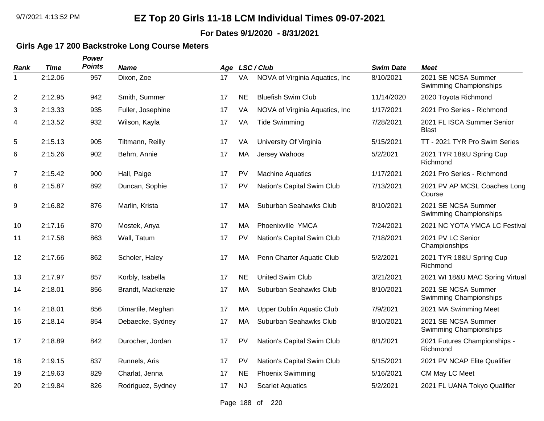#### **For Dates 9/1/2020 - 8/31/2021**

### **Girls Age 17 200 Backstroke Long Course Meters**

| <b>Rank</b>    | <b>Time</b> | Power<br><b>Points</b> | <b>Name</b>       |    |           | Age LSC/Club                     | <b>Swim Date</b> | <b>Meet</b>                                   |
|----------------|-------------|------------------------|-------------------|----|-----------|----------------------------------|------------------|-----------------------------------------------|
| -1             | 2:12.06     | 957                    | Dixon, Zoe        | 17 | VA        | NOVA of Virginia Aquatics, Inc.  | 8/10/2021        | 2021 SE NCSA Summer<br>Swimming Championships |
| $\overline{2}$ | 2:12.95     | 942                    | Smith, Summer     | 17 | <b>NE</b> | <b>Bluefish Swim Club</b>        | 11/14/2020       | 2020 Toyota Richmond                          |
| 3              | 2:13.33     | 935                    | Fuller, Josephine | 17 | VA        | NOVA of Virginia Aquatics, Inc   | 1/17/2021        | 2021 Pro Series - Richmond                    |
| 4              | 2:13.52     | 932                    | Wilson, Kayla     | 17 | VA        | <b>Tide Swimming</b>             | 7/28/2021        | 2021 FL ISCA Summer Senior<br><b>Blast</b>    |
| $\,$ 5 $\,$    | 2:15.13     | 905                    | Tiltmann, Reilly  | 17 | <b>VA</b> | University Of Virginia           | 5/15/2021        | TT - 2021 TYR Pro Swim Series                 |
| 6              | 2:15.26     | 902                    | Behm, Annie       | 17 | <b>MA</b> | Jersey Wahoos                    | 5/2/2021         | 2021 TYR 18&U Spring Cup<br>Richmond          |
| $\overline{7}$ | 2:15.42     | 900                    | Hall, Paige       | 17 | <b>PV</b> | <b>Machine Aquatics</b>          | 1/17/2021        | 2021 Pro Series - Richmond                    |
| 8              | 2:15.87     | 892                    | Duncan, Sophie    | 17 | PV        | Nation's Capital Swim Club       | 7/13/2021        | 2021 PV AP MCSL Coaches Long<br>Course        |
| 9              | 2:16.82     | 876                    | Marlin, Krista    | 17 | MA        | Suburban Seahawks Club           | 8/10/2021        | 2021 SE NCSA Summer<br>Swimming Championships |
| 10             | 2:17.16     | 870                    | Mostek, Anya      | 17 | MA        | Phoenixville YMCA                | 7/24/2021        | 2021 NC YOTA YMCA LC Festival                 |
| 11             | 2:17.58     | 863                    | Wall, Tatum       | 17 | <b>PV</b> | Nation's Capital Swim Club       | 7/18/2021        | 2021 PV LC Senior<br>Championships            |
| 12             | 2:17.66     | 862                    | Scholer, Haley    | 17 | MA        | Penn Charter Aquatic Club        | 5/2/2021         | 2021 TYR 18&U Spring Cup<br>Richmond          |
| 13             | 2:17.97     | 857                    | Korbly, Isabella  | 17 | <b>NE</b> | <b>United Swim Club</b>          | 3/21/2021        | 2021 WI 18&U MAC Spring Virtual               |
| 14             | 2:18.01     | 856                    | Brandt, Mackenzie | 17 | MA        | Suburban Seahawks Club           | 8/10/2021        | 2021 SE NCSA Summer<br>Swimming Championships |
| 14             | 2:18.01     | 856                    | Dimartile, Meghan | 17 | MA        | <b>Upper Dublin Aquatic Club</b> | 7/9/2021         | 2021 MA Swimming Meet                         |
| 16             | 2:18.14     | 854                    | Debaecke, Sydney  | 17 | MA        | Suburban Seahawks Club           | 8/10/2021        | 2021 SE NCSA Summer<br>Swimming Championships |
| 17             | 2:18.89     | 842                    | Durocher, Jordan  | 17 | <b>PV</b> | Nation's Capital Swim Club       | 8/1/2021         | 2021 Futures Championships -<br>Richmond      |
| 18             | 2:19.15     | 837                    | Runnels, Aris     | 17 | PV        | Nation's Capital Swim Club       | 5/15/2021        | 2021 PV NCAP Elite Qualifier                  |
| 19             | 2:19.63     | 829                    | Charlat, Jenna    | 17 | <b>NE</b> | <b>Phoenix Swimming</b>          | 5/16/2021        | CM May LC Meet                                |
| 20             | 2:19.84     | 826                    | Rodriguez, Sydney | 17 | <b>NJ</b> | <b>Scarlet Aquatics</b>          | 5/2/2021         | 2021 FL UANA Tokyo Qualifier                  |

Page 188 of 220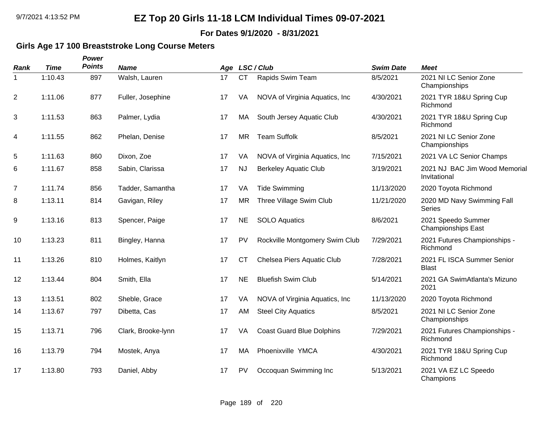**For Dates 9/1/2020 - 8/31/2021**

### **Girls Age 17 100 Breaststroke Long Course Meters**

| <b>Rank</b>    | <b>Time</b> | Power<br><b>Points</b> | <b>Name</b>        | Age |           | LSC / Club                       | <b>Swim Date</b> | <b>Meet</b>                                     |
|----------------|-------------|------------------------|--------------------|-----|-----------|----------------------------------|------------------|-------------------------------------------------|
| 1              | 1:10.43     | 897                    | Walsh, Lauren      | 17  | <b>CT</b> | Rapids Swim Team                 | 8/5/2021         | 2021 NI LC Senior Zone<br>Championships         |
| $\overline{c}$ | 1:11.06     | 877                    | Fuller, Josephine  | 17  | VA        | NOVA of Virginia Aquatics, Inc.  | 4/30/2021        | 2021 TYR 18&U Spring Cup<br>Richmond            |
| 3              | 1:11.53     | 863                    | Palmer, Lydia      | 17  | MA        | South Jersey Aquatic Club        | 4/30/2021        | 2021 TYR 18&U Spring Cup<br>Richmond            |
| 4              | 1:11.55     | 862                    | Phelan, Denise     | 17  | <b>MR</b> | <b>Team Suffolk</b>              | 8/5/2021         | 2021 NI LC Senior Zone<br>Championships         |
| 5              | 1:11.63     | 860                    | Dixon, Zoe         | 17  | VA        | NOVA of Virginia Aquatics, Inc.  | 7/15/2021        | 2021 VA LC Senior Champs                        |
| 6              | 1:11.67     | 858                    | Sabin, Clarissa    | 17  | <b>NJ</b> | <b>Berkeley Aquatic Club</b>     | 3/19/2021        | 2021 NJ BAC Jim Wood Memorial<br>Invitational   |
| $\overline{7}$ | 1:11.74     | 856                    | Tadder, Samantha   | 17  | VA        | <b>Tide Swimming</b>             | 11/13/2020       | 2020 Toyota Richmond                            |
| 8              | 1:13.11     | 814                    | Gavigan, Riley     | 17  | <b>MR</b> | Three Village Swim Club          | 11/21/2020       | 2020 MD Navy Swimming Fall<br><b>Series</b>     |
| 9              | 1:13.16     | 813                    | Spencer, Paige     | 17  | <b>NE</b> | <b>SOLO Aquatics</b>             | 8/6/2021         | 2021 Speedo Summer<br><b>Championships East</b> |
| 10             | 1:13.23     | 811                    | Bingley, Hanna     | 17  | <b>PV</b> | Rockville Montgomery Swim Club   | 7/29/2021        | 2021 Futures Championships -<br>Richmond        |
| 11             | 1:13.26     | 810                    | Holmes, Kaitlyn    | 17  | <b>CT</b> | Chelsea Piers Aquatic Club       | 7/28/2021        | 2021 FL ISCA Summer Senior<br><b>Blast</b>      |
| 12             | 1:13.44     | 804                    | Smith, Ella        | 17  | <b>NE</b> | <b>Bluefish Swim Club</b>        | 5/14/2021        | 2021 GA SwimAtlanta's Mizuno<br>2021            |
| 13             | 1:13.51     | 802                    | Sheble, Grace      | 17  | VA        | NOVA of Virginia Aquatics, Inc   | 11/13/2020       | 2020 Toyota Richmond                            |
| 14             | 1:13.67     | 797                    | Dibetta, Cas       | 17  | AM        | <b>Steel City Aquatics</b>       | 8/5/2021         | 2021 NI LC Senior Zone<br>Championships         |
| 15             | 1:13.71     | 796                    | Clark, Brooke-lynn | 17  | VA        | <b>Coast Guard Blue Dolphins</b> | 7/29/2021        | 2021 Futures Championships -<br>Richmond        |
| 16             | 1:13.79     | 794                    | Mostek, Anya       | 17  | MA        | Phoenixville YMCA                | 4/30/2021        | 2021 TYR 18&U Spring Cup<br>Richmond            |
| 17             | 1:13.80     | 793                    | Daniel, Abby       | 17  | PV        | Occoquan Swimming Inc            | 5/13/2021        | 2021 VA EZ LC Speedo<br>Champions               |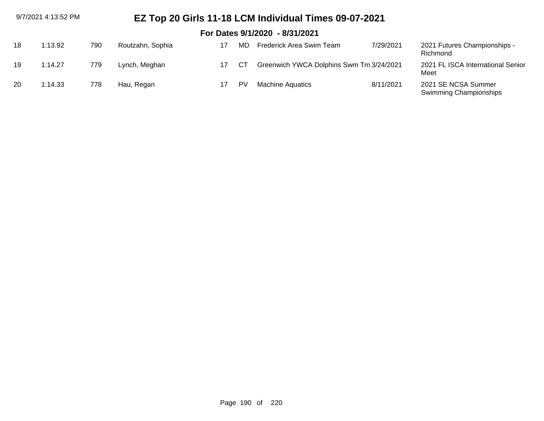| 9/7/2021 4:13:52 PM |         |     |                  |    |    | EZ Top 20 Girls 11-18 LCM Individual Times 09-07-2021 |           |                                               |  |  |  |
|---------------------|---------|-----|------------------|----|----|-------------------------------------------------------|-----------|-----------------------------------------------|--|--|--|
|                     |         |     |                  |    |    | For Dates 9/1/2020 - 8/31/2021                        |           |                                               |  |  |  |
| 18                  | 1:13.92 | 790 | Routzahn, Sophia | 17 | MD | Frederick Area Swim Team                              | 7/29/2021 | 2021 Futures Championships -<br>Richmond      |  |  |  |
| 19                  | 1:14.27 | 779 | Lynch, Meghan    | 17 | СT | Greenwich YWCA Dolphins Swm Tm 3/24/2021              |           | 2021 FL ISCA International Senior<br>Meet     |  |  |  |
| 20                  | 1:14.33 | 778 | Hau, Regan       | 17 | PV | <b>Machine Aquatics</b>                               | 8/11/2021 | 2021 SE NCSA Summer<br>Swimming Championships |  |  |  |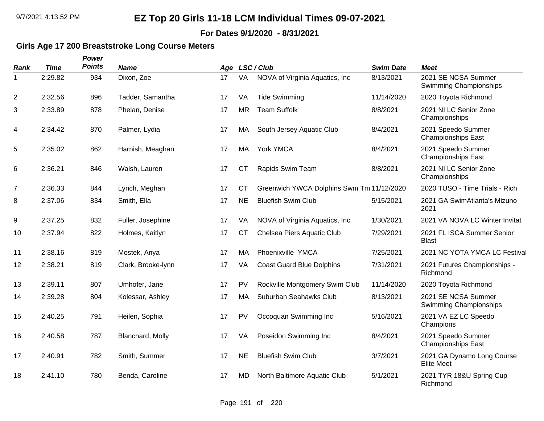**For Dates 9/1/2020 - 8/31/2021**

### **Girls Age 17 200 Breaststroke Long Course Meters**

| Rank           | <b>Time</b> | Power<br><b>Points</b> | <b>Name</b>        |    |           | Age LSC/Club                              | <b>Swim Date</b> | <b>Meet</b>                                     |
|----------------|-------------|------------------------|--------------------|----|-----------|-------------------------------------------|------------------|-------------------------------------------------|
| 1              | 2:29.82     | 934                    | Dixon, Zoe         | 17 | VA        | NOVA of Virginia Aquatics, Inc.           | 8/13/2021        | 2021 SE NCSA Summer<br>Swimming Championships   |
| $\overline{2}$ | 2:32.56     | 896                    | Tadder, Samantha   | 17 | VA        | <b>Tide Swimming</b>                      | 11/14/2020       | 2020 Toyota Richmond                            |
| 3              | 2:33.89     | 878                    | Phelan, Denise     | 17 | <b>MR</b> | <b>Team Suffolk</b>                       | 8/8/2021         | 2021 NI LC Senior Zone<br>Championships         |
| 4              | 2:34.42     | 870                    | Palmer, Lydia      | 17 | MA        | South Jersey Aquatic Club                 | 8/4/2021         | 2021 Speedo Summer<br><b>Championships East</b> |
| 5              | 2:35.02     | 862                    | Harnish, Meaghan   | 17 | MA        | York YMCA                                 | 8/4/2021         | 2021 Speedo Summer<br><b>Championships East</b> |
| 6              | 2:36.21     | 846                    | Walsh, Lauren      | 17 | <b>CT</b> | Rapids Swim Team                          | 8/8/2021         | 2021 NI LC Senior Zone<br>Championships         |
| 7              | 2:36.33     | 844                    | Lynch, Meghan      | 17 | <b>CT</b> | Greenwich YWCA Dolphins Swm Tm 11/12/2020 |                  | 2020 TUSO - Time Trials - Rich                  |
| 8              | 2:37.06     | 834                    | Smith, Ella        | 17 | <b>NE</b> | <b>Bluefish Swim Club</b>                 | 5/15/2021        | 2021 GA SwimAtlanta's Mizuno<br>2021            |
| 9              | 2:37.25     | 832                    | Fuller, Josephine  | 17 | VA        | NOVA of Virginia Aquatics, Inc.           | 1/30/2021        | 2021 VA NOVA LC Winter Invitat                  |
| 10             | 2:37.94     | 822                    | Holmes, Kaitlyn    | 17 | <b>CT</b> | Chelsea Piers Aquatic Club                | 7/29/2021        | 2021 FL ISCA Summer Senior<br><b>Blast</b>      |
| 11             | 2:38.16     | 819                    | Mostek, Anya       | 17 | MA        | Phoenixville YMCA                         | 7/25/2021        | 2021 NC YOTA YMCA LC Festival                   |
| 12             | 2:38.21     | 819                    | Clark, Brooke-lynn | 17 | VA        | <b>Coast Guard Blue Dolphins</b>          | 7/31/2021        | 2021 Futures Championships -<br>Richmond        |
| 13             | 2:39.11     | 807                    | Umhofer, Jane      | 17 | PV        | Rockville Montgomery Swim Club            | 11/14/2020       | 2020 Toyota Richmond                            |
| 14             | 2:39.28     | 804                    | Kolessar, Ashley   | 17 | MA        | Suburban Seahawks Club                    | 8/13/2021        | 2021 SE NCSA Summer<br>Swimming Championships   |
| 15             | 2:40.25     | 791                    | Heilen, Sophia     | 17 | PV        | Occoquan Swimming Inc                     | 5/16/2021        | 2021 VA EZ LC Speedo<br>Champions               |
| 16             | 2:40.58     | 787                    | Blanchard, Molly   | 17 | VA        | Poseidon Swimming Inc                     | 8/4/2021         | 2021 Speedo Summer<br><b>Championships East</b> |
| 17             | 2:40.91     | 782                    | Smith, Summer      | 17 | <b>NE</b> | <b>Bluefish Swim Club</b>                 | 3/7/2021         | 2021 GA Dynamo Long Course<br><b>Elite Meet</b> |
| 18             | 2:41.10     | 780                    | Benda, Caroline    | 17 | <b>MD</b> | North Baltimore Aquatic Club              | 5/1/2021         | 2021 TYR 18&U Spring Cup<br>Richmond            |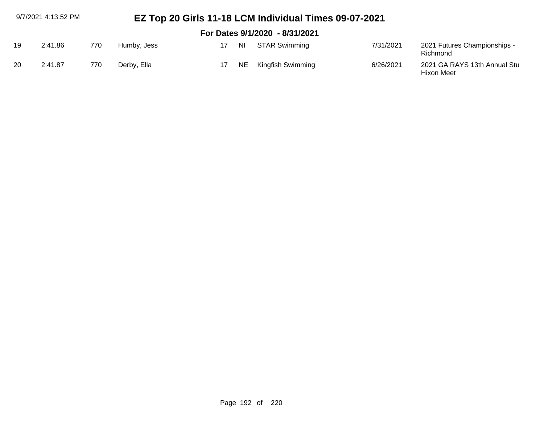| 9/7/2021 4:13:52 PM |         |     |             |      | EZ Top 20 Girls 11-18 LCM Individual Times 09-07-2021 |           |                                            |
|---------------------|---------|-----|-------------|------|-------------------------------------------------------|-----------|--------------------------------------------|
|                     |         |     |             |      | For Dates 9/1/2020 - 8/31/2021                        |           |                                            |
| 19                  | 2:41.86 | 770 | Humby, Jess | - NI | <b>STAR Swimming</b>                                  | 7/31/2021 | 2021 Futures Championships -<br>Richmond   |
| 20                  | 2:41.87 | 770 | Derby, Ella | NE.  | Kingfish Swimming                                     | 6/26/2021 | 2021 GA RAYS 13th Annual Stu<br>Hixon Meet |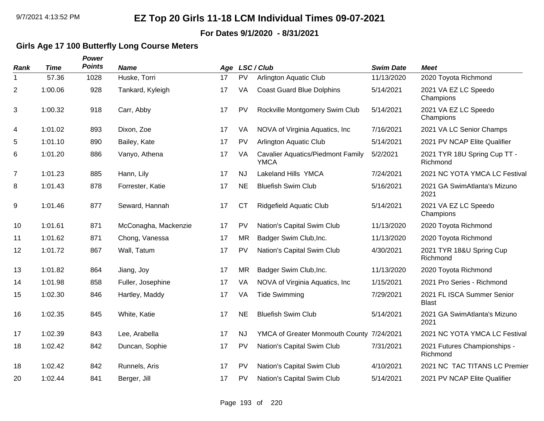#### **For Dates 9/1/2020 - 8/31/2021**

### **Girls Age 17 100 Butterfly Long Course Meters**

| <b>Rank</b>    | <b>Time</b> | <b>Points</b> | <b>Name</b>          |    |           | Age LSC/Club                                            | <b>Swim Date</b> | <b>Meet</b>                                |
|----------------|-------------|---------------|----------------------|----|-----------|---------------------------------------------------------|------------------|--------------------------------------------|
| 1              | 57.36       | 1028          | Huske, Torri         | 17 | PV        | Arlington Aquatic Club                                  | 11/13/2020       | 2020 Toyota Richmond                       |
| 2              | 1:00.06     | 928           | Tankard, Kyleigh     | 17 | VA        | <b>Coast Guard Blue Dolphins</b>                        | 5/14/2021        | 2021 VA EZ LC Speedo<br>Champions          |
| 3              | 1:00.32     | 918           | Carr, Abby           | 17 | PV        | Rockville Montgomery Swim Club                          | 5/14/2021        | 2021 VA EZ LC Speedo<br>Champions          |
| 4              | 1:01.02     | 893           | Dixon, Zoe           | 17 | VA        | NOVA of Virginia Aquatics, Inc.                         | 7/16/2021        | 2021 VA LC Senior Champs                   |
| 5              | 1:01.10     | 890           | Bailey, Kate         | 17 | PV        | <b>Arlington Aquatic Club</b>                           | 5/14/2021        | 2021 PV NCAP Elite Qualifier               |
| 6              | 1:01.20     | 886           | Vanyo, Athena        | 17 | VA        | <b>Cavalier Aquatics/Piedmont Family</b><br><b>YMCA</b> | 5/2/2021         | 2021 TYR 18U Spring Cup TT -<br>Richmond   |
| $\overline{7}$ | 1:01.23     | 885           | Hann, Lily           | 17 | <b>NJ</b> | <b>Lakeland Hills YMCA</b>                              | 7/24/2021        | 2021 NC YOTA YMCA LC Festival              |
| 8              | 1:01.43     | 878           | Forrester, Katie     | 17 | <b>NE</b> | <b>Bluefish Swim Club</b>                               | 5/16/2021        | 2021 GA SwimAtlanta's Mizuno<br>2021       |
| 9              | 1:01.46     | 877           | Seward, Hannah       | 17 | <b>CT</b> | <b>Ridgefield Aquatic Club</b>                          | 5/14/2021        | 2021 VA EZ LC Speedo<br>Champions          |
| 10             | 1:01.61     | 871           | McConagha, Mackenzie | 17 | <b>PV</b> | Nation's Capital Swim Club                              | 11/13/2020       | 2020 Toyota Richmond                       |
| 11             | 1:01.62     | 871           | Chong, Vanessa       | 17 | <b>MR</b> | Badger Swim Club, Inc.                                  | 11/13/2020       | 2020 Toyota Richmond                       |
| 12             | 1:01.72     | 867           | Wall, Tatum          | 17 | PV        | Nation's Capital Swim Club                              | 4/30/2021        | 2021 TYR 18&U Spring Cup<br>Richmond       |
| 13             | 1:01.82     | 864           | Jiang, Joy           | 17 | <b>MR</b> | Badger Swim Club, Inc.                                  | 11/13/2020       | 2020 Toyota Richmond                       |
| 14             | 1:01.98     | 858           | Fuller, Josephine    | 17 | VA        | NOVA of Virginia Aquatics, Inc.                         | 1/15/2021        | 2021 Pro Series - Richmond                 |
| 15             | 1:02.30     | 846           | Hartley, Maddy       | 17 | VA        | <b>Tide Swimming</b>                                    | 7/29/2021        | 2021 FL ISCA Summer Senior<br><b>Blast</b> |
| 16             | 1:02.35     | 845           | White, Katie         | 17 | <b>NE</b> | <b>Bluefish Swim Club</b>                               | 5/14/2021        | 2021 GA SwimAtlanta's Mizuno<br>2021       |
| 17             | 1:02.39     | 843           | Lee, Arabella        | 17 | <b>NJ</b> | YMCA of Greater Monmouth County 7/24/2021               |                  | 2021 NC YOTA YMCA LC Festival              |
| 18             | 1:02.42     | 842           | Duncan, Sophie       | 17 | <b>PV</b> | Nation's Capital Swim Club                              | 7/31/2021        | 2021 Futures Championships -<br>Richmond   |
| 18             | 1:02.42     | 842           | Runnels, Aris        | 17 | <b>PV</b> | Nation's Capital Swim Club                              | 4/10/2021        | 2021 NC TAC TITANS LC Premier              |
| 20             | 1:02.44     | 841           | Berger, Jill         | 17 | <b>PV</b> | Nation's Capital Swim Club                              | 5/14/2021        | 2021 PV NCAP Elite Qualifier               |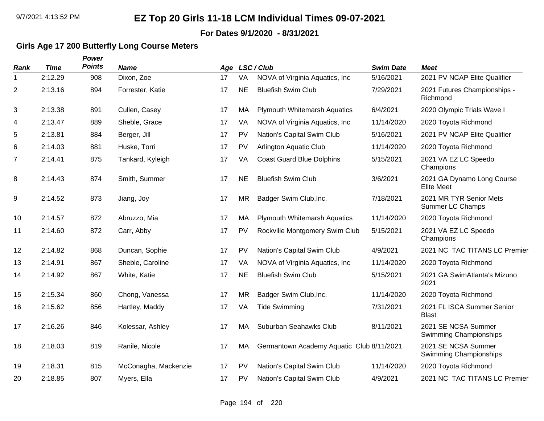#### **For Dates 9/1/2020 - 8/31/2021**

### **Girls Age 17 200 Butterfly Long Course Meters**

| <b>Rank</b> | <b>Time</b> | Power<br><b>Points</b> | <b>Name</b>          | Age |           | LSC / Club                                | <b>Swim Date</b> | <b>Meet</b>                                          |
|-------------|-------------|------------------------|----------------------|-----|-----------|-------------------------------------------|------------------|------------------------------------------------------|
| 1           | 2:12.29     | 908                    | Dixon, Zoe           | 17  | <b>VA</b> | NOVA of Virginia Aquatics, Inc.           | 5/16/2021        | 2021 PV NCAP Elite Qualifier                         |
| 2           | 2:13.16     | 894                    | Forrester, Katie     | 17  | <b>NE</b> | <b>Bluefish Swim Club</b>                 | 7/29/2021        | 2021 Futures Championships -<br>Richmond             |
| 3           | 2:13.38     | 891                    | Cullen, Casey        | 17  | MA        | <b>Plymouth Whitemarsh Aquatics</b>       | 6/4/2021         | 2020 Olympic Trials Wave I                           |
| 4           | 2:13.47     | 889                    | Sheble, Grace        | 17  | VA        | NOVA of Virginia Aquatics, Inc.           | 11/14/2020       | 2020 Toyota Richmond                                 |
| 5           | 2:13.81     | 884                    | Berger, Jill         | 17  | PV        | Nation's Capital Swim Club                | 5/16/2021        | 2021 PV NCAP Elite Qualifier                         |
| 6           | 2:14.03     | 881                    | Huske, Torri         | 17  | PV        | Arlington Aquatic Club                    | 11/14/2020       | 2020 Toyota Richmond                                 |
| 7           | 2:14.41     | 875                    | Tankard, Kyleigh     | 17  | VA        | <b>Coast Guard Blue Dolphins</b>          | 5/15/2021        | 2021 VA EZ LC Speedo<br>Champions                    |
| 8           | 2:14.43     | 874                    | Smith, Summer        | 17  | <b>NE</b> | <b>Bluefish Swim Club</b>                 | 3/6/2021         | 2021 GA Dynamo Long Course<br><b>Elite Meet</b>      |
| 9           | 2:14.52     | 873                    | Jiang, Joy           | 17  | <b>MR</b> | Badger Swim Club, Inc.                    | 7/18/2021        | 2021 MR TYR Senior Mets<br>Summer LC Champs          |
| 10          | 2:14.57     | 872                    | Abruzzo, Mia         | 17  | МA        | <b>Plymouth Whitemarsh Aquatics</b>       | 11/14/2020       | 2020 Toyota Richmond                                 |
| 11          | 2:14.60     | 872                    | Carr, Abby           | 17  | PV        | Rockville Montgomery Swim Club            | 5/15/2021        | 2021 VA EZ LC Speedo<br>Champions                    |
| 12          | 2:14.82     | 868                    | Duncan, Sophie       | 17  | PV        | Nation's Capital Swim Club                | 4/9/2021         | 2021 NC TAC TITANS LC Premier                        |
| 13          | 2:14.91     | 867                    | Sheble, Caroline     | 17  | VA        | NOVA of Virginia Aquatics, Inc.           | 11/14/2020       | 2020 Toyota Richmond                                 |
| 14          | 2:14.92     | 867                    | White, Katie         | 17  | <b>NE</b> | <b>Bluefish Swim Club</b>                 | 5/15/2021        | 2021 GA SwimAtlanta's Mizuno<br>2021                 |
| 15          | 2:15.34     | 860                    | Chong, Vanessa       | 17  | <b>MR</b> | Badger Swim Club, Inc.                    | 11/14/2020       | 2020 Toyota Richmond                                 |
| 16          | 2:15.62     | 856                    | Hartley, Maddy       | 17  | VA        | <b>Tide Swimming</b>                      | 7/31/2021        | 2021 FL ISCA Summer Senior<br><b>Blast</b>           |
| 17          | 2:16.26     | 846                    | Kolessar, Ashley     | 17  | MA        | Suburban Seahawks Club                    | 8/11/2021        | 2021 SE NCSA Summer<br>Swimming Championships        |
| 18          | 2:18.03     | 819                    | Ranile, Nicole       | 17  | MA        | Germantown Academy Aquatic Club 8/11/2021 |                  | 2021 SE NCSA Summer<br><b>Swimming Championships</b> |
| 19          | 2:18.31     | 815                    | McConagha, Mackenzie | 17  | <b>PV</b> | Nation's Capital Swim Club                | 11/14/2020       | 2020 Toyota Richmond                                 |
| 20          | 2:18.85     | 807                    | Myers, Ella          | 17  | <b>PV</b> | Nation's Capital Swim Club                | 4/9/2021         | 2021 NC TAC TITANS LC Premier                        |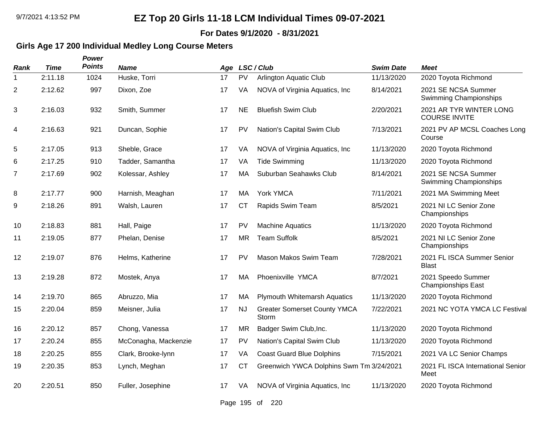**For Dates 9/1/2020 - 8/31/2021**

### **Girls Age 17 200 Individual Medley Long Course Meters**

| Rank           | <b>Time</b> | Power<br><b>Points</b> | <b>Name</b>          |    |           | Age LSC/Club                                 | <b>Swim Date</b> | <b>Meet</b>                                     |
|----------------|-------------|------------------------|----------------------|----|-----------|----------------------------------------------|------------------|-------------------------------------------------|
| 1              | 2:11.18     | 1024                   | Huske, Torri         | 17 | PV        | <b>Arlington Aquatic Club</b>                | 11/13/2020       | 2020 Toyota Richmond                            |
| $\overline{c}$ | 2:12.62     | 997                    | Dixon, Zoe           | 17 | VA        | NOVA of Virginia Aquatics, Inc.              | 8/14/2021        | 2021 SE NCSA Summer<br>Swimming Championships   |
| 3              | 2:16.03     | 932                    | Smith, Summer        | 17 | <b>NE</b> | <b>Bluefish Swim Club</b>                    | 2/20/2021        | 2021 AR TYR WINTER LONG<br><b>COURSE INVITE</b> |
| 4              | 2:16.63     | 921                    | Duncan, Sophie       | 17 | <b>PV</b> | Nation's Capital Swim Club                   | 7/13/2021        | 2021 PV AP MCSL Coaches Long<br>Course          |
| 5              | 2:17.05     | 913                    | Sheble, Grace        | 17 | VA        | NOVA of Virginia Aquatics, Inc.              | 11/13/2020       | 2020 Toyota Richmond                            |
| 6              | 2:17.25     | 910                    | Tadder, Samantha     | 17 | VA        | <b>Tide Swimming</b>                         | 11/13/2020       | 2020 Toyota Richmond                            |
| $\overline{7}$ | 2:17.69     | 902                    | Kolessar, Ashley     | 17 | MA        | Suburban Seahawks Club                       | 8/14/2021        | 2021 SE NCSA Summer<br>Swimming Championships   |
| 8              | 2:17.77     | 900                    | Harnish, Meaghan     | 17 | MA        | York YMCA                                    | 7/11/2021        | 2021 MA Swimming Meet                           |
| 9              | 2:18.26     | 891                    | Walsh, Lauren        | 17 | <b>CT</b> | Rapids Swim Team                             | 8/5/2021         | 2021 NI LC Senior Zone<br>Championships         |
| 10             | 2:18.83     | 881                    | Hall, Paige          | 17 | PV        | <b>Machine Aquatics</b>                      | 11/13/2020       | 2020 Toyota Richmond                            |
| 11             | 2:19.05     | 877                    | Phelan, Denise       | 17 | <b>MR</b> | <b>Team Suffolk</b>                          | 8/5/2021         | 2021 NI LC Senior Zone<br>Championships         |
| 12             | 2:19.07     | 876                    | Helms, Katherine     | 17 | PV        | Mason Makos Swim Team                        | 7/28/2021        | 2021 FL ISCA Summer Senior<br><b>Blast</b>      |
| 13             | 2:19.28     | 872                    | Mostek, Anya         | 17 | <b>MA</b> | Phoenixville YMCA                            | 8/7/2021         | 2021 Speedo Summer<br><b>Championships East</b> |
| 14             | 2:19.70     | 865                    | Abruzzo, Mia         | 17 | MA        | <b>Plymouth Whitemarsh Aquatics</b>          | 11/13/2020       | 2020 Toyota Richmond                            |
| 15             | 2:20.04     | 859                    | Meisner, Julia       | 17 | <b>NJ</b> | <b>Greater Somerset County YMCA</b><br>Storm | 7/22/2021        | 2021 NC YOTA YMCA LC Festival                   |
| 16             | 2:20.12     | 857                    | Chong, Vanessa       | 17 | <b>MR</b> | Badger Swim Club, Inc.                       | 11/13/2020       | 2020 Toyota Richmond                            |
| 17             | 2:20.24     | 855                    | McConagha, Mackenzie | 17 | PV        | Nation's Capital Swim Club                   | 11/13/2020       | 2020 Toyota Richmond                            |
| 18             | 2:20.25     | 855                    | Clark, Brooke-lynn   | 17 | <b>VA</b> | <b>Coast Guard Blue Dolphins</b>             | 7/15/2021        | 2021 VA LC Senior Champs                        |
| 19             | 2:20.35     | 853                    | Lynch, Meghan        | 17 | <b>CT</b> | Greenwich YWCA Dolphins Swm Tm 3/24/2021     |                  | 2021 FL ISCA International Senior<br>Meet       |
| 20             | 2:20.51     | 850                    | Fuller, Josephine    | 17 | VA        | NOVA of Virginia Aquatics, Inc.              | 11/13/2020       | 2020 Toyota Richmond                            |

Page 195 of 220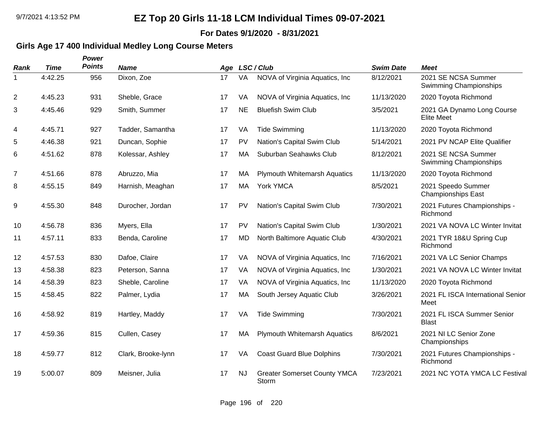**For Dates 9/1/2020 - 8/31/2021**

### **Girls Age 17 400 Individual Medley Long Course Meters**

| Rank           | <b>Time</b> | Power<br><b>Points</b> | <b>Name</b>        |    |           | Age LSC/Club                                 | <b>Swim Date</b> | <b>Meet</b>                                     |
|----------------|-------------|------------------------|--------------------|----|-----------|----------------------------------------------|------------------|-------------------------------------------------|
| 1              | 4:42.25     | 956                    | Dixon, Zoe         | 17 | <b>VA</b> | NOVA of Virginia Aquatics, Inc.              | 8/12/2021        | 2021 SE NCSA Summer<br>Swimming Championships   |
| $\overline{2}$ | 4:45.23     | 931                    | Sheble, Grace      | 17 | VA        | NOVA of Virginia Aquatics, Inc.              | 11/13/2020       | 2020 Toyota Richmond                            |
| 3              | 4:45.46     | 929                    | Smith, Summer      | 17 | <b>NE</b> | <b>Bluefish Swim Club</b>                    | 3/5/2021         | 2021 GA Dynamo Long Course<br><b>Elite Meet</b> |
| 4              | 4:45.71     | 927                    | Tadder, Samantha   | 17 | VA        | <b>Tide Swimming</b>                         | 11/13/2020       | 2020 Toyota Richmond                            |
| 5              | 4:46.38     | 921                    | Duncan, Sophie     | 17 | PV        | Nation's Capital Swim Club                   | 5/14/2021        | 2021 PV NCAP Elite Qualifier                    |
| 6              | 4:51.62     | 878                    | Kolessar, Ashley   | 17 | MA        | Suburban Seahawks Club                       | 8/12/2021        | 2021 SE NCSA Summer<br>Swimming Championships   |
| $\overline{7}$ | 4:51.66     | 878                    | Abruzzo, Mia       | 17 | MA        | <b>Plymouth Whitemarsh Aquatics</b>          | 11/13/2020       | 2020 Toyota Richmond                            |
| 8              | 4:55.15     | 849                    | Harnish, Meaghan   | 17 | MA        | York YMCA                                    | 8/5/2021         | 2021 Speedo Summer<br><b>Championships East</b> |
| 9              | 4:55.30     | 848                    | Durocher, Jordan   | 17 | PV        | Nation's Capital Swim Club                   | 7/30/2021        | 2021 Futures Championships -<br>Richmond        |
| 10             | 4:56.78     | 836                    | Myers, Ella        | 17 | PV        | Nation's Capital Swim Club                   | 1/30/2021        | 2021 VA NOVA LC Winter Invitat                  |
| 11             | 4:57.11     | 833                    | Benda, Caroline    | 17 | <b>MD</b> | North Baltimore Aquatic Club                 | 4/30/2021        | 2021 TYR 18&U Spring Cup<br>Richmond            |
| 12             | 4:57.53     | 830                    | Dafoe, Claire      | 17 | VA        | NOVA of Virginia Aquatics, Inc.              | 7/16/2021        | 2021 VA LC Senior Champs                        |
| 13             | 4:58.38     | 823                    | Peterson, Sanna    | 17 | VA        | NOVA of Virginia Aquatics, Inc.              | 1/30/2021        | 2021 VA NOVA LC Winter Invitat                  |
| 14             | 4:58.39     | 823                    | Sheble, Caroline   | 17 | VA        | NOVA of Virginia Aquatics, Inc.              | 11/13/2020       | 2020 Toyota Richmond                            |
| 15             | 4:58.45     | 822                    | Palmer, Lydia      | 17 | MA        | South Jersey Aquatic Club                    | 3/26/2021        | 2021 FL ISCA International Senior<br>Meet       |
| 16             | 4:58.92     | 819                    | Hartley, Maddy     | 17 | VA        | <b>Tide Swimming</b>                         | 7/30/2021        | 2021 FL ISCA Summer Senior<br><b>Blast</b>      |
| 17             | 4:59.36     | 815                    | Cullen, Casey      | 17 | MA        | <b>Plymouth Whitemarsh Aquatics</b>          | 8/6/2021         | 2021 NI LC Senior Zone<br>Championships         |
| 18             | 4:59.77     | 812                    | Clark, Brooke-lynn | 17 | VA        | <b>Coast Guard Blue Dolphins</b>             | 7/30/2021        | 2021 Futures Championships -<br>Richmond        |
| 19             | 5:00.07     | 809                    | Meisner, Julia     | 17 | <b>NJ</b> | <b>Greater Somerset County YMCA</b><br>Storm | 7/23/2021        | 2021 NC YOTA YMCA LC Festival                   |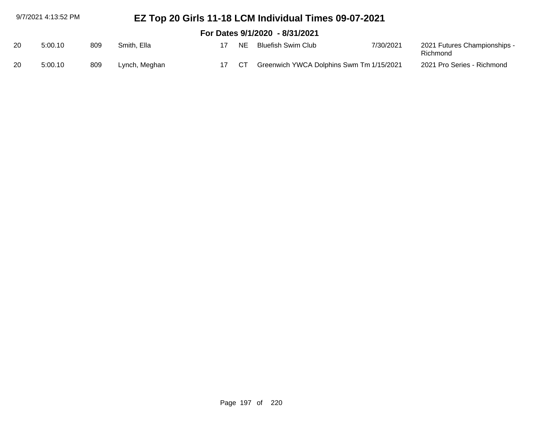| 9/7/2021 4:13:52 PM            |         |     |               | EZ Top 20 Girls 11-18 LCM Individual Times 09-07-2021 |     |                                          |           |                                          |  |  |
|--------------------------------|---------|-----|---------------|-------------------------------------------------------|-----|------------------------------------------|-----------|------------------------------------------|--|--|
| For Dates 9/1/2020 - 8/31/2021 |         |     |               |                                                       |     |                                          |           |                                          |  |  |
| 20                             | 5:00.10 | 809 | Smith, Ella   |                                                       | NE. | Bluefish Swim Club                       | 7/30/2021 | 2021 Futures Championships -<br>Richmond |  |  |
| 20                             | 5:00.10 | 809 | Lynch, Meghan |                                                       | CT. | Greenwich YWCA Dolphins Swm Tm 1/15/2021 |           | 2021 Pro Series - Richmond               |  |  |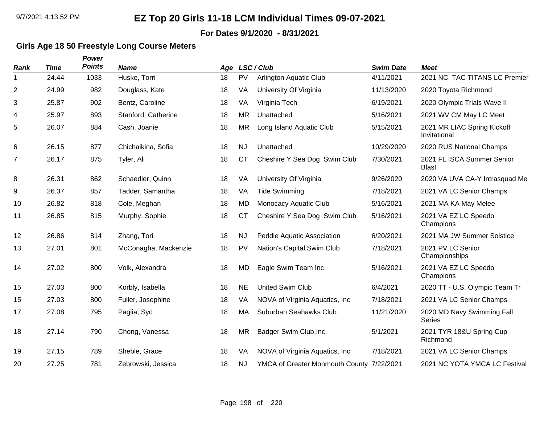#### **For Dates 9/1/2020 - 8/31/2021**

### **Girls Age 18 50 Freestyle Long Course Meters**

| <b>Rank</b>              | <b>Time</b> | <b>Points</b> | <b>Name</b>          | Age |           | LSC / Club                                | <b>Swim Date</b> | <b>Meet</b>                                 |
|--------------------------|-------------|---------------|----------------------|-----|-----------|-------------------------------------------|------------------|---------------------------------------------|
| 1                        | 24.44       | 1033          | Huske, Torri         | 18  | <b>PV</b> | <b>Arlington Aquatic Club</b>             | 4/11/2021        | 2021 NC TAC TITANS LC Premier               |
| $\overline{2}$           | 24.99       | 982           | Douglass, Kate       | 18  | VA        | University Of Virginia                    | 11/13/2020       | 2020 Toyota Richmond                        |
| 3                        | 25.87       | 902           | Bentz, Caroline      | 18  | VA        | Virginia Tech                             | 6/19/2021        | 2020 Olympic Trials Wave II                 |
| $\overline{\mathcal{A}}$ | 25.97       | 893           | Stanford, Catherine  | 18  | <b>MR</b> | Unattached                                | 5/16/2021        | 2021 WV CM May LC Meet                      |
| 5                        | 26.07       | 884           | Cash, Joanie         | 18  | <b>MR</b> | Long Island Aquatic Club                  | 5/15/2021        | 2021 MR LIAC Spring Kickoff<br>Invitational |
| 6                        | 26.15       | 877           | Chichaikina, Sofia   | 18  | <b>NJ</b> | Unattached                                | 10/29/2020       | 2020 RUS National Champs                    |
| $\overline{7}$           | 26.17       | 875           | Tyler, Ali           | 18  | <b>CT</b> | Cheshire Y Sea Dog Swim Club              | 7/30/2021        | 2021 FL ISCA Summer Senior<br><b>Blast</b>  |
| 8                        | 26.31       | 862           | Schaedler, Quinn     | 18  | VA        | University Of Virginia                    | 9/26/2020        | 2020 VA UVA CA-Y Intrasquad Me              |
| 9                        | 26.37       | 857           | Tadder, Samantha     | 18  | VA        | <b>Tide Swimming</b>                      | 7/18/2021        | 2021 VA LC Senior Champs                    |
| 10                       | 26.82       | 818           | Cole, Meghan         | 18  | <b>MD</b> | Monocacy Aquatic Club                     | 5/16/2021        | 2021 MA KA May Melee                        |
| 11                       | 26.85       | 815           | Murphy, Sophie       | 18  | <b>CT</b> | Cheshire Y Sea Dog Swim Club              | 5/16/2021        | 2021 VA EZ LC Speedo<br>Champions           |
| 12                       | 26.86       | 814           | Zhang, Tori          | 18  | <b>NJ</b> | Peddie Aquatic Association                | 6/20/2021        | 2021 MA JW Summer Solstice                  |
| 13                       | 27.01       | 801           | McConagha, Mackenzie | 18  | <b>PV</b> | Nation's Capital Swim Club                | 7/18/2021        | 2021 PV LC Senior<br>Championships          |
| 14                       | 27.02       | 800           | Volk, Alexandra      | 18  | <b>MD</b> | Eagle Swim Team Inc.                      | 5/16/2021        | 2021 VA EZ LC Speedo<br>Champions           |
| 15                       | 27.03       | 800           | Korbly, Isabella     | 18  | <b>NE</b> | United Swim Club                          | 6/4/2021         | 2020 TT - U.S. Olympic Team Tr              |
| 15                       | 27.03       | 800           | Fuller, Josephine    | 18  | VA        | NOVA of Virginia Aquatics, Inc            | 7/18/2021        | 2021 VA LC Senior Champs                    |
| 17                       | 27.08       | 795           | Paglia, Syd          | 18  | MA        | Suburban Seahawks Club                    | 11/21/2020       | 2020 MD Navy Swimming Fall<br><b>Series</b> |
| 18                       | 27.14       | 790           | Chong, Vanessa       | 18  | <b>MR</b> | Badger Swim Club, Inc.                    | 5/1/2021         | 2021 TYR 18&U Spring Cup<br>Richmond        |
| 19                       | 27.15       | 789           | Sheble, Grace        | 18  | VA        | NOVA of Virginia Aquatics, Inc.           | 7/18/2021        | 2021 VA LC Senior Champs                    |
| 20                       | 27.25       | 781           | Zebrowski, Jessica   | 18  | <b>NJ</b> | YMCA of Greater Monmouth County 7/22/2021 |                  | 2021 NC YOTA YMCA LC Festival               |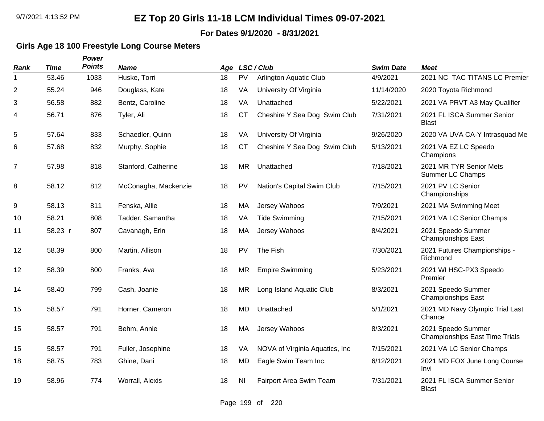#### **For Dates 9/1/2020 - 8/31/2021**

### **Girls Age 18 100 Freestyle Long Course Meters**

| <b>Rank</b>      | <b>Time</b> | <b>Points</b> | <b>Name</b>          | Age |           | LSC / Club                     | <b>Swim Date</b> | <b>Meet</b>                                                 |
|------------------|-------------|---------------|----------------------|-----|-----------|--------------------------------|------------------|-------------------------------------------------------------|
| 1                | 53.46       | 1033          | Huske, Torri         | 18  | PV        | Arlington Aquatic Club         | 4/9/2021         | 2021 NC TAC TITANS LC Premier                               |
| $\overline{2}$   | 55.24       | 946           | Douglass, Kate       | 18  | VA        | University Of Virginia         | 11/14/2020       | 2020 Toyota Richmond                                        |
| 3                | 56.58       | 882           | Bentz, Caroline      | 18  | VA        | Unattached                     | 5/22/2021        | 2021 VA PRVT A3 May Qualifier                               |
| 4                | 56.71       | 876           | Tyler, Ali           | 18  | <b>CT</b> | Cheshire Y Sea Dog Swim Club   | 7/31/2021        | 2021 FL ISCA Summer Senior<br><b>Blast</b>                  |
| 5                | 57.64       | 833           | Schaedler, Quinn     | 18  | VA        | University Of Virginia         | 9/26/2020        | 2020 VA UVA CA-Y Intrasquad Me                              |
| 6                | 57.68       | 832           | Murphy, Sophie       | 18  | <b>CT</b> | Cheshire Y Sea Dog Swim Club   | 5/13/2021        | 2021 VA EZ LC Speedo<br>Champions                           |
| $\boldsymbol{7}$ | 57.98       | 818           | Stanford, Catherine  | 18  | <b>MR</b> | Unattached                     | 7/18/2021        | 2021 MR TYR Senior Mets<br><b>Summer LC Champs</b>          |
| 8                | 58.12       | 812           | McConagha, Mackenzie | 18  | <b>PV</b> | Nation's Capital Swim Club     | 7/15/2021        | 2021 PV LC Senior<br>Championships                          |
| 9                | 58.13       | 811           | Fenska, Allie        | 18  | MA        | Jersey Wahoos                  | 7/9/2021         | 2021 MA Swimming Meet                                       |
| 10               | 58.21       | 808           | Tadder, Samantha     | 18  | VA        | <b>Tide Swimming</b>           | 7/15/2021        | 2021 VA LC Senior Champs                                    |
| 11               | 58.23 r     | 807           | Cavanagh, Erin       | 18  | MA        | Jersey Wahoos                  | 8/4/2021         | 2021 Speedo Summer<br><b>Championships East</b>             |
| 12               | 58.39       | 800           | Martin, Allison      | 18  | <b>PV</b> | The Fish                       | 7/30/2021        | 2021 Futures Championships -<br>Richmond                    |
| 12               | 58.39       | 800           | Franks, Ava          | 18  | <b>MR</b> | <b>Empire Swimming</b>         | 5/23/2021        | 2021 WI HSC-PX3 Speedo<br>Premier                           |
| 14               | 58.40       | 799           | Cash, Joanie         | 18  | <b>MR</b> | Long Island Aquatic Club       | 8/3/2021         | 2021 Speedo Summer<br><b>Championships East</b>             |
| 15               | 58.57       | 791           | Horner, Cameron      | 18  | <b>MD</b> | Unattached                     | 5/1/2021         | 2021 MD Navy Olympic Trial Last<br>Chance                   |
| 15               | 58.57       | 791           | Behm, Annie          | 18  | MA        | Jersey Wahoos                  | 8/3/2021         | 2021 Speedo Summer<br><b>Championships East Time Trials</b> |
| 15               | 58.57       | 791           | Fuller, Josephine    | 18  | VA        | NOVA of Virginia Aquatics, Inc | 7/15/2021        | 2021 VA LC Senior Champs                                    |
| 18               | 58.75       | 783           | Ghine, Dani          | 18  | <b>MD</b> | Eagle Swim Team Inc.           | 6/12/2021        | 2021 MD FOX June Long Course<br><b>Invi</b>                 |
| 19               | 58.96       | 774           | Worrall, Alexis      | 18  | <b>NI</b> | Fairport Area Swim Team        | 7/31/2021        | 2021 FL ISCA Summer Senior<br><b>Blast</b>                  |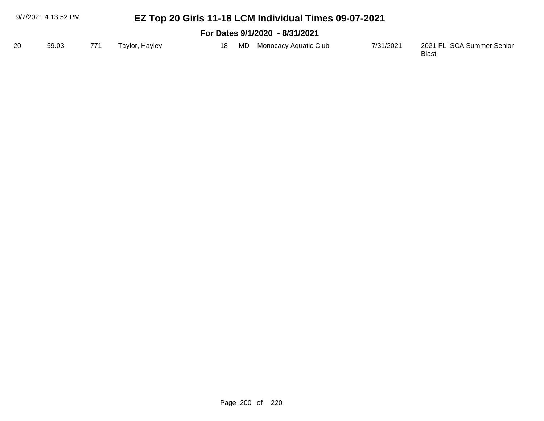| 9/7/2021 4:13:52 PM |       |     |                |    |    | EZ Top 20 Girls 11-18 LCM Individual Times 09-07-2021 |           |                                            |  |  |  |
|---------------------|-------|-----|----------------|----|----|-------------------------------------------------------|-----------|--------------------------------------------|--|--|--|
|                     |       |     |                |    |    | For Dates 9/1/2020 - 8/31/2021                        |           |                                            |  |  |  |
| 20                  | 59.03 | 771 | Taylor, Hayley | 18 | MD | Monocacy Aquatic Club                                 | 7/31/2021 | 2021 FL ISCA Summer Senior<br><b>Blast</b> |  |  |  |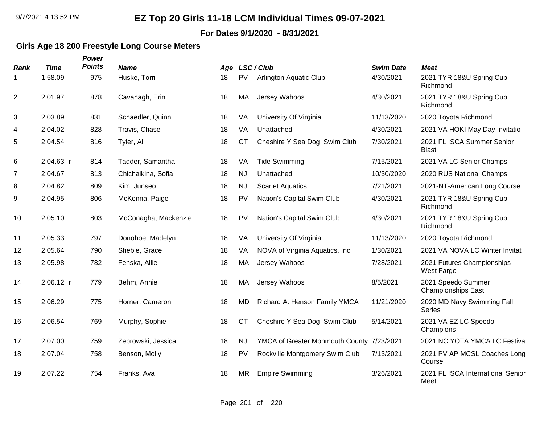#### **For Dates 9/1/2020 - 8/31/2021**

### **Girls Age 18 200 Freestyle Long Course Meters**

| <b>Rank</b>    | <b>Time</b> | Power<br><b>Points</b> | <b>Name</b>          |    |           | Age LSC/Club                              | <b>Swim Date</b> | <b>Meet</b>                                     |
|----------------|-------------|------------------------|----------------------|----|-----------|-------------------------------------------|------------------|-------------------------------------------------|
| 1              | 1:58.09     | 975                    | Huske, Torri         | 18 | <b>PV</b> | <b>Arlington Aquatic Club</b>             | 4/30/2021        | 2021 TYR 18&U Spring Cup<br>Richmond            |
| $\overline{c}$ | 2:01.97     | 878                    | Cavanagh, Erin       | 18 | MA        | Jersey Wahoos                             | 4/30/2021        | 2021 TYR 18&U Spring Cup<br>Richmond            |
| 3              | 2:03.89     | 831                    | Schaedler, Quinn     | 18 | VA        | University Of Virginia                    | 11/13/2020       | 2020 Toyota Richmond                            |
| 4              | 2:04.02     | 828                    | Travis, Chase        | 18 | <b>VA</b> | Unattached                                | 4/30/2021        | 2021 VA HOKI May Day Invitatio                  |
| 5              | 2:04.54     | 816                    | Tyler, Ali           | 18 | <b>CT</b> | Cheshire Y Sea Dog Swim Club              | 7/30/2021        | 2021 FL ISCA Summer Senior<br><b>Blast</b>      |
| 6              | $2:04.63$ r | 814                    | Tadder, Samantha     | 18 | VA        | <b>Tide Swimming</b>                      | 7/15/2021        | 2021 VA LC Senior Champs                        |
| 7              | 2:04.67     | 813                    | Chichaikina, Sofia   | 18 | <b>NJ</b> | Unattached                                | 10/30/2020       | 2020 RUS National Champs                        |
| 8              | 2:04.82     | 809                    | Kim, Junseo          | 18 | <b>NJ</b> | <b>Scarlet Aquatics</b>                   | 7/21/2021        | 2021-NT-American Long Course                    |
| 9              | 2:04.95     | 806                    | McKenna, Paige       | 18 | PV        | Nation's Capital Swim Club                | 4/30/2021        | 2021 TYR 18&U Spring Cup<br>Richmond            |
| 10             | 2:05.10     | 803                    | McConagha, Mackenzie | 18 | PV        | Nation's Capital Swim Club                | 4/30/2021        | 2021 TYR 18&U Spring Cup<br>Richmond            |
| 11             | 2:05.33     | 797                    | Donohoe, Madelyn     | 18 | VA        | University Of Virginia                    | 11/13/2020       | 2020 Toyota Richmond                            |
| 12             | 2:05.64     | 790                    | Sheble, Grace        | 18 | VA        | NOVA of Virginia Aquatics, Inc.           | 1/30/2021        | 2021 VA NOVA LC Winter Invitat                  |
| 13             | 2:05.98     | 782                    | Fenska, Allie        | 18 | <b>MA</b> | Jersey Wahoos                             | 7/28/2021        | 2021 Futures Championships -<br>West Fargo      |
| 14             | $2:06.12$ r | 779                    | Behm, Annie          | 18 | MA        | Jersey Wahoos                             | 8/5/2021         | 2021 Speedo Summer<br><b>Championships East</b> |
| 15             | 2:06.29     | 775                    | Horner, Cameron      | 18 | MD        | Richard A. Henson Family YMCA             | 11/21/2020       | 2020 MD Navy Swimming Fall<br><b>Series</b>     |
| 16             | 2:06.54     | 769                    | Murphy, Sophie       | 18 | <b>CT</b> | Cheshire Y Sea Dog Swim Club              | 5/14/2021        | 2021 VA EZ LC Speedo<br>Champions               |
| 17             | 2:07.00     | 759                    | Zebrowski, Jessica   | 18 | <b>NJ</b> | YMCA of Greater Monmouth County 7/23/2021 |                  | 2021 NC YOTA YMCA LC Festival                   |
| 18             | 2:07.04     | 758                    | Benson, Molly        | 18 | <b>PV</b> | Rockville Montgomery Swim Club            | 7/13/2021        | 2021 PV AP MCSL Coaches Long<br>Course          |
| 19             | 2:07.22     | 754                    | Franks, Ava          | 18 | <b>MR</b> | <b>Empire Swimming</b>                    | 3/26/2021        | 2021 FL ISCA International Senior<br>Meet       |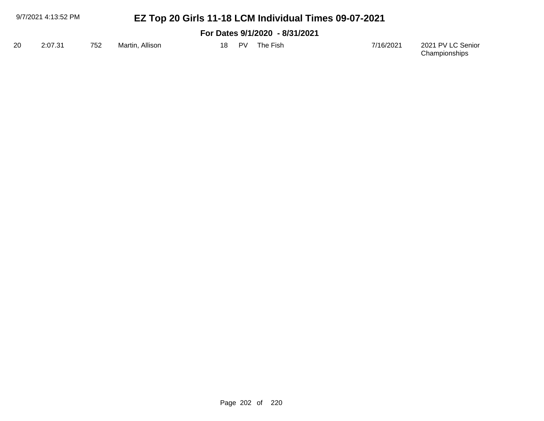| 9/7/2021 4:13:52 PM |         |     | EZ Top 20 Girls 11-18 LCM Individual Times 09-07-2021 |  |       |                                |           |                                    |  |
|---------------------|---------|-----|-------------------------------------------------------|--|-------|--------------------------------|-----------|------------------------------------|--|
|                     |         |     |                                                       |  |       | For Dates 9/1/2020 - 8/31/2021 |           |                                    |  |
| 20                  | 2:07.31 | 752 | Martin, Allison                                       |  | 18 PV | The Fish                       | 7/16/2021 | 2021 PV LC Senior<br>Championships |  |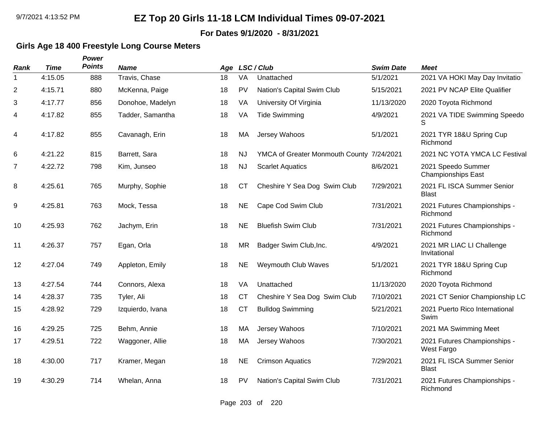#### **For Dates 9/1/2020 - 8/31/2021**

### **Girls Age 18 400 Freestyle Long Course Meters**

| <b>Rank</b>    | <b>Time</b> | <b>Points</b> | <b>Name</b>      |    |           | Age LSC/Club                              | <b>Swim Date</b> | <b>Meet</b>                                     |
|----------------|-------------|---------------|------------------|----|-----------|-------------------------------------------|------------------|-------------------------------------------------|
| $\mathbf{1}$   | 4:15.05     | 888           | Travis, Chase    | 18 | VA        | Unattached                                | 5/1/2021         | 2021 VA HOKI May Day Invitatio                  |
| $\overline{2}$ | 4:15.71     | 880           | McKenna, Paige   | 18 | <b>PV</b> | Nation's Capital Swim Club                | 5/15/2021        | 2021 PV NCAP Elite Qualifier                    |
| 3              | 4:17.77     | 856           | Donohoe, Madelyn | 18 | VA        | University Of Virginia                    | 11/13/2020       | 2020 Toyota Richmond                            |
| 4              | 4:17.82     | 855           | Tadder, Samantha | 18 | VA        | <b>Tide Swimming</b>                      | 4/9/2021         | 2021 VA TIDE Swimming Speedo<br>S               |
| 4              | 4:17.82     | 855           | Cavanagh, Erin   | 18 | MA        | Jersey Wahoos                             | 5/1/2021         | 2021 TYR 18&U Spring Cup<br>Richmond            |
| 6              | 4:21.22     | 815           | Barrett, Sara    | 18 | <b>NJ</b> | YMCA of Greater Monmouth County 7/24/2021 |                  | 2021 NC YOTA YMCA LC Festival                   |
| 7              | 4:22.72     | 798           | Kim, Junseo      | 18 | <b>NJ</b> | <b>Scarlet Aquatics</b>                   | 8/6/2021         | 2021 Speedo Summer<br><b>Championships East</b> |
| 8              | 4:25.61     | 765           | Murphy, Sophie   | 18 | <b>CT</b> | Cheshire Y Sea Dog Swim Club              | 7/29/2021        | 2021 FL ISCA Summer Senior<br><b>Blast</b>      |
| 9              | 4:25.81     | 763           | Mock, Tessa      | 18 | <b>NE</b> | Cape Cod Swim Club                        | 7/31/2021        | 2021 Futures Championships -<br>Richmond        |
| 10             | 4:25.93     | 762           | Jachym, Erin     | 18 | <b>NE</b> | <b>Bluefish Swim Club</b>                 | 7/31/2021        | 2021 Futures Championships -<br>Richmond        |
| 11             | 4:26.37     | 757           | Egan, Orla       | 18 | <b>MR</b> | Badger Swim Club, Inc.                    | 4/9/2021         | 2021 MR LIAC LI Challenge<br>Invitational       |
| 12             | 4:27.04     | 749           | Appleton, Emily  | 18 | <b>NE</b> | <b>Weymouth Club Waves</b>                | 5/1/2021         | 2021 TYR 18&U Spring Cup<br>Richmond            |
| 13             | 4:27.54     | 744           | Connors, Alexa   | 18 | VA        | Unattached                                | 11/13/2020       | 2020 Toyota Richmond                            |
| 14             | 4:28.37     | 735           | Tyler, Ali       | 18 | <b>CT</b> | Cheshire Y Sea Dog Swim Club              | 7/10/2021        | 2021 CT Senior Championship LC                  |
| 15             | 4:28.92     | 729           | Izquierdo, Ivana | 18 | <b>CT</b> | <b>Bulldog Swimming</b>                   | 5/21/2021        | 2021 Puerto Rico International<br>Swim          |
| 16             | 4:29.25     | 725           | Behm, Annie      | 18 | MA        | Jersey Wahoos                             | 7/10/2021        | 2021 MA Swimming Meet                           |
| 17             | 4:29.51     | 722           | Waggoner, Allie  | 18 | MA        | Jersey Wahoos                             | 7/30/2021        | 2021 Futures Championships -<br>West Fargo      |
| 18             | 4:30.00     | 717           | Kramer, Megan    | 18 | <b>NE</b> | <b>Crimson Aquatics</b>                   | 7/29/2021        | 2021 FL ISCA Summer Senior<br><b>Blast</b>      |
| 19             | 4:30.29     | 714           | Whelan, Anna     | 18 | <b>PV</b> | Nation's Capital Swim Club                | 7/31/2021        | 2021 Futures Championships -<br>Richmond        |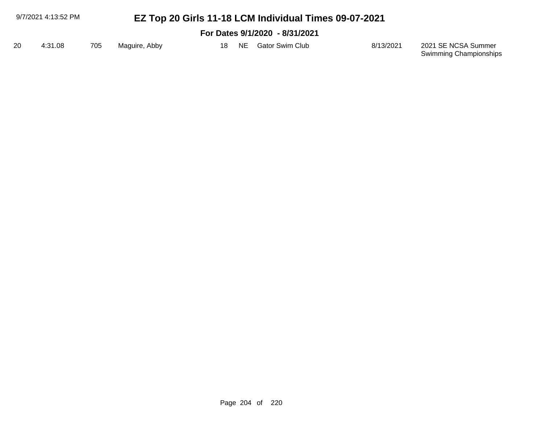| 9/7/2021 4:13:52 PM |         |     | EZ Top 20 Girls 11-18 LCM Individual Times 09-07-2021 |     |      |                                |           |                                               |  |
|---------------------|---------|-----|-------------------------------------------------------|-----|------|--------------------------------|-----------|-----------------------------------------------|--|
|                     |         |     |                                                       |     |      | For Dates 9/1/2020 - 8/31/2021 |           |                                               |  |
| 20                  | 4:31.08 | 705 | Maguire, Abby                                         | 18. | NE N | Gator Swim Club                | 8/13/2021 | 2021 SE NCSA Summer<br>Swimming Championships |  |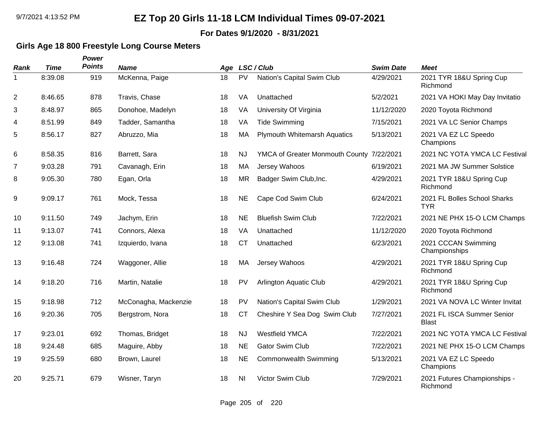#### **For Dates 9/1/2020 - 8/31/2021**

### **Girls Age 18 800 Freestyle Long Course Meters**

| <b>Rank</b> | <b>Time</b> | Power<br><b>Points</b> | <b>Name</b>          | Age |                | LSC / Club                                | <b>Swim Date</b> | <b>Meet</b>                                |
|-------------|-------------|------------------------|----------------------|-----|----------------|-------------------------------------------|------------------|--------------------------------------------|
| 1           | 8:39.08     | 919                    | McKenna, Paige       | 18  | <b>PV</b>      | Nation's Capital Swim Club                | 4/29/2021        | 2021 TYR 18&U Spring Cup<br>Richmond       |
| 2           | 8:46.65     | 878                    | Travis, Chase        | 18  | VA             | Unattached                                | 5/2/2021         | 2021 VA HOKI May Day Invitatio             |
| 3           | 8:48.97     | 865                    | Donohoe, Madelyn     | 18  | VA             | University Of Virginia                    | 11/12/2020       | 2020 Toyota Richmond                       |
| 4           | 8:51.99     | 849                    | Tadder, Samantha     | 18  | VA             | <b>Tide Swimming</b>                      | 7/15/2021        | 2021 VA LC Senior Champs                   |
| 5           | 8:56.17     | 827                    | Abruzzo, Mia         | 18  | MA             | <b>Plymouth Whitemarsh Aquatics</b>       | 5/13/2021        | 2021 VA EZ LC Speedo<br>Champions          |
| 6           | 8:58.35     | 816                    | Barrett, Sara        | 18  | <b>NJ</b>      | YMCA of Greater Monmouth County 7/22/2021 |                  | 2021 NC YOTA YMCA LC Festival              |
| 7           | 9:03.28     | 791                    | Cavanagh, Erin       | 18  | MA             | Jersey Wahoos                             | 6/19/2021        | 2021 MA JW Summer Solstice                 |
| 8           | 9:05.30     | 780                    | Egan, Orla           | 18  | <b>MR</b>      | Badger Swim Club, Inc.                    | 4/29/2021        | 2021 TYR 18&U Spring Cup<br>Richmond       |
| 9           | 9:09.17     | 761                    | Mock, Tessa          | 18  | <b>NE</b>      | Cape Cod Swim Club                        | 6/24/2021        | 2021 FL Bolles School Sharks<br><b>TYR</b> |
| 10          | 9:11.50     | 749                    | Jachym, Erin         | 18  | <b>NE</b>      | <b>Bluefish Swim Club</b>                 | 7/22/2021        | 2021 NE PHX 15-O LCM Champs                |
| 11          | 9:13.07     | 741                    | Connors, Alexa       | 18  | VA             | Unattached                                | 11/12/2020       | 2020 Toyota Richmond                       |
| 12          | 9:13.08     | 741                    | Izquierdo, Ivana     | 18  | <b>CT</b>      | Unattached                                | 6/23/2021        | 2021 CCCAN Swimming<br>Championships       |
| 13          | 9:16.48     | 724                    | Waggoner, Allie      | 18  | MA             | Jersey Wahoos                             | 4/29/2021        | 2021 TYR 18&U Spring Cup<br>Richmond       |
| 14          | 9:18.20     | 716                    | Martin, Natalie      | 18  | PV             | <b>Arlington Aquatic Club</b>             | 4/29/2021        | 2021 TYR 18&U Spring Cup<br>Richmond       |
| 15          | 9:18.98     | 712                    | McConagha, Mackenzie | 18  | PV             | Nation's Capital Swim Club                | 1/29/2021        | 2021 VA NOVA LC Winter Invitat             |
| 16          | 9:20.36     | 705                    | Bergstrom, Nora      | 18  | <b>CT</b>      | Cheshire Y Sea Dog Swim Club              | 7/27/2021        | 2021 FL ISCA Summer Senior<br><b>Blast</b> |
| 17          | 9:23.01     | 692                    | Thomas, Bridget      | 18  | <b>NJ</b>      | <b>Westfield YMCA</b>                     | 7/22/2021        | 2021 NC YOTA YMCA LC Festival              |
| 18          | 9:24.48     | 685                    | Maguire, Abby        | 18  | <b>NE</b>      | <b>Gator Swim Club</b>                    | 7/22/2021        | 2021 NE PHX 15-O LCM Champs                |
| 19          | 9:25.59     | 680                    | Brown, Laurel        | 18  | <b>NE</b>      | <b>Commonwealth Swimming</b>              | 5/13/2021        | 2021 VA EZ LC Speedo<br>Champions          |
| 20          | 9:25.71     | 679                    | Wisner, Taryn        | 18  | N <sub>l</sub> | Victor Swim Club                          | 7/29/2021        | 2021 Futures Championships -<br>Richmond   |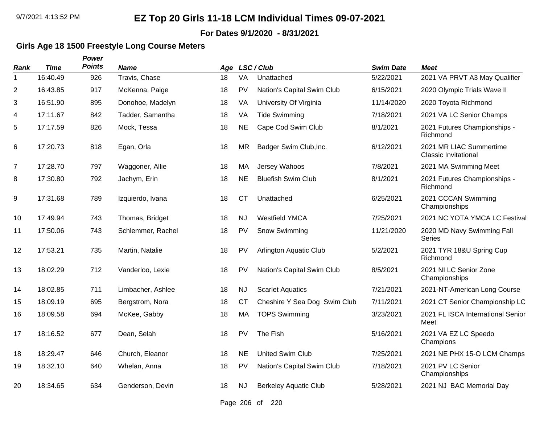#### **For Dates 9/1/2020 - 8/31/2021**

### **Girls Age 18 1500 Freestyle Long Course Meters**

*Power*

| <b>Rank</b>    | <b>Time</b> | <b>Points</b> | <b>Name</b>       | Age |           | LSC / Club                    | <b>Swim Date</b> | <b>Meet</b>                                            |
|----------------|-------------|---------------|-------------------|-----|-----------|-------------------------------|------------------|--------------------------------------------------------|
| $\mathbf 1$    | 16:40.49    | 926           | Travis, Chase     | 18  | VA        | Unattached                    | 5/22/2021        | 2021 VA PRVT A3 May Qualifier                          |
| $\overline{2}$ | 16:43.85    | 917           | McKenna, Paige    | 18  | <b>PV</b> | Nation's Capital Swim Club    | 6/15/2021        | 2020 Olympic Trials Wave II                            |
| 3              | 16:51.90    | 895           | Donohoe, Madelyn  | 18  | VA        | University Of Virginia        | 11/14/2020       | 2020 Toyota Richmond                                   |
| 4              | 17:11.67    | 842           | Tadder, Samantha  | 18  | VA        | <b>Tide Swimming</b>          | 7/18/2021        | 2021 VA LC Senior Champs                               |
| 5              | 17:17.59    | 826           | Mock, Tessa       | 18  | <b>NE</b> | Cape Cod Swim Club            | 8/1/2021         | 2021 Futures Championships -<br>Richmond               |
| 6              | 17:20.73    | 818           | Egan, Orla        | 18  | <b>MR</b> | Badger Swim Club, Inc.        | 6/12/2021        | 2021 MR LIAC Summertime<br><b>Classic Invitational</b> |
| 7              | 17:28.70    | 797           | Waggoner, Allie   | 18  | MA        | Jersey Wahoos                 | 7/8/2021         | 2021 MA Swimming Meet                                  |
| 8              | 17:30.80    | 792           | Jachym, Erin      | 18  | <b>NE</b> | <b>Bluefish Swim Club</b>     | 8/1/2021         | 2021 Futures Championships -<br>Richmond               |
| 9              | 17:31.68    | 789           | Izquierdo, Ivana  | 18  | <b>CT</b> | Unattached                    | 6/25/2021        | 2021 CCCAN Swimming<br>Championships                   |
| 10             | 17:49.94    | 743           | Thomas, Bridget   | 18  | <b>NJ</b> | <b>Westfield YMCA</b>         | 7/25/2021        | 2021 NC YOTA YMCA LC Festival                          |
| 11             | 17:50.06    | 743           | Schlemmer, Rachel | 18  | PV        | Snow Swimming                 | 11/21/2020       | 2020 MD Navy Swimming Fall<br><b>Series</b>            |
| 12             | 17:53.21    | 735           | Martin, Natalie   | 18  | PV        | <b>Arlington Aquatic Club</b> | 5/2/2021         | 2021 TYR 18&U Spring Cup<br>Richmond                   |
| 13             | 18:02.29    | 712           | Vanderloo, Lexie  | 18  | <b>PV</b> | Nation's Capital Swim Club    | 8/5/2021         | 2021 NI LC Senior Zone<br>Championships                |
| 14             | 18:02.85    | 711           | Limbacher, Ashlee | 18  | <b>NJ</b> | <b>Scarlet Aquatics</b>       | 7/21/2021        | 2021-NT-American Long Course                           |
| 15             | 18:09.19    | 695           | Bergstrom, Nora   | 18  | <b>CT</b> | Cheshire Y Sea Dog Swim Club  | 7/11/2021        | 2021 CT Senior Championship LC                         |
| 16             | 18:09.58    | 694           | McKee, Gabby      | 18  | MA        | <b>TOPS Swimming</b>          | 3/23/2021        | 2021 FL ISCA International Senior<br>Meet              |
| 17             | 18:16.52    | 677           | Dean, Selah       | 18  | PV        | The Fish                      | 5/16/2021        | 2021 VA EZ LC Speedo<br>Champions                      |
| 18             | 18:29.47    | 646           | Church, Eleanor   | 18  | <b>NE</b> | United Swim Club              | 7/25/2021        | 2021 NE PHX 15-O LCM Champs                            |
| 19             | 18:32.10    | 640           | Whelan, Anna      | 18  | <b>PV</b> | Nation's Capital Swim Club    | 7/18/2021        | 2021 PV LC Senior<br>Championships                     |
| 20             | 18:34.65    | 634           | Genderson, Devin  | 18  | <b>NJ</b> | <b>Berkeley Aquatic Club</b>  | 5/28/2021        | 2021 NJ BAC Memorial Day                               |

Page 206 of 220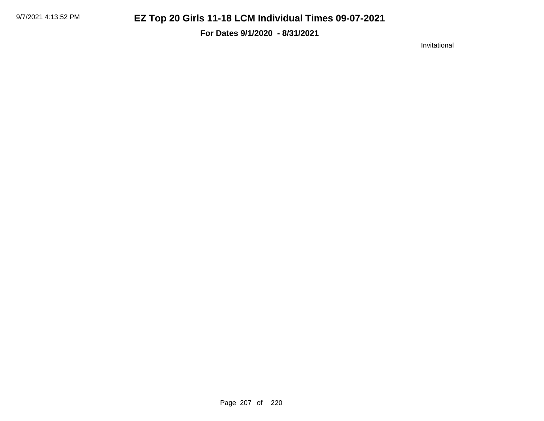**For Dates 9/1/2020 - 8/31/2021**

Invitational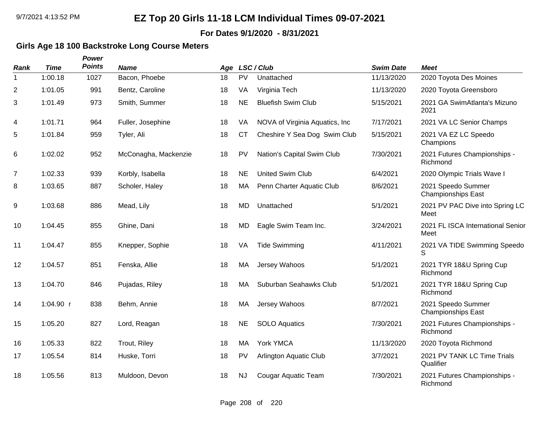#### **For Dates 9/1/2020 - 8/31/2021**

### **Girls Age 18 100 Backstroke Long Course Meters**

| <b>Rank</b>    | <b>Time</b> | Power<br><b>Points</b> | <b>Name</b>          |    |           | Age LSC/Club                    | <b>Swim Date</b> | <b>Meet</b>                                     |
|----------------|-------------|------------------------|----------------------|----|-----------|---------------------------------|------------------|-------------------------------------------------|
| 1              | 1:00.18     | 1027                   | Bacon, Phoebe        | 18 | PV        | Unattached                      | 11/13/2020       | 2020 Toyota Des Moines                          |
| $\overline{c}$ | 1:01.05     | 991                    | Bentz, Caroline      | 18 | VA        | Virginia Tech                   | 11/13/2020       | 2020 Toyota Greensboro                          |
| 3              | 1:01.49     | 973                    | Smith, Summer        | 18 | <b>NE</b> | <b>Bluefish Swim Club</b>       | 5/15/2021        | 2021 GA SwimAtlanta's Mizuno<br>2021            |
| 4              | 1:01.71     | 964                    | Fuller, Josephine    | 18 | VA        | NOVA of Virginia Aquatics, Inc. | 7/17/2021        | 2021 VA LC Senior Champs                        |
| 5              | 1:01.84     | 959                    | Tyler, Ali           | 18 | <b>CT</b> | Cheshire Y Sea Dog Swim Club    | 5/15/2021        | 2021 VA EZ LC Speedo<br>Champions               |
| 6              | 1:02.02     | 952                    | McConagha, Mackenzie | 18 | PV        | Nation's Capital Swim Club      | 7/30/2021        | 2021 Futures Championships -<br>Richmond        |
| 7              | 1:02.33     | 939                    | Korbly, Isabella     | 18 | <b>NE</b> | <b>United Swim Club</b>         | 6/4/2021         | 2020 Olympic Trials Wave I                      |
| 8              | 1:03.65     | 887                    | Scholer, Haley       | 18 | MA        | Penn Charter Aquatic Club       | 8/6/2021         | 2021 Speedo Summer<br><b>Championships East</b> |
| 9              | 1:03.68     | 886                    | Mead, Lily           | 18 | <b>MD</b> | Unattached                      | 5/1/2021         | 2021 PV PAC Dive into Spring LC<br>Meet         |
| 10             | 1:04.45     | 855                    | Ghine, Dani          | 18 | MD        | Eagle Swim Team Inc.            | 3/24/2021        | 2021 FL ISCA International Senior<br>Meet       |
| 11             | 1:04.47     | 855                    | Knepper, Sophie      | 18 | VA        | <b>Tide Swimming</b>            | 4/11/2021        | 2021 VA TIDE Swimming Speedo<br>S               |
| 12             | 1:04.57     | 851                    | Fenska, Allie        | 18 | MA        | Jersey Wahoos                   | 5/1/2021         | 2021 TYR 18&U Spring Cup<br>Richmond            |
| 13             | 1:04.70     | 846                    | Pujadas, Riley       | 18 | MA        | Suburban Seahawks Club          | 5/1/2021         | 2021 TYR 18&U Spring Cup<br>Richmond            |
| 14             | 1:04.90 r   | 838                    | Behm, Annie          | 18 | МA        | Jersey Wahoos                   | 8/7/2021         | 2021 Speedo Summer<br><b>Championships East</b> |
| 15             | 1:05.20     | 827                    | Lord, Reagan         | 18 | <b>NE</b> | <b>SOLO Aquatics</b>            | 7/30/2021        | 2021 Futures Championships -<br>Richmond        |
| 16             | 1:05.33     | 822                    | Trout, Riley         | 18 | MA        | York YMCA                       | 11/13/2020       | 2020 Toyota Richmond                            |
| 17             | 1:05.54     | 814                    | Huske, Torri         | 18 | PV        | Arlington Aquatic Club          | 3/7/2021         | 2021 PV TANK LC Time Trials<br>Qualifier        |
| 18             | 1:05.56     | 813                    | Muldoon, Devon       | 18 | <b>NJ</b> | <b>Cougar Aquatic Team</b>      | 7/30/2021        | 2021 Futures Championships -<br>Richmond        |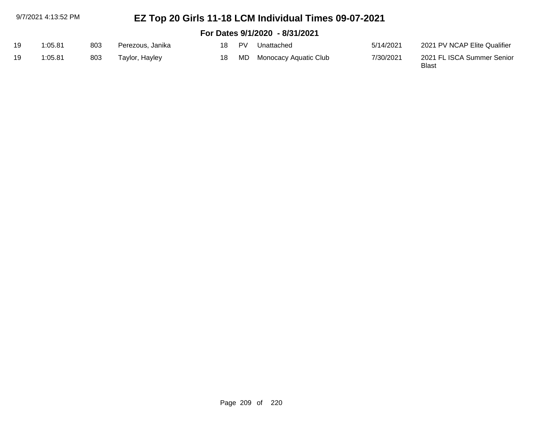| 9/7/2021 4:13:52 PM |                                |     | EZ Top 20 Girls 11-18 LCM Individual Times 09-07-2021 |     |    |                          |           |                              |  |  |  |  |  |
|---------------------|--------------------------------|-----|-------------------------------------------------------|-----|----|--------------------------|-----------|------------------------------|--|--|--|--|--|
|                     | For Dates 9/1/2020 - 8/31/2021 |     |                                                       |     |    |                          |           |                              |  |  |  |  |  |
| 19                  | 1:05.81                        | 803 | Perezous, Janika                                      | 18. | PV | Unattached               | 5/14/2021 | 2021 PV NCAP Elite Qualifier |  |  |  |  |  |
| 19                  | 1:05.81                        | 803 | Taylor, Hayley                                        | 18. |    | MD Monocacy Aquatic Club | 7/30/2021 | 2021 FL ISCA Summer Senior   |  |  |  |  |  |

Blast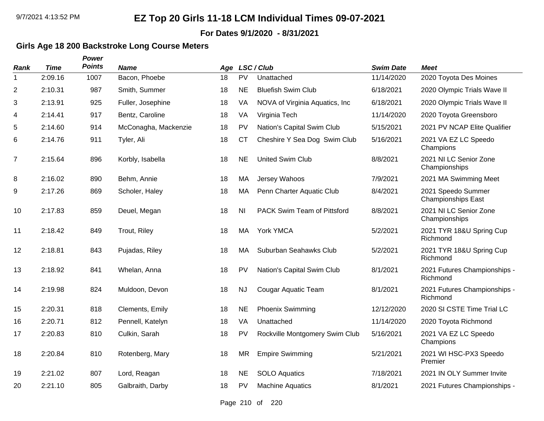#### **For Dates 9/1/2020 - 8/31/2021**

### **Girls Age 18 200 Backstroke Long Course Meters**

| Rank           | <b>Time</b> | Power<br><b>Points</b> | <b>Name</b>          |    |                | Age LSC/Club                       | <b>Swim Date</b> | <b>Meet</b>                                     |
|----------------|-------------|------------------------|----------------------|----|----------------|------------------------------------|------------------|-------------------------------------------------|
| 1              | 2:09.16     | 1007                   | Bacon, Phoebe        | 18 | PV             | Unattached                         | 11/14/2020       | 2020 Toyota Des Moines                          |
| $\overline{2}$ | 2:10.31     | 987                    | Smith, Summer        | 18 | <b>NE</b>      | <b>Bluefish Swim Club</b>          | 6/18/2021        | 2020 Olympic Trials Wave II                     |
| 3              | 2:13.91     | 925                    | Fuller, Josephine    | 18 | VA             | NOVA of Virginia Aquatics, Inc     | 6/18/2021        | 2020 Olympic Trials Wave II                     |
| 4              | 2:14.41     | 917                    | Bentz, Caroline      | 18 | VA             | Virginia Tech                      | 11/14/2020       | 2020 Toyota Greensboro                          |
| 5              | 2:14.60     | 914                    | McConagha, Mackenzie | 18 | <b>PV</b>      | Nation's Capital Swim Club         | 5/15/2021        | 2021 PV NCAP Elite Qualifier                    |
| 6              | 2:14.76     | 911                    | Tyler, Ali           | 18 | <b>CT</b>      | Cheshire Y Sea Dog Swim Club       | 5/16/2021        | 2021 VA EZ LC Speedo<br>Champions               |
| $\overline{7}$ | 2:15.64     | 896                    | Korbly, Isabella     | 18 | <b>NE</b>      | <b>United Swim Club</b>            | 8/8/2021         | 2021 NI LC Senior Zone<br>Championships         |
| 8              | 2:16.02     | 890                    | Behm, Annie          | 18 | MA             | Jersey Wahoos                      | 7/9/2021         | 2021 MA Swimming Meet                           |
| 9              | 2:17.26     | 869                    | Scholer, Haley       | 18 | MA             | Penn Charter Aquatic Club          | 8/4/2021         | 2021 Speedo Summer<br><b>Championships East</b> |
| 10             | 2:17.83     | 859                    | Deuel, Megan         | 18 | N <sub>1</sub> | <b>PACK Swim Team of Pittsford</b> | 8/8/2021         | 2021 NI LC Senior Zone<br>Championships         |
| 11             | 2:18.42     | 849                    | Trout, Riley         | 18 | МA             | York YMCA                          | 5/2/2021         | 2021 TYR 18&U Spring Cup<br>Richmond            |
| 12             | 2:18.81     | 843                    | Pujadas, Riley       | 18 | MA             | Suburban Seahawks Club             | 5/2/2021         | 2021 TYR 18&U Spring Cup<br>Richmond            |
| 13             | 2:18.92     | 841                    | Whelan, Anna         | 18 | PV             | Nation's Capital Swim Club         | 8/1/2021         | 2021 Futures Championships -<br>Richmond        |
| 14             | 2:19.98     | 824                    | Muldoon, Devon       | 18 | <b>NJ</b>      | Cougar Aquatic Team                | 8/1/2021         | 2021 Futures Championships -<br>Richmond        |
| 15             | 2:20.31     | 818                    | Clements, Emily      | 18 | <b>NE</b>      | <b>Phoenix Swimming</b>            | 12/12/2020       | 2020 SI CSTE Time Trial LC                      |
| 16             | 2:20.71     | 812                    | Pennell, Katelyn     | 18 | VA             | Unattached                         | 11/14/2020       | 2020 Toyota Richmond                            |
| 17             | 2:20.83     | 810                    | Culkin, Sarah        | 18 | <b>PV</b>      | Rockville Montgomery Swim Club     | 5/16/2021        | 2021 VA EZ LC Speedo<br>Champions               |
| 18             | 2:20.84     | 810                    | Rotenberg, Mary      | 18 | <b>MR</b>      | <b>Empire Swimming</b>             | 5/21/2021        | 2021 WI HSC-PX3 Speedo<br>Premier               |
| 19             | 2:21.02     | 807                    | Lord, Reagan         | 18 | <b>NE</b>      | <b>SOLO Aquatics</b>               | 7/18/2021        | 2021 IN OLY Summer Invite                       |
| 20             | 2:21.10     | 805                    | Galbraith, Darby     | 18 | PV             | <b>Machine Aquatics</b>            | 8/1/2021         | 2021 Futures Championships -                    |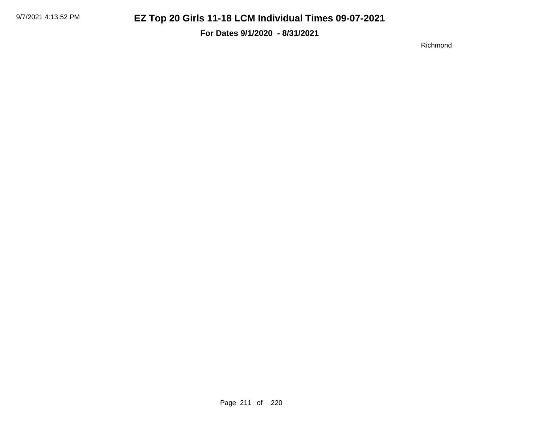**For Dates 9/1/2020 - 8/31/2021**

Richmond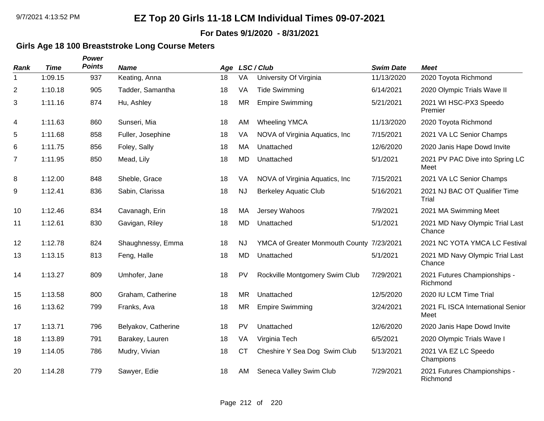**For Dates 9/1/2020 - 8/31/2021**

### **Girls Age 18 100 Breaststroke Long Course Meters**

| <b>Rank</b>    | <b>Time</b> | Power<br><b>Points</b> | <b>Name</b>         | Age |           | LSC / Club                                | <b>Swim Date</b> | <b>Meet</b>                               |
|----------------|-------------|------------------------|---------------------|-----|-----------|-------------------------------------------|------------------|-------------------------------------------|
| $\mathbf{1}$   | 1:09.15     | 937                    | Keating, Anna       | 18  | VA        | University Of Virginia                    | 11/13/2020       | 2020 Toyota Richmond                      |
| $\overline{c}$ | 1:10.18     | 905                    | Tadder, Samantha    | 18  | VA        | <b>Tide Swimming</b>                      | 6/14/2021        | 2020 Olympic Trials Wave II               |
| 3              | 1:11.16     | 874                    | Hu, Ashley          | 18  | <b>MR</b> | <b>Empire Swimming</b>                    | 5/21/2021        | 2021 WI HSC-PX3 Speedo<br>Premier         |
| 4              | 1:11.63     | 860                    | Sunseri, Mia        | 18  | AM        | <b>Wheeling YMCA</b>                      | 11/13/2020       | 2020 Toyota Richmond                      |
| 5              | 1:11.68     | 858                    | Fuller, Josephine   | 18  | VA        | NOVA of Virginia Aquatics, Inc.           | 7/15/2021        | 2021 VA LC Senior Champs                  |
| 6              | 1:11.75     | 856                    | Foley, Sally        | 18  | MA        | Unattached                                | 12/6/2020        | 2020 Janis Hape Dowd Invite               |
| $\overline{7}$ | 1:11.95     | 850                    | Mead, Lily          | 18  | <b>MD</b> | Unattached                                | 5/1/2021         | 2021 PV PAC Dive into Spring LC<br>Meet   |
| 8              | 1:12.00     | 848                    | Sheble, Grace       | 18  | VA        | NOVA of Virginia Aquatics, Inc.           | 7/15/2021        | 2021 VA LC Senior Champs                  |
| 9              | 1:12.41     | 836                    | Sabin, Clarissa     | 18  | <b>NJ</b> | <b>Berkeley Aquatic Club</b>              | 5/16/2021        | 2021 NJ BAC OT Qualifier Time<br>Trial    |
| 10             | 1:12.46     | 834                    | Cavanagh, Erin      | 18  | MA        | Jersey Wahoos                             | 7/9/2021         | 2021 MA Swimming Meet                     |
| 11             | 1:12.61     | 830                    | Gavigan, Riley      | 18  | <b>MD</b> | Unattached                                | 5/1/2021         | 2021 MD Navy Olympic Trial Last<br>Chance |
| 12             | 1:12.78     | 824                    | Shaughnessy, Emma   | 18  | <b>NJ</b> | YMCA of Greater Monmouth County 7/23/2021 |                  | 2021 NC YOTA YMCA LC Festival             |
| 13             | 1:13.15     | 813                    | Feng, Halle         | 18  | <b>MD</b> | Unattached                                | 5/1/2021         | 2021 MD Navy Olympic Trial Last<br>Chance |
| 14             | 1:13.27     | 809                    | Umhofer, Jane       | 18  | <b>PV</b> | Rockville Montgomery Swim Club            | 7/29/2021        | 2021 Futures Championships -<br>Richmond  |
| 15             | 1:13.58     | 800                    | Graham, Catherine   | 18  | <b>MR</b> | Unattached                                | 12/5/2020        | 2020 IU LCM Time Trial                    |
| 16             | 1:13.62     | 799                    | Franks, Ava         | 18  | <b>MR</b> | <b>Empire Swimming</b>                    | 3/24/2021        | 2021 FL ISCA International Senior<br>Meet |
| 17             | 1:13.71     | 796                    | Belyakov, Catherine | 18  | <b>PV</b> | Unattached                                | 12/6/2020        | 2020 Janis Hape Dowd Invite               |
| 18             | 1:13.89     | 791                    | Barakey, Lauren     | 18  | VA        | Virginia Tech                             | 6/5/2021         | 2020 Olympic Trials Wave I                |
| 19             | 1:14.05     | 786                    | Mudry, Vivian       | 18  | <b>CT</b> | Cheshire Y Sea Dog Swim Club              | 5/13/2021        | 2021 VA EZ LC Speedo<br>Champions         |
| 20             | 1:14.28     | 779                    | Sawyer, Edie        | 18  | AM        | Seneca Valley Swim Club                   | 7/29/2021        | 2021 Futures Championships -<br>Richmond  |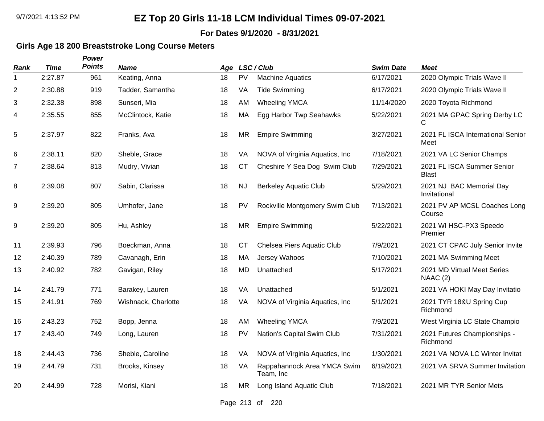**For Dates 9/1/2020 - 8/31/2021**

### **Girls Age 18 200 Breaststroke Long Course Meters**

| Rank           | <b>Time</b> | Power<br><b>Points</b> | <b>Name</b>         |    |           | Age LSC/Club                             | <b>Swim Date</b> | <b>Meet</b>                                |
|----------------|-------------|------------------------|---------------------|----|-----------|------------------------------------------|------------------|--------------------------------------------|
| $\mathbf{1}$   | 2:27.87     | 961                    | Keating, Anna       | 18 | PV        | <b>Machine Aquatics</b>                  | 6/17/2021        | 2020 Olympic Trials Wave II                |
| $\overline{2}$ | 2:30.88     | 919                    | Tadder, Samantha    | 18 | VA        | <b>Tide Swimming</b>                     | 6/17/2021        | 2020 Olympic Trials Wave II                |
| 3              | 2:32.38     | 898                    | Sunseri, Mia        | 18 | <b>AM</b> | <b>Wheeling YMCA</b>                     | 11/14/2020       | 2020 Toyota Richmond                       |
| 4              | 2:35.55     | 855                    | McClintock, Katie   | 18 | MA        | Egg Harbor Twp Seahawks                  | 5/22/2021        | 2021 MA GPAC Spring Derby LC<br>С          |
| 5              | 2:37.97     | 822                    | Franks, Ava         | 18 | <b>MR</b> | <b>Empire Swimming</b>                   | 3/27/2021        | 2021 FL ISCA International Senior<br>Meet  |
| 6              | 2:38.11     | 820                    | Sheble, Grace       | 18 | VA        | NOVA of Virginia Aquatics, Inc.          | 7/18/2021        | 2021 VA LC Senior Champs                   |
| 7              | 2:38.64     | 813                    | Mudry, Vivian       | 18 | <b>CT</b> | Cheshire Y Sea Dog Swim Club             | 7/29/2021        | 2021 FL ISCA Summer Senior<br><b>Blast</b> |
| 8              | 2:39.08     | 807                    | Sabin, Clarissa     | 18 | <b>NJ</b> | <b>Berkeley Aquatic Club</b>             | 5/29/2021        | 2021 NJ BAC Memorial Day<br>Invitational   |
| 9              | 2:39.20     | 805                    | Umhofer, Jane       | 18 | <b>PV</b> | Rockville Montgomery Swim Club           | 7/13/2021        | 2021 PV AP MCSL Coaches Long<br>Course     |
| 9              | 2:39.20     | 805                    | Hu, Ashley          | 18 | <b>MR</b> | <b>Empire Swimming</b>                   | 5/22/2021        | 2021 WI HSC-PX3 Speedo<br>Premier          |
| 11             | 2:39.93     | 796                    | Boeckman, Anna      | 18 | <b>CT</b> | Chelsea Piers Aquatic Club               | 7/9/2021         | 2021 CT CPAC July Senior Invite            |
| 12             | 2:40.39     | 789                    | Cavanagh, Erin      | 18 | MA        | Jersey Wahoos                            | 7/10/2021        | 2021 MA Swimming Meet                      |
| 13             | 2:40.92     | 782                    | Gavigan, Riley      | 18 | MD        | Unattached                               | 5/17/2021        | 2021 MD Virtual Meet Series<br>NAAC(2)     |
| 14             | 2:41.79     | 771                    | Barakey, Lauren     | 18 | VA        | Unattached                               | 5/1/2021         | 2021 VA HOKI May Day Invitatio             |
| 15             | 2:41.91     | 769                    | Wishnack, Charlotte | 18 | VA        | NOVA of Virginia Aquatics, Inc.          | 5/1/2021         | 2021 TYR 18&U Spring Cup<br>Richmond       |
| 16             | 2:43.23     | 752                    | Bopp, Jenna         | 18 | <b>AM</b> | <b>Wheeling YMCA</b>                     | 7/9/2021         | West Virginia LC State Champio             |
| 17             | 2:43.40     | 749                    | Long, Lauren        | 18 | PV        | Nation's Capital Swim Club               | 7/31/2021        | 2021 Futures Championships -<br>Richmond   |
| 18             | 2:44.43     | 736                    | Sheble, Caroline    | 18 | VA        | NOVA of Virginia Aquatics, Inc.          | 1/30/2021        | 2021 VA NOVA LC Winter Invitat             |
| 19             | 2:44.79     | 731                    | Brooks, Kinsey      | 18 | VA        | Rappahannock Area YMCA Swim<br>Team, Inc | 6/19/2021        | 2021 VA SRVA Summer Invitation             |
| 20             | 2:44.99     | 728                    | Morisi, Kiani       | 18 | ΜR        | Long Island Aquatic Club                 | 7/18/2021        | 2021 MR TYR Senior Mets                    |

Page 213 of 220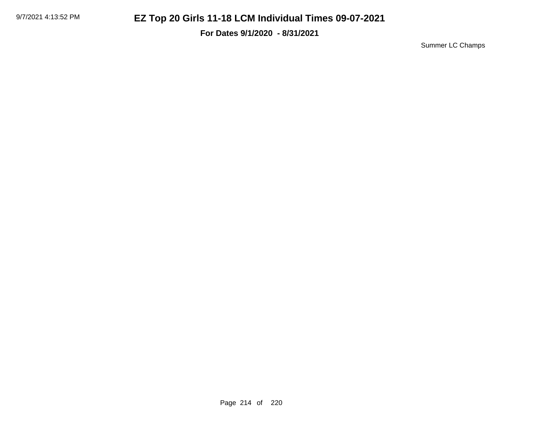**For Dates 9/1/2020 - 8/31/2021**

Summer LC Champs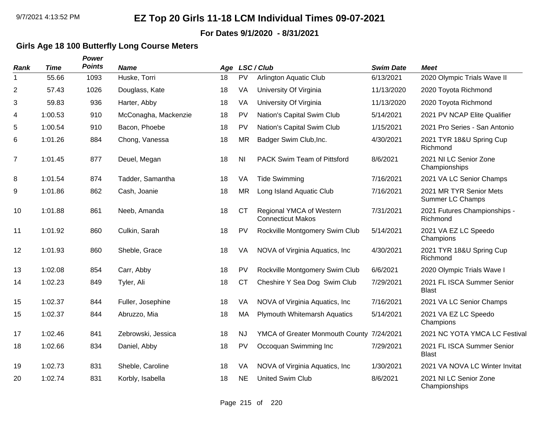#### **For Dates 9/1/2020 - 8/31/2021**

### **Girls Age 18 100 Butterfly Long Course Meters**

| Rank             | <b>Time</b> | <b>Points</b> | <b>Name</b>          |    |           | Age LSC/Club                                         | <b>Swim Date</b> | <b>Meet</b>                                        |
|------------------|-------------|---------------|----------------------|----|-----------|------------------------------------------------------|------------------|----------------------------------------------------|
| 1                | 55.66       | 1093          | Huske, Torri         | 18 | <b>PV</b> | <b>Arlington Aquatic Club</b>                        | 6/13/2021        | 2020 Olympic Trials Wave II                        |
| $\overline{2}$   | 57.43       | 1026          | Douglass, Kate       | 18 | VA        | University Of Virginia                               | 11/13/2020       | 2020 Toyota Richmond                               |
| 3                | 59.83       | 936           | Harter, Abby         | 18 | VA        | University Of Virginia                               | 11/13/2020       | 2020 Toyota Richmond                               |
| 4                | 1:00.53     | 910           | McConagha, Mackenzie | 18 | <b>PV</b> | Nation's Capital Swim Club                           | 5/14/2021        | 2021 PV NCAP Elite Qualifier                       |
| 5                | 1:00.54     | 910           | Bacon, Phoebe        | 18 | PV        | Nation's Capital Swim Club                           | 1/15/2021        | 2021 Pro Series - San Antonio                      |
| 6                | 1:01.26     | 884           | Chong, Vanessa       | 18 | <b>MR</b> | Badger Swim Club, Inc.                               | 4/30/2021        | 2021 TYR 18&U Spring Cup<br>Richmond               |
| $\boldsymbol{7}$ | 1:01.45     | 877           | Deuel, Megan         | 18 | <b>NI</b> | PACK Swim Team of Pittsford                          | 8/6/2021         | 2021 NI LC Senior Zone<br>Championships            |
| 8                | 1:01.54     | 874           | Tadder, Samantha     | 18 | VA        | <b>Tide Swimming</b>                                 | 7/16/2021        | 2021 VA LC Senior Champs                           |
| 9                | 1:01.86     | 862           | Cash, Joanie         | 18 | <b>MR</b> | Long Island Aquatic Club                             | 7/16/2021        | 2021 MR TYR Senior Mets<br><b>Summer LC Champs</b> |
| 10               | 1:01.88     | 861           | Neeb, Amanda         | 18 | <b>CT</b> | Regional YMCA of Western<br><b>Connecticut Makos</b> | 7/31/2021        | 2021 Futures Championships -<br>Richmond           |
| 11               | 1:01.92     | 860           | Culkin, Sarah        | 18 | PV        | Rockville Montgomery Swim Club                       | 5/14/2021        | 2021 VA EZ LC Speedo<br>Champions                  |
| 12               | 1:01.93     | 860           | Sheble, Grace        | 18 | VA        | NOVA of Virginia Aquatics, Inc.                      | 4/30/2021        | 2021 TYR 18&U Spring Cup<br>Richmond               |
| 13               | 1:02.08     | 854           | Carr, Abby           | 18 | PV        | Rockville Montgomery Swim Club                       | 6/6/2021         | 2020 Olympic Trials Wave I                         |
| 14               | 1:02.23     | 849           | Tyler, Ali           | 18 | <b>CT</b> | Cheshire Y Sea Dog Swim Club                         | 7/29/2021        | 2021 FL ISCA Summer Senior<br><b>Blast</b>         |
| 15               | 1:02.37     | 844           | Fuller, Josephine    | 18 | VA        | NOVA of Virginia Aquatics, Inc.                      | 7/16/2021        | 2021 VA LC Senior Champs                           |
| 15               | 1:02.37     | 844           | Abruzzo, Mia         | 18 | MA        | <b>Plymouth Whitemarsh Aquatics</b>                  | 5/14/2021        | 2021 VA EZ LC Speedo<br>Champions                  |
| 17               | 1:02.46     | 841           | Zebrowski, Jessica   | 18 | <b>NJ</b> | YMCA of Greater Monmouth County 7/24/2021            |                  | 2021 NC YOTA YMCA LC Festival                      |
| 18               | 1:02.66     | 834           | Daniel, Abby         | 18 | PV        | Occoquan Swimming Inc                                | 7/29/2021        | 2021 FL ISCA Summer Senior<br><b>Blast</b>         |
| 19               | 1:02.73     | 831           | Sheble, Caroline     | 18 | VA        | NOVA of Virginia Aquatics, Inc.                      | 1/30/2021        | 2021 VA NOVA LC Winter Invitat                     |
| 20               | 1:02.74     | 831           | Korbly, Isabella     | 18 | <b>NE</b> | <b>United Swim Club</b>                              | 8/6/2021         | 2021 NI LC Senior Zone<br>Championships            |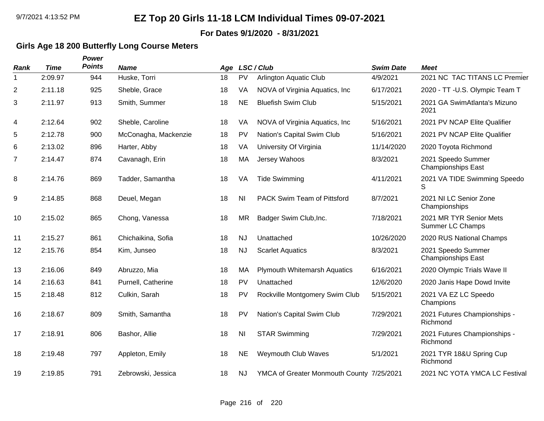#### **For Dates 9/1/2020 - 8/31/2021**

### **Girls Age 18 200 Butterfly Long Course Meters**

| <b>Rank</b> | <b>Time</b> | <b>Points</b> | <b>Name</b>          | Age |                | LSC / Club                                | <b>Swim Date</b> | <b>Meet</b>                                        |
|-------------|-------------|---------------|----------------------|-----|----------------|-------------------------------------------|------------------|----------------------------------------------------|
| 1           | 2:09.97     | 944           | Huske, Torri         | 18  | PV             | <b>Arlington Aquatic Club</b>             | 4/9/2021         | 2021 NC TAC TITANS LC Premier                      |
| 2           | 2:11.18     | 925           | Sheble, Grace        | 18  | VA             | NOVA of Virginia Aquatics, Inc            | 6/17/2021        | 2020 - TT -U.S. Olympic Team T                     |
| 3           | 2:11.97     | 913           | Smith, Summer        | 18  | <b>NE</b>      | <b>Bluefish Swim Club</b>                 | 5/15/2021        | 2021 GA SwimAtlanta's Mizuno<br>2021               |
| 4           | 2:12.64     | 902           | Sheble, Caroline     | 18  | VA             | NOVA of Virginia Aquatics, Inc.           | 5/16/2021        | 2021 PV NCAP Elite Qualifier                       |
| 5           | 2:12.78     | 900           | McConagha, Mackenzie | 18  | PV             | Nation's Capital Swim Club                | 5/16/2021        | 2021 PV NCAP Elite Qualifier                       |
| 6           | 2:13.02     | 896           | Harter, Abby         | 18  | VA             | University Of Virginia                    | 11/14/2020       | 2020 Toyota Richmond                               |
| 7           | 2:14.47     | 874           | Cavanagh, Erin       | 18  | MA             | Jersey Wahoos                             | 8/3/2021         | 2021 Speedo Summer<br><b>Championships East</b>    |
| 8           | 2:14.76     | 869           | Tadder, Samantha     | 18  | VA             | <b>Tide Swimming</b>                      | 4/11/2021        | 2021 VA TIDE Swimming Speedo<br>S                  |
| 9           | 2:14.85     | 868           | Deuel, Megan         | 18  | N <sub>l</sub> | <b>PACK Swim Team of Pittsford</b>        | 8/7/2021         | 2021 NI LC Senior Zone<br>Championships            |
| 10          | 2:15.02     | 865           | Chong, Vanessa       | 18  | <b>MR</b>      | Badger Swim Club, Inc.                    | 7/18/2021        | 2021 MR TYR Senior Mets<br><b>Summer LC Champs</b> |
| 11          | 2:15.27     | 861           | Chichaikina, Sofia   | 18  | <b>NJ</b>      | Unattached                                | 10/26/2020       | 2020 RUS National Champs                           |
| 12          | 2:15.76     | 854           | Kim, Junseo          | 18  | <b>NJ</b>      | <b>Scarlet Aquatics</b>                   | 8/3/2021         | 2021 Speedo Summer<br><b>Championships East</b>    |
| 13          | 2:16.06     | 849           | Abruzzo, Mia         | 18  | МA             | <b>Plymouth Whitemarsh Aquatics</b>       | 6/16/2021        | 2020 Olympic Trials Wave II                        |
| 14          | 2:16.63     | 841           | Purnell, Catherine   | 18  | PV             | Unattached                                | 12/6/2020        | 2020 Janis Hape Dowd Invite                        |
| 15          | 2:18.48     | 812           | Culkin, Sarah        | 18  | <b>PV</b>      | Rockville Montgomery Swim Club            | 5/15/2021        | 2021 VA EZ LC Speedo<br>Champions                  |
| 16          | 2:18.67     | 809           | Smith, Samantha      | 18  | PV             | Nation's Capital Swim Club                | 7/29/2021        | 2021 Futures Championships -<br>Richmond           |
| 17          | 2:18.91     | 806           | Bashor, Allie        | 18  | N <sub>l</sub> | <b>STAR Swimming</b>                      | 7/29/2021        | 2021 Futures Championships -<br>Richmond           |
| 18          | 2:19.48     | 797           | Appleton, Emily      | 18  | <b>NE</b>      | <b>Weymouth Club Waves</b>                | 5/1/2021         | 2021 TYR 18&U Spring Cup<br>Richmond               |
| 19          | 2:19.85     | 791           | Zebrowski, Jessica   | 18  | <b>NJ</b>      | YMCA of Greater Monmouth County 7/25/2021 |                  | 2021 NC YOTA YMCA LC Festival                      |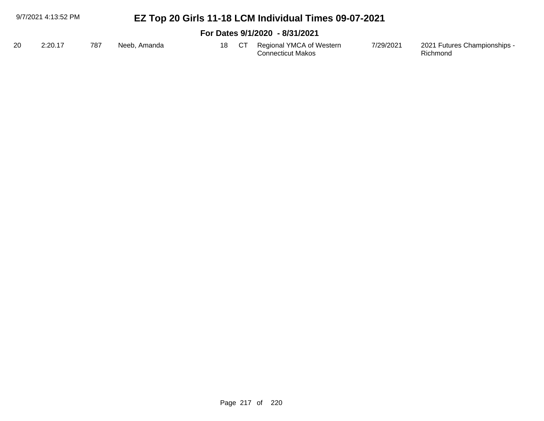| 9/7/2021 4:13:52 PM |                                |     | EZ Top 20 Girls 11-18 LCM Individual Times 09-07-2021 |  |       |                                                      |           |                                          |  |  |  |
|---------------------|--------------------------------|-----|-------------------------------------------------------|--|-------|------------------------------------------------------|-----------|------------------------------------------|--|--|--|
|                     | For Dates 9/1/2020 - 8/31/2021 |     |                                                       |  |       |                                                      |           |                                          |  |  |  |
| 20                  | 2:20.17                        | 787 | Neeb. Amanda                                          |  | 18 CT | Regional YMCA of Western<br><b>Connecticut Makos</b> | 7/29/2021 | 2021 Futures Championships -<br>Richmond |  |  |  |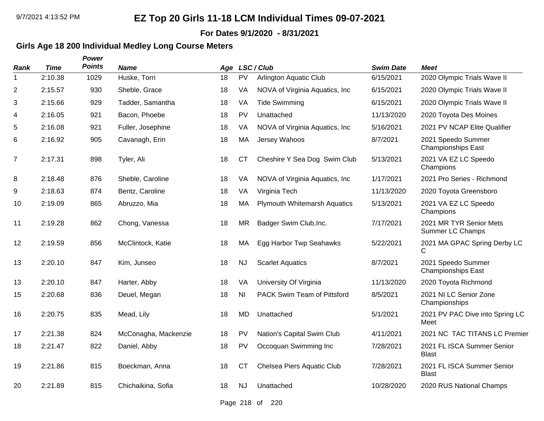## **EZ Top 20 Girls 11-18 LCM Individual Times 09-07-2021**

**For Dates 9/1/2020 - 8/31/2021**

## **Girls Age 18 200 Individual Medley Long Course Meters**

| <b>Rank</b>    | <b>Time</b> | Power<br><b>Points</b> | <b>Name</b>          |    |           | Age LSC/Club                        | <b>Swim Date</b> | <b>Meet</b>                                        |
|----------------|-------------|------------------------|----------------------|----|-----------|-------------------------------------|------------------|----------------------------------------------------|
| $\mathbf 1$    | 2:10.38     | 1029                   | Huske, Torri         | 18 | PV        | <b>Arlington Aquatic Club</b>       | 6/15/2021        | 2020 Olympic Trials Wave II                        |
| $\overline{2}$ | 2:15.57     | 930                    | Sheble, Grace        | 18 | VA        | NOVA of Virginia Aquatics, Inc.     | 6/15/2021        | 2020 Olympic Trials Wave II                        |
| 3              | 2:15.66     | 929                    | Tadder, Samantha     | 18 | VA        | <b>Tide Swimming</b>                | 6/15/2021        | 2020 Olympic Trials Wave II                        |
| 4              | 2:16.05     | 921                    | Bacon, Phoebe        | 18 | PV        | Unattached                          | 11/13/2020       | 2020 Toyota Des Moines                             |
| 5              | 2:16.08     | 921                    | Fuller, Josephine    | 18 | VA        | NOVA of Virginia Aquatics, Inc      | 5/16/2021        | 2021 PV NCAP Elite Qualifier                       |
| 6              | 2:16.92     | 905                    | Cavanagh, Erin       | 18 | MA        | Jersey Wahoos                       | 8/7/2021         | 2021 Speedo Summer<br><b>Championships East</b>    |
| $\overline{7}$ | 2:17.31     | 898                    | Tyler, Ali           | 18 | <b>CT</b> | Cheshire Y Sea Dog Swim Club        | 5/13/2021        | 2021 VA EZ LC Speedo<br>Champions                  |
| 8              | 2:18.48     | 876                    | Sheble, Caroline     | 18 | VA        | NOVA of Virginia Aquatics, Inc.     | 1/17/2021        | 2021 Pro Series - Richmond                         |
| 9              | 2:18.63     | 874                    | Bentz, Caroline      | 18 | VA        | Virginia Tech                       | 11/13/2020       | 2020 Toyota Greensboro                             |
| 10             | 2:19.09     | 865                    | Abruzzo, Mia         | 18 | MA        | <b>Plymouth Whitemarsh Aquatics</b> | 5/13/2021        | 2021 VA EZ LC Speedo<br>Champions                  |
| 11             | 2:19.28     | 862                    | Chong, Vanessa       | 18 | <b>MR</b> | Badger Swim Club, Inc.              | 7/17/2021        | 2021 MR TYR Senior Mets<br><b>Summer LC Champs</b> |
| 12             | 2:19.59     | 856                    | McClintock, Katie    | 18 | MA        | Egg Harbor Twp Seahawks             | 5/22/2021        | 2021 MA GPAC Spring Derby LC<br>C                  |
| 13             | 2:20.10     | 847                    | Kim, Junseo          | 18 | <b>NJ</b> | <b>Scarlet Aquatics</b>             | 8/7/2021         | 2021 Speedo Summer<br><b>Championships East</b>    |
| 13             | 2:20.10     | 847                    | Harter, Abby         | 18 | VA        | University Of Virginia              | 11/13/2020       | 2020 Toyota Richmond                               |
| 15             | 2:20.68     | 836                    | Deuel, Megan         | 18 | <b>NI</b> | <b>PACK Swim Team of Pittsford</b>  | 8/5/2021         | 2021 NI LC Senior Zone<br>Championships            |
| 16             | 2:20.75     | 835                    | Mead, Lily           | 18 | <b>MD</b> | Unattached                          | 5/1/2021         | 2021 PV PAC Dive into Spring LC<br>Meet            |
| 17             | 2:21.38     | 824                    | McConagha, Mackenzie | 18 | PV        | Nation's Capital Swim Club          | 4/11/2021        | 2021 NC TAC TITANS LC Premier                      |
| 18             | 2:21.47     | 822                    | Daniel, Abby         | 18 | <b>PV</b> | Occoquan Swimming Inc               | 7/28/2021        | 2021 FL ISCA Summer Senior<br><b>Blast</b>         |
| 19             | 2:21.86     | 815                    | Boeckman, Anna       | 18 | <b>CT</b> | Chelsea Piers Aquatic Club          | 7/28/2021        | 2021 FL ISCA Summer Senior<br><b>Blast</b>         |
| 20             | 2:21.89     | 815                    | Chichaikina, Sofia   | 18 | <b>NJ</b> | Unattached                          | 10/28/2020       | 2020 RUS National Champs                           |

Page 218 of 220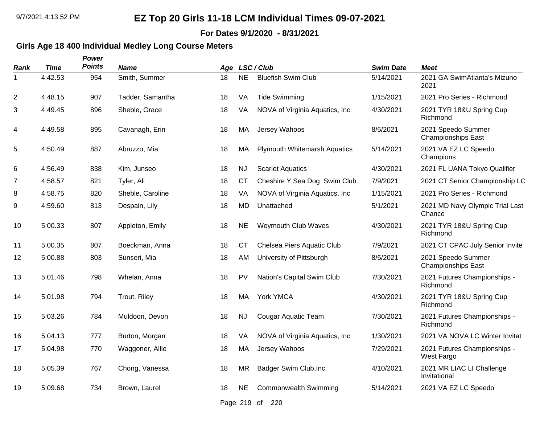## **EZ Top 20 Girls 11-18 LCM Individual Times 09-07-2021**

**For Dates 9/1/2020 - 8/31/2021**

## **Girls Age 18 400 Individual Medley Long Course Meters**

*Power*

| Rank | <b>Time</b> | <b>Points</b> | <b>Name</b>      |    |           | Age LSC/Club                        | <b>Swim Date</b> | <b>Meet</b>                                     |
|------|-------------|---------------|------------------|----|-----------|-------------------------------------|------------------|-------------------------------------------------|
| 1    | 4:42.53     | 954           | Smith, Summer    | 18 | <b>NE</b> | <b>Bluefish Swim Club</b>           | 5/14/2021        | 2021 GA SwimAtlanta's Mizuno<br>2021            |
| 2    | 4:48.15     | 907           | Tadder, Samantha | 18 | VA        | <b>Tide Swimming</b>                | 1/15/2021        | 2021 Pro Series - Richmond                      |
| 3    | 4:49.45     | 896           | Sheble, Grace    | 18 | VA        | NOVA of Virginia Aquatics, Inc      | 4/30/2021        | 2021 TYR 18&U Spring Cup<br>Richmond            |
| 4    | 4:49.58     | 895           | Cavanagh, Erin   | 18 | MA        | Jersey Wahoos                       | 8/5/2021         | 2021 Speedo Summer<br><b>Championships East</b> |
| 5    | 4:50.49     | 887           | Abruzzo, Mia     | 18 | MA        | <b>Plymouth Whitemarsh Aquatics</b> | 5/14/2021        | 2021 VA EZ LC Speedo<br>Champions               |
| 6    | 4:56.49     | 838           | Kim, Junseo      | 18 | <b>NJ</b> | <b>Scarlet Aquatics</b>             | 4/30/2021        | 2021 FL UANA Tokyo Qualifier                    |
| 7    | 4:58.57     | 821           | Tyler, Ali       | 18 | <b>CT</b> | Cheshire Y Sea Dog Swim Club        | 7/9/2021         | 2021 CT Senior Championship LC                  |
| 8    | 4:58.75     | 820           | Sheble, Caroline | 18 | VA        | NOVA of Virginia Aquatics, Inc.     | 1/15/2021        | 2021 Pro Series - Richmond                      |
| 9    | 4:59.60     | 813           | Despain, Lily    | 18 | <b>MD</b> | Unattached                          | 5/1/2021         | 2021 MD Navy Olympic Trial Last<br>Chance       |
| 10   | 5:00.33     | 807           | Appleton, Emily  | 18 | <b>NE</b> | <b>Weymouth Club Waves</b>          | 4/30/2021        | 2021 TYR 18&U Spring Cup<br>Richmond            |
| 11   | 5:00.35     | 807           | Boeckman, Anna   | 18 | <b>CT</b> | Chelsea Piers Aquatic Club          | 7/9/2021         | 2021 CT CPAC July Senior Invite                 |
| 12   | 5:00.88     | 803           | Sunseri, Mia     | 18 | AM        | University of Pittsburgh            | 8/5/2021         | 2021 Speedo Summer<br><b>Championships East</b> |
| 13   | 5:01.46     | 798           | Whelan, Anna     | 18 | PV        | Nation's Capital Swim Club          | 7/30/2021        | 2021 Futures Championships -<br>Richmond        |
| 14   | 5:01.98     | 794           | Trout, Riley     | 18 | MA        | York YMCA                           | 4/30/2021        | 2021 TYR 18&U Spring Cup<br>Richmond            |
| 15   | 5:03.26     | 784           | Muldoon, Devon   | 18 | <b>NJ</b> | Cougar Aquatic Team                 | 7/30/2021        | 2021 Futures Championships -<br>Richmond        |
| 16   | 5:04.13     | 777           | Burton, Morgan   | 18 | VA        | NOVA of Virginia Aquatics, Inc.     | 1/30/2021        | 2021 VA NOVA LC Winter Invitat                  |
| 17   | 5:04.98     | 770           | Waggoner, Allie  | 18 | MA        | Jersey Wahoos                       | 7/29/2021        | 2021 Futures Championships -<br>West Fargo      |
| 18   | 5:05.39     | 767           | Chong, Vanessa   | 18 | <b>MR</b> | Badger Swim Club, Inc.              | 4/10/2021        | 2021 MR LIAC LI Challenge<br>Invitational       |
| 19   | 5:09.68     | 734           | Brown, Laurel    | 18 | <b>NE</b> | <b>Commonwealth Swimming</b>        | 5/14/2021        | 2021 VA EZ LC Speedo                            |
|      |             |               |                  |    |           | Page 219 of 220                     |                  |                                                 |